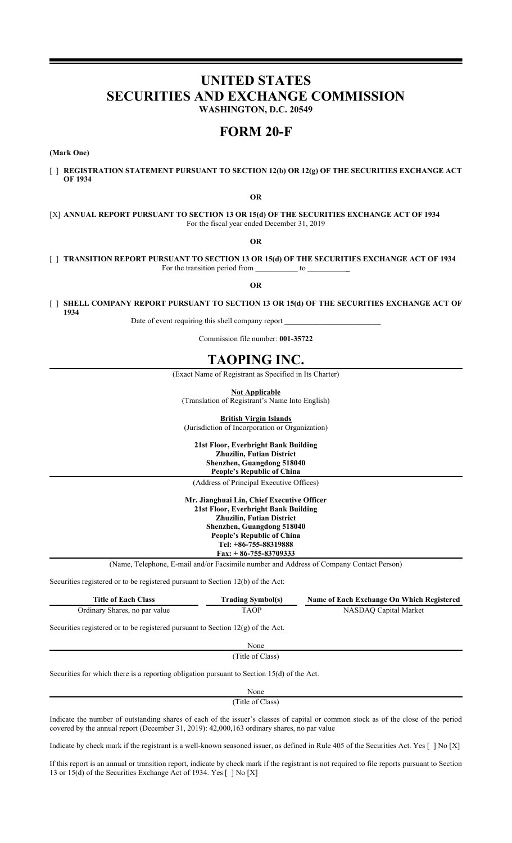# **UNITED STATES SECURITIES AND EXCHANGE COMMISSION WASHINGTON, D.C. 20549**

# **FORM 20-F**

**(Mark One)**

[ ] **REGISTRATION STATEMENT PURSUANT TO SECTION 12(b) OR 12(g) OF THE SECURITIES EXCHANGE ACT OF 1934**

**OR**

[X] **ANNUAL REPORT PURSUANT TO SECTION 13 OR 15(d) OF THE SECURITIES EXCHANGE ACT OF 1934** For the fiscal year ended December 31, 2019

**OR**

[ ] **TRANSITION REPORT PURSUANT TO SECTION 13 OR 15(d) OF THE SECURITIES EXCHANGE ACT OF 1934** For the transition period from \_\_\_\_\_\_\_\_\_\_\_\_\_ to \_

**OR**

[ ] **SHELL COMPANY REPORT PURSUANT TO SECTION 13 OR 15(d) OF THE SECURITIES EXCHANGE ACT OF 1934**

Date of event requiring this shell company report \_

Commission file number: **001-35722**

# **TAOPING INC.**

(Exact Name of Registrant as Specified in Its Charter)

**Not Applicable** (Translation of Registrant's Name Into English)

**British Virgin Islands** (Jurisdiction of Incorporation or Organization)

**21st Floor, Everbright Bank Building Zhuzilin, Futian District Shenzhen, Guangdong 518040 People's Republic of China**

(Address of Principal Executive Offices)

**Mr. Jianghuai Lin, Chief Executive Officer 21st Floor, Everbright Bank Building Zhuzilin, Futian District Shenzhen, Guangdong 518040 People's Republic of China Tel: +86-755-88319888 Fax: + 86-755-83709333**

(Name, Telephone, E-mail and/or Facsimile number and Address of Company Contact Person)

Securities registered or to be registered pursuant to Section 12(b) of the Act:

| <b>Title of Each Class</b>    | <b>Trading Symbol(s)</b> | Name of Each Exchange On Which Registered |  |  |  |  |  |
|-------------------------------|--------------------------|-------------------------------------------|--|--|--|--|--|
| Ordinary Shares, no par value | TAOP                     | NASDAQ Capital Market                     |  |  |  |  |  |

Securities registered or to be registered pursuant to Section 12(g) of the Act.

None

(Title of Class)

Securities for which there is a reporting obligation pursuant to Section 15(d) of the Act.

None

(Title of Class)

Indicate the number of outstanding shares of each of the issuer's classes of capital or common stock as of the close of the period covered by the annual report (December 31, 2019): 42,000,163 ordinary shares, no par value

Indicate by check mark if the registrant is a well-known seasoned issuer, as defined in Rule 405 of the Securities Act. Yes [ ] No [X]

If this report is an annual or transition report, indicate by check mark if the registrant is not required to file reports pursuant to Section 13 or 15(d) of the Securities Exchange Act of 1934. Yes [ ] No [X]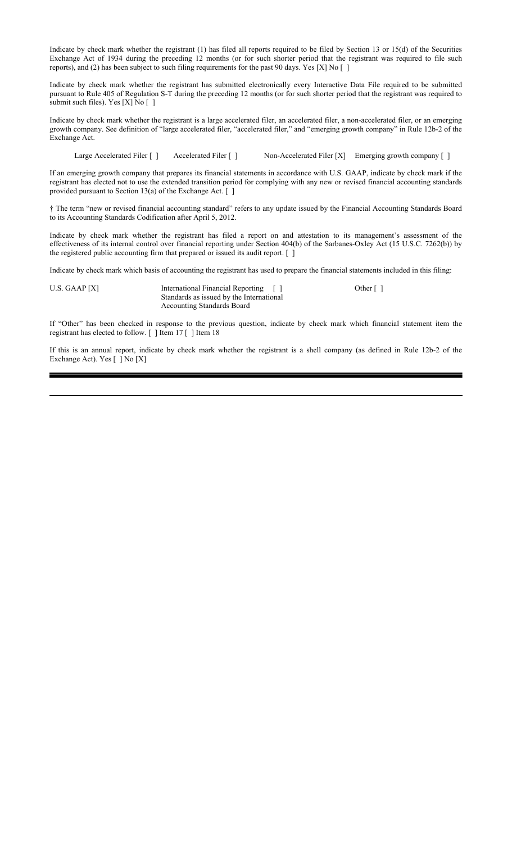Indicate by check mark whether the registrant (1) has filed all reports required to be filed by Section 13 or 15(d) of the Securities Exchange Act of 1934 during the preceding 12 months (or for such shorter period that the registrant was required to file such reports), and (2) has been subject to such filing requirements for the past 90 days. Yes [X] No [ ]

Indicate by check mark whether the registrant has submitted electronically every Interactive Data File required to be submitted pursuant to Rule 405 of Regulation S-T during the preceding 12 months (or for such shorter period that the registrant was required to submit such files). Yes [X] No [ ]

Indicate by check mark whether the registrant is a large accelerated filer, an accelerated filer, a non-accelerated filer, or an emerging growth company. See definition of "large accelerated filer, "accelerated filer," and "emerging growth company" in Rule 12b-2 of the Exchange Act.

Large Accelerated Filer [ ] Accelerated Filer [ ] Non-Accelerated Filer [X] Emerging growth company [ ]

If an emerging growth company that prepares its financial statements in accordance with U.S. GAAP, indicate by check mark if the registrant has elected not to use the extended transition period for complying with any new or revised financial accounting standards provided pursuant to Section 13(a) of the Exchange Act. [ ]

† The term "new or revised financial accounting standard" refers to any update issued by the Financial Accounting Standards Board to its Accounting Standards Codification after April 5, 2012.

Indicate by check mark whether the registrant has filed a report on and attestation to its management's assessment of the effectiveness of its internal control over financial reporting under Section 404(b) of the Sarbanes-Oxley Act (15 U.S.C. 7262(b)) by the registered public accounting firm that prepared or issued its audit report. [ ]

Indicate by check mark which basis of accounting the registrant has used to prepare the financial statements included in this filing:

U.S. GAAP [X] International Financial Reporting [ ] Other [ ] Standards as issued by the International Accounting Standards Board

If "Other" has been checked in response to the previous question, indicate by check mark which financial statement item the registrant has elected to follow. [ ] Item 17 [ ] Item 18

If this is an annual report, indicate by check mark whether the registrant is a shell company (as defined in Rule 12b-2 of the Exchange Act). Yes [ ] No [X]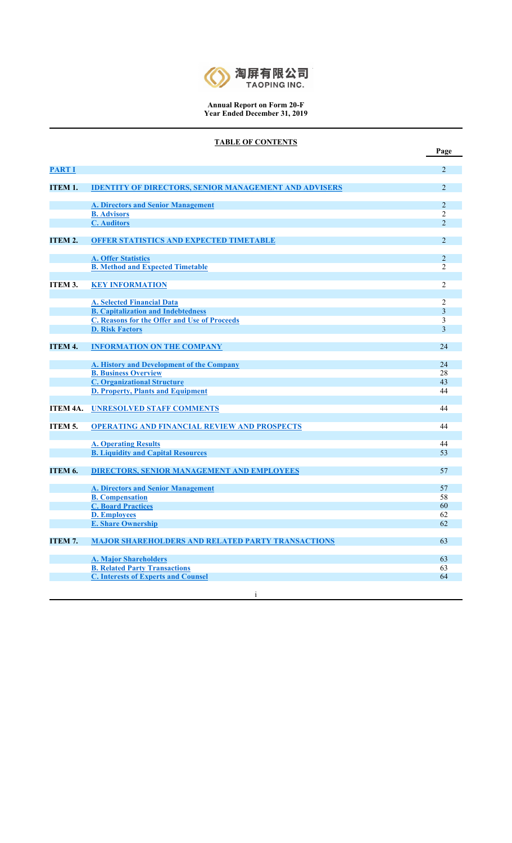

#### **Annual Report on Form 20-F Year Ended December 31, 2019**

| <b>TABLE OF CONTENTS</b> |
|--------------------------|
|--------------------------|

|                 | <u><b>HABLE OF CONTENTS</b></u>                              | Page           |
|-----------------|--------------------------------------------------------------|----------------|
| <b>PART I</b>   |                                                              | $\overline{2}$ |
| <b>ITEM 1.</b>  | <b>IDENTITY OF DIRECTORS, SENIOR MANAGEMENT AND ADVISERS</b> | $\overline{2}$ |
|                 | <b>A. Directors and Senior Management</b>                    | $\overline{2}$ |
|                 | <b>B.</b> Advisors                                           | 2              |
|                 | <b>C.</b> Auditors                                           | $\overline{2}$ |
|                 |                                                              |                |
| ITEM 2.         | <b>OFFER STATISTICS AND EXPECTED TIMETABLE</b>               | $\overline{2}$ |
|                 |                                                              |                |
|                 | <b>A. Offer Statistics</b>                                   | $\overline{2}$ |
|                 | <b>B. Method and Expected Timetable</b>                      | 2              |
|                 |                                                              |                |
| ITEM 3.         | <b>KEY INFORMATION</b>                                       | 2              |
|                 | <b>A. Selected Financial Data</b>                            | 2              |
|                 | <b>B. Capitalization and Indebtedness</b>                    | 3              |
|                 | <b>C. Reasons for the Offer and Use of Proceeds</b>          | 3              |
|                 | <b>D. Risk Factors</b>                                       | 3              |
|                 |                                                              |                |
| <b>ITEM 4.</b>  | <b>INFORMATION ON THE COMPANY</b>                            | 24             |
|                 | A. History and Development of the Company                    | 24             |
|                 | <b>B. Business Overview</b>                                  | 28             |
|                 | <b>C. Organizational Structure</b>                           | 43             |
|                 | <b>D. Property, Plants and Equipment</b>                     | 44             |
|                 |                                                              |                |
| <b>ITEM 4A.</b> | <b>UNRESOLVED STAFF COMMENTS</b>                             | 44             |
| ITEM 5.         | <b>OPERATING AND FINANCIAL REVIEW AND PROSPECTS</b>          | 44             |
|                 |                                                              |                |
|                 | <b>A. Operating Results</b>                                  | 44             |
|                 | <b>B. Liquidity and Capital Resources</b>                    | 53             |
|                 |                                                              |                |
| <b>ITEM 6.</b>  | <b>DIRECTORS, SENIOR MANAGEMENT AND EMPLOYEES</b>            | 57             |
|                 |                                                              |                |
|                 | <b>A. Directors and Senior Management</b>                    | 57             |
|                 | <b>B.</b> Compensation                                       | 58             |
|                 | <b>C. Board Practices</b>                                    | 60<br>62       |
|                 | <b>D. Employees</b><br><b>E. Share Ownership</b>             | 62             |
|                 |                                                              |                |
| ITEM 7.         | <b>MAJOR SHAREHOLDERS AND RELATED PARTY TRANSACTIONS</b>     | 63             |
|                 |                                                              |                |
|                 | <b>A. Major Shareholders</b>                                 | 63             |
|                 | <b>B. Related Party Transactions</b>                         | 63             |
|                 | <b>C. Interests of Experts and Counsel</b>                   | 64             |
|                 |                                                              |                |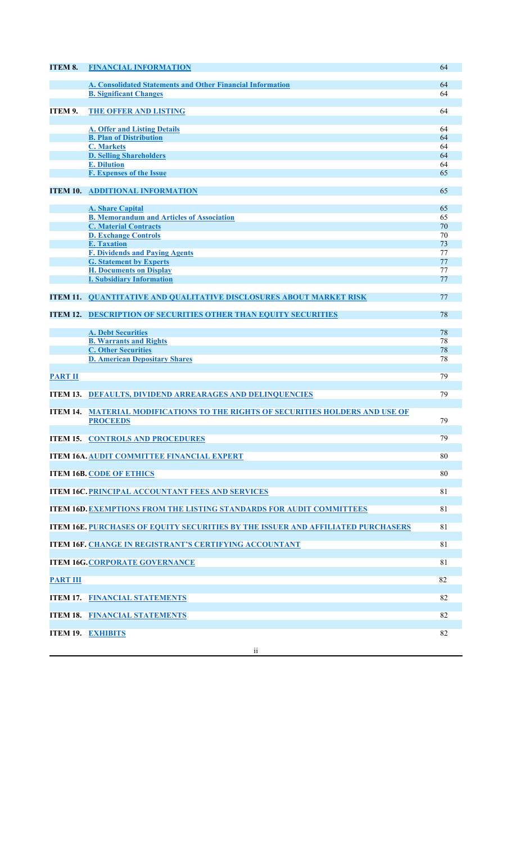| ITEM 8.         | <b>FINANCIAL INFORMATION</b>                                                            | 64       |
|-----------------|-----------------------------------------------------------------------------------------|----------|
|                 | <b>A. Consolidated Statements and Other Financial Information</b>                       | 64       |
|                 | <b>B. Significant Changes</b>                                                           | 64       |
|                 |                                                                                         |          |
| ITEM 9.         | <b>THE OFFER AND LISTING</b>                                                            | 64       |
|                 | <b>A. Offer and Listing Details</b>                                                     | 64       |
|                 | <b>B. Plan of Distribution</b>                                                          | 64       |
|                 | <b>C. Markets</b>                                                                       | 64       |
|                 | <b>D. Selling Shareholders</b>                                                          | 64       |
|                 | <b>E. Dilution</b>                                                                      | 64       |
|                 | <b>F. Expenses of the Issue</b>                                                         | 65       |
|                 | <b>ITEM 10. ADDITIONAL INFORMATION</b>                                                  | 65       |
|                 |                                                                                         |          |
|                 | <b>A. Share Capital</b>                                                                 | 65       |
|                 | <b>B. Memorandum and Articles of Association</b>                                        | 65       |
|                 | <b>C. Material Contracts</b>                                                            | 70       |
|                 | <b>D. Exchange Controls</b>                                                             | 70       |
|                 | <b>E. Taxation</b>                                                                      | 73       |
|                 | <b>F. Dividends and Paying Agents</b>                                                   | 77       |
|                 | <b>G. Statement by Experts</b><br><b>H. Documents on Display</b>                        | 77<br>77 |
|                 | <b>I. Subsidiary Information</b>                                                        | 77       |
|                 |                                                                                         |          |
|                 | <b>ITEM 11. QUANTITATIVE AND QUALITATIVE DISCLOSURES ABOUT MARKET RISK</b>              | 77       |
|                 |                                                                                         |          |
| <b>ITEM 12.</b> | <b>DESCRIPTION OF SECURITIES OTHER THAN EQUITY SECURITIES</b>                           | 78       |
|                 |                                                                                         |          |
|                 | <b>A. Debt Securities</b>                                                               | 78       |
|                 | <b>B. Warrants and Rights</b>                                                           | 78       |
|                 | <b>C. Other Securities</b>                                                              | 78       |
|                 | <b>D. American Depositary Shares</b>                                                    | 78       |
| <b>PART II</b>  |                                                                                         | 79       |
|                 |                                                                                         |          |
| <b>ITEM 13.</b> | <b>DEFAULTS, DIVIDEND ARREARAGES AND DELINQUENCIES</b>                                  | 79       |
|                 |                                                                                         |          |
| <b>ITEM 14.</b> | <b>MATERIAL MODIFICATIONS TO THE RIGHTS OF SECURITIES HOLDERS AND USE OF</b>            |          |
|                 | <b>PROCEEDS</b>                                                                         | 79       |
|                 |                                                                                         |          |
|                 | <b>ITEM 15. CONTROLS AND PROCEDURES</b>                                                 | 79       |
|                 | <b>ITEM 16A. AUDIT COMMITTEE FINANCIAL EXPERT</b>                                       | 80       |
|                 |                                                                                         |          |
|                 | <b>ITEM 16B. CODE OF ETHICS</b>                                                         | 80       |
|                 |                                                                                         |          |
|                 | <b>ITEM 16C. PRINCIPAL ACCOUNTANT FEES AND SERVICES</b>                                 | 81       |
|                 |                                                                                         |          |
|                 | <b>ITEM 16D. EXEMPTIONS FROM THE LISTING STANDARDS FOR AUDIT COMMITTEES</b>             | 81       |
|                 |                                                                                         |          |
|                 | <b>ITEM 16E. PURCHASES OF EQUITY SECURITIES BY THE ISSUER AND AFFILIATED PURCHASERS</b> | 81       |
|                 | ITEM 16F. CHANGE IN REGISTRANT'S CERTIFYING ACCOUNTANT                                  | 81       |
|                 |                                                                                         |          |
|                 | <b>ITEM 16G. CORPORATE GOVERNANCE</b>                                                   | 81       |
|                 |                                                                                         |          |
| <b>PART III</b> |                                                                                         | 82       |
|                 |                                                                                         |          |
|                 | <b>ITEM 17. FINANCIAL STATEMENTS</b>                                                    | 82       |
|                 |                                                                                         |          |
|                 | <b>ITEM 18. FINANCIAL STATEMENTS</b>                                                    | 82       |
|                 | <b>ITEM 19. EXHIBITS</b>                                                                | 82       |
|                 |                                                                                         |          |
|                 | $\mathbf{ii}$                                                                           |          |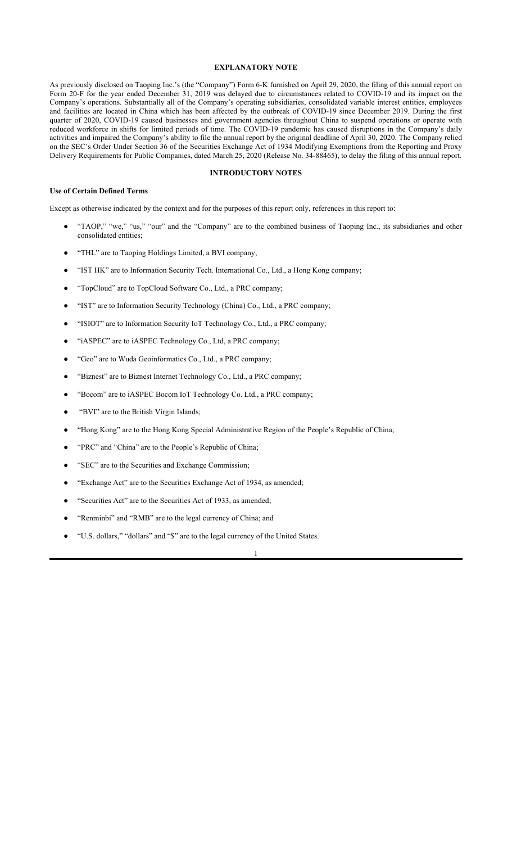# **EXPLANATORY NOTE**

As previously disclosed on Taoping Inc.'s (the "Company") Form 6-K furnished on April 29, 2020, the filing of this annual report on Form 20-F for the year ended December 31, 2019 was delayed due to circumstances related to COVID-19 and its impact on the Company's operations. Substantially all of the Company's operating subsidiaries, consolidated variable interest entities, employees and facilities are located in China which has been affected by the outbreak of COVID-19 since December 2019. During the first quarter of 2020, COVID-19 caused businesses and government agencies throughout China to suspend operations or operate with reduced workforce in shifts for limited periods of time. The COVID-19 pandemic has caused disruptions in the Company's daily activities and impaired the Company's ability to file the annual report by the original deadline of April 30, 2020. The Company relied on the SEC's Order Under Section 36 of the Securities Exchange Act of 1934 Modifying Exemptions from the Reporting and Proxy Delivery Requirements for Public Companies, dated March 25, 2020 (Release No. 34-88465), to delay the filing of this annual report.

# **INTRODUCTORY NOTES**

## **Use of Certain Defined Terms**

Except as otherwise indicated by the context and for the purposes of this report only, references in this report to:

- "TAOP," "we," "us," "our" and the "Company" are to the combined business of Taoping Inc., its subsidiaries and other consolidated entities;
- "THL" are to Taoping Holdings Limited, a BVI company;
- "IST HK" are to Information Security Tech. International Co., Ltd., a Hong Kong company;
- "TopCloud" are to TopCloud Software Co., Ltd., a PRC company;
- "IST" are to Information Security Technology (China) Co., Ltd., a PRC company;
- "ISIOT" are to Information Security IoT Technology Co., Ltd., a PRC company;
- "iASPEC" are to iASPEC Technology Co., Ltd, a PRC company;
- "Geo" are to Wuda Geoinformatics Co., Ltd., a PRC company;
- "Biznest" are to Biznest Internet Technology Co., Ltd., a PRC company;
- "Bocom" are to iASPEC Bocom IoT Technology Co. Ltd., a PRC company;
- "BVI" are to the British Virgin Islands;
- "Hong Kong" are to the Hong Kong Special Administrative Region of the People's Republic of China;
- "PRC" and "China" are to the People's Republic of China;
- "SEC" are to the Securities and Exchange Commission;
- "Exchange Act" are to the Securities Exchange Act of 1934, as amended;
- "Securities Act" are to the Securities Act of 1933, as amended;
- "Renminbi" and "RMB" are to the legal currency of China; and
- "U.S. dollars," "dollars" and "\$" are to the legal currency of the United States.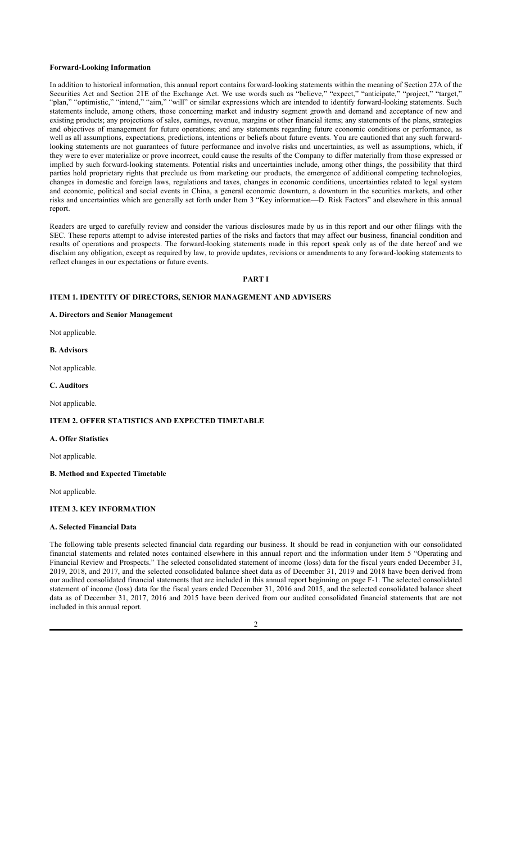## **Forward-Looking Information**

In addition to historical information, this annual report contains forward-looking statements within the meaning of Section 27A of the Securities Act and Section 21E of the Exchange Act. We use words such as "believe," "expect," "anticipate," "project," "target," "plan," "optimistic," "intend," "aim," "will" or similar expressions which are intended to identify forward-looking statements. Such statements include, among others, those concerning market and industry segment growth and demand and acceptance of new and existing products; any projections of sales, earnings, revenue, margins or other financial items; any statements of the plans, strategies and objectives of management for future operations; and any statements regarding future economic conditions or performance, as well as all assumptions, expectations, predictions, intentions or beliefs about future events. You are cautioned that any such forwardlooking statements are not guarantees of future performance and involve risks and uncertainties, as well as assumptions, which, if they were to ever materialize or prove incorrect, could cause the results of the Company to differ materially from those expressed or implied by such forward-looking statements. Potential risks and uncertainties include, among other things, the possibility that third parties hold proprietary rights that preclude us from marketing our products, the emergence of additional competing technologies, changes in domestic and foreign laws, regulations and taxes, changes in economic conditions, uncertainties related to legal system and economic, political and social events in China, a general economic downturn, a downturn in the securities markets, and other risks and uncertainties which are generally set forth under Item 3 "Key information—D. Risk Factors" and elsewhere in this annual report.

Readers are urged to carefully review and consider the various disclosures made by us in this report and our other filings with the SEC. These reports attempt to advise interested parties of the risks and factors that may affect our business, financial condition and results of operations and prospects. The forward-looking statements made in this report speak only as of the date hereof and we disclaim any obligation, except as required by law, to provide updates, revisions or amendments to any forward-looking statements to reflect changes in our expectations or future events.

## **PART I**

#### **ITEM 1. IDENTITY OF DIRECTORS, SENIOR MANAGEMENT AND ADVISERS**

**A. Directors and Senior Management**

Not applicable.

#### **B. Advisors**

Not applicable.

# **C. Auditors**

Not applicable.

# **ITEM 2. OFFER STATISTICS AND EXPECTED TIMETABLE**

## **A. Offer Statistics**

Not applicable.

#### **B. Method and Expected Timetable**

Not applicable.

## **ITEM 3. KEY INFORMATION**

# **A. Selected Financial Data**

The following table presents selected financial data regarding our business. It should be read in conjunction with our consolidated financial statements and related notes contained elsewhere in this annual report and the information under Item 5 "Operating and Financial Review and Prospects." The selected consolidated statement of income (loss) data for the fiscal years ended December 31, 2019, 2018, and 2017, and the selected consolidated balance sheet data as of December 31, 2019 and 2018 have been derived from our audited consolidated financial statements that are included in this annual report beginning on page F-1. The selected consolidated statement of income (loss) data for the fiscal years ended December 31, 2016 and 2015, and the selected consolidated balance sheet data as of December 31, 2017, 2016 and 2015 have been derived from our audited consolidated financial statements that are not included in this annual report.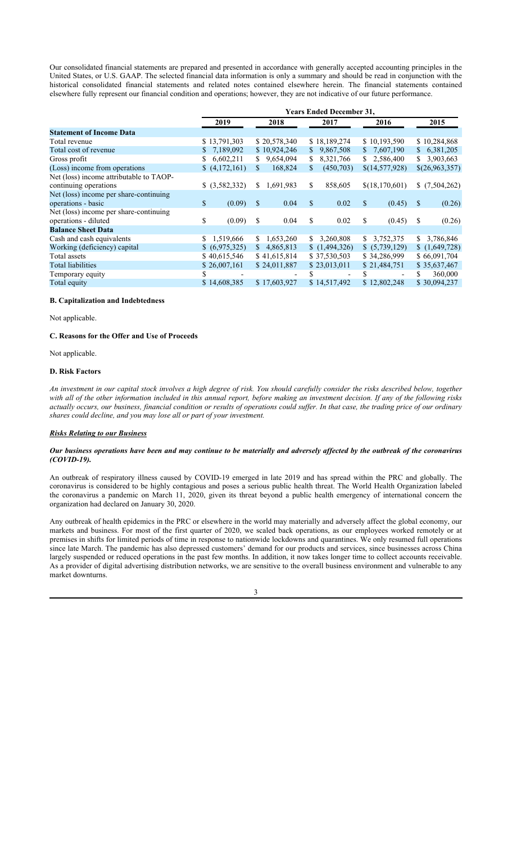Our consolidated financial statements are prepared and presented in accordance with generally accepted accounting principles in the United States, or U.S. GAAP. The selected financial data information is only a summary and should be read in conjunction with the historical consolidated financial statements and related notes contained elsewhere herein. The financial statements contained elsewhere fully represent our financial condition and operations; however, they are not indicative of our future performance.

|                                         |    | <b>Years Ended December 31,</b> |              |              |    |                          |    |                |               |                |  |
|-----------------------------------------|----|---------------------------------|--------------|--------------|----|--------------------------|----|----------------|---------------|----------------|--|
|                                         |    | 2019                            |              | 2018         |    | 2017                     |    | 2016           |               | 2015           |  |
| <b>Statement of Income Data</b>         |    |                                 |              |              |    |                          |    |                |               |                |  |
| Total revenue                           |    | \$13,791,303                    |              | \$20,578,340 |    | \$18,189,274             |    | \$10,193,590   |               | \$10,284,868   |  |
| Total cost of revenue                   |    | \$7,189,092                     |              | \$10,924,246 |    | \$9,867,508              |    | \$7,607,190    |               | \$6,381,205    |  |
| Gross profit                            | S. | 6,602,211                       | S.           | 9,654,094    | \$ | 8,321,766                | S. | 2,586,400      | S.            | 3,903,663      |  |
| (Loss) income from operations           |    | (4,172,161)                     | $\mathbb{S}$ | 168,824      | \$ | (450,703)                |    | \$(14,577,928) |               | \$(26,963,357) |  |
| Net (loss) income attributable to TAOP- |    |                                 |              |              |    |                          |    |                |               |                |  |
| continuing operations                   |    | \$ (3,582,332)                  | S.           | 1,691,983    | \$ | 858,605                  |    | \$(18,170,601) |               | \$(7,504,262)  |  |
| Net (loss) income per share-continuing  |    |                                 |              |              |    |                          |    |                |               |                |  |
| operations - basic                      | \$ | (0.09)                          | <sup>S</sup> | 0.04         | \$ | 0.02                     | \$ | (0.45)         | <sup>\$</sup> | (0.26)         |  |
| Net (loss) income per share-continuing  |    |                                 |              |              |    |                          |    |                |               |                |  |
| operations - diluted                    | \$ | (0.09)                          | \$           | 0.04         | \$ | 0.02                     | \$ | (0.45)         | \$.           | (0.26)         |  |
| <b>Balance Sheet Data</b>               |    |                                 |              |              |    |                          |    |                |               |                |  |
| Cash and cash equivalents               |    | 1,519,666                       | \$           | 1,653,260    | S. | 3,260,808                | S. | 3,752,375      |               | \$3,786,846    |  |
| Working (deficiency) capital            |    | (6,975,325)                     |              | \$4,865,813  |    | (1,494,326)              |    | \$ (5,739,129) |               | \$(1,649,728)  |  |
| Total assets                            |    | \$40,615,546                    |              | \$41,615,814 |    | \$37,530,503             |    | \$34,286,999   |               | \$66,091,704   |  |
| <b>Total liabilities</b>                |    | \$26,007,161                    |              | \$24,011,887 |    | \$23,013,011             |    | \$21,484,751   |               | \$35,637,467   |  |
| Temporary equity                        |    |                                 |              |              | \$ | $\overline{\phantom{a}}$ | \$ | ۰              | \$            | 360,000        |  |
| Total equity                            |    | \$14,608,385                    |              | \$17,603,927 |    | \$14,517,492             |    | \$12,802,248   |               | \$30,094,237   |  |

## **B. Capitalization and Indebtedness**

Not applicable.

# **C. Reasons for the Offer and Use of Proceeds**

Not applicable.

# **D. Risk Factors**

*An investment in our capital stock involves a high degree of risk. You should carefully consider the risks described below, together with all of the other information included in this annual report, before making an investment decision. If any of the following risks actually occurs, our business, financial condition or results of operations could suffer. In that case, the trading price of our ordinary shares could decline, and you may lose all or part of your investment.*

## *Risks Relating to our Business*

#### *Our business operations have been and may continue to be materially and adversely affected by the outbreak of the coronavirus (COVID-19).*

An outbreak of respiratory illness caused by COVID-19 emerged in late 2019 and has spread within the PRC and globally. The coronavirus is considered to be highly contagious and poses a serious public health threat. The World Health Organization labeled the coronavirus a pandemic on March 11, 2020, given its threat beyond a public health emergency of international concern the organization had declared on January 30, 2020.

Any outbreak of health epidemics in the PRC or elsewhere in the world may materially and adversely affect the global economy, our markets and business. For most of the first quarter of 2020, we scaled back operations, as our employees worked remotely or at premises in shifts for limited periods of time in response to nationwide lockdowns and quarantines. We only resumed full operations since late March. The pandemic has also depressed customers' demand for our products and services, since businesses across China largely suspended or reduced operations in the past few months. In addition, it now takes longer time to collect accounts receivable. As a provider of digital advertising distribution networks, we are sensitive to the overall business environment and vulnerable to any market downturns.

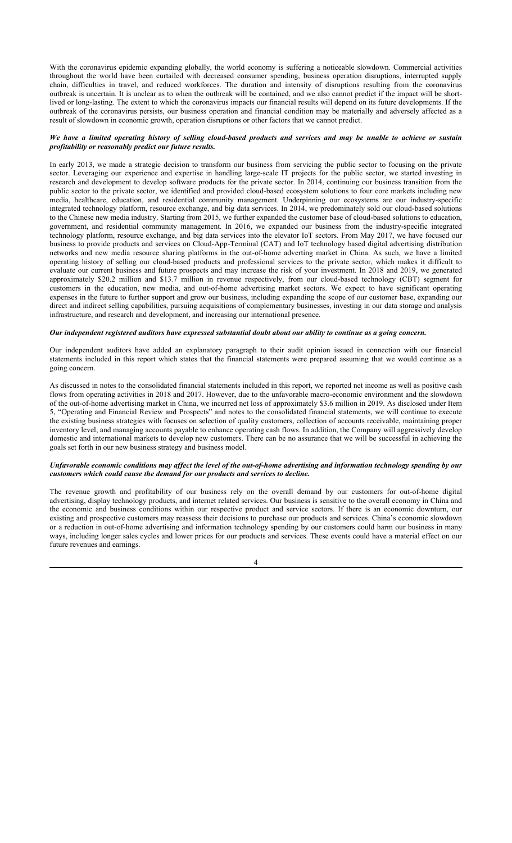With the coronavirus epidemic expanding globally, the world economy is suffering a noticeable slowdown. Commercial activities throughout the world have been curtailed with decreased consumer spending, business operation disruptions, interrupted supply chain, difficulties in travel, and reduced workforces. The duration and intensity of disruptions resulting from the coronavirus outbreak is uncertain. It is unclear as to when the outbreak will be contained, and we also cannot predict if the impact will be shortlived or long-lasting. The extent to which the coronavirus impacts our financial results will depend on its future developments. If the outbreak of the coronavirus persists, our business operation and financial condition may be materially and adversely affected as a result of slowdown in economic growth, operation disruptions or other factors that we cannot predict.

## *We have a limited operating history of selling cloud-based products and services and may be unable to achieve or sustain profitability or reasonably predict our future results.*

In early 2013, we made a strategic decision to transform our business from servicing the public sector to focusing on the private sector. Leveraging our experience and expertise in handling large-scale IT projects for the public sector, we started investing in research and development to develop software products for the private sector. In 2014, continuing our business transition from the public sector to the private sector, we identified and provided cloud-based ecosystem solutions to four core markets including new media, healthcare, education, and residential community management. Underpinning our ecosystems are our industry-specific integrated technology platform, resource exchange, and big data services. In 2014, we predominately sold our cloud-based solutions to the Chinese new media industry. Starting from 2015, we further expanded the customer base of cloud-based solutions to education, government, and residential community management. In 2016, we expanded our business from the industry-specific integrated technology platform, resource exchange, and big data services into the elevator IoT sectors. From May 2017, we have focused our business to provide products and services on Cloud-App-Terminal (CAT) and IoT technology based digital advertising distribution networks and new media resource sharing platforms in the out-of-home adverting market in China. As such, we have a limited operating history of selling our cloud-based products and professional services to the private sector, which makes it difficult to evaluate our current business and future prospects and may increase the risk of your investment. In 2018 and 2019, we generated approximately \$20.2 million and \$13.7 million in revenue respectively, from our cloud-based technology (CBT) segment for customers in the education, new media, and out-of-home advertising market sectors. We expect to have significant operating expenses in the future to further support and grow our business, including expanding the scope of our customer base, expanding our direct and indirect selling capabilities, pursuing acquisitions of complementary businesses, investing in our data storage and analysis infrastructure, and research and development, and increasing our international presence.

#### *Our independent registered auditors have expressed substantial doubt about our ability to continue as a going concern.*

Our independent auditors have added an explanatory paragraph to their audit opinion issued in connection with our financial statements included in this report which states that the financial statements were prepared assuming that we would continue as a going concern.

As discussed in notes to the consolidated financial statements included in this report, we reported net income as well as positive cash flows from operating activities in 2018 and 2017. However, due to the unfavorable macro-economic environment and the slowdown of the out-of-home advertising market in China, we incurred net loss of approximately \$3.6 million in 2019. As disclosed under Item 5, "Operating and Financial Review and Prospects" and notes to the consolidated financial statements, we will continue to execute the existing business strategies with focuses on selection of quality customers, collection of accounts receivable, maintaining proper inventory level, and managing accounts payable to enhance operating cash flows. In addition, the Company will aggressively develop domestic and international markets to develop new customers. There can be no assurance that we will be successful in achieving the goals set forth in our new business strategy and business model.

#### *Unfavorable economic conditions may affect the level of the out-of-home advertising and information technology spending by our customers which could cause the demand for our products and services to decline.*

The revenue growth and profitability of our business rely on the overall demand by our customers for out-of-home digital advertising, display technology products, and internet related services. Our business is sensitive to the overall economy in China and the economic and business conditions within our respective product and service sectors. If there is an economic downturn, our existing and prospective customers may reassess their decisions to purchase our products and services. China's economic slowdown or a reduction in out-of-home advertising and information technology spending by our customers could harm our business in many ways, including longer sales cycles and lower prices for our products and services. These events could have a material effect on our future revenues and earnings.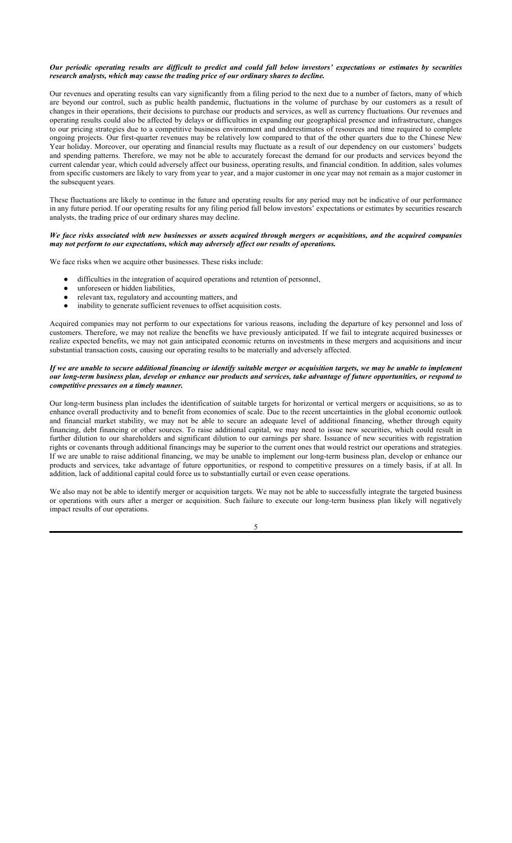## *Our periodic operating results are difficult to predict and could fall below investors' expectations or estimates by securities research analysts, which may cause the trading price of our ordinary shares to decline.*

Our revenues and operating results can vary significantly from a filing period to the next due to a number of factors, many of which are beyond our control, such as public health pandemic, fluctuations in the volume of purchase by our customers as a result of changes in their operations, their decisions to purchase our products and services, as well as currency fluctuations. Our revenues and operating results could also be affected by delays or difficulties in expanding our geographical presence and infrastructure, changes to our pricing strategies due to a competitive business environment and underestimates of resources and time required to complete ongoing projects. Our first-quarter revenues may be relatively low compared to that of the other quarters due to the Chinese New Year holiday. Moreover, our operating and financial results may fluctuate as a result of our dependency on our customers' budgets and spending patterns. Therefore, we may not be able to accurately forecast the demand for our products and services beyond the current calendar year, which could adversely affect our business, operating results, and financial condition. In addition, sales volumes from specific customers are likely to vary from year to year, and a major customer in one year may not remain as a major customer in the subsequent years.

These fluctuations are likely to continue in the future and operating results for any period may not be indicative of our performance in any future period. If our operating results for any filing period fall below investors' expectations or estimates by securities research analysts, the trading price of our ordinary shares may decline.

## *We face risks associated with new businesses or assets acquired through mergers or acquisitions, and the acquired companies may not perform to our expectations, which may adversely affect our results of operations.*

We face risks when we acquire other businesses. These risks include:

- difficulties in the integration of acquired operations and retention of personnel,
- unforeseen or hidden liabilities,
- relevant tax, regulatory and accounting matters, and
- inability to generate sufficient revenues to offset acquisition costs.

Acquired companies may not perform to our expectations for various reasons, including the departure of key personnel and loss of customers. Therefore, we may not realize the benefits we have previously anticipated. If we fail to integrate acquired businesses or realize expected benefits, we may not gain anticipated economic returns on investments in these mergers and acquisitions and incur substantial transaction costs, causing our operating results to be materially and adversely affected.

#### *If we are unable to secure additional financing or identify suitable merger or acquisition targets, we may be unable to implement our long-term business plan, develop or enhance our products and services, take advantage of future opportunities, or respond to competitive pressures on a timely manner.*

Our long-term business plan includes the identification of suitable targets for horizontal or vertical mergers or acquisitions, so as to enhance overall productivity and to benefit from economies of scale. Due to the recent uncertainties in the global economic outlook and financial market stability, we may not be able to secure an adequate level of additional financing, whether through equity financing, debt financing or other sources. To raise additional capital, we may need to issue new securities, which could result in further dilution to our shareholders and significant dilution to our earnings per share. Issuance of new securities with registration rights or covenants through additional financings may be superior to the current ones that would restrict our operations and strategies. If we are unable to raise additional financing, we may be unable to implement our long-term business plan, develop or enhance our products and services, take advantage of future opportunities, or respond to competitive pressures on a timely basis, if at all. In addition, lack of additional capital could force us to substantially curtail or even cease operations.

We also may not be able to identify merger or acquisition targets. We may not be able to successfully integrate the targeted business or operations with ours after a merger or acquisition. Such failure to execute our long-term business plan likely will negatively impact results of our operations.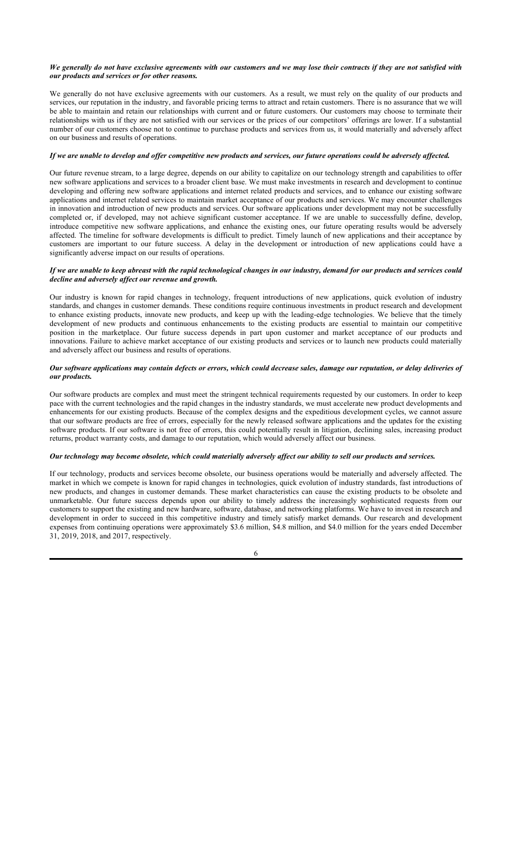## *We generally do not have exclusive agreements with our customers and we may lose their contracts if they are not satisfied with our products and services or for other reasons.*

We generally do not have exclusive agreements with our customers. As a result, we must rely on the quality of our products and services, our reputation in the industry, and favorable pricing terms to attract and retain customers. There is no assurance that we will be able to maintain and retain our relationships with current and or future customers. Our customers may choose to terminate their relationships with us if they are not satisfied with our services or the prices of our competitors' offerings are lower. If a substantial number of our customers choose not to continue to purchase products and services from us, it would materially and adversely affect on our business and results of operations.

# *If we are unable to develop and offer competitive new products and services, our future operations could be adversely affected.*

Our future revenue stream, to a large degree, depends on our ability to capitalize on our technology strength and capabilities to offer new software applications and services to a broader client base. We must make investments in research and development to continue developing and offering new software applications and internet related products and services, and to enhance our existing software applications and internet related services to maintain market acceptance of our products and services. We may encounter challenges in innovation and introduction of new products and services. Our software applications under development may not be successfully completed or, if developed, may not achieve significant customer acceptance. If we are unable to successfully define, develop, introduce competitive new software applications, and enhance the existing ones, our future operating results would be adversely affected. The timeline for software developments is difficult to predict. Timely launch of new applications and their acceptance by customers are important to our future success. A delay in the development or introduction of new applications could have a significantly adverse impact on our results of operations.

# *If we are unable to keep abreast with the rapid technological changes in our industry, demand for our products and services could decline and adversely affect our revenue and growth.*

Our industry is known for rapid changes in technology, frequent introductions of new applications, quick evolution of industry standards, and changes in customer demands. These conditions require continuous investments in product research and development to enhance existing products, innovate new products, and keep up with the leading-edge technologies. We believe that the timely development of new products and continuous enhancements to the existing products are essential to maintain our competitive position in the marketplace. Our future success depends in part upon customer and market acceptance of our products and innovations. Failure to achieve market acceptance of our existing products and services or to launch new products could materially and adversely affect our business and results of operations.

## *Our software applications may contain defects or errors, which could decrease sales, damage our reputation, or delay deliveries of our products.*

Our software products are complex and must meet the stringent technical requirements requested by our customers. In order to keep pace with the current technologies and the rapid changes in the industry standards, we must accelerate new product developments and enhancements for our existing products. Because of the complex designs and the expeditious development cycles, we cannot assure that our software products are free of errors, especially for the newly released software applications and the updates for the existing software products. If our software is not free of errors, this could potentially result in litigation, declining sales, increasing product returns, product warranty costs, and damage to our reputation, which would adversely affect our business.

## *Our technology may become obsolete, which could materially adversely affect our ability to sell our products and services.*

If our technology, products and services become obsolete, our business operations would be materially and adversely affected. The market in which we compete is known for rapid changes in technologies, quick evolution of industry standards, fast introductions of new products, and changes in customer demands. These market characteristics can cause the existing products to be obsolete and unmarketable. Our future success depends upon our ability to timely address the increasingly sophisticated requests from our customers to support the existing and new hardware, software, database, and networking platforms. We have to invest in research and development in order to succeed in this competitive industry and timely satisfy market demands. Our research and development expenses from continuing operations were approximately \$3.6 million, \$4.8 million, and \$4.0 million for the years ended December 31, 2019, 2018, and 2017, respectively.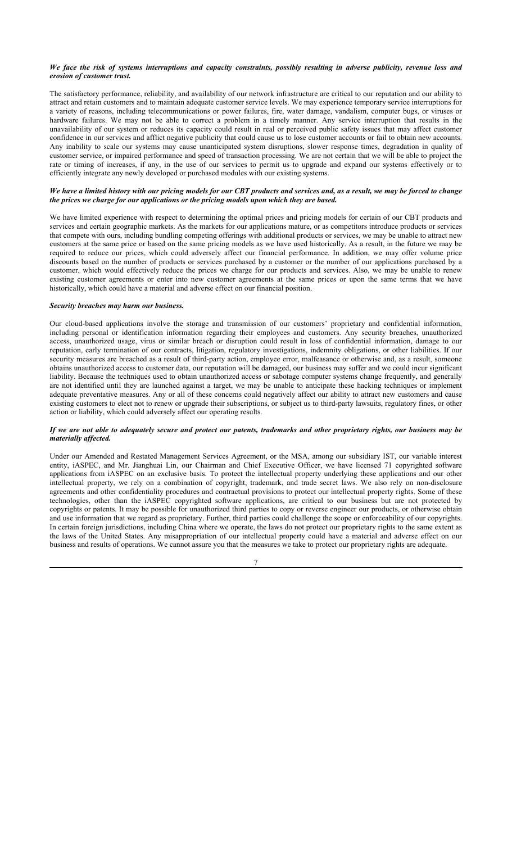## *We face the risk of systems interruptions and capacity constraints, possibly resulting in adverse publicity, revenue loss and erosion of customer trust.*

The satisfactory performance, reliability, and availability of our network infrastructure are critical to our reputation and our ability to attract and retain customers and to maintain adequate customer service levels. We may experience temporary service interruptions for a variety of reasons, including telecommunications or power failures, fire, water damage, vandalism, computer bugs, or viruses or hardware failures. We may not be able to correct a problem in a timely manner. Any service interruption that results in the unavailability of our system or reduces its capacity could result in real or perceived public safety issues that may affect customer confidence in our services and afflict negative publicity that could cause us to lose customer accounts or fail to obtain new accounts. Any inability to scale our systems may cause unanticipated system disruptions, slower response times, degradation in quality of customer service, or impaired performance and speed of transaction processing. We are not certain that we will be able to project the rate or timing of increases, if any, in the use of our services to permit us to upgrade and expand our systems effectively or to efficiently integrate any newly developed or purchased modules with our existing systems.

# *We have a limited history with our pricing models for our CBT products and services and, as a result, we may be forced to change the prices we charge for our applications or the pricing models upon which they are based.*

We have limited experience with respect to determining the optimal prices and pricing models for certain of our CBT products and services and certain geographic markets. As the markets for our applications mature, or as competitors introduce products or services that compete with ours, including bundling competing offerings with additional products or services, we may be unable to attract new customers at the same price or based on the same pricing models as we have used historically. As a result, in the future we may be required to reduce our prices, which could adversely affect our financial performance. In addition, we may offer volume price discounts based on the number of products or services purchased by a customer or the number of our applications purchased by a customer, which would effectively reduce the prices we charge for our products and services. Also, we may be unable to renew existing customer agreements or enter into new customer agreements at the same prices or upon the same terms that we have historically, which could have a material and adverse effect on our financial position.

# *Security breaches may harm our business.*

Our cloud-based applications involve the storage and transmission of our customers' proprietary and confidential information, including personal or identification information regarding their employees and customers. Any security breaches, unauthorized access, unauthorized usage, virus or similar breach or disruption could result in loss of confidential information, damage to our reputation, early termination of our contracts, litigation, regulatory investigations, indemnity obligations, or other liabilities. If our security measures are breached as a result of third-party action, employee error, malfeasance or otherwise and, as a result, someone obtains unauthorized access to customer data, our reputation will be damaged, our business may suffer and we could incur significant liability. Because the techniques used to obtain unauthorized access or sabotage computer systems change frequently, and generally are not identified until they are launched against a target, we may be unable to anticipate these hacking techniques or implement adequate preventative measures. Any or all of these concerns could negatively affect our ability to attract new customers and cause existing customers to elect not to renew or upgrade their subscriptions, or subject us to third-party lawsuits, regulatory fines, or other action or liability, which could adversely affect our operating results.

## *If we are not able to adequately secure and protect our patents, trademarks and other proprietary rights, our business may be materially affected.*

Under our Amended and Restated Management Services Agreement, or the MSA, among our subsidiary IST, our variable interest entity, iASPEC, and Mr. Jianghuai Lin, our Chairman and Chief Executive Officer, we have licensed 71 copyrighted software applications from iASPEC on an exclusive basis. To protect the intellectual property underlying these applications and our other intellectual property, we rely on a combination of copyright, trademark, and trade secret laws. We also rely on non-disclosure agreements and other confidentiality procedures and contractual provisions to protect our intellectual property rights. Some of these technologies, other than the iASPEC copyrighted software applications, are critical to our business but are not protected by copyrights or patents. It may be possible for unauthorized third parties to copy or reverse engineer our products, or otherwise obtain and use information that we regard as proprietary. Further, third parties could challenge the scope or enforceability of our copyrights. In certain foreign jurisdictions, including China where we operate, the laws do not protect our proprietary rights to the same extent as the laws of the United States. Any misappropriation of our intellectual property could have a material and adverse effect on our business and results of operations. We cannot assure you that the measures we take to protect our proprietary rights are adequate.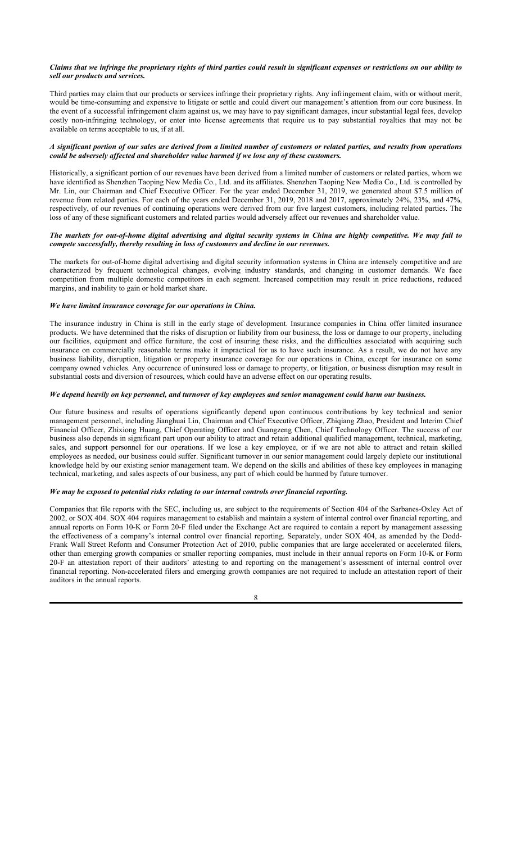## *Claims that we infringe the proprietary rights of third parties could result in significant expenses or restrictions on our ability to sell our products and services.*

Third parties may claim that our products or services infringe their proprietary rights. Any infringement claim, with or without merit, would be time-consuming and expensive to litigate or settle and could divert our management's attention from our core business. In the event of a successful infringement claim against us, we may have to pay significant damages, incur substantial legal fees, develop costly non-infringing technology, or enter into license agreements that require us to pay substantial royalties that may not be available on terms acceptable to us, if at all.

## *A significant portion of our sales are derived from a limited number of customers or related parties, and results from operations could be adversely affected and shareholder value harmed if we lose any of these customers.*

Historically, a significant portion of our revenues have been derived from a limited number of customers or related parties, whom we have identified as Shenzhen Taoping New Media Co., Ltd. and its affiliates. Shenzhen Taoping New Media Co., Ltd. is controlled by Mr. Lin, our Chairman and Chief Executive Officer. For the year ended December 31, 2019, we generated about \$7.5 million of revenue from related parties. For each of the years ended December 31, 2019, 2018 and 2017, approximately 24%, 23%, and 47%, respectively, of our revenues of continuing operations were derived from our five largest customers, including related parties. The loss of any of these significant customers and related parties would adversely affect our revenues and shareholder value.

## *The markets for out-of-home digital advertising and digital security systems in China are highly competitive. We may fail to compete successfully, thereby resulting in loss of customers and decline in our revenues.*

The markets for out-of-home digital advertising and digital security information systems in China are intensely competitive and are characterized by frequent technological changes, evolving industry standards, and changing in customer demands. We face competition from multiple domestic competitors in each segment. Increased competition may result in price reductions, reduced margins, and inability to gain or hold market share.

# *We have limited insurance coverage for our operations in China.*

The insurance industry in China is still in the early stage of development. Insurance companies in China offer limited insurance products. We have determined that the risks of disruption or liability from our business, the loss or damage to our property, including our facilities, equipment and office furniture, the cost of insuring these risks, and the difficulties associated with acquiring such insurance on commercially reasonable terms make it impractical for us to have such insurance. As a result, we do not have any business liability, disruption, litigation or property insurance coverage for our operations in China, except for insurance on some company owned vehicles. Any occurrence of uninsured loss or damage to property, or litigation, or business disruption may result in substantial costs and diversion of resources, which could have an adverse effect on our operating results.

## *We depend heavily on key personnel, and turnover of key employees and senior management could harm our business.*

Our future business and results of operations significantly depend upon continuous contributions by key technical and senior management personnel, including Jianghuai Lin, Chairman and Chief Executive Officer, Zhiqiang Zhao, President and Interim Chief Financial Officer, Zhixiong Huang, Chief Operating Officer and Guangzeng Chen, Chief Technology Officer. The success of our business also depends in significant part upon our ability to attract and retain additional qualified management, technical, marketing, sales, and support personnel for our operations. If we lose a key employee, or if we are not able to attract and retain skilled employees as needed, our business could suffer. Significant turnover in our senior management could largely deplete our institutional knowledge held by our existing senior management team. We depend on the skills and abilities of these key employees in managing technical, marketing, and sales aspects of our business, any part of which could be harmed by future turnover.

## *We may be exposed to potential risks relating to our internal controls over financial reporting.*

Companies that file reports with the SEC, including us, are subject to the requirements of Section 404 of the Sarbanes-Oxley Act of 2002, or SOX 404. SOX 404 requires management to establish and maintain a system of internal control over financial reporting, and annual reports on Form 10-K or Form 20-F filed under the Exchange Act are required to contain a report by management assessing the effectiveness of a company's internal control over financial reporting. Separately, under SOX 404, as amended by the Dodd-Frank Wall Street Reform and Consumer Protection Act of 2010, public companies that are large accelerated or accelerated filers, other than emerging growth companies or smaller reporting companies, must include in their annual reports on Form 10-K or Form 20-F an attestation report of their auditors' attesting to and reporting on the management's assessment of internal control over financial reporting. Non-accelerated filers and emerging growth companies are not required to include an attestation report of their auditors in the annual reports.

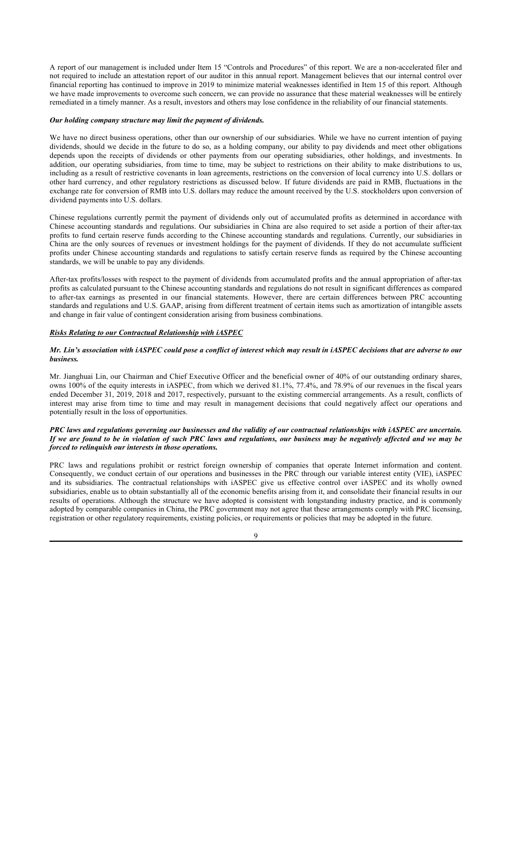A report of our management is included under Item 15 "Controls and Procedures" of this report. We are a non-accelerated filer and not required to include an attestation report of our auditor in this annual report. Management believes that our internal control over financial reporting has continued to improve in 2019 to minimize material weaknesses identified in Item 15 of this report. Although we have made improvements to overcome such concern, we can provide no assurance that these material weaknesses will be entirely remediated in a timely manner. As a result, investors and others may lose confidence in the reliability of our financial statements.

#### *Our holding company structure may limit the payment of dividends.*

We have no direct business operations, other than our ownership of our subsidiaries. While we have no current intention of paying dividends, should we decide in the future to do so, as a holding company, our ability to pay dividends and meet other obligations depends upon the receipts of dividends or other payments from our operating subsidiaries, other holdings, and investments. In addition, our operating subsidiaries, from time to time, may be subject to restrictions on their ability to make distributions to us, including as a result of restrictive covenants in loan agreements, restrictions on the conversion of local currency into U.S. dollars or other hard currency, and other regulatory restrictions as discussed below. If future dividends are paid in RMB, fluctuations in the exchange rate for conversion of RMB into U.S. dollars may reduce the amount received by the U.S. stockholders upon conversion of dividend payments into U.S. dollars.

Chinese regulations currently permit the payment of dividends only out of accumulated profits as determined in accordance with Chinese accounting standards and regulations. Our subsidiaries in China are also required to set aside a portion of their after-tax profits to fund certain reserve funds according to the Chinese accounting standards and regulations. Currently, our subsidiaries in China are the only sources of revenues or investment holdings for the payment of dividends. If they do not accumulate sufficient profits under Chinese accounting standards and regulations to satisfy certain reserve funds as required by the Chinese accounting standards, we will be unable to pay any dividends.

After-tax profits/losses with respect to the payment of dividends from accumulated profits and the annual appropriation of after-tax profits as calculated pursuant to the Chinese accounting standards and regulations do not result in significant differences as compared to after-tax earnings as presented in our financial statements. However, there are certain differences between PRC accounting standards and regulations and U.S. GAAP, arising from different treatment of certain items such as amortization of intangible assets and change in fair value of contingent consideration arising from business combinations.

#### *Risks Relating to our Contractual Relationship with iASPEC*

#### *Mr. Lin's association with iASPEC could pose a conflict of interest which may result in iASPEC decisions that are adverse to our business.*

Mr. Jianghuai Lin, our Chairman and Chief Executive Officer and the beneficial owner of 40% of our outstanding ordinary shares, owns 100% of the equity interests in iASPEC, from which we derived 81.1%, 77.4%, and 78.9% of our revenues in the fiscal years ended December 31, 2019, 2018 and 2017, respectively, pursuant to the existing commercial arrangements. As a result, conflicts of interest may arise from time to time and may result in management decisions that could negatively affect our operations and potentially result in the loss of opportunities.

## *PRC laws and regulations governing our businesses and the validity of our contractual relationships with iASPEC are uncertain. If we are found to be in violation of such PRC laws and regulations, our business may be negatively affected and we may be forced to relinquish our interests in those operations.*

PRC laws and regulations prohibit or restrict foreign ownership of companies that operate Internet information and content. Consequently, we conduct certain of our operations and businesses in the PRC through our variable interest entity (VIE), iASPEC and its subsidiaries. The contractual relationships with iASPEC give us effective control over iASPEC and its wholly owned subsidiaries, enable us to obtain substantially all of the economic benefits arising from it, and consolidate their financial results in our results of operations. Although the structure we have adopted is consistent with longstanding industry practice, and is commonly adopted by comparable companies in China, the PRC government may not agree that these arrangements comply with PRC licensing, registration or other regulatory requirements, existing policies, or requirements or policies that may be adopted in the future.

 $\overline{Q}$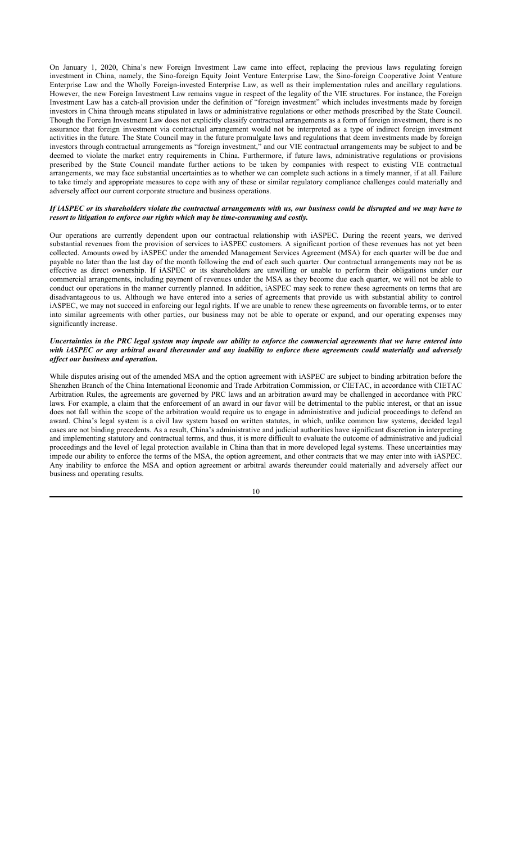On January 1, 2020, China's new Foreign Investment Law came into effect, replacing the previous laws regulating foreign investment in China, namely, the Sino-foreign Equity Joint Venture Enterprise Law, the Sino-foreign Cooperative Joint Venture Enterprise Law and the Wholly Foreign-invested Enterprise Law, as well as their implementation rules and ancillary regulations. However, the new Foreign Investment Law remains vague in respect of the legality of the VIE structures. For instance, the Foreign Investment Law has a catch-all provision under the definition of "foreign investment" which includes investments made by foreign investors in China through means stipulated in laws or administrative regulations or other methods prescribed by the State Council. Though the Foreign Investment Law does not explicitly classify contractual arrangements as a form of foreign investment, there is no assurance that foreign investment via contractual arrangement would not be interpreted as a type of indirect foreign investment activities in the future. The State Council may in the future promulgate laws and regulations that deem investments made by foreign investors through contractual arrangements as "foreign investment," and our VIE contractual arrangements may be subject to and be deemed to violate the market entry requirements in China. Furthermore, if future laws, administrative regulations or provisions prescribed by the State Council mandate further actions to be taken by companies with respect to existing VIE contractual arrangements, we may face substantial uncertainties as to whether we can complete such actions in a timely manner, if at all. Failure to take timely and appropriate measures to cope with any of these or similar regulatory compliance challenges could materially and adversely affect our current corporate structure and business operations.

#### *If iASPEC or its shareholders violate the contractual arrangements with us, our business could be disrupted and we may have to resort to litigation to enforce our rights which may be time-consuming and costly.*

Our operations are currently dependent upon our contractual relationship with iASPEC. During the recent years, we derived substantial revenues from the provision of services to iASPEC customers. A significant portion of these revenues has not yet been collected. Amounts owed by iASPEC under the amended Management Services Agreement (MSA) for each quarter will be due and payable no later than the last day of the month following the end of each such quarter. Our contractual arrangements may not be as effective as direct ownership. If iASPEC or its shareholders are unwilling or unable to perform their obligations under our commercial arrangements, including payment of revenues under the MSA as they become due each quarter, we will not be able to conduct our operations in the manner currently planned. In addition, iASPEC may seek to renew these agreements on terms that are disadvantageous to us. Although we have entered into a series of agreements that provide us with substantial ability to control iASPEC, we may not succeed in enforcing our legal rights. If we are unable to renew these agreements on favorable terms, or to enter into similar agreements with other parties, our business may not be able to operate or expand, and our operating expenses may significantly increase.

## *Uncertainties in the PRC legal system may impede our ability to enforce the commercial agreements that we have entered into with iASPEC or any arbitral award thereunder and any inability to enforce these agreements could materially and adversely affect our business and operation.*

While disputes arising out of the amended MSA and the option agreement with iASPEC are subject to binding arbitration before the Shenzhen Branch of the China International Economic and Trade Arbitration Commission, or CIETAC, in accordance with CIETAC Arbitration Rules, the agreements are governed by PRC laws and an arbitration award may be challenged in accordance with PRC laws. For example, a claim that the enforcement of an award in our favor will be detrimental to the public interest, or that an issue does not fall within the scope of the arbitration would require us to engage in administrative and judicial proceedings to defend an award. China's legal system is a civil law system based on written statutes, in which, unlike common law systems, decided legal cases are not binding precedents. As a result, China's administrative and judicial authorities have significant discretion in interpreting and implementing statutory and contractual terms, and thus, it is more difficult to evaluate the outcome of administrative and judicial proceedings and the level of legal protection available in China than that in more developed legal systems. These uncertainties may impede our ability to enforce the terms of the MSA, the option agreement, and other contracts that we may enter into with iASPEC. Any inability to enforce the MSA and option agreement or arbitral awards thereunder could materially and adversely affect our business and operating results.

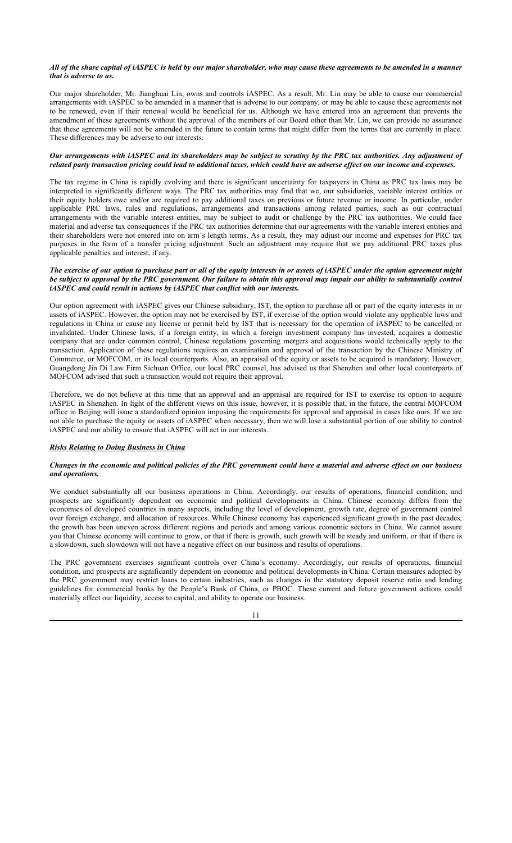## *All of the share capital of iASPEC is held by our major shareholder, who may cause these agreements to be amended in a manner that is adverse to us.*

Our major shareholder, Mr. Jianghuai Lin, owns and controls iASPEC. As a result, Mr. Lin may be able to cause our commercial arrangements with iASPEC to be amended in a manner that is adverse to our company, or may be able to cause these agreements not to be renewed, even if their renewal would be beneficial for us. Although we have entered into an agreement that prevents the amendment of these agreements without the approval of the members of our Board other than Mr. Lin, we can provide no assurance that these agreements will not be amended in the future to contain terms that might differ from the terms that are currently in place. These differences may be adverse to our interests.

## *Our arrangements with iASPEC and its shareholders may be subject to scrutiny by the PRC tax authorities. Any adjustment of related party transaction pricing could lead to additional taxes, which could have an adverse effect on our income and expenses.*

The tax regime in China is rapidly evolving and there is significant uncertainty for taxpayers in China as PRC tax laws may be interpreted in significantly different ways. The PRC tax authorities may find that we, our subsidiaries, variable interest entities or their equity holders owe and/or are required to pay additional taxes on previous or future revenue or income. In particular, under applicable PRC laws, rules and regulations, arrangements and transactions among related parties, such as our contractual arrangements with the variable interest entities, may be subject to audit or challenge by the PRC tax authorities. We could face material and adverse tax consequences if the PRC tax authorities determine that our agreements with the variable interest entities and their shareholders were not entered into on arm's length terms. As a result, they may adjust our income and expenses for PRC tax purposes in the form of a transfer pricing adjustment. Such an adjustment may require that we pay additional PRC taxes plus applicable penalties and interest, if any.

# *The exercise of our option to purchase part or all of the equity interests in or assets of iASPEC under the option agreement might be subject to approval by the PRC government. Our failure to obtain this approval may impair our ability to substantially control iASPEC and could result in actions by iASPEC that conflict with our interests.*

Our option agreement with iASPEC gives our Chinese subsidiary, IST, the option to purchase all or part of the equity interests in or assets of iASPEC. However, the option may not be exercised by IST, if exercise of the option would violate any applicable laws and regulations in China or cause any license or permit held by IST that is necessary for the operation of iASPEC to be cancelled or invalidated. Under Chinese laws, if a foreign entity, in which a foreign investment company has invested, acquires a domestic company that are under common control, Chinese regulations governing mergers and acquisitions would technically apply to the transaction. Application of these regulations requires an examination and approval of the transaction by the Chinese Ministry of Commerce, or MOFCOM, or its local counterparts. Also, an appraisal of the equity or assets to be acquired is mandatory. However, Guangdong Jin Di Law Firm Sichuan Office, our local PRC counsel, has advised us that Shenzhen and other local counterparts of MOFCOM advised that such a transaction would not require their approval.

Therefore, we do not believe at this time that an approval and an appraisal are required for IST to exercise its option to acquire iASPEC in Shenzhen. In light of the different views on this issue, however, it is possible that, in the future, the central MOFCOM office in Beijing will issue a standardized opinion imposing the requirements for approval and appraisal in cases like ours. If we are not able to purchase the equity or assets of iASPEC when necessary, then we will lose a substantial portion of our ability to control iASPEC and our ability to ensure that iASPEC will act in our interests.

# *Risks Relating to Doing Business in China*

## *Changes in the economic and political policies of the PRC government could have a material and adverse effect on our business and operations.*

We conduct substantially all our business operations in China. Accordingly, our results of operations, financial condition, and prospects are significantly dependent on economic and political developments in China. Chinese economy differs from the economies of developed countries in many aspects, including the level of development, growth rate, degree of government control over foreign exchange, and allocation of resources. While Chinese economy has experienced significant growth in the past decades, the growth has been uneven across different regions and periods and among various economic sectors in China. We cannot assure you that Chinese economy will continue to grow, or that if there is growth, such growth will be steady and uniform, or that if there is a slowdown, such slowdown will not have a negative effect on our business and results of operations.

The PRC government exercises significant controls over China's economy. Accordingly, our results of operations, financial condition, and prospects are significantly dependent on economic and political developments in China. Certain measures adopted by the PRC government may restrict loans to certain industries, such as changes in the statutory deposit reserve ratio and lending guidelines for commercial banks by the People's Bank of China, or PBOC. These current and future government actions could materially affect our liquidity, access to capital, and ability to operate our business.

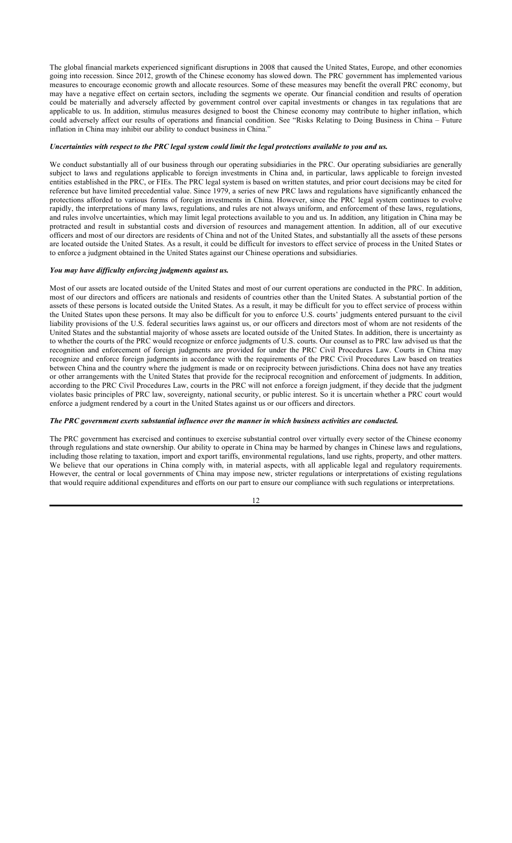The global financial markets experienced significant disruptions in 2008 that caused the United States, Europe, and other economies going into recession. Since 2012, growth of the Chinese economy has slowed down. The PRC government has implemented various measures to encourage economic growth and allocate resources. Some of these measures may benefit the overall PRC economy, but may have a negative effect on certain sectors, including the segments we operate. Our financial condition and results of operation could be materially and adversely affected by government control over capital investments or changes in tax regulations that are applicable to us. In addition, stimulus measures designed to boost the Chinese economy may contribute to higher inflation, which could adversely affect our results of operations and financial condition. See "Risks Relating to Doing Business in China – Future inflation in China may inhibit our ability to conduct business in China."

# *Uncertainties with respect to the PRC legal system could limit the legal protections available to you and us.*

We conduct substantially all of our business through our operating subsidiaries in the PRC. Our operating subsidiaries are generally subject to laws and regulations applicable to foreign investments in China and, in particular, laws applicable to foreign invested entities established in the PRC, or FIEs. The PRC legal system is based on written statutes, and prior court decisions may be cited for reference but have limited precedential value. Since 1979, a series of new PRC laws and regulations have significantly enhanced the protections afforded to various forms of foreign investments in China. However, since the PRC legal system continues to evolve rapidly, the interpretations of many laws, regulations, and rules are not always uniform, and enforcement of these laws, regulations, and rules involve uncertainties, which may limit legal protections available to you and us. In addition, any litigation in China may be protracted and result in substantial costs and diversion of resources and management attention. In addition, all of our executive officers and most of our directors are residents of China and not of the United States, and substantially all the assets of these persons are located outside the United States. As a result, it could be difficult for investors to effect service of process in the United States or to enforce a judgment obtained in the United States against our Chinese operations and subsidiaries.

# *You may have difficulty enforcing judgments against us.*

Most of our assets are located outside of the United States and most of our current operations are conducted in the PRC. In addition, most of our directors and officers are nationals and residents of countries other than the United States. A substantial portion of the assets of these persons is located outside the United States. As a result, it may be difficult for you to effect service of process within the United States upon these persons. It may also be difficult for you to enforce U.S. courts' judgments entered pursuant to the civil liability provisions of the U.S. federal securities laws against us, or our officers and directors most of whom are not residents of the United States and the substantial majority of whose assets are located outside of the United States. In addition, there is uncertainty as to whether the courts of the PRC would recognize or enforce judgments of U.S. courts. Our counsel as to PRC law advised us that the recognition and enforcement of foreign judgments are provided for under the PRC Civil Procedures Law. Courts in China may recognize and enforce foreign judgments in accordance with the requirements of the PRC Civil Procedures Law based on treaties between China and the country where the judgment is made or on reciprocity between jurisdictions. China does not have any treaties or other arrangements with the United States that provide for the reciprocal recognition and enforcement of judgments. In addition, according to the PRC Civil Procedures Law, courts in the PRC will not enforce a foreign judgment, if they decide that the judgment violates basic principles of PRC law, sovereignty, national security, or public interest. So it is uncertain whether a PRC court would enforce a judgment rendered by a court in the United States against us or our officers and directors.

#### *The PRC government exerts substantial influence over the manner in which business activities are conducted.*

The PRC government has exercised and continues to exercise substantial control over virtually every sector of the Chinese economy through regulations and state ownership. Our ability to operate in China may be harmed by changes in Chinese laws and regulations, including those relating to taxation, import and export tariffs, environmental regulations, land use rights, property, and other matters. We believe that our operations in China comply with, in material aspects, with all applicable legal and regulatory requirements. However, the central or local governments of China may impose new, stricter regulations or interpretations of existing regulations that would require additional expenditures and efforts on our part to ensure our compliance with such regulations or interpretations.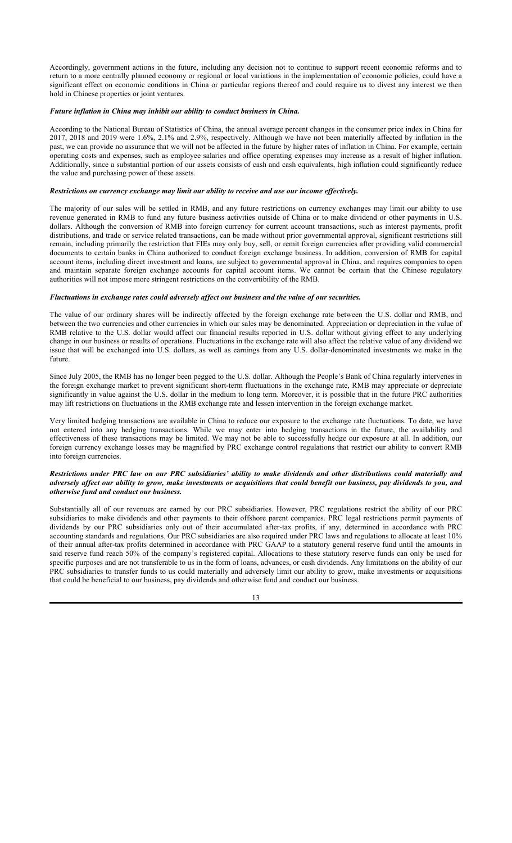Accordingly, government actions in the future, including any decision not to continue to support recent economic reforms and to return to a more centrally planned economy or regional or local variations in the implementation of economic policies, could have a significant effect on economic conditions in China or particular regions thereof and could require us to divest any interest we then hold in Chinese properties or joint ventures.

#### *Future inflation in China may inhibit our ability to conduct business in China.*

According to the National Bureau of Statistics of China, the annual average percent changes in the consumer price index in China for 2017, 2018 and 2019 were 1.6%, 2.1% and 2.9%, respectively. Although we have not been materially affected by inflation in the past, we can provide no assurance that we will not be affected in the future by higher rates of inflation in China. For example, certain operating costs and expenses, such as employee salaries and office operating expenses may increase as a result of higher inflation. Additionally, since a substantial portion of our assets consists of cash and cash equivalents, high inflation could significantly reduce the value and purchasing power of these assets.

## *Restrictions on currency exchange may limit our ability to receive and use our income effectively.*

The majority of our sales will be settled in RMB, and any future restrictions on currency exchanges may limit our ability to use revenue generated in RMB to fund any future business activities outside of China or to make dividend or other payments in U.S. dollars. Although the conversion of RMB into foreign currency for current account transactions, such as interest payments, profit distributions, and trade or service related transactions, can be made without prior governmental approval, significant restrictions still remain, including primarily the restriction that FIEs may only buy, sell, or remit foreign currencies after providing valid commercial documents to certain banks in China authorized to conduct foreign exchange business. In addition, conversion of RMB for capital account items, including direct investment and loans, are subject to governmental approval in China, and requires companies to open and maintain separate foreign exchange accounts for capital account items. We cannot be certain that the Chinese regulatory authorities will not impose more stringent restrictions on the convertibility of the RMB.

#### *Fluctuations in exchange rates could adversely affect our business and the value of our securities.*

The value of our ordinary shares will be indirectly affected by the foreign exchange rate between the U.S. dollar and RMB, and between the two currencies and other currencies in which our sales may be denominated. Appreciation or depreciation in the value of RMB relative to the U.S. dollar would affect our financial results reported in U.S. dollar without giving effect to any underlying change in our business or results of operations. Fluctuations in the exchange rate will also affect the relative value of any dividend we issue that will be exchanged into U.S. dollars, as well as earnings from any U.S. dollar-denominated investments we make in the future.

Since July 2005, the RMB has no longer been pegged to the U.S. dollar. Although the People's Bank of China regularly intervenes in the foreign exchange market to prevent significant short-term fluctuations in the exchange rate, RMB may appreciate or depreciate significantly in value against the U.S. dollar in the medium to long term. Moreover, it is possible that in the future PRC authorities may lift restrictions on fluctuations in the RMB exchange rate and lessen intervention in the foreign exchange market.

Very limited hedging transactions are available in China to reduce our exposure to the exchange rate fluctuations. To date, we have not entered into any hedging transactions. While we may enter into hedging transactions in the future, the availability and effectiveness of these transactions may be limited. We may not be able to successfully hedge our exposure at all. In addition, our foreign currency exchange losses may be magnified by PRC exchange control regulations that restrict our ability to convert RMB into foreign currencies.

#### *Restrictions under PRC law on our PRC subsidiaries' ability to make dividends and other distributions could materially and adversely affect our ability to grow, make investments or acquisitions that could benefit our business, pay dividends to you, and otherwise fund and conduct our business.*

Substantially all of our revenues are earned by our PRC subsidiaries. However, PRC regulations restrict the ability of our PRC subsidiaries to make dividends and other payments to their offshore parent companies. PRC legal restrictions permit payments of dividends by our PRC subsidiaries only out of their accumulated after-tax profits, if any, determined in accordance with PRC accounting standards and regulations. Our PRC subsidiaries are also required under PRC laws and regulations to allocate at least 10% of their annual after-tax profits determined in accordance with PRC GAAP to a statutory general reserve fund until the amounts in said reserve fund reach 50% of the company's registered capital. Allocations to these statutory reserve funds can only be used for specific purposes and are not transferable to us in the form of loans, advances, or cash dividends. Any limitations on the ability of our PRC subsidiaries to transfer funds to us could materially and adversely limit our ability to grow, make investments or acquisitions that could be beneficial to our business, pay dividends and otherwise fund and conduct our business.

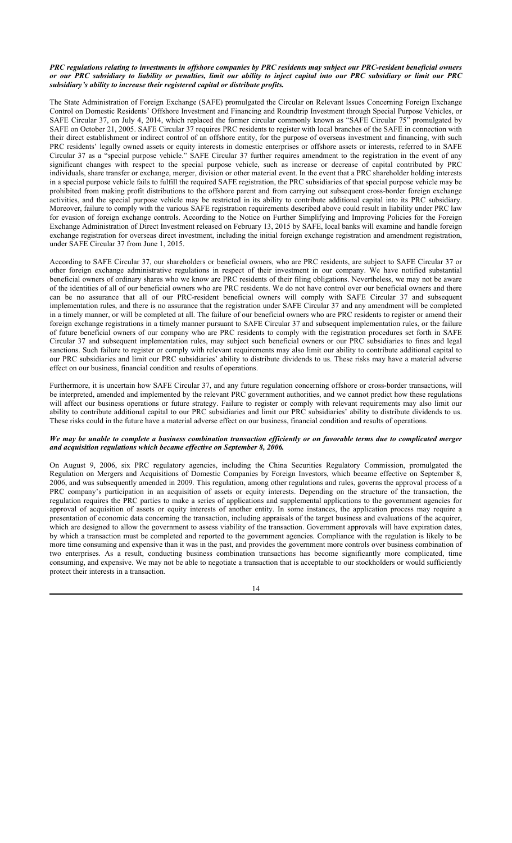#### *PRC regulations relating to investments in offshore companies by PRC residents may subject our PRC-resident beneficial owners or our PRC subsidiary to liability or penalties, limit our ability to inject capital into our PRC subsidiary or limit our PRC subsidiary's ability to increase their registered capital or distribute profits.*

The State Administration of Foreign Exchange (SAFE) promulgated the Circular on Relevant Issues Concerning Foreign Exchange Control on Domestic Residents' Offshore Investment and Financing and Roundtrip Investment through Special Purpose Vehicles, or SAFE Circular 37, on July 4, 2014, which replaced the former circular commonly known as "SAFE Circular 75" promulgated by SAFE on October 21, 2005. SAFE Circular 37 requires PRC residents to register with local branches of the SAFE in connection with their direct establishment or indirect control of an offshore entity, for the purpose of overseas investment and financing, with such PRC residents' legally owned assets or equity interests in domestic enterprises or offshore assets or interests, referred to in SAFE Circular 37 as a "special purpose vehicle." SAFE Circular 37 further requires amendment to the registration in the event of any significant changes with respect to the special purpose vehicle, such as increase or decrease of capital contributed by PRC individuals, share transfer or exchange, merger, division or other material event. In the event that a PRC shareholder holding interests in a special purpose vehicle fails to fulfill the required SAFE registration, the PRC subsidiaries of that special purpose vehicle may be prohibited from making profit distributions to the offshore parent and from carrying out subsequent cross-border foreign exchange activities, and the special purpose vehicle may be restricted in its ability to contribute additional capital into its PRC subsidiary. Moreover, failure to comply with the various SAFE registration requirements described above could result in liability under PRC law for evasion of foreign exchange controls. According to the Notice on Further Simplifying and Improving Policies for the Foreign Exchange Administration of Direct Investment released on February 13, 2015 by SAFE, local banks will examine and handle foreign exchange registration for overseas direct investment, including the initial foreign exchange registration and amendment registration, under SAFE Circular 37 from June 1, 2015.

According to SAFE Circular 37, our shareholders or beneficial owners, who are PRC residents, are subject to SAFE Circular 37 or other foreign exchange administrative regulations in respect of their investment in our company. We have notified substantial beneficial owners of ordinary shares who we know are PRC residents of their filing obligations. Nevertheless, we may not be aware of the identities of all of our beneficial owners who are PRC residents. We do not have control over our beneficial owners and there can be no assurance that all of our PRC-resident beneficial owners will comply with SAFE Circular 37 and subsequent implementation rules, and there is no assurance that the registration under SAFE Circular 37 and any amendment will be completed in a timely manner, or will be completed at all. The failure of our beneficial owners who are PRC residents to register or amend their foreign exchange registrations in a timely manner pursuant to SAFE Circular 37 and subsequent implementation rules, or the failure of future beneficial owners of our company who are PRC residents to comply with the registration procedures set forth in SAFE Circular 37 and subsequent implementation rules, may subject such beneficial owners or our PRC subsidiaries to fines and legal sanctions. Such failure to register or comply with relevant requirements may also limit our ability to contribute additional capital to our PRC subsidiaries and limit our PRC subsidiaries' ability to distribute dividends to us. These risks may have a material adverse effect on our business, financial condition and results of operations.

Furthermore, it is uncertain how SAFE Circular 37, and any future regulation concerning offshore or cross-border transactions, will be interpreted, amended and implemented by the relevant PRC government authorities, and we cannot predict how these regulations will affect our business operations or future strategy. Failure to register or comply with relevant requirements may also limit our ability to contribute additional capital to our PRC subsidiaries and limit our PRC subsidiaries' ability to distribute dividends to us. These risks could in the future have a material adverse effect on our business, financial condition and results of operations.

## *We may be unable to complete a business combination transaction efficiently or on favorable terms due to complicated merger and acquisition regulations which became effective on September 8, 2006.*

On August 9, 2006, six PRC regulatory agencies, including the China Securities Regulatory Commission, promulgated the Regulation on Mergers and Acquisitions of Domestic Companies by Foreign Investors, which became effective on September 8, 2006, and was subsequently amended in 2009. This regulation, among other regulations and rules, governs the approval process of a PRC company's participation in an acquisition of assets or equity interests. Depending on the structure of the transaction, the regulation requires the PRC parties to make a series of applications and supplemental applications to the government agencies for approval of acquisition of assets or equity interests of another entity. In some instances, the application process may require a presentation of economic data concerning the transaction, including appraisals of the target business and evaluations of the acquirer, which are designed to allow the government to assess viability of the transaction. Government approvals will have expiration dates, by which a transaction must be completed and reported to the government agencies. Compliance with the regulation is likely to be more time consuming and expensive than it was in the past, and provides the government more controls over business combination of two enterprises. As a result, conducting business combination transactions has become significantly more complicated, time consuming, and expensive. We may not be able to negotiate a transaction that is acceptable to our stockholders or would sufficiently protect their interests in a transaction.

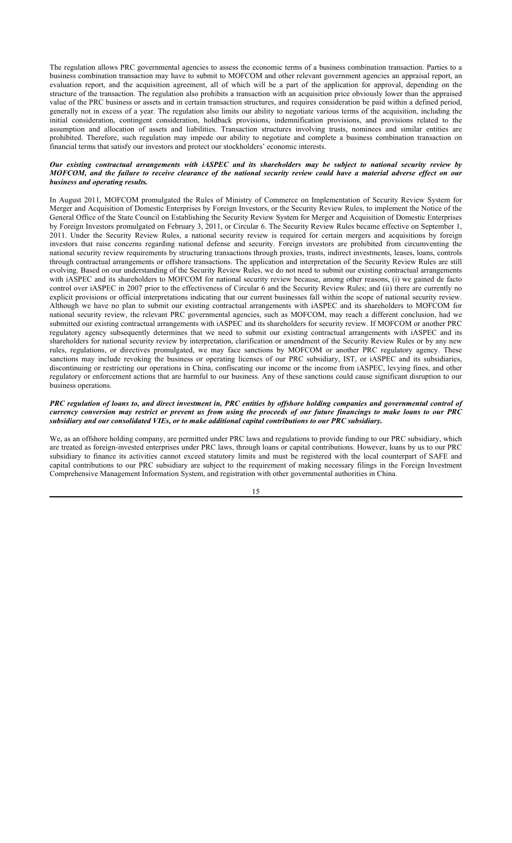The regulation allows PRC governmental agencies to assess the economic terms of a business combination transaction. Parties to a business combination transaction may have to submit to MOFCOM and other relevant government agencies an appraisal report, an evaluation report, and the acquisition agreement, all of which will be a part of the application for approval, depending on the structure of the transaction. The regulation also prohibits a transaction with an acquisition price obviously lower than the appraised value of the PRC business or assets and in certain transaction structures, and requires consideration be paid within a defined period, generally not in excess of a year. The regulation also limits our ability to negotiate various terms of the acquisition, including the initial consideration, contingent consideration, holdback provisions, indemnification provisions, and provisions related to the assumption and allocation of assets and liabilities. Transaction structures involving trusts, nominees and similar entities are prohibited. Therefore, such regulation may impede our ability to negotiate and complete a business combination transaction on financial terms that satisfy our investors and protect our stockholders' economic interests.

#### *Our existing contractual arrangements with iASPEC and its shareholders may be subject to national security review by MOFCOM, and the failure to receive clearance of the national security review could have a material adverse effect on our business and operating results.*

In August 2011, MOFCOM promulgated the Rules of Ministry of Commerce on Implementation of Security Review System for Merger and Acquisition of Domestic Enterprises by Foreign Investors, or the Security Review Rules, to implement the Notice of the General Office of the State Council on Establishing the Security Review System for Merger and Acquisition of Domestic Enterprises by Foreign Investors promulgated on February 3, 2011, or Circular 6. The Security Review Rules became effective on September 1, 2011. Under the Security Review Rules, a national security review is required for certain mergers and acquisitions by foreign investors that raise concerns regarding national defense and security. Foreign investors are prohibited from circumventing the national security review requirements by structuring transactions through proxies, trusts, indirect investments, leases, loans, controls through contractual arrangements or offshore transactions. The application and interpretation of the Security Review Rules are still evolving. Based on our understanding of the Security Review Rules, we do not need to submit our existing contractual arrangements with iASPEC and its shareholders to MOFCOM for national security review because, among other reasons, (i) we gained de facto control over iASPEC in 2007 prior to the effectiveness of Circular 6 and the Security Review Rules; and (ii) there are currently no explicit provisions or official interpretations indicating that our current businesses fall within the scope of national security review. Although we have no plan to submit our existing contractual arrangements with iASPEC and its shareholders to MOFCOM for national security review, the relevant PRC governmental agencies, such as MOFCOM, may reach a different conclusion, had we submitted our existing contractual arrangements with iASPEC and its shareholders for security review. If MOFCOM or another PRC regulatory agency subsequently determines that we need to submit our existing contractual arrangements with iASPEC and its shareholders for national security review by interpretation, clarification or amendment of the Security Review Rules or by any new rules, regulations, or directives promulgated, we may face sanctions by MOFCOM or another PRC regulatory agency. These sanctions may include revoking the business or operating licenses of our PRC subsidiary, IST, or iASPEC and its subsidiaries, discontinuing or restricting our operations in China, confiscating our income or the income from iASPEC, levying fines, and other regulatory or enforcement actions that are harmful to our business. Any of these sanctions could cause significant disruption to our business operations.

#### *PRC regulation of loans to, and direct investment in, PRC entities by offshore holding companies and governmental control of currency conversion may restrict or prevent us from using the proceeds of our future financings to make loans to our PRC subsidiary and our consolidated VIEs, or to make additional capital contributions to our PRC subsidiary.*

We, as an offshore holding company, are permitted under PRC laws and regulations to provide funding to our PRC subsidiary, which are treated as foreign-invested enterprises under PRC laws, through loans or capital contributions. However, loans by us to our PRC subsidiary to finance its activities cannot exceed statutory limits and must be registered with the local counterpart of SAFE and capital contributions to our PRC subsidiary are subject to the requirement of making necessary filings in the Foreign Investment Comprehensive Management Information System, and registration with other governmental authorities in China.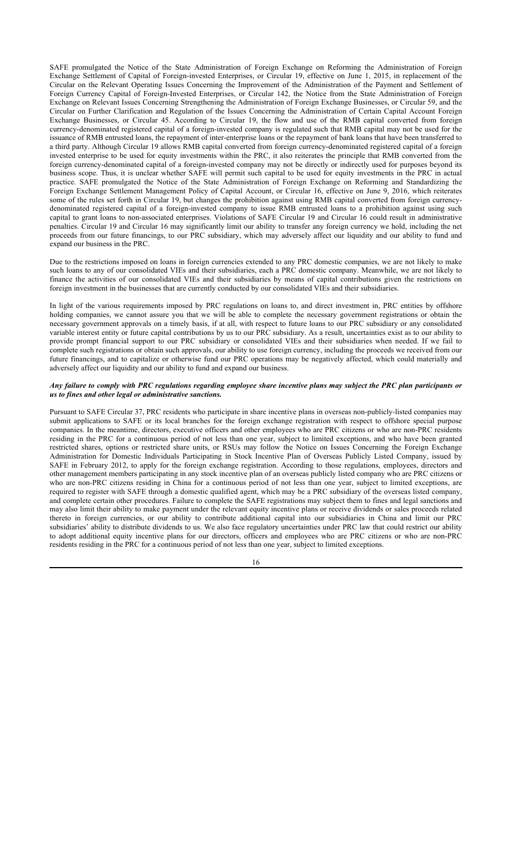SAFE promulgated the Notice of the State Administration of Foreign Exchange on Reforming the Administration of Foreign Exchange Settlement of Capital of Foreign-invested Enterprises, or Circular 19, effective on June 1, 2015, in replacement of the Circular on the Relevant Operating Issues Concerning the Improvement of the Administration of the Payment and Settlement of Foreign Currency Capital of Foreign-Invested Enterprises, or Circular 142, the Notice from the State Administration of Foreign Exchange on Relevant Issues Concerning Strengthening the Administration of Foreign Exchange Businesses, or Circular 59, and the Circular on Further Clarification and Regulation of the Issues Concerning the Administration of Certain Capital Account Foreign Exchange Businesses, or Circular 45. According to Circular 19, the flow and use of the RMB capital converted from foreign currency-denominated registered capital of a foreign-invested company is regulated such that RMB capital may not be used for the issuance of RMB entrusted loans, the repayment of inter-enterprise loans or the repayment of bank loans that have been transferred to a third party. Although Circular 19 allows RMB capital converted from foreign currency-denominated registered capital of a foreign invested enterprise to be used for equity investments within the PRC, it also reiterates the principle that RMB converted from the foreign currency-denominated capital of a foreign-invested company may not be directly or indirectly used for purposes beyond its business scope. Thus, it is unclear whether SAFE will permit such capital to be used for equity investments in the PRC in actual practice. SAFE promulgated the Notice of the State Administration of Foreign Exchange on Reforming and Standardizing the Foreign Exchange Settlement Management Policy of Capital Account, or Circular 16, effective on June 9, 2016, which reiterates some of the rules set forth in Circular 19, but changes the prohibition against using RMB capital converted from foreign currencydenominated registered capital of a foreign-invested company to issue RMB entrusted loans to a prohibition against using such capital to grant loans to non-associated enterprises. Violations of SAFE Circular 19 and Circular 16 could result in administrative penalties. Circular 19 and Circular 16 may significantly limit our ability to transfer any foreign currency we hold, including the net proceeds from our future financings, to our PRC subsidiary, which may adversely affect our liquidity and our ability to fund and expand our business in the PRC.

Due to the restrictions imposed on loans in foreign currencies extended to any PRC domestic companies, we are not likely to make such loans to any of our consolidated VIEs and their subsidiaries, each a PRC domestic company. Meanwhile, we are not likely to finance the activities of our consolidated VIEs and their subsidiaries by means of capital contributions given the restrictions on foreign investment in the businesses that are currently conducted by our consolidated VIEs and their subsidiaries.

In light of the various requirements imposed by PRC regulations on loans to, and direct investment in, PRC entities by offshore holding companies, we cannot assure you that we will be able to complete the necessary government registrations or obtain the necessary government approvals on a timely basis, if at all, with respect to future loans to our PRC subsidiary or any consolidated variable interest entity or future capital contributions by us to our PRC subsidiary. As a result, uncertainties exist as to our ability to provide prompt financial support to our PRC subsidiary or consolidated VIEs and their subsidiaries when needed. If we fail to complete such registrations or obtain such approvals, our ability to use foreign currency, including the proceeds we received from our future financings, and to capitalize or otherwise fund our PRC operations may be negatively affected, which could materially and adversely affect our liquidity and our ability to fund and expand our business.

## *Any failure to comply with PRC regulations regarding employee share incentive plans may subject the PRC plan participants or us to fines and other legal or administrative sanctions.*

Pursuant to SAFE Circular 37, PRC residents who participate in share incentive plans in overseas non-publicly-listed companies may submit applications to SAFE or its local branches for the foreign exchange registration with respect to offshore special purpose companies. In the meantime, directors, executive officers and other employees who are PRC citizens or who are non-PRC residents residing in the PRC for a continuous period of not less than one year, subject to limited exceptions, and who have been granted restricted shares, options or restricted share units, or RSUs may follow the Notice on Issues Concerning the Foreign Exchange Administration for Domestic Individuals Participating in Stock Incentive Plan of Overseas Publicly Listed Company, issued by SAFE in February 2012, to apply for the foreign exchange registration. According to those regulations, employees, directors and other management members participating in any stock incentive plan of an overseas publicly listed company who are PRC citizens or who are non-PRC citizens residing in China for a continuous period of not less than one year, subject to limited exceptions, are required to register with SAFE through a domestic qualified agent, which may be a PRC subsidiary of the overseas listed company, and complete certain other procedures. Failure to complete the SAFE registrations may subject them to fines and legal sanctions and may also limit their ability to make payment under the relevant equity incentive plans or receive dividends or sales proceeds related thereto in foreign currencies, or our ability to contribute additional capital into our subsidiaries in China and limit our PRC subsidiaries' ability to distribute dividends to us. We also face regulatory uncertainties under PRC law that could restrict our ability to adopt additional equity incentive plans for our directors, officers and employees who are PRC citizens or who are non-PRC residents residing in the PRC for a continuous period of not less than one year, subject to limited exceptions.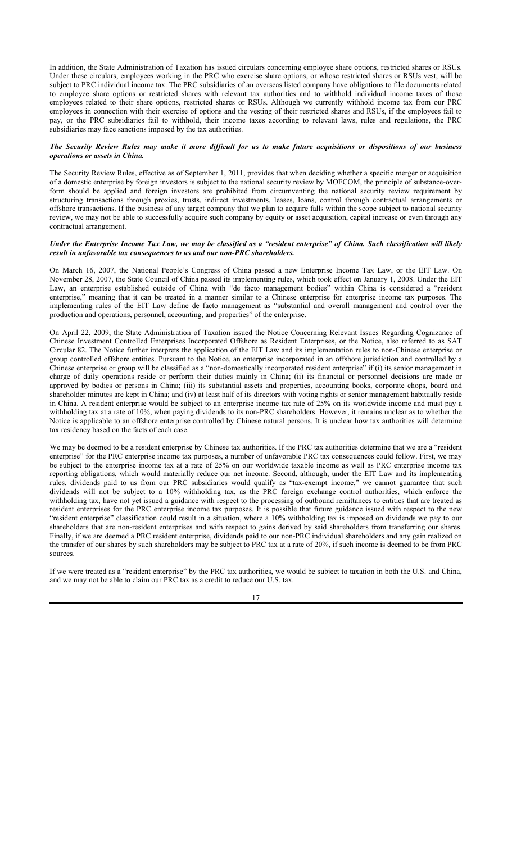In addition, the State Administration of Taxation has issued circulars concerning employee share options, restricted shares or RSUs. Under these circulars, employees working in the PRC who exercise share options, or whose restricted shares or RSUs vest, will be subject to PRC individual income tax. The PRC subsidiaries of an overseas listed company have obligations to file documents related to employee share options or restricted shares with relevant tax authorities and to withhold individual income taxes of those employees related to their share options, restricted shares or RSUs. Although we currently withhold income tax from our PRC employees in connection with their exercise of options and the vesting of their restricted shares and RSUs, if the employees fail to pay, or the PRC subsidiaries fail to withhold, their income taxes according to relevant laws, rules and regulations, the PRC subsidiaries may face sanctions imposed by the tax authorities.

## *The Security Review Rules may make it more difficult for us to make future acquisitions or dispositions of our business operations or assets in China.*

The Security Review Rules, effective as of September 1, 2011, provides that when deciding whether a specific merger or acquisition of a domestic enterprise by foreign investors is subject to the national security review by MOFCOM, the principle of substance-overform should be applied and foreign investors are prohibited from circumventing the national security review requirement by structuring transactions through proxies, trusts, indirect investments, leases, loans, control through contractual arrangements or offshore transactions. If the business of any target company that we plan to acquire falls within the scope subject to national security review, we may not be able to successfully acquire such company by equity or asset acquisition, capital increase or even through any contractual arrangement.

#### *Under the Enterprise Income Tax Law, we may be classified as a "resident enterprise" of China. Such classification will likely result in unfavorable tax consequences to us and our non-PRC shareholders.*

On March 16, 2007, the National People's Congress of China passed a new Enterprise Income Tax Law, or the EIT Law. On November 28, 2007, the State Council of China passed its implementing rules, which took effect on January 1, 2008. Under the EIT Law, an enterprise established outside of China with "de facto management bodies" within China is considered a "resident enterprise," meaning that it can be treated in a manner similar to a Chinese enterprise for enterprise income tax purposes. The implementing rules of the EIT Law define de facto management as "substantial and overall management and control over the production and operations, personnel, accounting, and properties" of the enterprise.

On April 22, 2009, the State Administration of Taxation issued the Notice Concerning Relevant Issues Regarding Cognizance of Chinese Investment Controlled Enterprises Incorporated Offshore as Resident Enterprises, or the Notice, also referred to as SAT Circular 82. The Notice further interprets the application of the EIT Law and its implementation rules to non-Chinese enterprise or group controlled offshore entities. Pursuant to the Notice, an enterprise incorporated in an offshore jurisdiction and controlled by a Chinese enterprise or group will be classified as a "non-domestically incorporated resident enterprise" if (i) its senior management in charge of daily operations reside or perform their duties mainly in China; (ii) its financial or personnel decisions are made or approved by bodies or persons in China; (iii) its substantial assets and properties, accounting books, corporate chops, board and shareholder minutes are kept in China; and (iv) at least half of its directors with voting rights or senior management habitually reside in China. A resident enterprise would be subject to an enterprise income tax rate of 25% on its worldwide income and must pay a withholding tax at a rate of 10%, when paying dividends to its non-PRC shareholders. However, it remains unclear as to whether the Notice is applicable to an offshore enterprise controlled by Chinese natural persons. It is unclear how tax authorities will determine tax residency based on the facts of each case.

We may be deemed to be a resident enterprise by Chinese tax authorities. If the PRC tax authorities determine that we are a "resident enterprise" for the PRC enterprise income tax purposes, a number of unfavorable PRC tax consequences could follow. First, we may be subject to the enterprise income tax at a rate of 25% on our worldwide taxable income as well as PRC enterprise income tax reporting obligations, which would materially reduce our net income. Second, although, under the EIT Law and its implementing rules, dividends paid to us from our PRC subsidiaries would qualify as "tax-exempt income," we cannot guarantee that such dividends will not be subject to a 10% withholding tax, as the PRC foreign exchange control authorities, which enforce the withholding tax, have not yet issued a guidance with respect to the processing of outbound remittances to entities that are treated as resident enterprises for the PRC enterprise income tax purposes. It is possible that future guidance issued with respect to the new "resident enterprise" classification could result in a situation, where a 10% withholding tax is imposed on dividends we pay to our shareholders that are non-resident enterprises and with respect to gains derived by said shareholders from transferring our shares. Finally, if we are deemed a PRC resident enterprise, dividends paid to our non-PRC individual shareholders and any gain realized on the transfer of our shares by such shareholders may be subject to PRC tax at a rate of 20%, if such income is deemed to be from PRC sources.

If we were treated as a "resident enterprise" by the PRC tax authorities, we would be subject to taxation in both the U.S. and China, and we may not be able to claim our PRC tax as a credit to reduce our U.S. tax.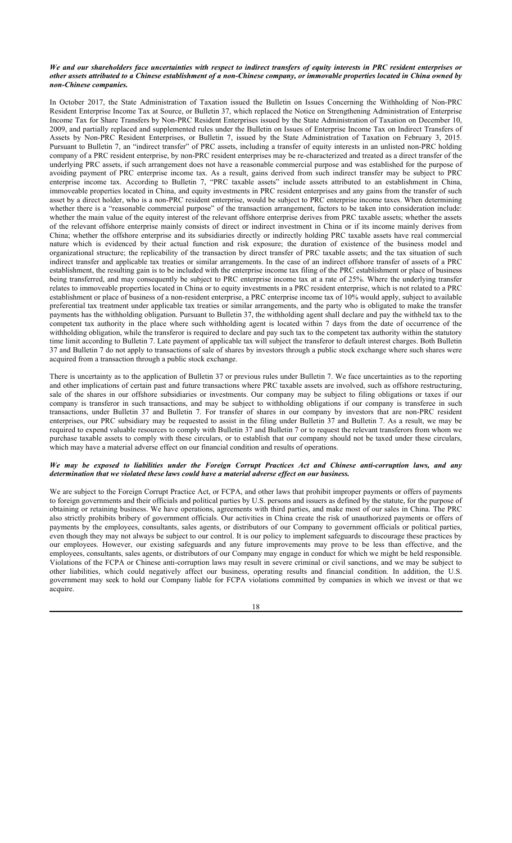#### *We and our shareholders face uncertainties with respect to indirect transfers of equity interests in PRC resident enterprises or other assets attributed to a Chinese establishment of a non-Chinese company, or immovable properties located in China owned by non-Chinese companies.*

In October 2017, the State Administration of Taxation issued the Bulletin on Issues Concerning the Withholding of Non-PRC Resident Enterprise Income Tax at Source, or Bulletin 37, which replaced the Notice on Strengthening Administration of Enterprise Income Tax for Share Transfers by Non-PRC Resident Enterprises issued by the State Administration of Taxation on December 10, 2009, and partially replaced and supplemented rules under the Bulletin on Issues of Enterprise Income Tax on Indirect Transfers of Assets by Non-PRC Resident Enterprises, or Bulletin 7, issued by the State Administration of Taxation on February 3, 2015. Pursuant to Bulletin 7, an "indirect transfer" of PRC assets, including a transfer of equity interests in an unlisted non-PRC holding company of a PRC resident enterprise, by non-PRC resident enterprises may be re-characterized and treated as a direct transfer of the underlying PRC assets, if such arrangement does not have a reasonable commercial purpose and was established for the purpose of avoiding payment of PRC enterprise income tax. As a result, gains derived from such indirect transfer may be subject to PRC enterprise income tax. According to Bulletin 7, "PRC taxable assets" include assets attributed to an establishment in China, immoveable properties located in China, and equity investments in PRC resident enterprises and any gains from the transfer of such asset by a direct holder, who is a non-PRC resident enterprise, would be subject to PRC enterprise income taxes. When determining whether there is a "reasonable commercial purpose" of the transaction arrangement, factors to be taken into consideration include: whether the main value of the equity interest of the relevant offshore enterprise derives from PRC taxable assets; whether the assets of the relevant offshore enterprise mainly consists of direct or indirect investment in China or if its income mainly derives from China; whether the offshore enterprise and its subsidiaries directly or indirectly holding PRC taxable assets have real commercial nature which is evidenced by their actual function and risk exposure; the duration of existence of the business model and organizational structure; the replicability of the transaction by direct transfer of PRC taxable assets; and the tax situation of such indirect transfer and applicable tax treaties or similar arrangements. In the case of an indirect offshore transfer of assets of a PRC establishment, the resulting gain is to be included with the enterprise income tax filing of the PRC establishment or place of business being transferred, and may consequently be subject to PRC enterprise income tax at a rate of 25%. Where the underlying transfer relates to immoveable properties located in China or to equity investments in a PRC resident enterprise, which is not related to a PRC establishment or place of business of a non-resident enterprise, a PRC enterprise income tax of 10% would apply, subject to available preferential tax treatment under applicable tax treaties or similar arrangements, and the party who is obligated to make the transfer payments has the withholding obligation. Pursuant to Bulletin 37, the withholding agent shall declare and pay the withheld tax to the competent tax authority in the place where such withholding agent is located within 7 days from the date of occurrence of the withholding obligation, while the transferor is required to declare and pay such tax to the competent tax authority within the statutory time limit according to Bulletin 7. Late payment of applicable tax will subject the transferor to default interest charges. Both Bulletin 37 and Bulletin 7 do not apply to transactions of sale of shares by investors through a public stock exchange where such shares were acquired from a transaction through a public stock exchange.

There is uncertainty as to the application of Bulletin 37 or previous rules under Bulletin 7. We face uncertainties as to the reporting and other implications of certain past and future transactions where PRC taxable assets are involved, such as offshore restructuring, sale of the shares in our offshore subsidiaries or investments. Our company may be subject to filing obligations or taxes if our company is transferor in such transactions, and may be subject to withholding obligations if our company is transferee in such transactions, under Bulletin 37 and Bulletin 7. For transfer of shares in our company by investors that are non-PRC resident enterprises, our PRC subsidiary may be requested to assist in the filing under Bulletin 37 and Bulletin 7. As a result, we may be required to expend valuable resources to comply with Bulletin 37 and Bulletin 7 or to request the relevant transferors from whom we purchase taxable assets to comply with these circulars, or to establish that our company should not be taxed under these circulars, which may have a material adverse effect on our financial condition and results of operations.

## *We may be exposed to liabilities under the Foreign Corrupt Practices Act and Chinese anti-corruption laws, and any determination that we violated these laws could have a material adverse effect on our business.*

We are subject to the Foreign Corrupt Practice Act, or FCPA, and other laws that prohibit improper payments or offers of payments to foreign governments and their officials and political parties by U.S. persons and issuers as defined by the statute, for the purpose of obtaining or retaining business. We have operations, agreements with third parties, and make most of our sales in China. The PRC also strictly prohibits bribery of government officials. Our activities in China create the risk of unauthorized payments or offers of payments by the employees, consultants, sales agents, or distributors of our Company to government officials or political parties, even though they may not always be subject to our control. It is our policy to implement safeguards to discourage these practices by our employees. However, our existing safeguards and any future improvements may prove to be less than effective, and the employees, consultants, sales agents, or distributors of our Company may engage in conduct for which we might be held responsible. Violations of the FCPA or Chinese anti-corruption laws may result in severe criminal or civil sanctions, and we may be subject to other liabilities, which could negatively affect our business, operating results and financial condition. In addition, the U.S. government may seek to hold our Company liable for FCPA violations committed by companies in which we invest or that we acquire.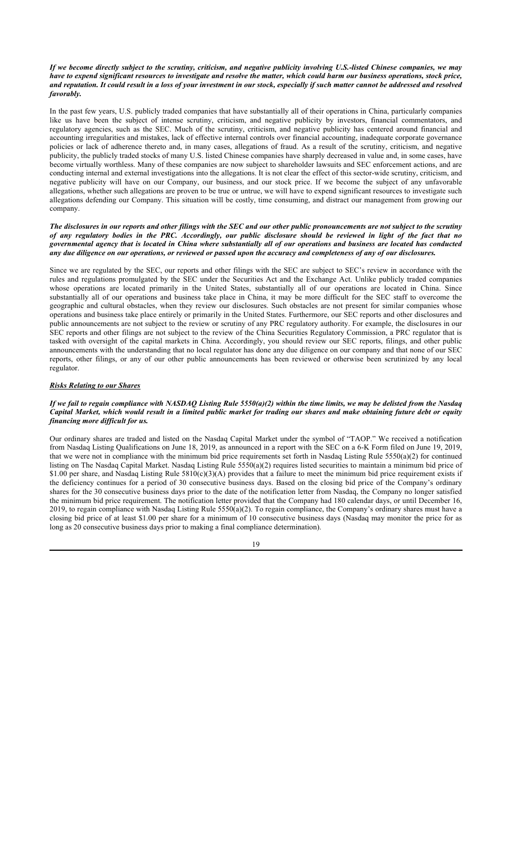## *If we become directly subject to the scrutiny, criticism, and negative publicity involving U.S.-listed Chinese companies, we may have to expend significant resources to investigate and resolve the matter, which could harm our business operations, stock price, and reputation. It could result in a loss of your investment in our stock, especially if such matter cannot be addressed and resolved favorably.*

In the past few years, U.S. publicly traded companies that have substantially all of their operations in China, particularly companies like us have been the subject of intense scrutiny, criticism, and negative publicity by investors, financial commentators, and regulatory agencies, such as the SEC. Much of the scrutiny, criticism, and negative publicity has centered around financial and accounting irregularities and mistakes, lack of effective internal controls over financial accounting, inadequate corporate governance policies or lack of adherence thereto and, in many cases, allegations of fraud. As a result of the scrutiny, criticism, and negative publicity, the publicly traded stocks of many U.S. listed Chinese companies have sharply decreased in value and, in some cases, have become virtually worthless. Many of these companies are now subject to shareholder lawsuits and SEC enforcement actions, and are conducting internal and external investigations into the allegations. It is not clear the effect of this sector-wide scrutiny, criticism, and negative publicity will have on our Company, our business, and our stock price. If we become the subject of any unfavorable allegations, whether such allegations are proven to be true or untrue, we will have to expend significant resources to investigate such allegations defending our Company. This situation will be costly, time consuming, and distract our management from growing our company.

#### *The disclosures in our reports and other filings with the SEC and our other public pronouncements are not subject to the scrutiny of any regulatory bodies in the PRC. Accordingly, our public disclosure should be reviewed in light of the fact that no governmental agency that is located in China where substantially all of our operations and business are located has conducted any due diligence on our operations, or reviewed or passed upon the accuracy and completeness of any of our disclosures.*

Since we are regulated by the SEC, our reports and other filings with the SEC are subject to SEC's review in accordance with the rules and regulations promulgated by the SEC under the Securities Act and the Exchange Act. Unlike publicly traded companies whose operations are located primarily in the United States, substantially all of our operations are located in China. Since substantially all of our operations and business take place in China, it may be more difficult for the SEC staff to overcome the geographic and cultural obstacles, when they review our disclosures. Such obstacles are not present for similar companies whose operations and business take place entirely or primarily in the United States. Furthermore, our SEC reports and other disclosures and public announcements are not subject to the review or scrutiny of any PRC regulatory authority. For example, the disclosures in our SEC reports and other filings are not subject to the review of the China Securities Regulatory Commission, a PRC regulator that is tasked with oversight of the capital markets in China. Accordingly, you should review our SEC reports, filings, and other public announcements with the understanding that no local regulator has done any due diligence on our company and that none of our SEC reports, other filings, or any of our other public announcements has been reviewed or otherwise been scrutinized by any local regulator.

# *Risks Relating to our Shares*

## *If we fail to regain compliance with NASDAQ Listing Rule 5550(a)(2) within the time limits, we may be delisted from the Nasdaq Capital Market, which would result in a limited public market for trading our shares and make obtaining future debt or equity financing more difficult for us.*

Our ordinary shares are traded and listed on the Nasdaq Capital Market under the symbol of "TAOP." We received a notification from Nasdaq Listing Qualifications on June 18, 2019, as announced in a report with the SEC on a 6-K Form filed on June 19, 2019, that we were not in compliance with the minimum bid price requirements set forth in Nasdaq Listing Rule 5550(a)(2) for continued listing on The Nasdaq Capital Market. Nasdaq Listing Rule 5550(a)(2) requires listed securities to maintain a minimum bid price of \$1.00 per share, and Nasdaq Listing Rule  $5810(c)(3)(A)$  provides that a failure to meet the minimum bid price requirement exists if the deficiency continues for a period of 30 consecutive business days. Based on the closing bid price of the Company's ordinary shares for the 30 consecutive business days prior to the date of the notification letter from Nasdaq, the Company no longer satisfied the minimum bid price requirement. The notification letter provided that the Company had 180 calendar days, or until December 16, 2019, to regain compliance with Nasdaq Listing Rule  $5550(a)(2)$ . To regain compliance, the Company's ordinary shares must have a closing bid price of at least \$1.00 per share for a minimum of 10 consecutive business days (Nasdaq may monitor the price for as long as 20 consecutive business days prior to making a final compliance determination).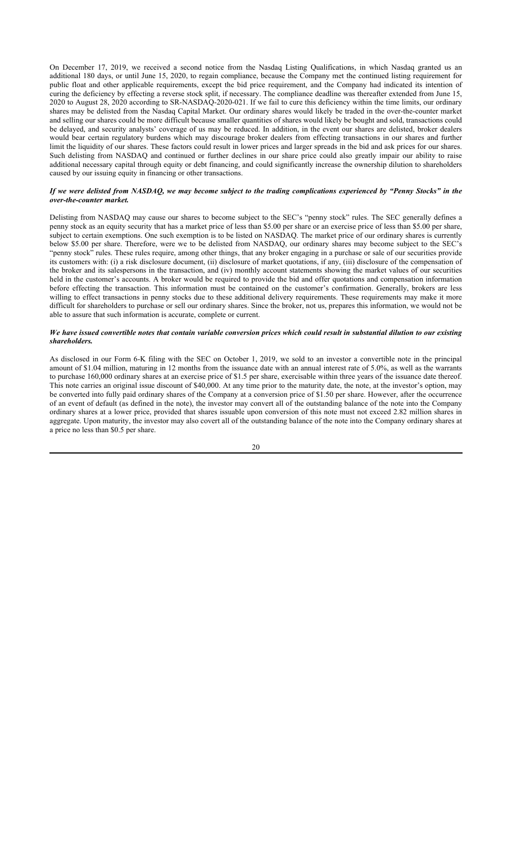On December 17, 2019, we received a second notice from the Nasdaq Listing Qualifications, in which Nasdaq granted us an additional 180 days, or until June 15, 2020, to regain compliance, because the Company met the continued listing requirement for public float and other applicable requirements, except the bid price requirement, and the Company had indicated its intention of curing the deficiency by effecting a reverse stock split, if necessary. The compliance deadline was thereafter extended from June 15, 2020 to August 28, 2020 according to SR-NASDAQ-2020-021. If we fail to cure this deficiency within the time limits, our ordinary shares may be delisted from the Nasdaq Capital Market. Our ordinary shares would likely be traded in the over-the-counter market and selling our shares could be more difficult because smaller quantities of shares would likely be bought and sold, transactions could be delayed, and security analysts' coverage of us may be reduced. In addition, in the event our shares are delisted, broker dealers would bear certain regulatory burdens which may discourage broker dealers from effecting transactions in our shares and further limit the liquidity of our shares. These factors could result in lower prices and larger spreads in the bid and ask prices for our shares. Such delisting from NASDAQ and continued or further declines in our share price could also greatly impair our ability to raise additional necessary capital through equity or debt financing, and could significantly increase the ownership dilution to shareholders caused by our issuing equity in financing or other transactions.

## *If we were delisted from NASDAQ, we may become subject to the trading complications experienced by "Penny Stocks" in the over-the-counter market.*

Delisting from NASDAQ may cause our shares to become subject to the SEC's "penny stock" rules. The SEC generally defines a penny stock as an equity security that has a market price of less than \$5.00 per share or an exercise price of less than \$5.00 per share, subject to certain exemptions. One such exemption is to be listed on NASDAQ. The market price of our ordinary shares is currently below \$5.00 per share. Therefore, were we to be delisted from NASDAQ, our ordinary shares may become subject to the SEC's "penny stock" rules. These rules require, among other things, that any broker engaging in a purchase or sale of our securities provide its customers with: (i) a risk disclosure document, (ii) disclosure of market quotations, if any, (iii) disclosure of the compensation of the broker and its salespersons in the transaction, and (iv) monthly account statements showing the market values of our securities held in the customer's accounts. A broker would be required to provide the bid and offer quotations and compensation information before effecting the transaction. This information must be contained on the customer's confirmation. Generally, brokers are less willing to effect transactions in penny stocks due to these additional delivery requirements. These requirements may make it more difficult for shareholders to purchase or sell our ordinary shares. Since the broker, not us, prepares this information, we would not be able to assure that such information is accurate, complete or current.

#### *We have issued convertible notes that contain variable conversion prices which could result in substantial dilution to our existing shareholders.*

As disclosed in our Form 6-K filing with the SEC on October 1, 2019, we sold to an investor a convertible note in the principal amount of \$1.04 million, maturing in 12 months from the issuance date with an annual interest rate of 5.0%, as well as the warrants to purchase 160,000 ordinary shares at an exercise price of \$1.5 per share, exercisable within three years of the issuance date thereof. This note carries an original issue discount of \$40,000. At any time prior to the maturity date, the note, at the investor's option, may be converted into fully paid ordinary shares of the Company at a conversion price of \$1.50 per share. However, after the occurrence of an event of default (as defined in the note), the investor may convert all of the outstanding balance of the note into the Company ordinary shares at a lower price, provided that shares issuable upon conversion of this note must not exceed 2.82 million shares in aggregate. Upon maturity, the investor may also covert all of the outstanding balance of the note into the Company ordinary shares at a price no less than \$0.5 per share.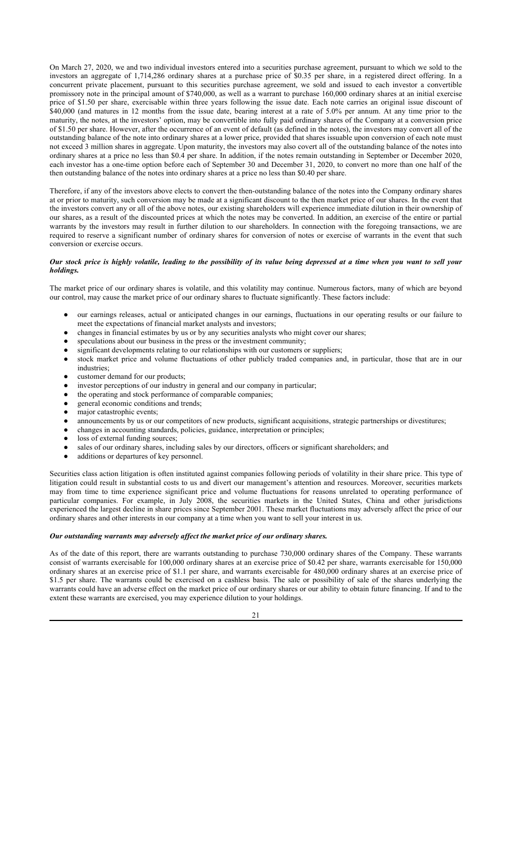On March 27, 2020, we and two individual investors entered into a securities purchase agreement, pursuant to which we sold to the investors an aggregate of 1,714,286 ordinary shares at a purchase price of \$0.35 per share, in a registered direct offering. In a concurrent private placement, pursuant to this securities purchase agreement, we sold and issued to each investor a convertible promissory note in the principal amount of \$740,000, as well as a warrant to purchase 160,000 ordinary shares at an initial exercise price of \$1.50 per share, exercisable within three years following the issue date. Each note carries an original issue discount of \$40,000 (and matures in 12 months from the issue date, bearing interest at a rate of 5.0% per annum. At any time prior to the maturity, the notes, at the investors' option, may be convertible into fully paid ordinary shares of the Company at a conversion price of \$1.50 per share. However, after the occurrence of an event of default (as defined in the notes), the investors may convert all of the outstanding balance of the note into ordinary shares at a lower price, provided that shares issuable upon conversion of each note must not exceed 3 million shares in aggregate. Upon maturity, the investors may also covert all of the outstanding balance of the notes into ordinary shares at a price no less than \$0.4 per share. In addition, if the notes remain outstanding in September or December 2020, each investor has a one-time option before each of September 30 and December 31, 2020, to convert no more than one half of the then outstanding balance of the notes into ordinary shares at a price no less than \$0.40 per share.

Therefore, if any of the investors above elects to convert the then-outstanding balance of the notes into the Company ordinary shares at or prior to maturity, such conversion may be made at a significant discount to the then market price of our shares. In the event that the investors convert any or all of the above notes, our existing shareholders will experience immediate dilution in their ownership of our shares, as a result of the discounted prices at which the notes may be converted. In addition, an exercise of the entire or partial warrants by the investors may result in further dilution to our shareholders. In connection with the foregoing transactions, we are required to reserve a significant number of ordinary shares for conversion of notes or exercise of warrants in the event that such conversion or exercise occurs.

# *Our stock price is highly volatile, leading to the possibility of its value being depressed at a time when you want to sell your holdings.*

The market price of our ordinary shares is volatile, and this volatility may continue. Numerous factors, many of which are beyond our control, may cause the market price of our ordinary shares to fluctuate significantly. These factors include:

- our earnings releases, actual or anticipated changes in our earnings, fluctuations in our operating results or our failure to meet the expectations of financial market analysts and investors;
- changes in financial estimates by us or by any securities analysts who might cover our shares;
- speculations about our business in the press or the investment community;
- significant developments relating to our relationships with our customers or suppliers;
- stock market price and volume fluctuations of other publicly traded companies and, in particular, those that are in our industries;
- customer demand for our products;
- investor perceptions of our industry in general and our company in particular;
- the operating and stock performance of comparable companies;
- general economic conditions and trends;
- major catastrophic events;
- announcements by us or our competitors of new products, significant acquisitions, strategic partnerships or divestitures;
- changes in accounting standards, policies, guidance, interpretation or principles;
- loss of external funding sources;
- sales of our ordinary shares, including sales by our directors, officers or significant shareholders; and
- additions or departures of key personnel.

Securities class action litigation is often instituted against companies following periods of volatility in their share price. This type of litigation could result in substantial costs to us and divert our management's attention and resources. Moreover, securities markets may from time to time experience significant price and volume fluctuations for reasons unrelated to operating performance of particular companies. For example, in July 2008, the securities markets in the United States, China and other jurisdictions experienced the largest decline in share prices since September 2001. These market fluctuations may adversely affect the price of our ordinary shares and other interests in our company at a time when you want to sell your interest in us.

#### *Our outstanding warrants may adversely affect the market price of our ordinary shares.*

As of the date of this report, there are warrants outstanding to purchase 730,000 ordinary shares of the Company. These warrants consist of warrants exercisable for 100,000 ordinary shares at an exercise price of \$0.42 per share, warrants exercisable for 150,000 ordinary shares at an exercise price of \$1.1 per share, and warrants exercisable for 480,000 ordinary shares at an exercise price of \$1.5 per share. The warrants could be exercised on a cashless basis. The sale or possibility of sale of the shares underlying the warrants could have an adverse effect on the market price of our ordinary shares or our ability to obtain future financing. If and to the extent these warrants are exercised, you may experience dilution to your holdings.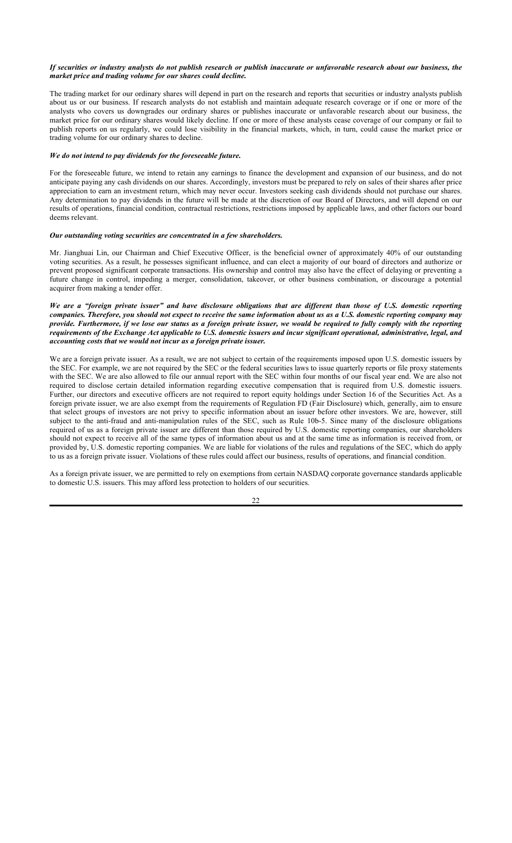## *If securities or industry analysts do not publish research or publish inaccurate or unfavorable research about our business, the market price and trading volume for our shares could decline.*

The trading market for our ordinary shares will depend in part on the research and reports that securities or industry analysts publish about us or our business. If research analysts do not establish and maintain adequate research coverage or if one or more of the analysts who covers us downgrades our ordinary shares or publishes inaccurate or unfavorable research about our business, the market price for our ordinary shares would likely decline. If one or more of these analysts cease coverage of our company or fail to publish reports on us regularly, we could lose visibility in the financial markets, which, in turn, could cause the market price or trading volume for our ordinary shares to decline.

## *We do not intend to pay dividends for the foreseeable future.*

For the foreseeable future, we intend to retain any earnings to finance the development and expansion of our business, and do not anticipate paying any cash dividends on our shares. Accordingly, investors must be prepared to rely on sales of their shares after price appreciation to earn an investment return, which may never occur. Investors seeking cash dividends should not purchase our shares. Any determination to pay dividends in the future will be made at the discretion of our Board of Directors, and will depend on our results of operations, financial condition, contractual restrictions, restrictions imposed by applicable laws, and other factors our board deems relevant.

#### *Our outstanding voting securities are concentrated in a few shareholders.*

Mr. Jianghuai Lin, our Chairman and Chief Executive Officer, is the beneficial owner of approximately 40% of our outstanding voting securities. As a result, he possesses significant influence, and can elect a majority of our board of directors and authorize or prevent proposed significant corporate transactions. His ownership and control may also have the effect of delaying or preventing a future change in control, impeding a merger, consolidation, takeover, or other business combination, or discourage a potential acquirer from making a tender offer.

*We are a "foreign private issuer" and have disclosure obligations that are different than those of U.S. domestic reporting companies. Therefore, you should not expect to receive the same information about us as a U.S. domestic reporting company may provide. Furthermore, if we lose our status as a foreign private issuer, we would be required to fully comply with the reporting requirements of the Exchange Act applicable to U.S. domestic issuers and incur significant operational, administrative, legal, and accounting costs that we would not incur as a foreign private issuer.*

We are a foreign private issuer. As a result, we are not subject to certain of the requirements imposed upon U.S. domestic issuers by the SEC. For example, we are not required by the SEC or the federal securities laws to issue quarterly reports or file proxy statements with the SEC. We are also allowed to file our annual report with the SEC within four months of our fiscal year end. We are also not required to disclose certain detailed information regarding executive compensation that is required from U.S. domestic issuers. Further, our directors and executive officers are not required to report equity holdings under Section 16 of the Securities Act. As a foreign private issuer, we are also exempt from the requirements of Regulation FD (Fair Disclosure) which, generally, aim to ensure that select groups of investors are not privy to specific information about an issuer before other investors. We are, however, still subject to the anti-fraud and anti-manipulation rules of the SEC, such as Rule 10b-5. Since many of the disclosure obligations required of us as a foreign private issuer are different than those required by U.S. domestic reporting companies, our shareholders should not expect to receive all of the same types of information about us and at the same time as information is received from, or provided by,  $\dot{U}$ .S. domestic reporting companies. We are liable for violations of the rules and regulations of the SEC, which do apply to us as a foreign private issuer. Violations of these rules could affect our business, results of operations, and financial condition.

As a foreign private issuer, we are permitted to rely on exemptions from certain NASDAQ corporate governance standards applicable to domestic U.S. issuers. This may afford less protection to holders of our securities.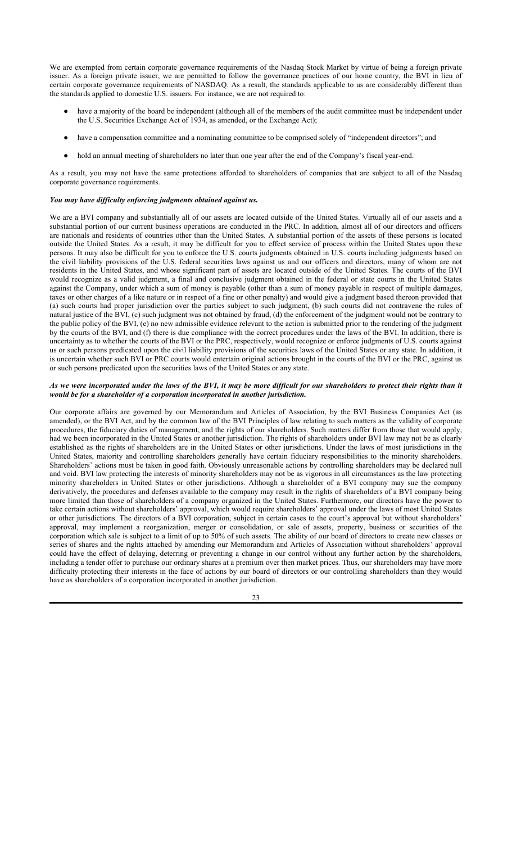We are exempted from certain corporate governance requirements of the Nasdaq Stock Market by virtue of being a foreign private issuer. As a foreign private issuer, we are permitted to follow the governance practices of our home country, the BVI in lieu of certain corporate governance requirements of NASDAQ. As a result, the standards applicable to us are considerably different than the standards applied to domestic U.S. issuers. For instance, we are not required to:

- have a majority of the board be independent (although all of the members of the audit committee must be independent under the U.S. Securities Exchange Act of 1934, as amended, or the Exchange Act);
- have a compensation committee and a nominating committee to be comprised solely of "independent directors"; and
- hold an annual meeting of shareholders no later than one year after the end of the Company's fiscal year-end.

As a result, you may not have the same protections afforded to shareholders of companies that are subject to all of the Nasdaq corporate governance requirements.

#### *You may have difficulty enforcing judgments obtained against us.*

We are a BVI company and substantially all of our assets are located outside of the United States. Virtually all of our assets and a substantial portion of our current business operations are conducted in the PRC. In addition, almost all of our directors and officers are nationals and residents of countries other than the United States. A substantial portion of the assets of these persons is located outside the United States. As a result, it may be difficult for you to effect service of process within the United States upon these persons. It may also be difficult for you to enforce the U.S. courts judgments obtained in U.S. courts including judgments based on the civil liability provisions of the U.S. federal securities laws against us and our officers and directors, many of whom are not residents in the United States, and whose significant part of assets are located outside of the United States. The courts of the BVI would recognize as a valid judgment, a final and conclusive judgment obtained in the federal or state courts in the United States against the Company, under which a sum of money is payable (other than a sum of money payable in respect of multiple damages, taxes or other charges of a like nature or in respect of a fine or other penalty) and would give a judgment based thereon provided that (a) such courts had proper jurisdiction over the parties subject to such judgment, (b) such courts did not contravene the rules of natural justice of the BVI, (c) such judgment was not obtained by fraud, (d) the enforcement of the judgment would not be contrary to the public policy of the BVI, (e) no new admissible evidence relevant to the action is submitted prior to the rendering of the judgment by the courts of the BVI, and (f) there is due compliance with the correct procedures under the laws of the BVI. In addition, there is uncertainty as to whether the courts of the BVI or the PRC, respectively, would recognize or enforce judgments of U.S. courts against us or such persons predicated upon the civil liability provisions of the securities laws of the United States or any state. In addition, it is uncertain whether such BVI or PRC courts would entertain original actions brought in the courts of the BVI or the PRC, against us or such persons predicated upon the securities laws of the United States or any state.

## *As we were incorporated under the laws of the BVI, it may be more difficult for our shareholders to protect their rights than it would be for a shareholder of a corporation incorporated in another jurisdiction.*

Our corporate affairs are governed by our Memorandum and Articles of Association, by the BVI Business Companies Act (as amended), or the BVI Act, and by the common law of the BVI Principles of law relating to such matters as the validity of corporate procedures, the fiduciary duties of management, and the rights of our shareholders. Such matters differ from those that would apply, had we been incorporated in the United States or another jurisdiction. The rights of shareholders under BVI law may not be as clearly established as the rights of shareholders are in the United States or other jurisdictions. Under the laws of most jurisdictions in the United States, majority and controlling shareholders generally have certain fiduciary responsibilities to the minority shareholders. Shareholders' actions must be taken in good faith. Obviously unreasonable actions by controlling shareholders may be declared null and void. BVI law protecting the interests of minority shareholders may not be as vigorous in all circumstances as the law protecting minority shareholders in United States or other jurisdictions. Although a shareholder of a BVI company may sue the company derivatively, the procedures and defenses available to the company may result in the rights of shareholders of a BVI company being more limited than those of shareholders of a company organized in the United States. Furthermore, our directors have the power to take certain actions without shareholders' approval, which would require shareholders' approval under the laws of most United States or other jurisdictions. The directors of a BVI corporation, subject in certain cases to the court's approval but without shareholders' approval, may implement a reorganization, merger or consolidation, or sale of assets, property, business or securities of the corporation which sale is subject to a limit of up to 50% of such assets. The ability of our board of directors to create new classes or series of shares and the rights attached by amending our Memorandum and Articles of Association without shareholders' approval could have the effect of delaying, deterring or preventing a change in our control without any further action by the shareholders, including a tender offer to purchase our ordinary shares at a premium over then market prices. Thus, our shareholders may have more difficulty protecting their interests in the face of actions by our board of directors or our controlling shareholders than they would have as shareholders of a corporation incorporated in another jurisdiction.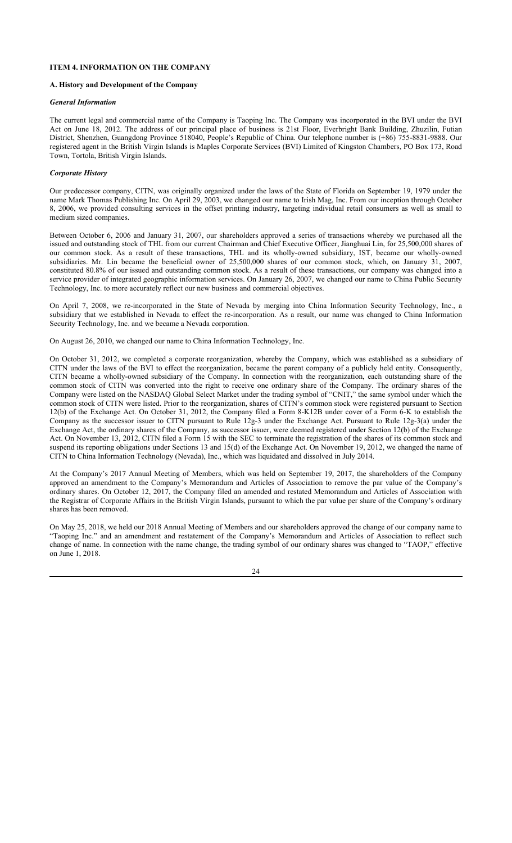## **ITEM 4. INFORMATION ON THE COMPANY**

## **A. History and Development of the Company**

#### *General Information*

The current legal and commercial name of the Company is Taoping Inc. The Company was incorporated in the BVI under the BVI Act on June 18, 2012. The address of our principal place of business is 21st Floor, Everbright Bank Building, Zhuzilin, Futian District, Shenzhen, Guangdong Province 518040, People's Republic of China. Our telephone number is (+86) 755-8831-9888. Our registered agent in the British Virgin Islands is Maples Corporate Services (BVI) Limited of Kingston Chambers, PO Box 173, Road Town, Tortola, British Virgin Islands.

#### *Corporate History*

Our predecessor company, CITN, was originally organized under the laws of the State of Florida on September 19, 1979 under the name Mark Thomas Publishing Inc. On April 29, 2003, we changed our name to Irish Mag, Inc. From our inception through October 8, 2006, we provided consulting services in the offset printing industry, targeting individual retail consumers as well as small to medium sized companies.

Between October 6, 2006 and January 31, 2007, our shareholders approved a series of transactions whereby we purchased all the issued and outstanding stock of THL from our current Chairman and Chief Executive Officer, Jianghuai Lin, for 25,500,000 shares of our common stock. As a result of these transactions, THL and its wholly-owned subsidiary, IST, became our wholly-owned subsidiaries. Mr. Lin became the beneficial owner of 25,500,000 shares of our common stock, which, on January 31, 2007, constituted 80.8% of our issued and outstanding common stock. As a result of these transactions, our company was changed into a service provider of integrated geographic information services. On January 26, 2007, we changed our name to China Public Security Technology, Inc. to more accurately reflect our new business and commercial objectives.

On April 7, 2008, we re-incorporated in the State of Nevada by merging into China Information Security Technology, Inc., a subsidiary that we established in Nevada to effect the re-incorporation. As a result, our name was changed to China Information Security Technology, Inc. and we became a Nevada corporation.

On August 26, 2010, we changed our name to China Information Technology, Inc.

On October 31, 2012, we completed a corporate reorganization, whereby the Company, which was established as a subsidiary of CITN under the laws of the BVI to effect the reorganization, became the parent company of a publicly held entity. Consequently, CITN became a wholly-owned subsidiary of the Company. In connection with the reorganization, each outstanding share of the common stock of CITN was converted into the right to receive one ordinary share of the Company. The ordinary shares of the Company were listed on the NASDAQ Global Select Market under the trading symbol of "CNIT," the same symbol under which the common stock of CITN were listed. Prior to the reorganization, shares of CITN's common stock were registered pursuant to Section 12(b) of the Exchange Act. On October 31, 2012, the Company filed a Form 8-K12B under cover of a Form 6-K to establish the Company as the successor issuer to CITN pursuant to Rule 12g-3 under the Exchange Act. Pursuant to Rule 12g-3(a) under the Exchange Act, the ordinary shares of the Company, as successor issuer, were deemed registered under Section 12(b) of the Exchange Act. On November 13, 2012, CITN filed a Form 15 with the SEC to terminate the registration of the shares of its common stock and suspend its reporting obligations under Sections 13 and 15(d) of the Exchange Act. On November 19, 2012, we changed the name of CITN to China Information Technology (Nevada), Inc., which was liquidated and dissolved in July 2014.

At the Company's 2017 Annual Meeting of Members, which was held on September 19, 2017, the shareholders of the Company approved an amendment to the Company's Memorandum and Articles of Association to remove the par value of the Company's ordinary shares. On October 12, 2017, the Company filed an amended and restated Memorandum and Articles of Association with the Registrar of Corporate Affairs in the British Virgin Islands, pursuant to which the par value per share of the Company's ordinary shares has been removed.

On May 25, 2018, we held our 2018 Annual Meeting of Members and our shareholders approved the change of our company name to "Taoping Inc." and an amendment and restatement of the Company's Memorandum and Articles of Association to reflect such change of name. In connection with the name change, the trading symbol of our ordinary shares was changed to "TAOP," effective on June 1, 2018.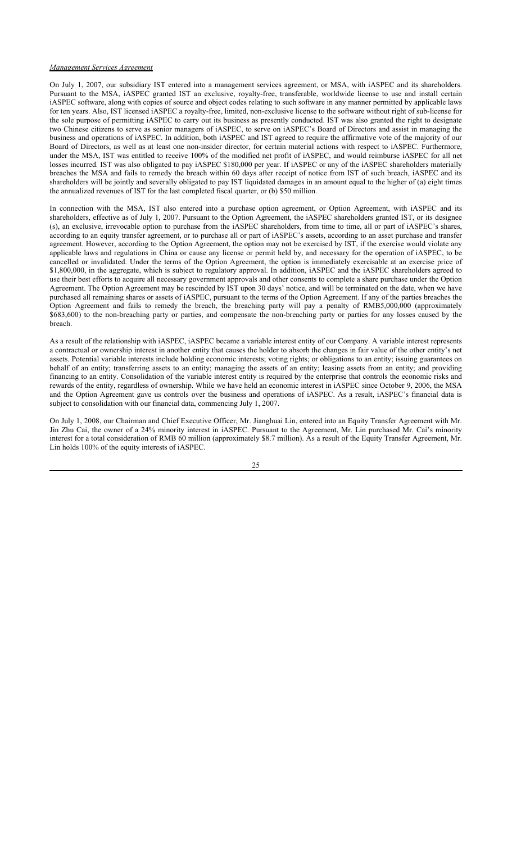#### *Management Services Agreement*

On July 1, 2007, our subsidiary IST entered into a management services agreement, or MSA, with iASPEC and its shareholders. Pursuant to the MSA, iASPEC granted IST an exclusive, royalty-free, transferable, worldwide license to use and install certain iASPEC software, along with copies of source and object codes relating to such software in any manner permitted by applicable laws for ten years. Also, IST licensed iASPEC a royalty-free, limited, non-exclusive license to the software without right of sub-license for the sole purpose of permitting iASPEC to carry out its business as presently conducted. IST was also granted the right to designate two Chinese citizens to serve as senior managers of iASPEC, to serve on iASPEC's Board of Directors and assist in managing the business and operations of iASPEC. In addition, both iASPEC and IST agreed to require the affirmative vote of the majority of our Board of Directors, as well as at least one non-insider director, for certain material actions with respect to iASPEC. Furthermore, under the MSA, IST was entitled to receive 100% of the modified net profit of iASPEC, and would reimburse iASPEC for all net losses incurred. IST was also obligated to pay iASPEC \$180,000 per year. If iASPEC or any of the iASPEC shareholders materially breaches the MSA and fails to remedy the breach within 60 days after receipt of notice from IST of such breach, iASPEC and its shareholders will be jointly and severally obligated to pay IST liquidated damages in an amount equal to the higher of (a) eight times the annualized revenues of IST for the last completed fiscal quarter, or (b) \$50 million.

In connection with the MSA, IST also entered into a purchase option agreement, or Option Agreement, with iASPEC and its shareholders, effective as of July 1, 2007. Pursuant to the Option Agreement, the iASPEC shareholders granted IST, or its designee (s), an exclusive, irrevocable option to purchase from the iASPEC shareholders, from time to time, all or part of iASPEC's shares, according to an equity transfer agreement, or to purchase all or part of iASPEC's assets, according to an asset purchase and transfer agreement. However, according to the Option Agreement, the option may not be exercised by IST, if the exercise would violate any applicable laws and regulations in China or cause any license or permit held by, and necessary for the operation of iASPEC, to be cancelled or invalidated. Under the terms of the Option Agreement, the option is immediately exercisable at an exercise price of \$1,800,000, in the aggregate, which is subject to regulatory approval. In addition, iASPEC and the iASPEC shareholders agreed to use their best efforts to acquire all necessary government approvals and other consents to complete a share purchase under the Option Agreement. The Option Agreement may be rescinded by IST upon 30 days' notice, and will be terminated on the date, when we have purchased all remaining shares or assets of iASPEC, pursuant to the terms of the Option Agreement. If any of the parties breaches the Option Agreement and fails to remedy the breach, the breaching party will pay a penalty of RMB5,000,000 (approximately \$683,600) to the non-breaching party or parties, and compensate the non-breaching party or parties for any losses caused by the breach.

As a result of the relationship with iASPEC, iASPEC became a variable interest entity of our Company. A variable interest represents a contractual or ownership interest in another entity that causes the holder to absorb the changes in fair value of the other entity's net assets. Potential variable interests include holding economic interests; voting rights; or obligations to an entity; issuing guarantees on behalf of an entity; transferring assets to an entity; managing the assets of an entity; leasing assets from an entity; and providing financing to an entity. Consolidation of the variable interest entity is required by the enterprise that controls the economic risks and rewards of the entity, regardless of ownership. While we have held an economic interest in iASPEC since October 9, 2006, the MSA and the Option Agreement gave us controls over the business and operations of iASPEC. As a result, iASPEC's financial data is subject to consolidation with our financial data, commencing July 1, 2007.

On July 1, 2008, our Chairman and Chief Executive Officer, Mr. Jianghuai Lin, entered into an Equity Transfer Agreement with Mr. Jin Zhu Cai, the owner of a 24% minority interest in iASPEC. Pursuant to the Agreement, Mr. Lin purchased Mr. Cai's minority interest for a total consideration of RMB 60 million (approximately \$8.7 million). As a result of the Equity Transfer Agreement, Mr. Lin holds 100% of the equity interests of iASPEC.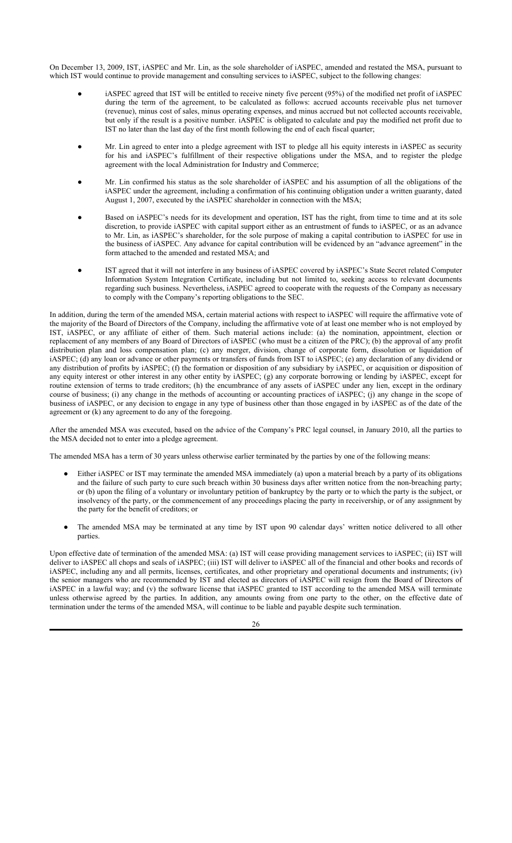On December 13, 2009, IST, iASPEC and Mr. Lin, as the sole shareholder of iASPEC, amended and restated the MSA, pursuant to which IST would continue to provide management and consulting services to iASPEC, subject to the following changes:

- iASPEC agreed that IST will be entitled to receive ninety five percent (95%) of the modified net profit of iASPEC during the term of the agreement, to be calculated as follows: accrued accounts receivable plus net turnover (revenue), minus cost of sales, minus operating expenses, and minus accrued but not collected accounts receivable, but only if the result is a positive number. iASPEC is obligated to calculate and pay the modified net profit due to IST no later than the last day of the first month following the end of each fiscal quarter;
- Mr. Lin agreed to enter into a pledge agreement with IST to pledge all his equity interests in iASPEC as security for his and iASPEC's fulfillment of their respective obligations under the MSA, and to register the pledge agreement with the local Administration for Industry and Commerce;
- Mr. Lin confirmed his status as the sole shareholder of iASPEC and his assumption of all the obligations of the iASPEC under the agreement, including a confirmation of his continuing obligation under a written guaranty, dated August 1, 2007, executed by the iASPEC shareholder in connection with the MSA;
- Based on iASPEC's needs for its development and operation, IST has the right, from time to time and at its sole discretion, to provide iASPEC with capital support either as an entrustment of funds to iASPEC, or as an advance to Mr. Lin, as iASPEC's shareholder, for the sole purpose of making a capital contribution to iASPEC for use in the business of iASPEC. Any advance for capital contribution will be evidenced by an "advance agreement" in the form attached to the amended and restated MSA; and
- IST agreed that it will not interfere in any business of iASPEC covered by iASPEC's State Secret related Computer Information System Integration Certificate, including but not limited to, seeking access to relevant documents regarding such business. Nevertheless, iASPEC agreed to cooperate with the requests of the Company as necessary to comply with the Company's reporting obligations to the SEC.

In addition, during the term of the amended MSA, certain material actions with respect to iASPEC will require the affirmative vote of the majority of the Board of Directors of the Company, including the affirmative vote of at least one member who is not employed by IST, iASPEC, or any affiliate of either of them. Such material actions include: (a) the nomination, appointment, election or replacement of any members of any Board of Directors of iASPEC (who must be a citizen of the PRC); (b) the approval of any profit distribution plan and loss compensation plan; (c) any merger, division, change of corporate form, dissolution or liquidation of iASPEC; (d) any loan or advance or other payments or transfers of funds from IST to iASPEC; (e) any declaration of any dividend or any distribution of profits by iASPEC; (f) the formation or disposition of any subsidiary by iASPEC, or acquisition or disposition of any equity interest or other interest in any other entity by iASPEC; (g) any corporate borrowing or lending by iASPEC, except for routine extension of terms to trade creditors; (h) the encumbrance of any assets of iASPEC under any lien, except in the ordinary course of business; (i) any change in the methods of accounting or accounting practices of iASPEC; (j) any change in the scope of business of iASPEC, or any decision to engage in any type of business other than those engaged in by iASPEC as of the date of the agreement or (k) any agreement to do any of the foregoing.

After the amended MSA was executed, based on the advice of the Company's PRC legal counsel, in January 2010, all the parties to the MSA decided not to enter into a pledge agreement.

The amended MSA has a term of 30 years unless otherwise earlier terminated by the parties by one of the following means:

- Either iASPEC or IST may terminate the amended MSA immediately (a) upon a material breach by a party of its obligations and the failure of such party to cure such breach within 30 business days after written notice from the non-breaching party; or (b) upon the filing of a voluntary or involuntary petition of bankruptcy by the party or to which the party is the subject, or insolvency of the party, or the commencement of any proceedings placing the party in receivership, or of any assignment by the party for the benefit of creditors; or
- The amended MSA may be terminated at any time by IST upon 90 calendar days' written notice delivered to all other parties.

Upon effective date of termination of the amended MSA: (a) IST will cease providing management services to iASPEC; (ii) IST will deliver to iASPEC all chops and seals of iASPEC; (iii) IST will deliver to iASPEC all of the financial and other books and records of iASPEC, including any and all permits, licenses, certificates, and other proprietary and operational documents and instruments; (iv) the senior managers who are recommended by IST and elected as directors of iASPEC will resign from the Board of Directors of iASPEC in a lawful way; and (v) the software license that iASPEC granted to IST according to the amended MSA will terminate unless otherwise agreed by the parties. In addition, any amounts owing from one party to the other, on the effective date of termination under the terms of the amended MSA, will continue to be liable and payable despite such termination.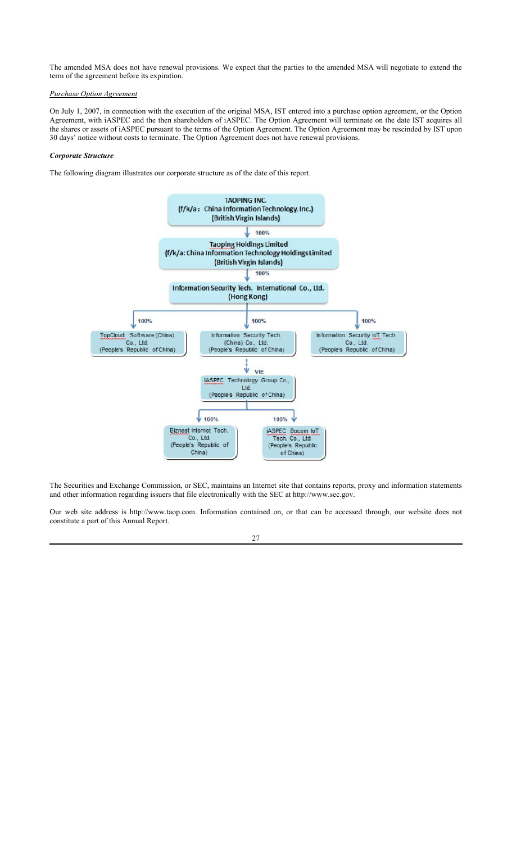The amended MSA does not have renewal provisions. We expect that the parties to the amended MSA will negotiate to extend the term of the agreement before its expiration.

## *Purchase Option Agreement*

On July 1, 2007, in connection with the execution of the original MSA, IST entered into a purchase option agreement, or the Option Agreement, with iASPEC and the then shareholders of iASPEC. The Option Agreement will terminate on the date IST acquires all the shares or assets of iASPEC pursuant to the terms of the Option Agreement. The Option Agreement may be rescinded by IST upon 30 days' notice without costs to terminate. The Option Agreement does not have renewal provisions.

#### *Corporate Structure*

The following diagram illustrates our corporate structure as of the date of this report.



The Securities and Exchange Commission, or SEC, maintains an Internet site that contains reports, proxy and information statements and other information regarding issuers that file electronically with the SEC at http://www.sec.gov.

Our web site address is http://www.taop.com. Information contained on, or that can be accessed through, our website does not constitute a part of this Annual Report.

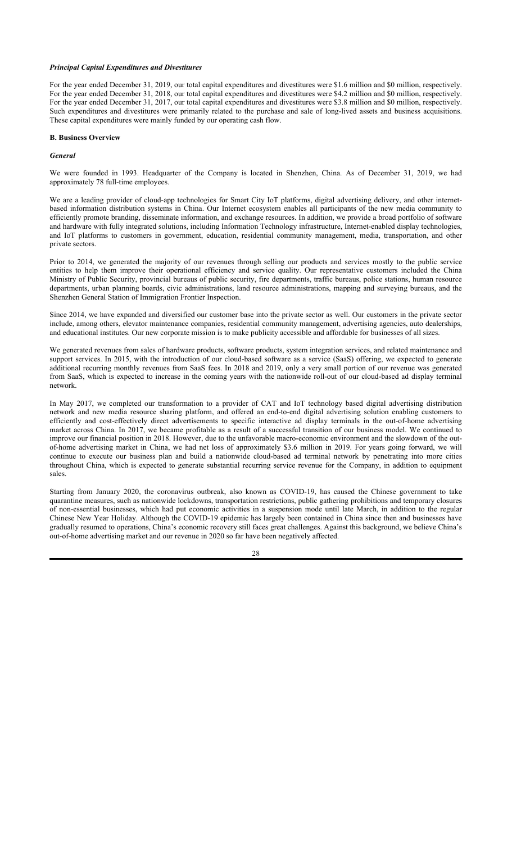## *Principal Capital Expenditures and Divestitures*

For the year ended December 31, 2019, our total capital expenditures and divestitures were \$1.6 million and \$0 million, respectively. For the year ended December 31, 2018, our total capital expenditures and divestitures were \$4.2 million and \$0 million, respectively. For the year ended December 31, 2017, our total capital expenditures and divestitures were \$3.8 million and \$0 million, respectively. Such expenditures and divestitures were primarily related to the purchase and sale of long-lived assets and business acquisitions. These capital expenditures were mainly funded by our operating cash flow.

#### **B. Business Overview**

# *General*

We were founded in 1993. Headquarter of the Company is located in Shenzhen, China. As of December 31, 2019, we had approximately 78 full-time employees.

We are a leading provider of cloud-app technologies for Smart City IoT platforms, digital advertising delivery, and other internetbased information distribution systems in China. Our Internet ecosystem enables all participants of the new media community to efficiently promote branding, disseminate information, and exchange resources. In addition, we provide a broad portfolio of software and hardware with fully integrated solutions, including Information Technology infrastructure, Internet-enabled display technologies, and IoT platforms to customers in government, education, residential community management, media, transportation, and other private sectors.

Prior to 2014, we generated the majority of our revenues through selling our products and services mostly to the public service entities to help them improve their operational efficiency and service quality. Our representative customers included the China Ministry of Public Security, provincial bureaus of public security, fire departments, traffic bureaus, police stations, human resource departments, urban planning boards, civic administrations, land resource administrations, mapping and surveying bureaus, and the Shenzhen General Station of Immigration Frontier Inspection.

Since 2014, we have expanded and diversified our customer base into the private sector as well. Our customers in the private sector include, among others, elevator maintenance companies, residential community management, advertising agencies, auto dealerships, and educational institutes. Our new corporate mission is to make publicity accessible and affordable for businesses of all sizes.

We generated revenues from sales of hardware products, software products, system integration services, and related maintenance and support services. In 2015, with the introduction of our cloud-based software as a service (SaaS) offering, we expected to generate additional recurring monthly revenues from SaaS fees. In 2018 and 2019, only a very small portion of our revenue was generated from SaaS, which is expected to increase in the coming years with the nationwide roll-out of our cloud-based ad display terminal network.

In May 2017, we completed our transformation to a provider of CAT and IoT technology based digital advertising distribution network and new media resource sharing platform, and offered an end-to-end digital advertising solution enabling customers to efficiently and cost-effectively direct advertisements to specific interactive ad display terminals in the out-of-home advertising market across China. In 2017, we became profitable as a result of a successful transition of our business model. We continued to improve our financial position in 2018. However, due to the unfavorable macro-economic environment and the slowdown of the outof-home advertising market in China, we had net loss of approximately \$3.6 million in 2019. For years going forward, we will continue to execute our business plan and build a nationwide cloud-based ad terminal network by penetrating into more cities throughout China, which is expected to generate substantial recurring service revenue for the Company, in addition to equipment sales.

Starting from January 2020, the coronavirus outbreak, also known as COVID-19, has caused the Chinese government to take quarantine measures, such as nationwide lockdowns, transportation restrictions, public gathering prohibitions and temporary closures of non-essential businesses, which had put economic activities in a suspension mode until late March, in addition to the regular Chinese New Year Holiday. Although the COVID-19 epidemic has largely been contained in China since then and businesses have gradually resumed to operations, China's economic recovery still faces great challenges. Against this background, we believe China's out-of-home advertising market and our revenue in 2020 so far have been negatively affected.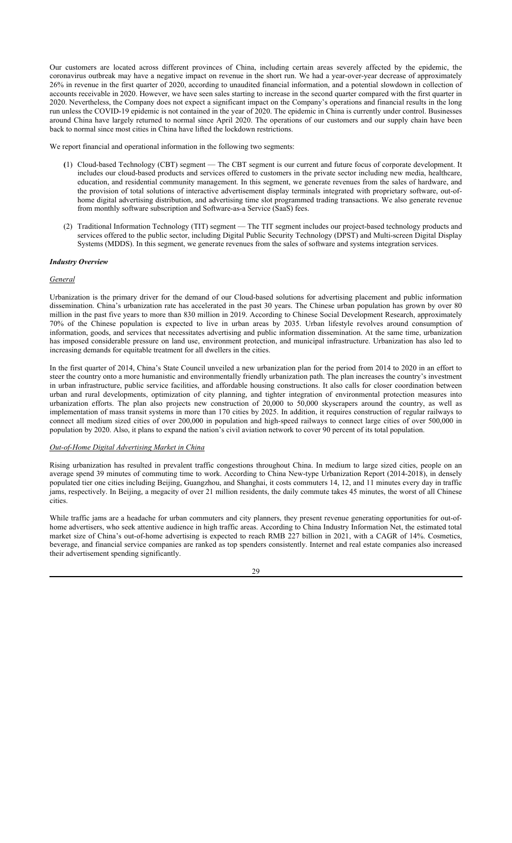Our customers are located across different provinces of China, including certain areas severely affected by the epidemic, the coronavirus outbreak may have a negative impact on revenue in the short run. We had a year-over-year decrease of approximately 26% in revenue in the first quarter of 2020, according to unaudited financial information, and a potential slowdown in collection of accounts receivable in 2020. However, we have seen sales starting to increase in the second quarter compared with the first quarter in 2020. Nevertheless, the Company does not expect a significant impact on the Company's operations and financial results in the long run unless the COVID-19 epidemic is not contained in the year of 2020. The epidemic in China is currently under control. Businesses around China have largely returned to normal since April 2020. The operations of our customers and our supply chain have been back to normal since most cities in China have lifted the lockdown restrictions.

We report financial and operational information in the following two segments:

- **(**1) Cloud-based Technology (CBT) segment The CBT segment is our current and future focus of corporate development. It includes our cloud-based products and services offered to customers in the private sector including new media, healthcare, education, and residential community management. In this segment, we generate revenues from the sales of hardware, and the provision of total solutions of interactive advertisement display terminals integrated with proprietary software, out-ofhome digital advertising distribution, and advertising time slot programmed trading transactions. We also generate revenue from monthly software subscription and Software-as-a Service (SaaS) fees.
- (2) Traditional Information Technology (TIT) segment The TIT segment includes our project-based technology products and services offered to the public sector, including Digital Public Security Technology (DPST) and Multi-screen Digital Display Systems (MDDS). In this segment, we generate revenues from the sales of software and systems integration services.

#### *Industry Overview*

#### *General*

Urbanization is the primary driver for the demand of our Cloud-based solutions for advertising placement and public information dissemination. China's urbanization rate has accelerated in the past 30 years. The Chinese urban population has grown by over 80 million in the past five years to more than 830 million in 2019. According to Chinese Social Development Research, approximately 70% of the Chinese population is expected to live in urban areas by 2035. Urban lifestyle revolves around consumption of information, goods, and services that necessitates advertising and public information dissemination. At the same time, urbanization has imposed considerable pressure on land use, environment protection, and municipal infrastructure. Urbanization has also led to increasing demands for equitable treatment for all dwellers in the cities.

In the first quarter of 2014, China's State Council unveiled a new urbanization plan for the period from 2014 to 2020 in an effort to steer the country onto a more humanistic and environmentally friendly urbanization path. The plan increases the country's investment in urban infrastructure, public service facilities, and affordable housing constructions. It also calls for closer coordination between urban and rural developments, optimization of city planning, and tighter integration of environmental protection measures into urbanization efforts. The plan also projects new construction of 20,000 to 50,000 skyscrapers around the country, as well as implementation of mass transit systems in more than 170 cities by 2025. In addition, it requires construction of regular railways to connect all medium sized cities of over 200,000 in population and high-speed railways to connect large cities of over 500,000 in population by 2020. Also, it plans to expand the nation's civil aviation network to cover 90 percent of its total population.

# *Out-of-Home Digital Advertising Market in China*

Rising urbanization has resulted in prevalent traffic congestions throughout China. In medium to large sized cities, people on an average spend 39 minutes of commuting time to work. According to China New-type Urbanization Report (2014-2018), in densely populated tier one cities including Beijing, Guangzhou, and Shanghai, it costs commuters 14, 12, and 11 minutes every day in traffic jams, respectively. In Beijing, a megacity of over 21 million residents, the daily commute takes 45 minutes, the worst of all Chinese cities.

While traffic jams are a headache for urban commuters and city planners, they present revenue generating opportunities for out-ofhome advertisers, who seek attentive audience in high traffic areas. According to China Industry Information Net, the estimated total market size of China's out-of-home advertising is expected to reach RMB 227 billion in 2021, with a CAGR of 14%. Cosmetics, beverage, and financial service companies are ranked as top spenders consistently. Internet and real estate companies also increased their advertisement spending significantly.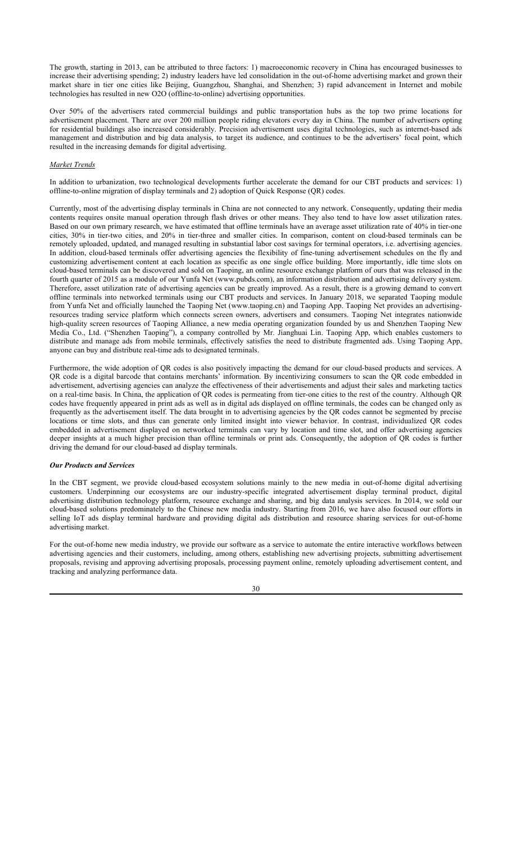The growth, starting in 2013, can be attributed to three factors: 1) macroeconomic recovery in China has encouraged businesses to increase their advertising spending; 2) industry leaders have led consolidation in the out-of-home advertising market and grown their market share in tier one cities like Beijing, Guangzhou, Shanghai, and Shenzhen; 3) rapid advancement in Internet and mobile technologies has resulted in new O2O (offline-to-online) advertising opportunities.

Over 50% of the advertisers rated commercial buildings and public transportation hubs as the top two prime locations for advertisement placement. There are over 200 million people riding elevators every day in China. The number of advertisers opting for residential buildings also increased considerably. Precision advertisement uses digital technologies, such as internet-based ads management and distribution and big data analysis, to target its audience, and continues to be the advertisers' focal point, which resulted in the increasing demands for digital advertising.

## *Market Trends*

In addition to urbanization, two technological developments further accelerate the demand for our CBT products and services: 1) offline-to-online migration of display terminals and 2) adoption of Quick Response (QR) codes.

Currently, most of the advertising display terminals in China are not connected to any network. Consequently, updating their media contents requires onsite manual operation through flash drives or other means. They also tend to have low asset utilization rates. Based on our own primary research, we have estimated that offline terminals have an average asset utilization rate of 40% in tier-one cities, 30% in tier-two cities, and 20% in tier-three and smaller cities. In comparison, content on cloud-based terminals can be remotely uploaded, updated, and managed resulting in substantial labor cost savings for terminal operators, i.e. advertising agencies. In addition, cloud-based terminals offer advertising agencies the flexibility of fine-tuning advertisement schedules on the fly and customizing advertisement content at each location as specific as one single office building. More importantly, idle time slots on cloud-based terminals can be discovered and sold on Taoping, an online resource exchange platform of ours that was released in the fourth quarter of 2015 as a module of our Yunfa Net (www.pubds.com), an information distribution and advertising delivery system. Therefore, asset utilization rate of advertising agencies can be greatly improved. As a result, there is a growing demand to convert offline terminals into networked terminals using our CBT products and services. In January 2018, we separated Taoping module from Yunfa Net and officially launched the Taoping Net (www.taoping.cn) and Taoping App. Taoping Net provides an advertisingresources trading service platform which connects screen owners, advertisers and consumers. Taoping Net integrates nationwide high-quality screen resources of Taoping Alliance, a new media operating organization founded by us and Shenzhen Taoping New Media Co., Ltd. ("Shenzhen Taoping"), a company controlled by Mr. Jianghuai Lin. Taoping App, which enables customers to distribute and manage ads from mobile terminals, effectively satisfies the need to distribute fragmented ads. Using Taoping App, anyone can buy and distribute real-time ads to designated terminals.

Furthermore, the wide adoption of QR codes is also positively impacting the demand for our cloud-based products and services. A QR code is a digital barcode that contains merchants' information. By incentivizing consumers to scan the QR code embedded in advertisement, advertising agencies can analyze the effectiveness of their advertisements and adjust their sales and marketing tactics on a real-time basis. In China, the application of QR codes is permeating from tier-one cities to the rest of the country. Although QR codes have frequently appeared in print ads as well as in digital ads displayed on offline terminals, the codes can be changed only as frequently as the advertisement itself. The data brought in to advertising agencies by the QR codes cannot be segmented by precise locations or time slots, and thus can generate only limited insight into viewer behavior. In contrast, individualized QR codes embedded in advertisement displayed on networked terminals can vary by location and time slot, and offer advertising agencies deeper insights at a much higher precision than offline terminals or print ads. Consequently, the adoption of QR codes is further driving the demand for our cloud-based ad display terminals.

#### *Our Products and Services*

In the CBT segment, we provide cloud-based ecosystem solutions mainly to the new media in out-of-home digital advertising customers. Underpinning our ecosystems are our industry-specific integrated advertisement display terminal product, digital advertising distribution technology platform, resource exchange and sharing, and big data analysis services. In 2014, we sold our cloud-based solutions predominately to the Chinese new media industry. Starting from 2016, we have also focused our efforts in selling IoT ads display terminal hardware and providing digital ads distribution and resource sharing services for out-of-home advertising market.

For the out-of-home new media industry, we provide our software as a service to automate the entire interactive workflows between advertising agencies and their customers, including, among others, establishing new advertising projects, submitting advertisement proposals, revising and approving advertising proposals, processing payment online, remotely uploading advertisement content, and tracking and analyzing performance data.

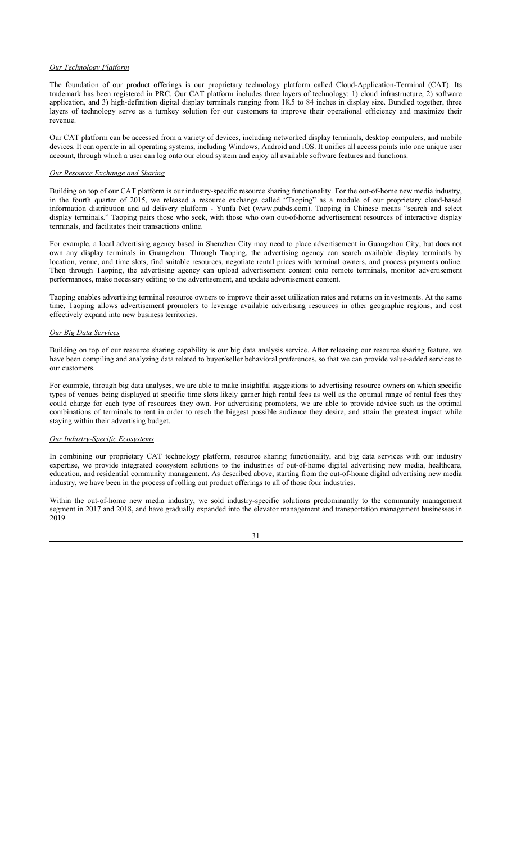#### *Our Technology Platform*

The foundation of our product offerings is our proprietary technology platform called Cloud-Application-Terminal (CAT). Its trademark has been registered in PRC. Our CAT platform includes three layers of technology: 1) cloud infrastructure, 2) software application, and 3) high-definition digital display terminals ranging from 18.5 to 84 inches in display size. Bundled together, three layers of technology serve as a turnkey solution for our customers to improve their operational efficiency and maximize their revenue.

Our CAT platform can be accessed from a variety of devices, including networked display terminals, desktop computers, and mobile devices. It can operate in all operating systems, including Windows, Android and iOS. It unifies all access points into one unique user account, through which a user can log onto our cloud system and enjoy all available software features and functions.

#### *Our Resource Exchange and Sharing*

Building on top of our CAT platform is our industry-specific resource sharing functionality. For the out-of-home new media industry, in the fourth quarter of 2015, we released a resource exchange called "Taoping" as a module of our proprietary cloud-based information distribution and ad delivery platform - Yunfa Net (www.pubds.com). Taoping in Chinese means "search and select display terminals." Taoping pairs those who seek, with those who own out-of-home advertisement resources of interactive display terminals, and facilitates their transactions online.

For example, a local advertising agency based in Shenzhen City may need to place advertisement in Guangzhou City, but does not own any display terminals in Guangzhou. Through Taoping, the advertising agency can search available display terminals by location, venue, and time slots, find suitable resources, negotiate rental prices with terminal owners, and process payments online. Then through Taoping, the advertising agency can upload advertisement content onto remote terminals, monitor advertisement performances, make necessary editing to the advertisement, and update advertisement content.

Taoping enables advertising terminal resource owners to improve their asset utilization rates and returns on investments. At the same time, Taoping allows advertisement promoters to leverage available advertising resources in other geographic regions, and cost effectively expand into new business territories.

#### *Our Big Data Services*

Building on top of our resource sharing capability is our big data analysis service. After releasing our resource sharing feature, we have been compiling and analyzing data related to buyer/seller behavioral preferences, so that we can provide value-added services to our customers.

For example, through big data analyses, we are able to make insightful suggestions to advertising resource owners on which specific types of venues being displayed at specific time slots likely garner high rental fees as well as the optimal range of rental fees they could charge for each type of resources they own. For advertising promoters, we are able to provide advice such as the optimal combinations of terminals to rent in order to reach the biggest possible audience they desire, and attain the greatest impact while staying within their advertising budget.

## *Our Industry-Specific Ecosystems*

In combining our proprietary CAT technology platform, resource sharing functionality, and big data services with our industry expertise, we provide integrated ecosystem solutions to the industries of out-of-home digital advertising new media, healthcare, education, and residential community management. As described above, starting from the out-of-home digital advertising new media industry, we have been in the process of rolling out product offerings to all of those four industries.

Within the out-of-home new media industry, we sold industry-specific solutions predominantly to the community management segment in 2017 and 2018, and have gradually expanded into the elevator management and transportation management businesses in 2019.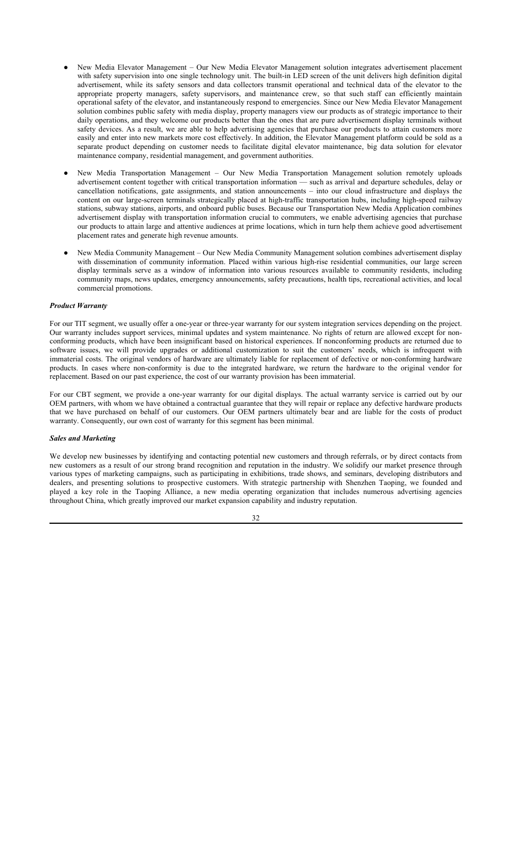- New Media Elevator Management Our New Media Elevator Management solution integrates advertisement placement with safety supervision into one single technology unit. The built-in LED screen of the unit delivers high definition digital advertisement, while its safety sensors and data collectors transmit operational and technical data of the elevator to the appropriate property managers, safety supervisors, and maintenance crew, so that such staff can efficiently maintain operational safety of the elevator, and instantaneously respond to emergencies. Since our New Media Elevator Management solution combines public safety with media display, property managers view our products as of strategic importance to their daily operations, and they welcome our products better than the ones that are pure advertisement display terminals without safety devices. As a result, we are able to help advertising agencies that purchase our products to attain customers more easily and enter into new markets more cost effectively. In addition, the Elevator Management platform could be sold as a separate product depending on customer needs to facilitate digital elevator maintenance, big data solution for elevator maintenance company, residential management, and government authorities.
- New Media Transportation Management Our New Media Transportation Management solution remotely uploads advertisement content together with critical transportation information — such as arrival and departure schedules, delay or cancellation notifications, gate assignments, and station announcements – into our cloud infrastructure and displays the content on our large-screen terminals strategically placed at high-traffic transportation hubs, including high-speed railway stations, subway stations, airports, and onboard public buses. Because our Transportation New Media Application combines advertisement display with transportation information crucial to commuters, we enable advertising agencies that purchase our products to attain large and attentive audiences at prime locations, which in turn help them achieve good advertisement placement rates and generate high revenue amounts.
- New Media Community Management Our New Media Community Management solution combines advertisement display with dissemination of community information. Placed within various high-rise residential communities, our large screen display terminals serve as a window of information into various resources available to community residents, including community maps, news updates, emergency announcements, safety precautions, health tips, recreational activities, and local commercial promotions.

## *Product Warranty*

For our TIT segment, we usually offer a one-year or three-year warranty for our system integration services depending on the project. Our warranty includes support services, minimal updates and system maintenance. No rights of return are allowed except for nonconforming products, which have been insignificant based on historical experiences. If nonconforming products are returned due to software issues, we will provide upgrades or additional customization to suit the customers' needs, which is infrequent with immaterial costs. The original vendors of hardware are ultimately liable for replacement of defective or non-conforming hardware products. In cases where non-conformity is due to the integrated hardware, we return the hardware to the original vendor for replacement. Based on our past experience, the cost of our warranty provision has been immaterial.

For our CBT segment, we provide a one-year warranty for our digital displays. The actual warranty service is carried out by our OEM partners, with whom we have obtained a contractual guarantee that they will repair or replace any defective hardware products that we have purchased on behalf of our customers. Our OEM partners ultimately bear and are liable for the costs of product warranty. Consequently, our own cost of warranty for this segment has been minimal.

#### *Sales and Marketing*

We develop new businesses by identifying and contacting potential new customers and through referrals, or by direct contacts from new customers as a result of our strong brand recognition and reputation in the industry. We solidify our market presence through various types of marketing campaigns, such as participating in exhibitions, trade shows, and seminars, developing distributors and dealers, and presenting solutions to prospective customers. With strategic partnership with Shenzhen Taoping, we founded and played a key role in the Taoping Alliance, a new media operating organization that includes numerous advertising agencies throughout China, which greatly improved our market expansion capability and industry reputation.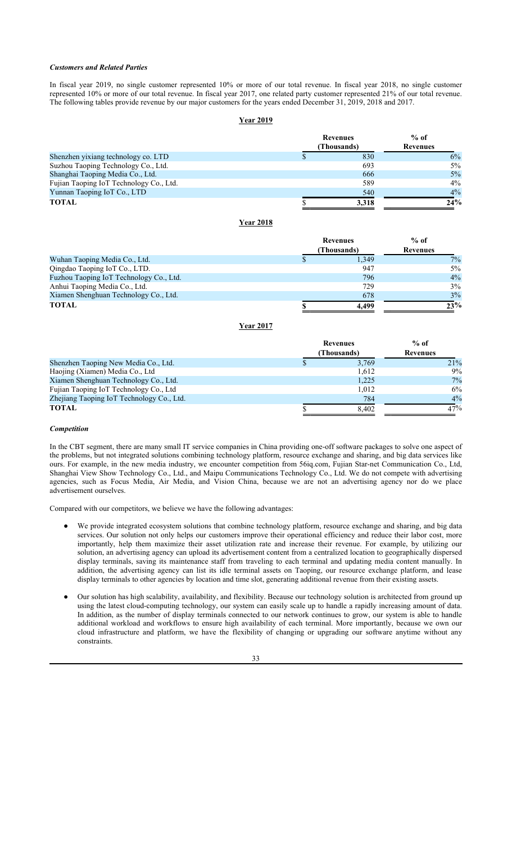### *Customers and Related Parties*

In fiscal year 2019, no single customer represented 10% or more of our total revenue. In fiscal year 2018, no single customer represented 10% or more of our total revenue. In fiscal year 2017, one related party customer represented 21% of our total revenue. The following tables provide revenue by our major customers for the years ended December 31, 2019, 2018 and 2017.

### **Year 2019**

|                                         | <b>Revenues</b><br>(Thousands) | $%$ of<br><b>Revenues</b> |       |
|-----------------------------------------|--------------------------------|---------------------------|-------|
| Shenzhen yixiang technology co. LTD     |                                | 830                       | 6%    |
| Suzhou Taoping Technology Co., Ltd.     |                                | 693                       | $5\%$ |
| Shanghai Taoping Media Co., Ltd.        |                                | 666                       | $5\%$ |
| Fujian Taoping IoT Technology Co., Ltd. |                                | 589                       | $4\%$ |
| Yunnan Taoping IoT Co., LTD             |                                | 540                       | $4\%$ |
| <b>TOTAL</b>                            |                                | 3.318                     | 24%   |

#### **Year 2018**

|                                         | <b>Revenues</b> |       |  |
|-----------------------------------------|-----------------|-------|--|
|                                         | (Thousands)     |       |  |
| Wuhan Taoping Media Co., Ltd.           | 1.349           | $7\%$ |  |
| Qingdao Taoping IoT Co., LTD.           | 947             | $5\%$ |  |
| Fuzhou Taoping IoT Technology Co., Ltd. | 796             | $4\%$ |  |
| Anhui Taoping Media Co., Ltd.           | 729             | 3%    |  |
| Xiamen Shenghuan Technology Co., Ltd.   | 678             | $3\%$ |  |
| <b>TOTAL</b>                            | 4.499           | 23%   |  |

# **Year 2017**

|                                           | Revenues |             | $%$ of          |  |
|-------------------------------------------|----------|-------------|-----------------|--|
|                                           |          | (Thousands) | <b>Revenues</b> |  |
| Shenzhen Taoping New Media Co., Ltd.      |          | 3,769       | 21%             |  |
| Haojing (Xiamen) Media Co., Ltd           |          | 1,612       | 9%              |  |
| Xiamen Shenghuan Technology Co., Ltd.     |          | 1,225       | 7%              |  |
| Fujian Taoping IoT Technology Co., Ltd    |          | 1.012       | $6\%$           |  |
| Zhejiang Taoping IoT Technology Co., Ltd. |          | 784         | $4\%$           |  |
| <b>TOTAL</b>                              |          | 8.402       | 47%             |  |

#### *Competition*

In the CBT segment, there are many small IT service companies in China providing one-off software packages to solve one aspect of the problems, but not integrated solutions combining technology platform, resource exchange and sharing, and big data services like ours. For example, in the new media industry, we encounter competition from 56iq.com, Fujian Star-net Communication Co., Ltd, Shanghai View Show Technology Co., Ltd., and Maipu Communications Technology Co., Ltd. We do not compete with advertising agencies, such as Focus Media, Air Media, and Vision China, because we are not an advertising agency nor do we place advertisement ourselves.

Compared with our competitors, we believe we have the following advantages:

- We provide integrated ecosystem solutions that combine technology platform, resource exchange and sharing, and big data services. Our solution not only helps our customers improve their operational efficiency and reduce their labor cost, more importantly, help them maximize their asset utilization rate and increase their revenue. For example, by utilizing our solution, an advertising agency can upload its advertisement content from a centralized location to geographically dispersed display terminals, saving its maintenance staff from traveling to each terminal and updating media content manually. In addition, the advertising agency can list its idle terminal assets on Taoping, our resource exchange platform, and lease display terminals to other agencies by location and time slot, generating additional revenue from their existing assets.
- Our solution has high scalability, availability, and flexibility. Because our technology solution is architected from ground up using the latest cloud-computing technology, our system can easily scale up to handle a rapidly increasing amount of data. In addition, as the number of display terminals connected to our network continues to grow, our system is able to handle additional workload and workflows to ensure high availability of each terminal. More importantly, because we own our cloud infrastructure and platform, we have the flexibility of changing or upgrading our software anytime without any constraints.

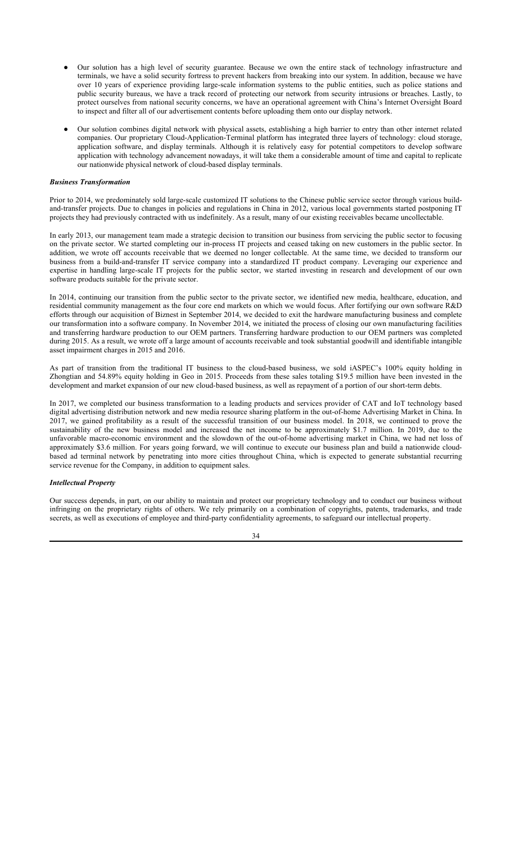- Our solution has a high level of security guarantee. Because we own the entire stack of technology infrastructure and terminals, we have a solid security fortress to prevent hackers from breaking into our system. In addition, because we have over 10 years of experience providing large-scale information systems to the public entities, such as police stations and public security bureaus, we have a track record of protecting our network from security intrusions or breaches. Lastly, to protect ourselves from national security concerns, we have an operational agreement with China's Internet Oversight Board to inspect and filter all of our advertisement contents before uploading them onto our display network.
- Our solution combines digital network with physical assets, establishing a high barrier to entry than other internet related companies. Our proprietary Cloud-Application-Terminal platform has integrated three layers of technology: cloud storage, application software, and display terminals. Although it is relatively easy for potential competitors to develop software application with technology advancement nowadays, it will take them a considerable amount of time and capital to replicate our nationwide physical network of cloud-based display terminals.

#### *Business Transformation*

Prior to 2014, we predominately sold large-scale customized IT solutions to the Chinese public service sector through various buildand-transfer projects. Due to changes in policies and regulations in China in 2012, various local governments started postponing IT projects they had previously contracted with us indefinitely. As a result, many of our existing receivables became uncollectable.

In early 2013, our management team made a strategic decision to transition our business from servicing the public sector to focusing on the private sector. We started completing our in-process IT projects and ceased taking on new customers in the public sector. In addition, we wrote off accounts receivable that we deemed no longer collectable. At the same time, we decided to transform our business from a build-and-transfer IT service company into a standardized IT product company. Leveraging our experience and expertise in handling large-scale IT projects for the public sector, we started investing in research and development of our own software products suitable for the private sector.

In 2014, continuing our transition from the public sector to the private sector, we identified new media, healthcare, education, and residential community management as the four core end markets on which we would focus. After fortifying our own software R&D efforts through our acquisition of Biznest in September 2014, we decided to exit the hardware manufacturing business and complete our transformation into a software company. In November 2014, we initiated the process of closing our own manufacturing facilities and transferring hardware production to our OEM partners. Transferring hardware production to our OEM partners was completed during 2015. As a result, we wrote off a large amount of accounts receivable and took substantial goodwill and identifiable intangible asset impairment charges in 2015 and 2016.

As part of transition from the traditional IT business to the cloud-based business, we sold iASPEC's 100% equity holding in Zhongtian and 54.89% equity holding in Geo in 2015. Proceeds from these sales totaling \$19.5 million have been invested in the development and market expansion of our new cloud-based business, as well as repayment of a portion of our short-term debts.

In 2017, we completed our business transformation to a leading products and services provider of CAT and IoT technology based digital advertising distribution network and new media resource sharing platform in the out-of-home Advertising Market in China. In 2017, we gained profitability as a result of the successful transition of our business model. In 2018, we continued to prove the sustainability of the new business model and increased the net income to be approximately \$1.7 million. In 2019, due to the unfavorable macro-economic environment and the slowdown of the out-of-home advertising market in China, we had net loss of approximately \$3.6 million. For years going forward, we will continue to execute our business plan and build a nationwide cloudbased ad terminal network by penetrating into more cities throughout China, which is expected to generate substantial recurring service revenue for the Company, in addition to equipment sales.

### *Intellectual Property*

Our success depends, in part, on our ability to maintain and protect our proprietary technology and to conduct our business without infringing on the proprietary rights of others. We rely primarily on a combination of copyrights, patents, trademarks, and trade secrets, as well as executions of employee and third-party confidentiality agreements, to safeguard our intellectual property.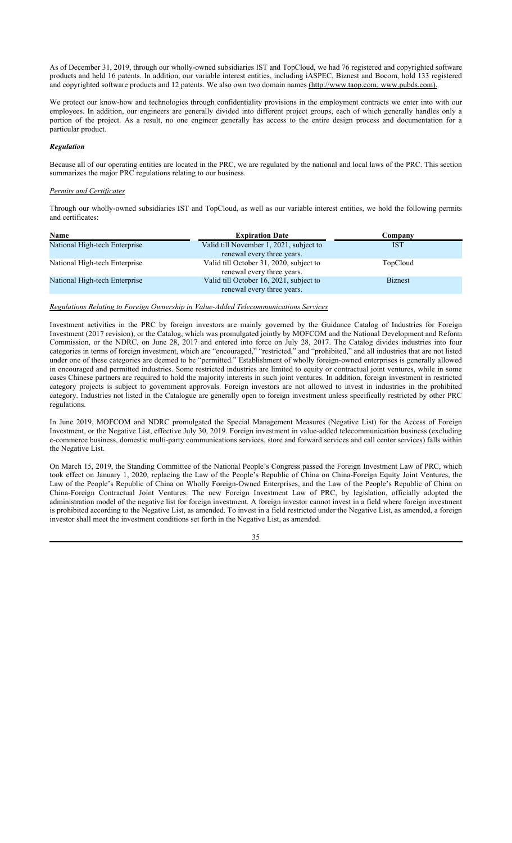As of December 31, 2019, through our wholly-owned subsidiaries IST and TopCloud, we had 76 registered and copyrighted software products and held 16 patents. In addition, our variable interest entities, including iASPEC, Biznest and Bocom, hold 133 registered and copyrighted software products and 12 patents. We also own two domain names (http://www.taop.com; www.pubds.com).

We protect our know-how and technologies through confidentiality provisions in the employment contracts we enter into with our employees. In addition, our engineers are generally divided into different project groups, each of which generally handles only a portion of the project. As a result, no one engineer generally has access to the entire design process and documentation for a particular product.

### *Regulation*

Because all of our operating entities are located in the PRC, we are regulated by the national and local laws of the PRC. This section summarizes the major PRC regulations relating to our business.

### *Permits and Certificates*

Through our wholly-owned subsidiaries IST and TopCloud, as well as our variable interest entities, we hold the following permits and certificates:

| Name                          | <b>Expiration Date</b>                                                | Company        |
|-------------------------------|-----------------------------------------------------------------------|----------------|
| National High-tech Enterprise | Valid till November 1, 2021, subject to<br>renewal every three years. | <b>IST</b>     |
| National High-tech Enterprise | Valid till October 31, 2020, subject to<br>renewal every three years. | TopCloud       |
| National High-tech Enterprise | Valid till October 16, 2021, subject to<br>renewal every three years. | <b>Biznest</b> |

### *Regulations Relating to Foreign Ownership in Value-Added Telecommunications Services*

Investment activities in the PRC by foreign investors are mainly governed by the Guidance Catalog of Industries for Foreign Investment (2017 revision), or the Catalog, which was promulgated jointly by MOFCOM and the National Development and Reform Commission, or the NDRC, on June 28, 2017 and entered into force on July 28, 2017. The Catalog divides industries into four categories in terms of foreign investment, which are "encouraged," "restricted," and "prohibited," and all industries that are not listed under one of these categories are deemed to be "permitted." Establishment of wholly foreign-owned enterprises is generally allowed in encouraged and permitted industries. Some restricted industries are limited to equity or contractual joint ventures, while in some cases Chinese partners are required to hold the majority interests in such joint ventures. In addition, foreign investment in restricted category projects is subject to government approvals. Foreign investors are not allowed to invest in industries in the prohibited category. Industries not listed in the Catalogue are generally open to foreign investment unless specifically restricted by other PRC regulations.

In June 2019, MOFCOM and NDRC promulgated the Special Management Measures (Negative List) for the Access of Foreign Investment, or the Negative List, effective July 30, 2019. Foreign investment in value-added telecommunication business (excluding e-commerce business, domestic multi-party communications services, store and forward services and call center services) falls within the Negative List.

On March 15, 2019, the Standing Committee of the National People's Congress passed the Foreign Investment Law of PRC, which took effect on January 1, 2020, replacing the Law of the People's Republic of China on China-Foreign Equity Joint Ventures, the Law of the People's Republic of China on Wholly Foreign-Owned Enterprises, and the Law of the People's Republic of China on China-Foreign Contractual Joint Ventures. The new Foreign Investment Law of PRC, by legislation, officially adopted the administration model of the negative list for foreign investment. A foreign investor cannot invest in a field where foreign investment is prohibited according to the Negative List, as amended. To invest in a field restricted under the Negative List, as amended, a foreign investor shall meet the investment conditions set forth in the Negative List, as amended.

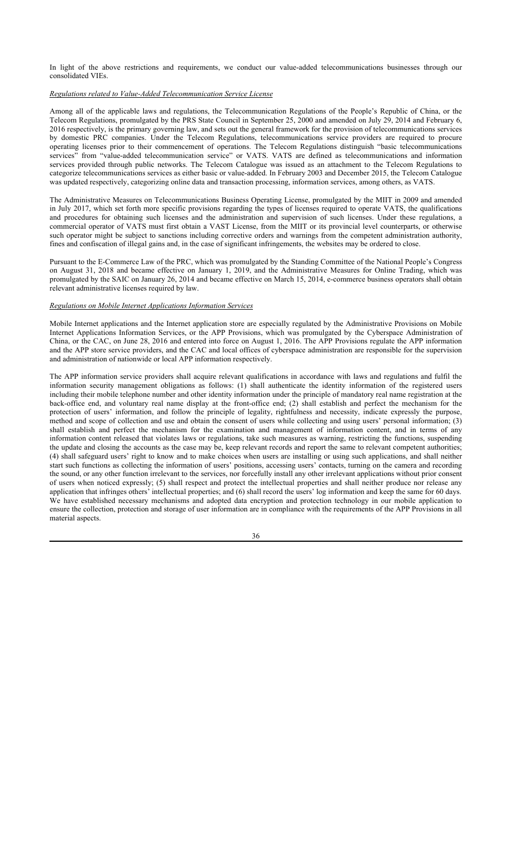In light of the above restrictions and requirements, we conduct our value-added telecommunications businesses through our consolidated VIEs.

#### *Regulations related to Value-Added Telecommunication Service License*

Among all of the applicable laws and regulations, the Telecommunication Regulations of the People's Republic of China, or the Telecom Regulations, promulgated by the PRS State Council in September 25, 2000 and amended on July 29, 2014 and February 6, 2016 respectively, is the primary governing law, and sets out the general framework for the provision of telecommunications services by domestic PRC companies. Under the Telecom Regulations, telecommunications service providers are required to procure operating licenses prior to their commencement of operations. The Telecom Regulations distinguish "basic telecommunications services" from "value-added telecommunication service" or VATS. VATS are defined as telecommunications and information services provided through public networks. The Telecom Catalogue was issued as an attachment to the Telecom Regulations to categorize telecommunications services as either basic or value-added. In February 2003 and December 2015, the Telecom Catalogue was updated respectively, categorizing online data and transaction processing, information services, among others, as VATS.

The Administrative Measures on Telecommunications Business Operating License, promulgated by the MIIT in 2009 and amended in July 2017, which set forth more specific provisions regarding the types of licenses required to operate VATS, the qualifications and procedures for obtaining such licenses and the administration and supervision of such licenses. Under these regulations, a commercial operator of VATS must first obtain a VAST License, from the MIIT or its provincial level counterparts, or otherwise such operator might be subject to sanctions including corrective orders and warnings from the competent administration authority, fines and confiscation of illegal gains and, in the case of significant infringements, the websites may be ordered to close.

Pursuant to the E-Commerce Law of the PRC, which was promulgated by the Standing Committee of the National People's Congress on August 31, 2018 and became effective on January 1, 2019, and the Administrative Measures for Online Trading, which was promulgated by the SAIC on January 26, 2014 and became effective on March 15, 2014, e-commerce business operators shall obtain relevant administrative licenses required by law.

### *Regulations on Mobile Internet Applications Information Services*

Mobile Internet applications and the Internet application store are especially regulated by the Administrative Provisions on Mobile Internet Applications Information Services, or the APP Provisions, which was promulgated by the Cyberspace Administration of China, or the CAC, on June 28, 2016 and entered into force on August 1, 2016. The APP Provisions regulate the APP information and the APP store service providers, and the CAC and local offices of cyberspace administration are responsible for the supervision and administration of nationwide or local APP information respectively.

The APP information service providers shall acquire relevant qualifications in accordance with laws and regulations and fulfil the information security management obligations as follows: (1) shall authenticate the identity information of the registered users including their mobile telephone number and other identity information under the principle of mandatory real name registration at the back-office end, and voluntary real name display at the front-office end; (2) shall establish and perfect the mechanism for the protection of users' information, and follow the principle of legality, rightfulness and necessity, indicate expressly the purpose, method and scope of collection and use and obtain the consent of users while collecting and using users' personal information; (3) shall establish and perfect the mechanism for the examination and management of information content, and in terms of any information content released that violates laws or regulations, take such measures as warning, restricting the functions, suspending the update and closing the accounts as the case may be, keep relevant records and report the same to relevant competent authorities; (4) shall safeguard users' right to know and to make choices when users are installing or using such applications, and shall neither start such functions as collecting the information of users' positions, accessing users' contacts, turning on the camera and recording the sound, or any other function irrelevant to the services, nor forcefully install any other irrelevant applications without prior consent of users when noticed expressly; (5) shall respect and protect the intellectual properties and shall neither produce nor release any application that infringes others' intellectual properties; and (6) shall record the users' log information and keep the same for 60 days. We have established necessary mechanisms and adopted data encryption and protection technology in our mobile application to ensure the collection, protection and storage of user information are in compliance with the requirements of the APP Provisions in all material aspects.

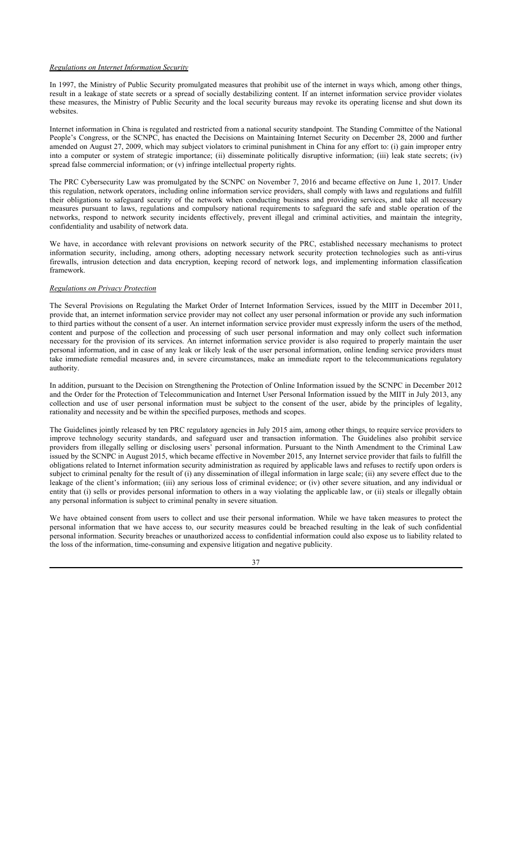### *Regulations on Internet Information Security*

In 1997, the Ministry of Public Security promulgated measures that prohibit use of the internet in ways which, among other things, result in a leakage of state secrets or a spread of socially destabilizing content. If an internet information service provider violates these measures, the Ministry of Public Security and the local security bureaus may revoke its operating license and shut down its websites.

Internet information in China is regulated and restricted from a national security standpoint. The Standing Committee of the National People's Congress, or the SCNPC, has enacted the Decisions on Maintaining Internet Security on December 28, 2000 and further amended on August 27, 2009, which may subject violators to criminal punishment in China for any effort to: (i) gain improper entry into a computer or system of strategic importance; (ii) disseminate politically disruptive information; (iii) leak state secrets; (iv) spread false commercial information; or (v) infringe intellectual property rights.

The PRC Cybersecurity Law was promulgated by the SCNPC on November 7, 2016 and became effective on June 1, 2017. Under this regulation, network operators, including online information service providers, shall comply with laws and regulations and fulfill their obligations to safeguard security of the network when conducting business and providing services, and take all necessary measures pursuant to laws, regulations and compulsory national requirements to safeguard the safe and stable operation of the networks, respond to network security incidents effectively, prevent illegal and criminal activities, and maintain the integrity, confidentiality and usability of network data.

We have, in accordance with relevant provisions on network security of the PRC, established necessary mechanisms to protect information security, including, among others, adopting necessary network security protection technologies such as anti-virus firewalls, intrusion detection and data encryption, keeping record of network logs, and implementing information classification framework.

#### *Regulations on Privacy Protection*

The Several Provisions on Regulating the Market Order of Internet Information Services, issued by the MIIT in December 2011, provide that, an internet information service provider may not collect any user personal information or provide any such information to third parties without the consent of a user. An internet information service provider must expressly inform the users of the method, content and purpose of the collection and processing of such user personal information and may only collect such information necessary for the provision of its services. An internet information service provider is also required to properly maintain the user personal information, and in case of any leak or likely leak of the user personal information, online lending service providers must take immediate remedial measures and, in severe circumstances, make an immediate report to the telecommunications regulatory authority.

In addition, pursuant to the Decision on Strengthening the Protection of Online Information issued by the SCNPC in December 2012 and the Order for the Protection of Telecommunication and Internet User Personal Information issued by the MIIT in July 2013, any collection and use of user personal information must be subject to the consent of the user, abide by the principles of legality, rationality and necessity and be within the specified purposes, methods and scopes.

The Guidelines jointly released by ten PRC regulatory agencies in July 2015 aim, among other things, to require service providers to improve technology security standards, and safeguard user and transaction information. The Guidelines also prohibit service providers from illegally selling or disclosing users' personal information. Pursuant to the Ninth Amendment to the Criminal Law issued by the SCNPC in August 2015, which became effective in November 2015, any Internet service provider that fails to fulfill the obligations related to Internet information security administration as required by applicable laws and refuses to rectify upon orders is subject to criminal penalty for the result of (i) any dissemination of illegal information in large scale; (ii) any severe effect due to the leakage of the client's information; (iii) any serious loss of criminal evidence; or (iv) other severe situation, and any individual or entity that (i) sells or provides personal information to others in a way violating the applicable law, or (ii) steals or illegally obtain any personal information is subject to criminal penalty in severe situation.

We have obtained consent from users to collect and use their personal information. While we have taken measures to protect the personal information that we have access to, our security measures could be breached resulting in the leak of such confidential personal information. Security breaches or unauthorized access to confidential information could also expose us to liability related to the loss of the information, time-consuming and expensive litigation and negative publicity.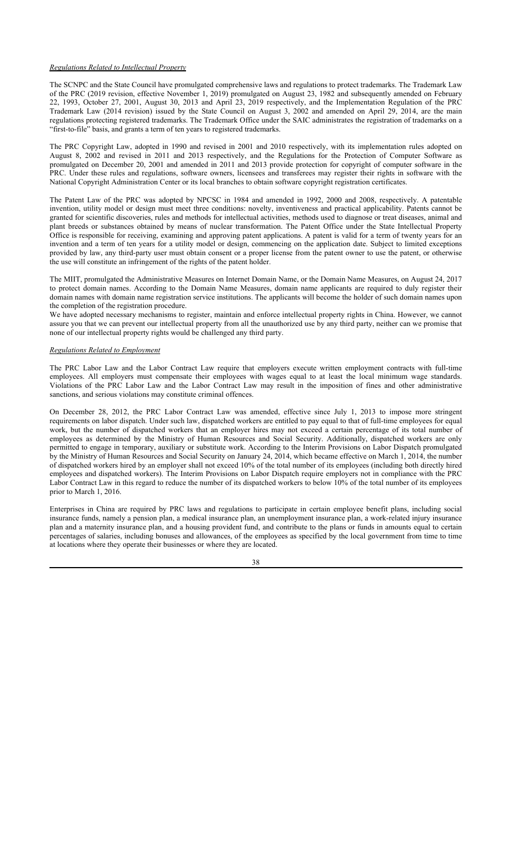## *Regulations Related to Intellectual Property*

The SCNPC and the State Council have promulgated comprehensive laws and regulations to protect trademarks. The Trademark Law of the PRC (2019 revision, effective November 1, 2019) promulgated on August 23, 1982 and subsequently amended on February 22, 1993, October 27, 2001, August 30, 2013 and April 23, 2019 respectively, and the Implementation Regulation of the PRC Trademark Law (2014 revision) issued by the State Council on August 3, 2002 and amended on April 29, 2014, are the main regulations protecting registered trademarks. The Trademark Office under the SAIC administrates the registration of trademarks on a "first-to-file" basis, and grants a term of ten years to registered trademarks.

The PRC Copyright Law, adopted in 1990 and revised in 2001 and 2010 respectively, with its implementation rules adopted on August 8, 2002 and revised in 2011 and 2013 respectively, and the Regulations for the Protection of Computer Software as promulgated on December 20, 2001 and amended in 2011 and 2013 provide protection for copyright of computer software in the PRC. Under these rules and regulations, software owners, licensees and transferees may register their rights in software with the National Copyright Administration Center or its local branches to obtain software copyright registration certificates.

The Patent Law of the PRC was adopted by NPCSC in 1984 and amended in 1992, 2000 and 2008, respectively. A patentable invention, utility model or design must meet three conditions: novelty, inventiveness and practical applicability. Patents cannot be granted for scientific discoveries, rules and methods for intellectual activities, methods used to diagnose or treat diseases, animal and plant breeds or substances obtained by means of nuclear transformation. The Patent Office under the State Intellectual Property Office is responsible for receiving, examining and approving patent applications. A patent is valid for a term of twenty years for an invention and a term of ten years for a utility model or design, commencing on the application date. Subject to limited exceptions provided by law, any third-party user must obtain consent or a proper license from the patent owner to use the patent, or otherwise the use will constitute an infringement of the rights of the patent holder.

The MIIT, promulgated the Administrative Measures on Internet Domain Name, or the Domain Name Measures, on August 24, 2017 to protect domain names. According to the Domain Name Measures, domain name applicants are required to duly register their domain names with domain name registration service institutions. The applicants will become the holder of such domain names upon the completion of the registration procedure.

We have adopted necessary mechanisms to register, maintain and enforce intellectual property rights in China. However, we cannot assure you that we can prevent our intellectual property from all the unauthorized use by any third party, neither can we promise that none of our intellectual property rights would be challenged any third party.

#### *Regulations Related to Employment*

The PRC Labor Law and the Labor Contract Law require that employers execute written employment contracts with full-time employees. All employers must compensate their employees with wages equal to at least the local minimum wage standards. Violations of the PRC Labor Law and the Labor Contract Law may result in the imposition of fines and other administrative sanctions, and serious violations may constitute criminal offences.

On December 28, 2012, the PRC Labor Contract Law was amended, effective since July 1, 2013 to impose more stringent requirements on labor dispatch. Under such law, dispatched workers are entitled to pay equal to that of full-time employees for equal work, but the number of dispatched workers that an employer hires may not exceed a certain percentage of its total number of employees as determined by the Ministry of Human Resources and Social Security. Additionally, dispatched workers are only permitted to engage in temporary, auxiliary or substitute work. According to the Interim Provisions on Labor Dispatch promulgated by the Ministry of Human Resources and Social Security on January 24, 2014, which became effective on March 1, 2014, the number of dispatched workers hired by an employer shall not exceed 10% of the total number of its employees (including both directly hired employees and dispatched workers). The Interim Provisions on Labor Dispatch require employers not in compliance with the PRC Labor Contract Law in this regard to reduce the number of its dispatched workers to below 10% of the total number of its employees prior to March 1, 2016.

Enterprises in China are required by PRC laws and regulations to participate in certain employee benefit plans, including social insurance funds, namely a pension plan, a medical insurance plan, an unemployment insurance plan, a work-related injury insurance plan and a maternity insurance plan, and a housing provident fund, and contribute to the plans or funds in amounts equal to certain percentages of salaries, including bonuses and allowances, of the employees as specified by the local government from time to time at locations where they operate their businesses or where they are located.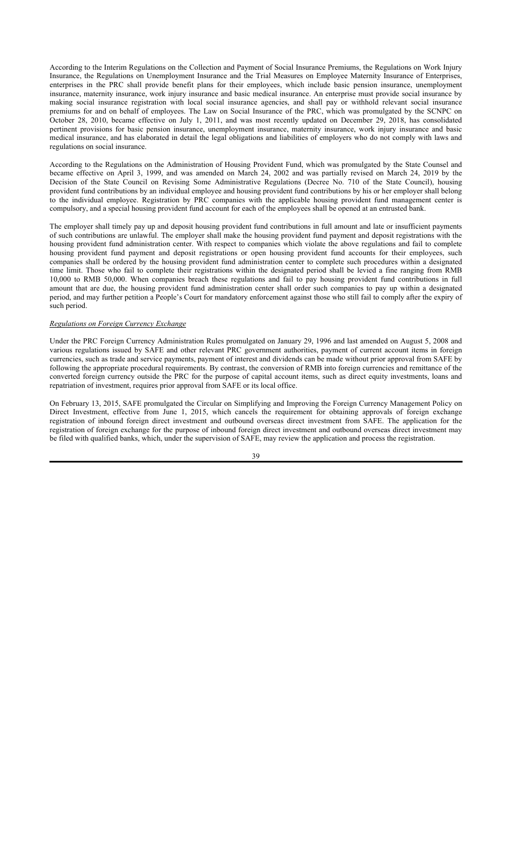According to the Interim Regulations on the Collection and Payment of Social Insurance Premiums, the Regulations on Work Injury Insurance, the Regulations on Unemployment Insurance and the Trial Measures on Employee Maternity Insurance of Enterprises, enterprises in the PRC shall provide benefit plans for their employees, which include basic pension insurance, unemployment insurance, maternity insurance, work injury insurance and basic medical insurance. An enterprise must provide social insurance by making social insurance registration with local social insurance agencies, and shall pay or withhold relevant social insurance premiums for and on behalf of employees. The Law on Social Insurance of the PRC, which was promulgated by the SCNPC on October 28, 2010, became effective on July 1, 2011, and was most recently updated on December 29, 2018, has consolidated pertinent provisions for basic pension insurance, unemployment insurance, maternity insurance, work injury insurance and basic medical insurance, and has elaborated in detail the legal obligations and liabilities of employers who do not comply with laws and regulations on social insurance.

According to the Regulations on the Administration of Housing Provident Fund, which was promulgated by the State Counsel and became effective on April 3, 1999, and was amended on March 24, 2002 and was partially revised on March 24, 2019 by the Decision of the State Council on Revising Some Administrative Regulations (Decree No. 710 of the State Council), housing provident fund contributions by an individual employee and housing provident fund contributions by his or her employer shall belong to the individual employee. Registration by PRC companies with the applicable housing provident fund management center is compulsory, and a special housing provident fund account for each of the employees shall be opened at an entrusted bank.

The employer shall timely pay up and deposit housing provident fund contributions in full amount and late or insufficient payments of such contributions are unlawful. The employer shall make the housing provident fund payment and deposit registrations with the housing provident fund administration center. With respect to companies which violate the above regulations and fail to complete housing provident fund payment and deposit registrations or open housing provident fund accounts for their employees, such companies shall be ordered by the housing provident fund administration center to complete such procedures within a designated time limit. Those who fail to complete their registrations within the designated period shall be levied a fine ranging from RMB 10,000 to RMB 50,000. When companies breach these regulations and fail to pay housing provident fund contributions in full amount that are due, the housing provident fund administration center shall order such companies to pay up within a designated period, and may further petition a People's Court for mandatory enforcement against those who still fail to comply after the expiry of such period.

# *Regulations on Foreign Currency Exchange*

Under the PRC Foreign Currency Administration Rules promulgated on January 29, 1996 and last amended on August 5, 2008 and various regulations issued by SAFE and other relevant PRC government authorities, payment of current account items in foreign currencies, such as trade and service payments, payment of interest and dividends can be made without prior approval from SAFE by following the appropriate procedural requirements. By contrast, the conversion of RMB into foreign currencies and remittance of the converted foreign currency outside the PRC for the purpose of capital account items, such as direct equity investments, loans and repatriation of investment, requires prior approval from SAFE or its local office.

On February 13, 2015, SAFE promulgated the Circular on Simplifying and Improving the Foreign Currency Management Policy on Direct Investment, effective from June 1, 2015, which cancels the requirement for obtaining approvals of foreign exchange registration of inbound foreign direct investment and outbound overseas direct investment from SAFE. The application for the registration of foreign exchange for the purpose of inbound foreign direct investment and outbound overseas direct investment may be filed with qualified banks, which, under the supervision of SAFE, may review the application and process the registration.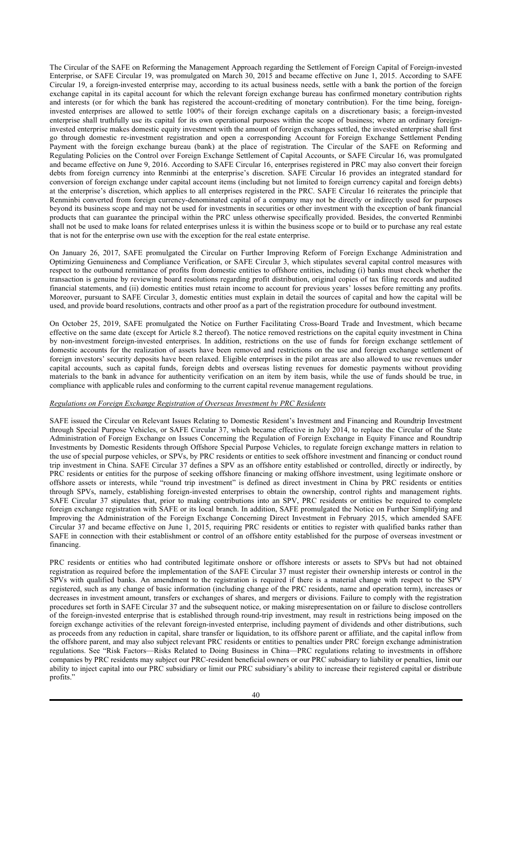The Circular of the SAFE on Reforming the Management Approach regarding the Settlement of Foreign Capital of Foreign-invested Enterprise, or SAFE Circular 19, was promulgated on March 30, 2015 and became effective on June 1, 2015. According to SAFE Circular 19, a foreign-invested enterprise may, according to its actual business needs, settle with a bank the portion of the foreign exchange capital in its capital account for which the relevant foreign exchange bureau has confirmed monetary contribution rights and interests (or for which the bank has registered the account-crediting of monetary contribution). For the time being, foreigninvested enterprises are allowed to settle 100% of their foreign exchange capitals on a discretionary basis; a foreign-invested enterprise shall truthfully use its capital for its own operational purposes within the scope of business; where an ordinary foreigninvested enterprise makes domestic equity investment with the amount of foreign exchanges settled, the invested enterprise shall first go through domestic re-investment registration and open a corresponding Account for Foreign Exchange Settlement Pending Payment with the foreign exchange bureau (bank) at the place of registration. The Circular of the SAFE on Reforming and Regulating Policies on the Control over Foreign Exchange Settlement of Capital Accounts, or SAFE Circular 16, was promulgated and became effective on June 9, 2016. According to SAFE Circular 16, enterprises registered in PRC may also convert their foreign debts from foreign currency into Renminbi at the enterprise's discretion. SAFE Circular 16 provides an integrated standard for conversion of foreign exchange under capital account items (including but not limited to foreign currency capital and foreign debts) at the enterprise's discretion, which applies to all enterprises registered in the PRC. SAFE Circular 16 reiterates the principle that Renminbi converted from foreign currency-denominated capital of a company may not be directly or indirectly used for purposes beyond its business scope and may not be used for investments in securities or other investment with the exception of bank financial products that can guarantee the principal within the PRC unless otherwise specifically provided. Besides, the converted Renminbi shall not be used to make loans for related enterprises unless it is within the business scope or to build or to purchase any real estate that is not for the enterprise own use with the exception for the real estate enterprise.

On January 26, 2017, SAFE promulgated the Circular on Further Improving Reform of Foreign Exchange Administration and Optimizing Genuineness and Compliance Verification, or SAFE Circular 3, which stipulates several capital control measures with respect to the outbound remittance of profits from domestic entities to offshore entities, including (i) banks must check whether the transaction is genuine by reviewing board resolutions regarding profit distribution, original copies of tax filing records and audited financial statements, and (ii) domestic entities must retain income to account for previous years' losses before remitting any profits. Moreover, pursuant to SAFE Circular 3, domestic entities must explain in detail the sources of capital and how the capital will be used, and provide board resolutions, contracts and other proof as a part of the registration procedure for outbound investment.

On October 25, 2019, SAFE promulgated the Notice on Further Facilitating Cross-Board Trade and Investment, which became effective on the same date (except for Article 8.2 thereof). The notice removed restrictions on the capital equity investment in China by non-investment foreign-invested enterprises. In addition, restrictions on the use of funds for foreign exchange settlement of domestic accounts for the realization of assets have been removed and restrictions on the use and foreign exchange settlement of foreign investors' security deposits have been relaxed. Eligible enterprises in the pilot areas are also allowed to use revenues under capital accounts, such as capital funds, foreign debts and overseas listing revenues for domestic payments without providing materials to the bank in advance for authenticity verification on an item by item basis, while the use of funds should be true, in compliance with applicable rules and conforming to the current capital revenue management regulations.

### *Regulations on Foreign Exchange Registration of Overseas Investment by PRC Residents*

SAFE issued the Circular on Relevant Issues Relating to Domestic Resident's Investment and Financing and Roundtrip Investment through Special Purpose Vehicles, or SAFE Circular 37, which became effective in July 2014, to replace the Circular of the State Administration of Foreign Exchange on Issues Concerning the Regulation of Foreign Exchange in Equity Finance and Roundtrip Investments by Domestic Residents through Offshore Special Purpose Vehicles, to regulate foreign exchange matters in relation to the use of special purpose vehicles, or SPVs, by PRC residents or entities to seek offshore investment and financing or conduct round trip investment in China. SAFE Circular 37 defines a SPV as an offshore entity established or controlled, directly or indirectly, by PRC residents or entities for the purpose of seeking offshore financing or making offshore investment, using legitimate onshore or offshore assets or interests, while "round trip investment" is defined as direct investment in China by PRC residents or entities through SPVs, namely, establishing foreign-invested enterprises to obtain the ownership, control rights and management rights. SAFE Circular 37 stipulates that, prior to making contributions into an SPV, PRC residents or entities be required to complete foreign exchange registration with SAFE or its local branch. In addition, SAFE promulgated the Notice on Further Simplifying and Improving the Administration of the Foreign Exchange Concerning Direct Investment in February 2015, which amended SAFE Circular 37 and became effective on June 1, 2015, requiring PRC residents or entities to register with qualified banks rather than SAFE in connection with their establishment or control of an offshore entity established for the purpose of overseas investment or financing.

PRC residents or entities who had contributed legitimate onshore or offshore interests or assets to SPVs but had not obtained registration as required before the implementation of the SAFE Circular 37 must register their ownership interests or control in the SPVs with qualified banks. An amendment to the registration is required if there is a material change with respect to the SPV registered, such as any change of basic information (including change of the PRC residents, name and operation term), increases or decreases in investment amount, transfers or exchanges of shares, and mergers or divisions. Failure to comply with the registration procedures set forth in SAFE Circular 37 and the subsequent notice, or making misrepresentation on or failure to disclose controllers of the foreign-invested enterprise that is established through round-trip investment, may result in restrictions being imposed on the foreign exchange activities of the relevant foreign-invested enterprise, including payment of dividends and other distributions, such as proceeds from any reduction in capital, share transfer or liquidation, to its offshore parent or affiliate, and the capital inflow from the offshore parent, and may also subject relevant PRC residents or entities to penalties under PRC foreign exchange administration regulations. See "Risk Factors—Risks Related to Doing Business in China—PRC regulations relating to investments in offshore companies by PRC residents may subject our PRC-resident beneficial owners or our PRC subsidiary to liability or penalties, limit our ability to inject capital into our PRC subsidiary or limit our PRC subsidiary's ability to increase their registered capital or distribute profits."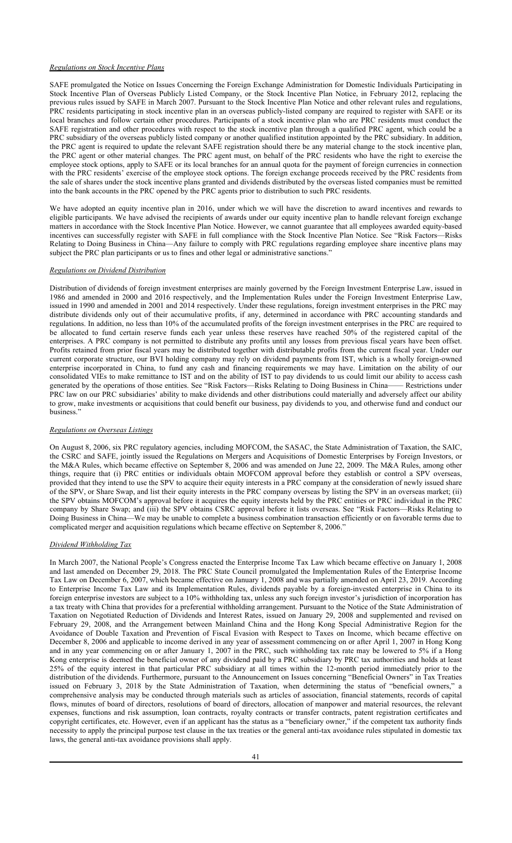### *Regulations on Stock Incentive Plans*

SAFE promulgated the Notice on Issues Concerning the Foreign Exchange Administration for Domestic Individuals Participating in Stock Incentive Plan of Overseas Publicly Listed Company, or the Stock Incentive Plan Notice, in February 2012, replacing the previous rules issued by SAFE in March 2007. Pursuant to the Stock Incentive Plan Notice and other relevant rules and regulations, PRC residents participating in stock incentive plan in an overseas publicly-listed company are required to register with SAFE or its local branches and follow certain other procedures. Participants of a stock incentive plan who are PRC residents must conduct the SAFE registration and other procedures with respect to the stock incentive plan through a qualified PRC agent, which could be a PRC subsidiary of the overseas publicly listed company or another qualified institution appointed by the PRC subsidiary. In addition, the PRC agent is required to update the relevant SAFE registration should there be any material change to the stock incentive plan, the PRC agent or other material changes. The PRC agent must, on behalf of the PRC residents who have the right to exercise the employee stock options, apply to SAFE or its local branches for an annual quota for the payment of foreign currencies in connection with the PRC residents' exercise of the employee stock options. The foreign exchange proceeds received by the PRC residents from the sale of shares under the stock incentive plans granted and dividends distributed by the overseas listed companies must be remitted into the bank accounts in the PRC opened by the PRC agents prior to distribution to such PRC residents.

We have adopted an equity incentive plan in 2016, under which we will have the discretion to award incentives and rewards to eligible participants. We have advised the recipients of awards under our equity incentive plan to handle relevant foreign exchange matters in accordance with the Stock Incentive Plan Notice. However, we cannot guarantee that all employees awarded equity-based incentives can successfully register with SAFE in full compliance with the Stock Incentive Plan Notice. See "Risk Factors—Risks Relating to Doing Business in China—Any failure to comply with PRC regulations regarding employee share incentive plans may subject the PRC plan participants or us to fines and other legal or administrative sanctions."

## *Regulations on Dividend Distribution*

Distribution of dividends of foreign investment enterprises are mainly governed by the Foreign Investment Enterprise Law, issued in 1986 and amended in 2000 and 2016 respectively, and the Implementation Rules under the Foreign Investment Enterprise Law, issued in 1990 and amended in 2001 and 2014 respectively. Under these regulations, foreign investment enterprises in the PRC may distribute dividends only out of their accumulative profits, if any, determined in accordance with PRC accounting standards and regulations. In addition, no less than 10% of the accumulated profits of the foreign investment enterprises in the PRC are required to be allocated to fund certain reserve funds each year unless these reserves have reached 50% of the registered capital of the enterprises. A PRC company is not permitted to distribute any profits until any losses from previous fiscal years have been offset. Profits retained from prior fiscal years may be distributed together with distributable profits from the current fiscal year. Under our current corporate structure, our BVI holding company may rely on dividend payments from IST, which is a wholly foreign-owned enterprise incorporated in China, to fund any cash and financing requirements we may have. Limitation on the ability of our consolidated VIEs to make remittance to IST and on the ability of IST to pay dividends to us could limit our ability to access cash generated by the operations of those entities. See "Risk Factors—Risks Relating to Doing Business in China—— Restrictions under PRC law on our PRC subsidiaries' ability to make dividends and other distributions could materially and adversely affect our ability to grow, make investments or acquisitions that could benefit our business, pay dividends to you, and otherwise fund and conduct our business."

### *Regulations on Overseas Listings*

On August 8, 2006, six PRC regulatory agencies, including MOFCOM, the SASAC, the State Administration of Taxation, the SAIC, the CSRC and SAFE, jointly issued the Regulations on Mergers and Acquisitions of Domestic Enterprises by Foreign Investors, or the M&A Rules, which became effective on September 8, 2006 and was amended on June 22, 2009. The M&A Rules, among other things, require that (i) PRC entities or individuals obtain MOFCOM approval before they establish or control a SPV overseas, provided that they intend to use the SPV to acquire their equity interests in a PRC company at the consideration of newly issued share of the SPV, or Share Swap, and list their equity interests in the PRC company overseas by listing the SPV in an overseas market; (ii) the SPV obtains MOFCOM's approval before it acquires the equity interests held by the PRC entities or PRC individual in the PRC company by Share Swap; and (iii) the SPV obtains CSRC approval before it lists overseas. See "Risk Factors—Risks Relating to Doing Business in China—We may be unable to complete a business combination transaction efficiently or on favorable terms due to complicated merger and acquisition regulations which became effective on September 8, 2006."

### *Dividend Withholding Tax*

In March 2007, the National People's Congress enacted the Enterprise Income Tax Law which became effective on January 1, 2008 and last amended on December 29, 2018. The PRC State Council promulgated the Implementation Rules of the Enterprise Income Tax Law on December 6, 2007, which became effective on January 1, 2008 and was partially amended on April 23, 2019. According to Enterprise Income Tax Law and its Implementation Rules, dividends payable by a foreign-invested enterprise in China to its foreign enterprise investors are subject to a 10% withholding tax, unless any such foreign investor's jurisdiction of incorporation has a tax treaty with China that provides for a preferential withholding arrangement. Pursuant to the Notice of the State Administration of Taxation on Negotiated Reduction of Dividends and Interest Rates, issued on January 29, 2008 and supplemented and revised on February 29, 2008, and the Arrangement between Mainland China and the Hong Kong Special Administrative Region for the Avoidance of Double Taxation and Prevention of Fiscal Evasion with Respect to Taxes on Income, which became effective on December 8, 2006 and applicable to income derived in any year of assessment commencing on or after April 1, 2007 in Hong Kong and in any year commencing on or after January 1, 2007 in the PRC, such withholding tax rate may be lowered to 5% if a Hong Kong enterprise is deemed the beneficial owner of any dividend paid by a PRC subsidiary by PRC tax authorities and holds at least 25% of the equity interest in that particular PRC subsidiary at all times within the 12-month period immediately prior to the distribution of the dividends. Furthermore, pursuant to the Announcement on Issues concerning "Beneficial Owners" in Tax Treaties issued on February 3, 2018 by the State Administration of Taxation, when determining the status of "beneficial owners," a comprehensive analysis may be conducted through materials such as articles of association, financial statements, records of capital flows, minutes of board of directors, resolutions of board of directors, allocation of manpower and material resources, the relevant expenses, functions and risk assumption, loan contracts, royalty contracts or transfer contracts, patent registration certificates and copyright certificates, etc. However, even if an applicant has the status as a "beneficiary owner," if the competent tax authority finds necessity to apply the principal purpose test clause in the tax treaties or the general anti-tax avoidance rules stipulated in domestic tax laws, the general anti-tax avoidance provisions shall apply.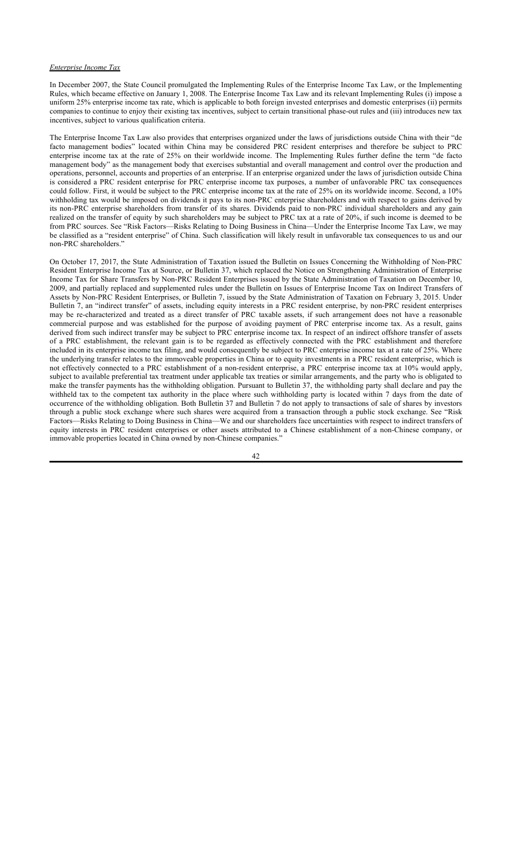#### *Enterprise Income Tax*

In December 2007, the State Council promulgated the Implementing Rules of the Enterprise Income Tax Law, or the Implementing Rules, which became effective on January 1, 2008. The Enterprise Income Tax Law and its relevant Implementing Rules (i) impose a uniform 25% enterprise income tax rate, which is applicable to both foreign invested enterprises and domestic enterprises (ii) permits companies to continue to enjoy their existing tax incentives, subject to certain transitional phase-out rules and (iii) introduces new tax incentives, subject to various qualification criteria.

The Enterprise Income Tax Law also provides that enterprises organized under the laws of jurisdictions outside China with their "de facto management bodies" located within China may be considered PRC resident enterprises and therefore be subject to PRC enterprise income tax at the rate of 25% on their worldwide income. The Implementing Rules further define the term "de facto management body" as the management body that exercises substantial and overall management and control over the production and operations, personnel, accounts and properties of an enterprise. If an enterprise organized under the laws of jurisdiction outside China is considered a PRC resident enterprise for PRC enterprise income tax purposes, a number of unfavorable PRC tax consequences could follow. First, it would be subject to the PRC enterprise income tax at the rate of 25% on its worldwide income. Second, a 10% withholding tax would be imposed on dividends it pays to its non-PRC enterprise shareholders and with respect to gains derived by its non-PRC enterprise shareholders from transfer of its shares. Dividends paid to non-PRC individual shareholders and any gain realized on the transfer of equity by such shareholders may be subject to PRC tax at a rate of 20%, if such income is deemed to be from PRC sources. See "Risk Factors—Risks Relating to Doing Business in China—Under the Enterprise Income Tax Law, we may be classified as a "resident enterprise" of China. Such classification will likely result in unfavorable tax consequences to us and our non-PRC shareholders."

On October 17, 2017, the State Administration of Taxation issued the Bulletin on Issues Concerning the Withholding of Non-PRC Resident Enterprise Income Tax at Source, or Bulletin 37, which replaced the Notice on Strengthening Administration of Enterprise Income Tax for Share Transfers by Non-PRC Resident Enterprises issued by the State Administration of Taxation on December 10, 2009, and partially replaced and supplemented rules under the Bulletin on Issues of Enterprise Income Tax on Indirect Transfers of Assets by Non-PRC Resident Enterprises, or Bulletin 7, issued by the State Administration of Taxation on February 3, 2015. Under Bulletin 7, an "indirect transfer" of assets, including equity interests in a PRC resident enterprise, by non-PRC resident enterprises may be re-characterized and treated as a direct transfer of PRC taxable assets, if such arrangement does not have a reasonable commercial purpose and was established for the purpose of avoiding payment of PRC enterprise income tax. As a result, gains derived from such indirect transfer may be subject to PRC enterprise income tax. In respect of an indirect offshore transfer of assets of a PRC establishment, the relevant gain is to be regarded as effectively connected with the PRC establishment and therefore included in its enterprise income tax filing, and would consequently be subject to PRC enterprise income tax at a rate of 25%. Where the underlying transfer relates to the immoveable properties in China or to equity investments in a PRC resident enterprise, which is not effectively connected to a PRC establishment of a non-resident enterprise, a PRC enterprise income tax at 10% would apply, subject to available preferential tax treatment under applicable tax treaties or similar arrangements, and the party who is obligated to make the transfer payments has the withholding obligation. Pursuant to Bulletin 37, the withholding party shall declare and pay the withheld tax to the competent tax authority in the place where such withholding party is located within 7 days from the date of occurrence of the withholding obligation. Both Bulletin 37 and Bulletin 7 do not apply to transactions of sale of shares by investors through a public stock exchange where such shares were acquired from a transaction through a public stock exchange. See "Risk Factors—Risks Relating to Doing Business in China—We and our shareholders face uncertainties with respect to indirect transfers of equity interests in PRC resident enterprises or other assets attributed to a Chinese establishment of a non-Chinese company, or immovable properties located in China owned by non-Chinese companies."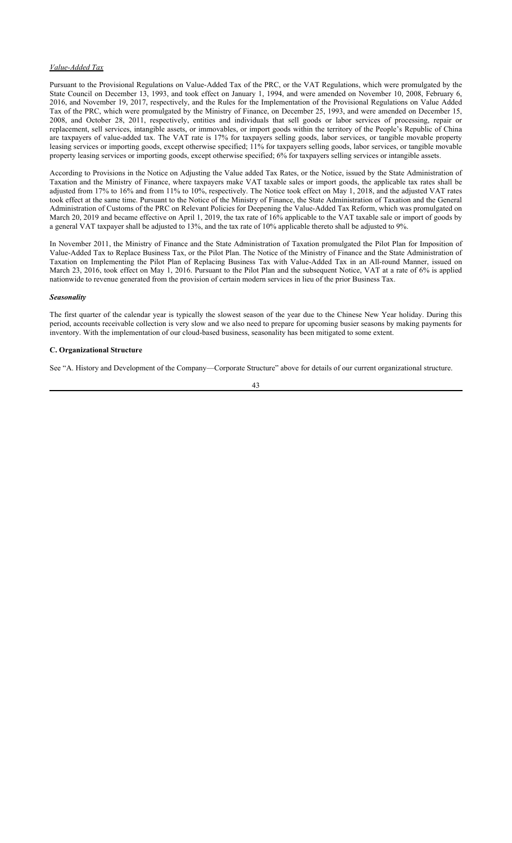### *Value-Added Tax*

Pursuant to the Provisional Regulations on Value-Added Tax of the PRC, or the VAT Regulations, which were promulgated by the State Council on December 13, 1993, and took effect on January 1, 1994, and were amended on November 10, 2008, February 6, 2016, and November 19, 2017, respectively, and the Rules for the Implementation of the Provisional Regulations on Value Added Tax of the PRC, which were promulgated by the Ministry of Finance, on December 25, 1993, and were amended on December 15, 2008, and October 28, 2011, respectively, entities and individuals that sell goods or labor services of processing, repair or replacement, sell services, intangible assets, or immovables, or import goods within the territory of the People's Republic of China are taxpayers of value-added tax. The VAT rate is 17% for taxpayers selling goods, labor services, or tangible movable property leasing services or importing goods, except otherwise specified; 11% for taxpayers selling goods, labor services, or tangible movable property leasing services or importing goods, except otherwise specified; 6% for taxpayers selling services or intangible assets.

According to Provisions in the Notice on Adjusting the Value added Tax Rates, or the Notice, issued by the State Administration of Taxation and the Ministry of Finance, where taxpayers make VAT taxable sales or import goods, the applicable tax rates shall be adjusted from 17% to 16% and from 11% to 10%, respectively. The Notice took effect on May 1, 2018, and the adjusted VAT rates took effect at the same time. Pursuant to the Notice of the Ministry of Finance, the State Administration of Taxation and the General Administration of Customs of the PRC on Relevant Policies for Deepening the Value-Added Tax Reform, which was promulgated on March 20, 2019 and became effective on April 1, 2019, the tax rate of 16% applicable to the VAT taxable sale or import of goods by a general VAT taxpayer shall be adjusted to 13%, and the tax rate of 10% applicable thereto shall be adjusted to 9%.

In November 2011, the Ministry of Finance and the State Administration of Taxation promulgated the Pilot Plan for Imposition of Value-Added Tax to Replace Business Tax, or the Pilot Plan. The Notice of the Ministry of Finance and the State Administration of Taxation on Implementing the Pilot Plan of Replacing Business Tax with Value-Added Tax in an All-round Manner, issued on March 23, 2016, took effect on May 1, 2016. Pursuant to the Pilot Plan and the subsequent Notice, VAT at a rate of 6% is applied nationwide to revenue generated from the provision of certain modern services in lieu of the prior Business Tax.

### *Seasonality*

The first quarter of the calendar year is typically the slowest season of the year due to the Chinese New Year holiday. During this period, accounts receivable collection is very slow and we also need to prepare for upcoming busier seasons by making payments for inventory. With the implementation of our cloud-based business, seasonality has been mitigated to some extent.

### **C. Organizational Structure**

See "A. History and Development of the Company—Corporate Structure" above for details of our current organizational structure.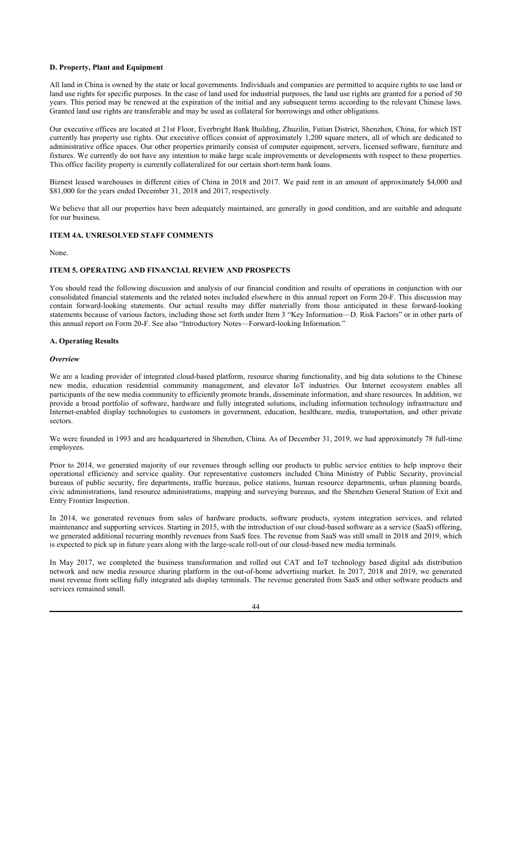### **D. Property, Plant and Equipment**

All land in China is owned by the state or local governments. Individuals and companies are permitted to acquire rights to use land or land use rights for specific purposes. In the case of land used for industrial purposes, the land use rights are granted for a period of 50 years. This period may be renewed at the expiration of the initial and any subsequent terms according to the relevant Chinese laws. Granted land use rights are transferable and may be used as collateral for borrowings and other obligations.

Our executive offices are located at 21st Floor, Everbright Bank Building, Zhuzilin, Futian District, Shenzhen, China, for which IST currently has property use rights. Our executive offices consist of approximately 1,200 square meters, all of which are dedicated to administrative office spaces. Our other properties primarily consist of computer equipment, servers, licensed software, furniture and fixtures. We currently do not have any intention to make large scale improvements or developments with respect to these properties. This office facility property is currently collateralized for our certain short-term bank loans.

Biznest leased warehouses in different cities of China in 2018 and 2017. We paid rent in an amount of approximately \$4,000 and \$81,000 for the years ended December 31, 2018 and 2017, respectively.

We believe that all our properties have been adequately maintained, are generally in good condition, and are suitable and adequate for our business.

# **ITEM 4A. UNRESOLVED STAFF COMMENTS**

None.

### **ITEM 5. OPERATING AND FINANCIAL REVIEW AND PROSPECTS**

You should read the following discussion and analysis of our financial condition and results of operations in conjunction with our consolidated financial statements and the related notes included elsewhere in this annual report on Form 20-F. This discussion may contain forward-looking statements. Our actual results may differ materially from those anticipated in these forward-looking statements because of various factors, including those set forth under Item 3 "Key Information—D. Risk Factors" or in other parts of this annual report on Form 20-F. See also "Introductory Notes—Forward-looking Information."

#### **A. Operating Results**

#### *Overview*

We are a leading provider of integrated cloud-based platform, resource sharing functionality, and big data solutions to the Chinese new media, education residential community management, and elevator IoT industries. Our Internet ecosystem enables all participants of the new media community to efficiently promote brands, disseminate information, and share resources. In addition, we provide a broad portfolio of software, hardware and fully integrated solutions, including information technology infrastructure and Internet-enabled display technologies to customers in government, education, healthcare, media, transportation, and other private sectors.

We were founded in 1993 and are headquartered in Shenzhen, China. As of December 31, 2019, we had approximately 78 full-time employees.

Prior to 2014, we generated majority of our revenues through selling our products to public service entities to help improve their operational efficiency and service quality. Our representative customers included China Ministry of Public Security, provincial bureaus of public security, fire departments, traffic bureaus, police stations, human resource departments, urban planning boards, civic administrations, land resource administrations, mapping and surveying bureaus, and the Shenzhen General Station of Exit and Entry Frontier Inspection.

In 2014, we generated revenues from sales of hardware products, software products, system integration services, and related maintenance and supporting services. Starting in 2015, with the introduction of our cloud-based software as a service (SaaS) offering, we generated additional recurring monthly revenues from SaaS fees. The revenue from SaaS was still small in 2018 and 2019, which is expected to pick up in future years along with the large-scale roll-out of our cloud-based new media terminals.

In May 2017, we completed the business transformation and rolled out CAT and IoT technology based digital ads distribution network and new media resource sharing platform in the out-of-home advertising market. In 2017, 2018 and 2019, we generated most revenue from selling fully integrated ads display terminals. The revenue generated from SaaS and other software products and services remained small.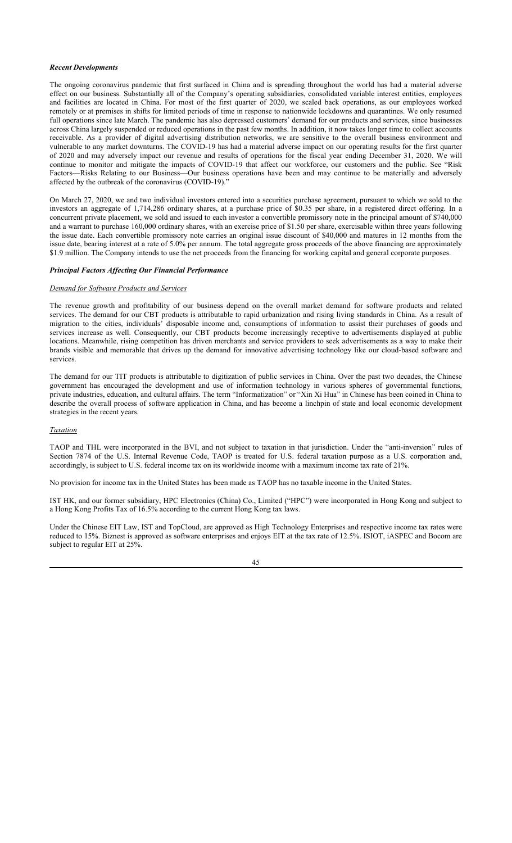### *Recent Developments*

The ongoing coronavirus pandemic that first surfaced in China and is spreading throughout the world has had a material adverse effect on our business. Substantially all of the Company's operating subsidiaries, consolidated variable interest entities, employees and facilities are located in China. For most of the first quarter of 2020, we scaled back operations, as our employees worked remotely or at premises in shifts for limited periods of time in response to nationwide lockdowns and quarantines. We only resumed full operations since late March. The pandemic has also depressed customers' demand for our products and services, since businesses across China largely suspended or reduced operations in the past few months. In addition, it now takes longer time to collect accounts receivable. As a provider of digital advertising distribution networks, we are sensitive to the overall business environment and vulnerable to any market downturns. The COVID-19 has had a material adverse impact on our operating results for the first quarter of 2020 and may adversely impact our revenue and results of operations for the fiscal year ending December 31, 2020. We will continue to monitor and mitigate the impacts of COVID-19 that affect our workforce, our customers and the public. See "Risk Factors—Risks Relating to our Business—Our business operations have been and may continue to be materially and adversely affected by the outbreak of the coronavirus (COVID-19)."

On March 27, 2020, we and two individual investors entered into a securities purchase agreement, pursuant to which we sold to the investors an aggregate of 1,714,286 ordinary shares, at a purchase price of \$0.35 per share, in a registered direct offering. In a concurrent private placement, we sold and issued to each investor a convertible promissory note in the principal amount of \$740,000 and a warrant to purchase 160,000 ordinary shares, with an exercise price of \$1.50 per share, exercisable within three years following the issue date. Each convertible promissory note carries an original issue discount of \$40,000 and matures in 12 months from the issue date, bearing interest at a rate of 5.0% per annum. The total aggregate gross proceeds of the above financing are approximately \$1.9 million. The Company intends to use the net proceeds from the financing for working capital and general corporate purposes.

### *Principal Factors Affecting Our Financial Performance*

#### *Demand for Software Products and Services*

The revenue growth and profitability of our business depend on the overall market demand for software products and related services. The demand for our CBT products is attributable to rapid urbanization and rising living standards in China. As a result of migration to the cities, individuals' disposable income and, consumptions of information to assist their purchases of goods and services increase as well. Consequently, our CBT products become increasingly receptive to advertisements displayed at public locations. Meanwhile, rising competition has driven merchants and service providers to seek advertisements as a way to make their brands visible and memorable that drives up the demand for innovative advertising technology like our cloud-based software and services.

The demand for our TIT products is attributable to digitization of public services in China. Over the past two decades, the Chinese government has encouraged the development and use of information technology in various spheres of governmental functions, private industries, education, and cultural affairs. The term "Informatization" or "Xin Xi Hua" in Chinese has been coined in China to describe the overall process of software application in China, and has become a linchpin of state and local economic development strategies in the recent years.

### *Taxation*

TAOP and THL were incorporated in the BVI, and not subject to taxation in that jurisdiction. Under the "anti-inversion" rules of Section 7874 of the U.S. Internal Revenue Code, TAOP is treated for U.S. federal taxation purpose as a U.S. corporation and, accordingly, is subject to U.S. federal income tax on its worldwide income with a maximum income tax rate of 21%.

No provision for income tax in the United States has been made as TAOP has no taxable income in the United States.

IST HK, and our former subsidiary, HPC Electronics (China) Co., Limited ("HPC") were incorporated in Hong Kong and subject to a Hong Kong Profits Tax of 16.5% according to the current Hong Kong tax laws.

Under the Chinese EIT Law, IST and TopCloud, are approved as High Technology Enterprises and respective income tax rates were reduced to 15%. Biznest is approved as software enterprises and enjoys EIT at the tax rate of 12.5%. ISIOT, iASPEC and Bocom are subject to regular EIT at 25%.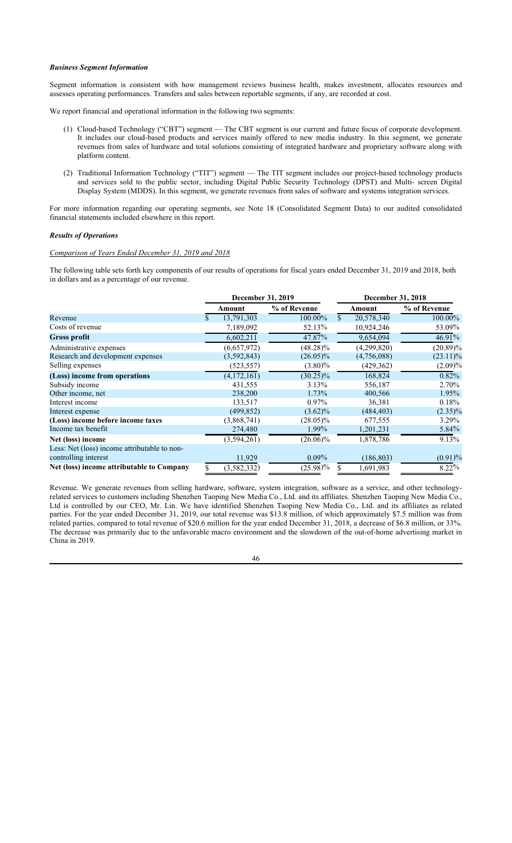### *Business Segment Information*

Segment information is consistent with how management reviews business health, makes investment, allocates resources and assesses operating performances. Transfers and sales between reportable segments, if any, are recorded at cost.

We report financial and operational information in the following two segments:

- (1) Cloud-based Technology ("CBT") segment The CBT segment is our current and future focus of corporate development. It includes our cloud-based products and services mainly offered to new media industry. In this segment, we generate revenues from sales of hardware and total solutions consisting of integrated hardware and proprietary software along with platform content.
- (2) Traditional Information Technology ("TIT") segment The TIT segment includes our project-based technology products and services sold to the public sector, including Digital Public Security Technology (DPST) and Multi- screen Digital Display System (MDDS). In this segment, we generate revenues from sales of software and systems integration services.

For more information regarding our operating segments, see Note 18 (Consolidated Segment Data) to our audited consolidated financial statements included elsewhere in this report.

#### *Results of Operations*

### *Comparison of Years Ended December 31, 2019 and 2018*

The following table sets forth key components of our results of operations for fiscal years ended December 31, 2019 and 2018, both in dollars and as a percentage of our revenue.

|                                              | <b>December 31, 2019</b> |             |                    |    | December 31, 2018 |              |
|----------------------------------------------|--------------------------|-------------|--------------------|----|-------------------|--------------|
|                                              |                          | Amount      | % of Revenue       |    | Amount            | % of Revenue |
| Revenue                                      | S                        | 13,791,303  | 100.00%            | S. | 20,578,340        | 100.00%      |
| Costs of revenue                             |                          | 7,189,092   | 52.13%             |    | 10,924,246        | 53.09%       |
| <b>Gross profit</b>                          |                          | 6,602,211   | 47.87%             |    | 9,654,094         | $46.91\%$    |
| Administrative expenses                      |                          | (6,657,972) | $(48.28)\%$        |    | (4,299,820)       | $(20.89)\%$  |
| Research and development expenses            |                          | (3,592,843) | $(26.05)\%$        |    | (4,756,088)       | $(23.11)\%$  |
| Selling expenses                             |                          | (523, 557)  | $(3.80)\%$         |    | (429, 362)        | (2.09)%      |
| (Loss) income from operations                |                          | (4,172,161) | $\sqrt{(30.25)}\%$ |    | 168,824           | 0.82%        |
| Subsidy income                               |                          | 431,555     | 3.13%              |    | 556,187           | 2.70%        |
| Other income, net                            |                          | 238,200     | 1.73%              |    | 400,566           | 1.95%        |
| Interest income                              |                          | 133,517     | $0.97\%$           |    | 36,381            | 0.18%        |
| Interest expense                             |                          | (499,852)   | $(3.62)\%$         |    | (484, 403)        | $(2.35)\%$   |
| (Loss) income before income taxes            |                          | (3,868,741) | $(28.05)\%$        |    | 677,555           | 3.29%        |
| Income tax benefit                           |                          | 274,480     | 1.99%              |    | 1,201,231         | $5.84\%$     |
| Net (loss) income                            |                          | (3,594,261) | $(26.06)\%$        |    | 1,878,786         | 9.13%        |
| Less: Net (loss) income attributable to non- |                          |             |                    |    |                   |              |
| controlling interest                         |                          | 11,929      | $0.09\%$           |    | (186, 803)        | (0.91)%      |
| Net (loss) income attributable to Company    |                          | (3,582,332) | $(25.98)\%$        |    | 1,691,983         | 8.22%        |

Revenue. We generate revenues from selling hardware, software, system integration, software as a service, and other technologyrelated services to customers including Shenzhen Taoping New Media Co., Ltd. and its affiliates. Shenzhen Taoping New Media Co., Ltd is controlled by our CEO, Mr. Lin. We have identified Shenzhen Taoping New Media Co., Ltd. and its affiliates as related parties. For the year ended December 31, 2019, our total revenue was \$13.8 million, of which approximately \$7.5 million was from related parties, compared to total revenue of \$20.6 million for the year ended December 31, 2018, a decrease of \$6.8 million, or 33%. The decrease was primarily due to the unfavorable macro environment and the slowdown of the out-of-home advertising market in China in 2019.

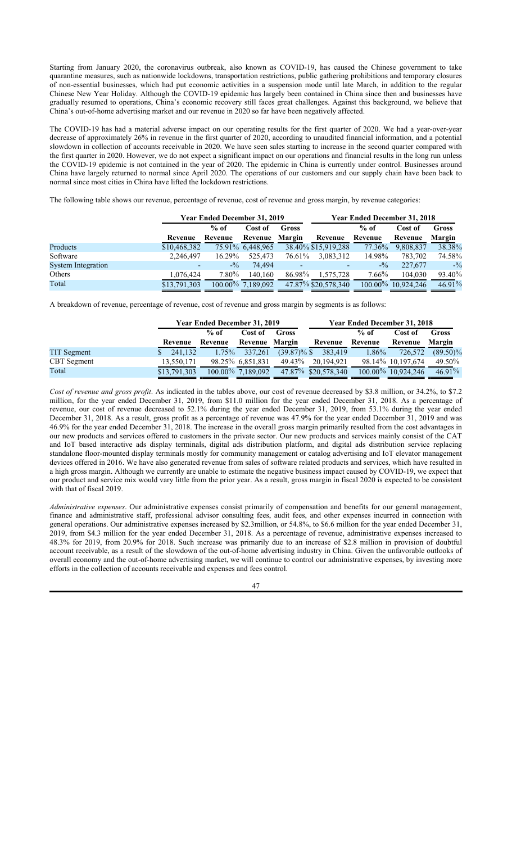Starting from January 2020, the coronavirus outbreak, also known as COVID-19, has caused the Chinese government to take quarantine measures, such as nationwide lockdowns, transportation restrictions, public gathering prohibitions and temporary closures of non-essential businesses, which had put economic activities in a suspension mode until late March, in addition to the regular Chinese New Year Holiday. Although the COVID-19 epidemic has largely been contained in China since then and businesses have gradually resumed to operations, China's economic recovery still faces great challenges. Against this background, we believe that China's out-of-home advertising market and our revenue in 2020 so far have been negatively affected.

The COVID-19 has had a material adverse impact on our operating results for the first quarter of 2020. We had a year-over-year decrease of approximately 26% in revenue in the first quarter of 2020, according to unaudited financial information, and a potential slowdown in collection of accounts receivable in 2020. We have seen sales starting to increase in the second quarter compared with the first quarter in 2020. However, we do not expect a significant impact on our operations and financial results in the long run unless the COVID-19 epidemic is not contained in the year of 2020. The epidemic in China is currently under control. Businesses around China have largely returned to normal since April 2020. The operations of our customers and our supply chain have been back to normal since most cities in China have lifted the lockdown restrictions.

The following table shows our revenue, percentage of revenue, cost of revenue and gross margin, by revenue categories:

|                           |              | <b>Year Ended December 31, 2019</b> |                   | <b>Year Ended December 31, 2018</b> |                     |         |                    |               |
|---------------------------|--------------|-------------------------------------|-------------------|-------------------------------------|---------------------|---------|--------------------|---------------|
|                           |              | $%$ of                              | Cost of           | Gross                               |                     | $%$ of  | Cost of            | Gross         |
|                           | Revenue      | Revenue                             | Revenue Margin    |                                     | Revenue             | Revenue | Revenue            | <b>Margin</b> |
| Products                  | \$10,468,382 |                                     | 75.91% 6,448,965  |                                     | 38.40% \$15,919,288 | 77.36%  | 9,808,837          | 38.38%        |
| Software                  | 2,246,497    | 16.29%                              | 525,473           | 76.61%                              | 3,083,312           | 14.98%  | 783,702            | 74.58%        |
| <b>System Integration</b> |              | $-9/0$                              | 74,494            |                                     |                     | $-9/0$  | 227,677            | $-9/0$        |
| Others                    | 1.076.424    | 7.80%                               | 140.160           | 86.98%                              | 1,575,728           | 7.66%   | 104,030            | 93.40%        |
| Total                     | \$13,791,303 |                                     | 100.00% 7.189.092 |                                     | 47.87% \$20,578,340 |         | 100.00% 10,924,246 | 46.91%        |

A breakdown of revenue, percentage of revenue, cost of revenue and gross margin by segments is as follows:

|                    |              | <b>Year Ended December 31, 2019</b> |                   |                |                     |         | <b>Year Ended December 31, 2018</b> |             |
|--------------------|--------------|-------------------------------------|-------------------|----------------|---------------------|---------|-------------------------------------|-------------|
|                    |              | $%$ of                              | Cost of           | Gross          | $%$ of              |         | Cost of                             | Gross       |
|                    | Revenue      | Revenue                             | Revenue Margin    |                | Revenue             | Revenue | Revenue                             | Margin      |
| TIT Segment        | 241,132      | $1.75\%$                            | 337,261           | $(39.87)\%$ \$ | 383,419             | 1.86%   | 726,572                             | $(89.50)\%$ |
| <b>CBT</b> Segment | 13,550,171   |                                     | 98.25% 6.851,831  | 49.43%         | 20,194,921          |         | 98.14% 10.197,674                   | 49.50%      |
| Total              | \$13,791,303 |                                     | 100.00% 7,189,092 |                | 47.87% \$20,578,340 |         | 100.00% 10,924,246                  | $46.91\%$   |

*Cost of revenue and gross profit*. As indicated in the tables above, our cost of revenue decreased by \$3.8 million, or 34.2%, to \$7.2 million, for the year ended December 31, 2019, from \$11.0 million for the year ended December 31, 2018. As a percentage of revenue, our cost of revenue decreased to 52.1% during the year ended December 31, 2019, from 53.1% during the year ended December 31, 2018. As a result, gross profit as a percentage of revenue was 47.9% for the year ended December 31, 2019 and was 46.9% for the year ended December 31, 2018. The increase in the overall gross margin primarily resulted from the cost advantages in our new products and services offered to customers in the private sector. Our new products and services mainly consist of the CAT and IoT based interactive ads display terminals, digital ads distribution platform, and digital ads distribution service replacing standalone floor-mounted display terminals mostly for community management or catalog advertising and IoT elevator management devices offered in 2016. We have also generated revenue from sales of software related products and services, which have resulted in a high gross margin. Although we currently are unable to estimate the negative business impact caused by COVID-19, we expect that our product and service mix would vary little from the prior year. As a result, gross margin in fiscal 2020 is expected to be consistent with that of fiscal 2019.

*Administrative expenses*. Our administrative expenses consist primarily of compensation and benefits for our general management, finance and administrative staff, professional advisor consulting fees, audit fees, and other expenses incurred in connection with general operations. Our administrative expenses increased by \$2.3million, or 54.8%, to \$6.6 million for the year ended December 31, 2019, from \$4.3 million for the year ended December 31, 2018. As a percentage of revenue, administrative expenses increased to 48.3% for 2019, from 20.9% for 2018. Such increase was primarily due to an increase of \$2.8 million in provision of doubtful account receivable, as a result of the slowdown of the out-of-home advertising industry in China. Given the unfavorable outlooks of overall economy and the out-of-home advertising market, we will continue to control our administrative expenses, by investing more efforts in the collection of accounts receivable and expenses and fees control.

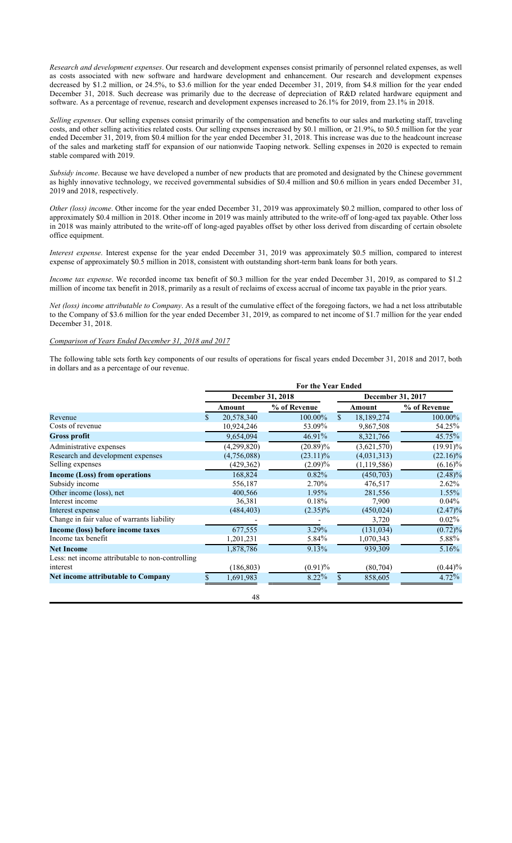*Research and development expenses*. Our research and development expenses consist primarily of personnel related expenses, as well as costs associated with new software and hardware development and enhancement. Our research and development expenses decreased by \$1.2 million, or 24.5%, to \$3.6 million for the year ended December 31, 2019, from \$4.8 million for the year ended December 31, 2018. Such decrease was primarily due to the decrease of depreciation of R&D related hardware equipment and software. As a percentage of revenue, research and development expenses increased to 26.1% for 2019, from 23.1% in 2018.

*Selling expenses*. Our selling expenses consist primarily of the compensation and benefits to our sales and marketing staff, traveling costs, and other selling activities related costs. Our selling expenses increased by \$0.1 million, or 21.9%, to \$0.5 million for the year ended December 31, 2019, from \$0.4 million for the year ended December 31, 2018. This increase was due to the headcount increase of the sales and marketing staff for expansion of our nationwide Taoping network. Selling expenses in 2020 is expected to remain stable compared with 2019.

*Subsidy income*. Because we have developed a number of new products that are promoted and designated by the Chinese government as highly innovative technology, we received governmental subsidies of \$0.4 million and \$0.6 million in years ended December 31, 2019 and 2018, respectively.

*Other (loss) income*. Other income for the year ended December 31, 2019 was approximately \$0.2 million, compared to other loss of approximately \$0.4 million in 2018. Other income in 2019 was mainly attributed to the write-off of long-aged tax payable. Other loss in 2018 was mainly attributed to the write-off of long-aged payables offset by other loss derived from discarding of certain obsolete office equipment.

*Interest expense*. Interest expense for the year ended December 31, 2019 was approximately \$0.5 million, compared to interest expense of approximately \$0.5 million in 2018, consistent with outstanding short-term bank loans for both years.

*Income tax expense*. We recorded income tax benefit of \$0.3 million for the year ended December 31, 2019, as compared to \$1.2 million of income tax benefit in 2018, primarily as a result of reclaims of excess accrual of income tax payable in the prior years.

*Net (loss) income attributable to Company*. As a result of the cumulative effect of the foregoing factors, we had a net loss attributable to the Company of \$3.6 million for the year ended December 31, 2019, as compared to net income of \$1.7 million for the year ended December 31, 2018.

## *Comparison of Years Ended December 31, 2018 and 2017*

The following table sets forth key components of our results of operations for fiscal years ended December 31, 2018 and 2017, both in dollars and as a percentage of our revenue.

|                                                  | <b>For the Year Ended</b> |                   |              |              |                   |              |  |  |
|--------------------------------------------------|---------------------------|-------------------|--------------|--------------|-------------------|--------------|--|--|
|                                                  |                           | December 31, 2018 |              |              | December 31, 2017 |              |  |  |
|                                                  |                           | Amount            | % of Revenue |              | Amount            | % of Revenue |  |  |
| Revenue                                          | \$                        | 20,578,340        | 100.00%      | $\mathbb{S}$ | 18,189,274        | 100.00%      |  |  |
| Costs of revenue                                 |                           | 10,924,246        | 53.09%       |              | 9,867,508         | 54.25%       |  |  |
| <b>Gross profit</b>                              |                           | 9,654,094         | 46.91%       |              | 8,321,766         | 45.75%       |  |  |
| Administrative expenses                          |                           | (4,299,820)       | $(20.89)\%$  |              | (3,621,570)       | $(19.91)\%$  |  |  |
| Research and development expenses                |                           | (4,756,088)       | $(23.11)\%$  |              | (4,031,313)       | $(22.16)\%$  |  |  |
| Selling expenses                                 |                           | (429, 362)        | (2.09)%      |              | (1, 119, 586)     | $(6.16)\%$   |  |  |
| <b>Income (Loss) from operations</b>             |                           | 168,824           | 0.82%        |              | (450, 703)        | $(2.48)\%$   |  |  |
| Subsidy income                                   |                           | 556,187           | 2.70%        |              | 476,517           | 2.62%        |  |  |
| Other income (loss), net                         |                           | 400,566           | 1.95%        |              | 281,556           | $1.55\%$     |  |  |
| Interest income                                  |                           | 36,381            | 0.18%        |              | 7,900             | $0.04\%$     |  |  |
| Interest expense                                 |                           | (484, 403)        | $(2.35)\%$   |              | (450, 024)        | $(2.47)\%$   |  |  |
| Change in fair value of warrants liability       |                           |                   |              |              | 3,720             | $0.02\%$     |  |  |
| Income (loss) before income taxes                |                           | 677,555           | 3.29%        |              | (131, 034)        | (0.72)%      |  |  |
| Income tax benefit                               |                           | 1,201,231         | 5.84%        |              | 1,070,343         | 5.88%        |  |  |
| <b>Net Income</b>                                |                           | 1,878,786         | 9.13%        |              | 939,309           | 5.16%        |  |  |
| Less: net income attributable to non-controlling |                           |                   |              |              |                   |              |  |  |
| interest                                         |                           | (186, 803)        | $(0.91)\%$   |              | (80, 704)         | (0.44)%      |  |  |
| Net income attributable to Company               |                           | 1,691,983         | 8.22%        | \$           | 858,605           | 4.72%        |  |  |
|                                                  |                           | 48                |              |              |                   |              |  |  |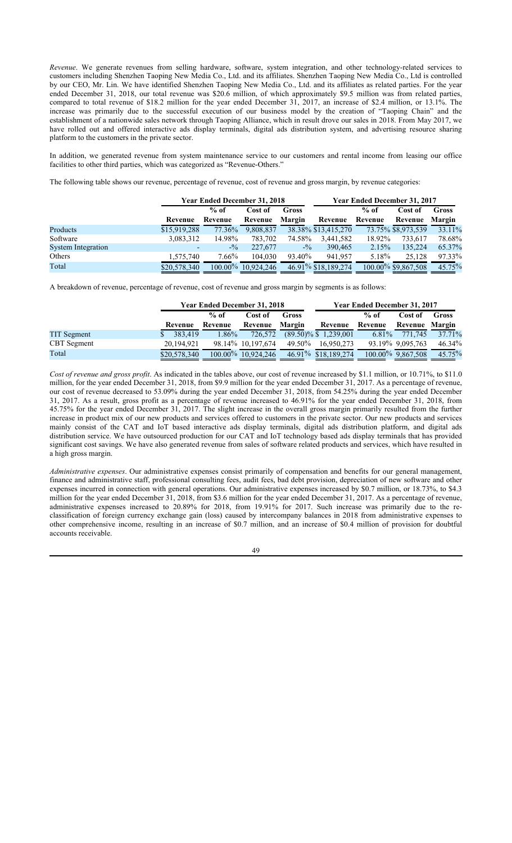*Revenue*. We generate revenues from selling hardware, software, system integration, and other technology-related services to customers including Shenzhen Taoping New Media Co., Ltd. and its affiliates. Shenzhen Taoping New Media Co., Ltd is controlled by our CEO, Mr. Lin. We have identified Shenzhen Taoping New Media Co., Ltd. and its affiliates as related parties. For the year ended December 31, 2018, our total revenue was \$20.6 million, of which approximately \$9.5 million was from related parties, compared to total revenue of \$18.2 million for the year ended December 31, 2017, an increase of \$2.4 million, or 13.1%. The increase was primarily due to the successful execution of our business model by the creation of "Taoping Chain" and the establishment of a nationwide sales network through Taoping Alliance, which in result drove our sales in 2018. From May 2017, we have rolled out and offered interactive ads display terminals, digital ads distribution system, and advertising resource sharing platform to the customers in the private sector.

In addition, we generated revenue from system maintenance service to our customers and rental income from leasing our office facilities to other third parties, which was categorized as "Revenue-Others."

The following table shows our revenue, percentage of revenue, cost of revenue and gross margin, by revenue categories:

|                           |              |          | <b>Year Ended December 31, 2018</b> |               | <b>Year Ended December 31, 2017</b> |         |                     |        |
|---------------------------|--------------|----------|-------------------------------------|---------------|-------------------------------------|---------|---------------------|--------|
|                           |              | $%$ of   | Cost of                             | Gross         |                                     | $%$ of  | Cost of             | Gross  |
|                           | Revenue      | Revenue  | Revenue                             | <b>Margin</b> | Revenue                             | Revenue | Revenue             | Margin |
| Products                  | \$15,919,288 | 77.36%   | 9,808,837                           |               | 38.38% \$13,415,270                 |         | 73.75% \$8,973,539  | 33.11% |
| Software                  | 3,083,312    | 14.98%   | 783,702                             | 74.58%        | 3,441,582                           | 18.92%  | 733.617             | 78.68% |
| <b>System Integration</b> |              | $-9/0$   | 227,677                             | $-9/0$        | 390,465                             | 2.15%   | 135,224             | 65.37% |
| Others                    | 1,575,740    | $7.66\%$ | 104.030                             | 93.40%        | 941.957                             | 5.18%   | 25,128              | 97.33% |
| Total                     | \$20,578,340 |          | 100.00% 10,924,246                  |               | 46.91% \$18,189,274                 |         | 100.00% \$9,867,508 | 45.75% |

A breakdown of revenue, percentage of revenue, cost of revenue and gross margin by segments is as follows:

|                    |              |          | Year Ended December 31, 2018 |        |                          | <b>Year Ended December 31, 2017</b> |                   |        |
|--------------------|--------------|----------|------------------------------|--------|--------------------------|-------------------------------------|-------------------|--------|
|                    |              | $%$ of   | Cost of                      | Gross  |                          | $%$ of                              | Cost of           | Gross  |
|                    | Revenue      | Revenue  | Revenue                      | Margin | Revenue                  | Revenue                             | Revenue Margin    |        |
| TIT Segment        | 383,419      | $1.86\%$ | 726,572                      |        | $(89.50)\%$ \$ 1,239,001 | 6.81%                               | 771.745           | 37.71% |
| <b>CBT</b> Segment | 20,194,921   |          | 98.14\% 10.197.674           | 49.50% | 16.950.273               |                                     | 93.19% 9.095.763  | 46.34% |
| Total              | \$20,578,340 |          | 100.00% 10,924,246           |        | 46.91% \$18,189,274      |                                     | 100.00% 9,867,508 | 45.75% |

*Cost of revenue and gross profit*. As indicated in the tables above, our cost of revenue increased by \$1.1 million, or 10.71%, to \$11.0 million, for the year ended December 31, 2018, from \$9.9 million for the year ended December 31, 2017. As a percentage of revenue, our cost of revenue decreased to 53.09% during the year ended December 31, 2018, from 54.25% during the year ended December 31, 2017. As a result, gross profit as a percentage of revenue increased to 46.91% for the year ended December 31, 2018, from 45.75% for the year ended December 31, 2017. The slight increase in the overall gross margin primarily resulted from the further increase in product mix of our new products and services offered to customers in the private sector. Our new products and services mainly consist of the CAT and IoT based interactive ads display terminals, digital ads distribution platform, and digital ads distribution service. We have outsourced production for our CAT and IoT technology based ads display terminals that has provided significant cost savings. We have also generated revenue from sales of software related products and services, which have resulted in a high gross margin.

*Administrative expenses*. Our administrative expenses consist primarily of compensation and benefits for our general management, finance and administrative staff, professional consulting fees, audit fees, bad debt provision, depreciation of new software and other expenses incurred in connection with general operations. Our administrative expenses increased by \$0.7 million, or 18.73%, to \$4.3 million for the year ended December 31, 2018, from \$3.6 million for the year ended December 31, 2017. As a percentage of revenue, administrative expenses increased to 20.89% for 2018, from 19.91% for 2017. Such increase was primarily due to the reclassification of foreign currency exchange gain (loss) caused by intercompany balances in 2018 from administrative expenses to other comprehensive income, resulting in an increase of \$0.7 million, and an increase of \$0.4 million of provision for doubtful accounts receivable.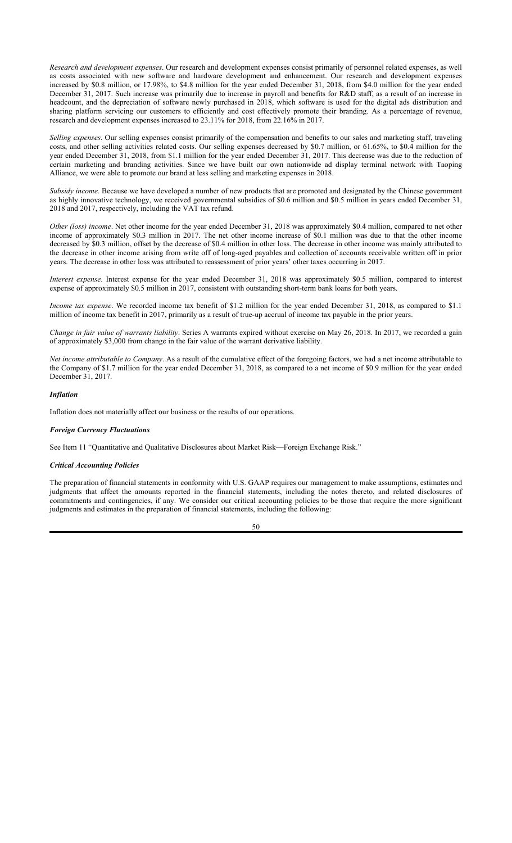*Research and development expenses*. Our research and development expenses consist primarily of personnel related expenses, as well as costs associated with new software and hardware development and enhancement. Our research and development expenses increased by \$0.8 million, or 17.98%, to \$4.8 million for the year ended December 31, 2018, from \$4.0 million for the year ended December 31, 2017. Such increase was primarily due to increase in payroll and benefits for R&D staff, as a result of an increase in headcount, and the depreciation of software newly purchased in 2018, which software is used for the digital ads distribution and sharing platform servicing our customers to efficiently and cost effectively promote their branding. As a percentage of revenue, research and development expenses increased to 23.11% for 2018, from 22.16% in 2017.

*Selling expenses*. Our selling expenses consist primarily of the compensation and benefits to our sales and marketing staff, traveling costs, and other selling activities related costs. Our selling expenses decreased by \$0.7 million, or 61.65%, to \$0.4 million for the year ended December 31, 2018, from \$1.1 million for the year ended December 31, 2017. This decrease was due to the reduction of certain marketing and branding activities. Since we have built our own nationwide ad display terminal network with Taoping Alliance, we were able to promote our brand at less selling and marketing expenses in 2018.

*Subsidy income*. Because we have developed a number of new products that are promoted and designated by the Chinese government as highly innovative technology, we received governmental subsidies of \$0.6 million and \$0.5 million in years ended December 31, 2018 and 2017, respectively, including the VAT tax refund.

*Other (loss) income*. Net other income for the year ended December 31, 2018 was approximately \$0.4 million, compared to net other income of approximately \$0.3 million in 2017. The net other income increase of \$0.1 million was due to that the other income decreased by \$0.3 million, offset by the decrease of \$0.4 million in other loss. The decrease in other income was mainly attributed to the decrease in other income arising from write off of long-aged payables and collection of accounts receivable written off in prior years. The decrease in other loss was attributed to reassessment of prior years' other taxes occurring in 2017.

*Interest expense*. Interest expense for the year ended December 31, 2018 was approximately \$0.5 million, compared to interest expense of approximately \$0.5 million in 2017, consistent with outstanding short-term bank loans for both years.

*Income tax expense*. We recorded income tax benefit of \$1.2 million for the year ended December 31, 2018, as compared to \$1.1 million of income tax benefit in 2017, primarily as a result of true-up accrual of income tax payable in the prior years.

*Change in fair value of warrants liability*. Series A warrants expired without exercise on May 26, 2018. In 2017, we recorded a gain of approximately \$3,000 from change in the fair value of the warrant derivative liability.

*Net income attributable to Company*. As a result of the cumulative effect of the foregoing factors, we had a net income attributable to the Company of \$1.7 million for the year ended December 31, 2018, as compared to a net income of \$0.9 million for the year ended December 31, 2017.

# *Inflation*

Inflation does not materially affect our business or the results of our operations.

### *Foreign Currency Fluctuations*

See Item 11 "Quantitative and Qualitative Disclosures about Market Risk—Foreign Exchange Risk."

### *Critical Accounting Policies*

The preparation of financial statements in conformity with U.S. GAAP requires our management to make assumptions, estimates and judgments that affect the amounts reported in the financial statements, including the notes thereto, and related disclosures of commitments and contingencies, if any. We consider our critical accounting policies to be those that require the more significant judgments and estimates in the preparation of financial statements, including the following:

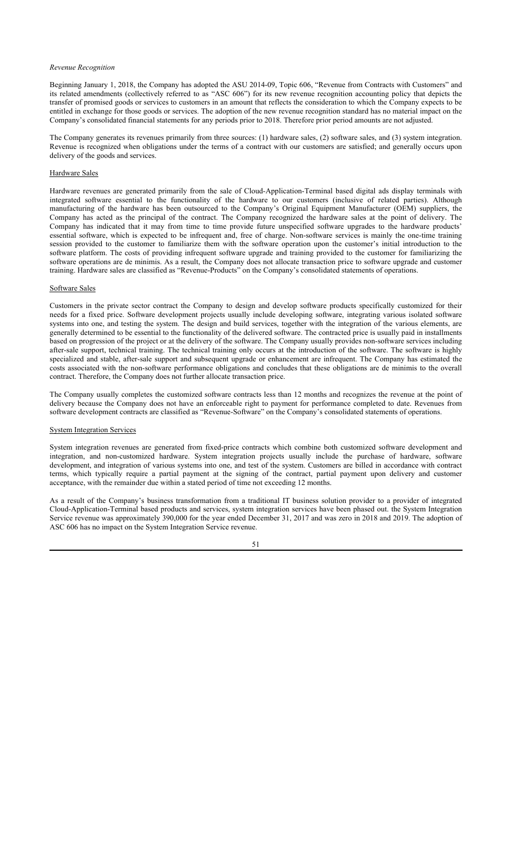#### *Revenue Recognition*

Beginning January 1, 2018, the Company has adopted the ASU 2014-09, Topic 606, "Revenue from Contracts with Customers" and its related amendments (collectively referred to as "ASC 606") for its new revenue recognition accounting policy that depicts the transfer of promised goods or services to customers in an amount that reflects the consideration to which the Company expects to be entitled in exchange for those goods or services. The adoption of the new revenue recognition standard has no material impact on the Company's consolidated financial statements for any periods prior to 2018. Therefore prior period amounts are not adjusted.

The Company generates its revenues primarily from three sources: (1) hardware sales, (2) software sales, and (3) system integration. Revenue is recognized when obligations under the terms of a contract with our customers are satisfied; and generally occurs upon delivery of the goods and services.

#### Hardware Sales

Hardware revenues are generated primarily from the sale of Cloud-Application-Terminal based digital ads display terminals with integrated software essential to the functionality of the hardware to our customers (inclusive of related parties). Although manufacturing of the hardware has been outsourced to the Company's Original Equipment Manufacturer (OEM) suppliers, the Company has acted as the principal of the contract. The Company recognized the hardware sales at the point of delivery. The Company has indicated that it may from time to time provide future unspecified software upgrades to the hardware products' essential software, which is expected to be infrequent and, free of charge. Non-software services is mainly the one-time training session provided to the customer to familiarize them with the software operation upon the customer's initial introduction to the software platform. The costs of providing infrequent software upgrade and training provided to the customer for familiarizing the software operations are de minimis. As a result, the Company does not allocate transaction price to software upgrade and customer training. Hardware sales are classified as "Revenue-Products" on the Company's consolidated statements of operations.

#### Software Sales

Customers in the private sector contract the Company to design and develop software products specifically customized for their needs for a fixed price. Software development projects usually include developing software, integrating various isolated software systems into one, and testing the system. The design and build services, together with the integration of the various elements, are generally determined to be essential to the functionality of the delivered software. The contracted price is usually paid in installments based on progression of the project or at the delivery of the software. The Company usually provides non-software services including after-sale support, technical training. The technical training only occurs at the introduction of the software. The software is highly specialized and stable, after-sale support and subsequent upgrade or enhancement are infrequent. The Company has estimated the costs associated with the non-software performance obligations and concludes that these obligations are de minimis to the overall contract. Therefore, the Company does not further allocate transaction price.

The Company usually completes the customized software contracts less than 12 months and recognizes the revenue at the point of delivery because the Company does not have an enforceable right to payment for performance completed to date. Revenues from software development contracts are classified as "Revenue-Software" on the Company's consolidated statements of operations.

### System Integration Services

System integration revenues are generated from fixed-price contracts which combine both customized software development and integration, and non-customized hardware. System integration projects usually include the purchase of hardware, software development, and integration of various systems into one, and test of the system. Customers are billed in accordance with contract terms, which typically require a partial payment at the signing of the contract, partial payment upon delivery and customer acceptance, with the remainder due within a stated period of time not exceeding 12 months.

As a result of the Company's business transformation from a traditional IT business solution provider to a provider of integrated Cloud-Application-Terminal based products and services, system integration services have been phased out. the System Integration Service revenue was approximately 390,000 for the year ended December 31, 2017 and was zero in 2018 and 2019. The adoption of ASC 606 has no impact on the System Integration Service revenue.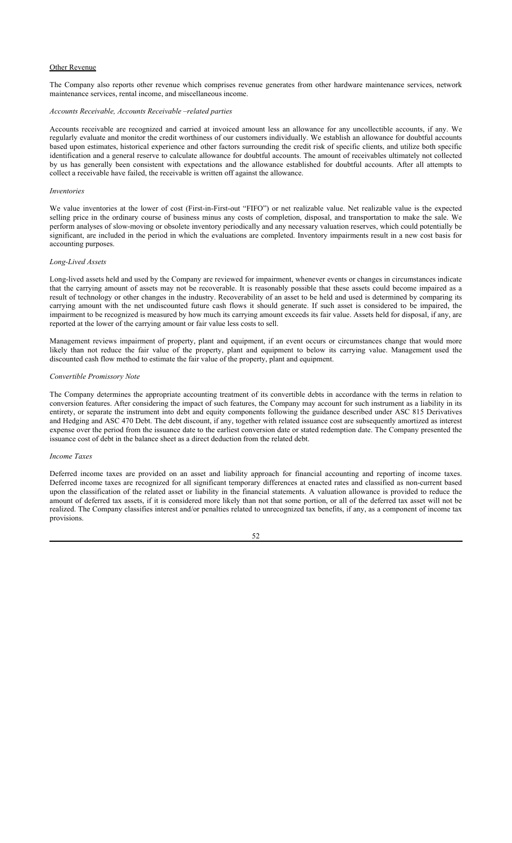#### Other Revenue

The Company also reports other revenue which comprises revenue generates from other hardware maintenance services, network maintenance services, rental income, and miscellaneous income.

#### *Accounts Receivable, Accounts Receivable –related parties*

Accounts receivable are recognized and carried at invoiced amount less an allowance for any uncollectible accounts, if any. We regularly evaluate and monitor the credit worthiness of our customers individually. We establish an allowance for doubtful accounts based upon estimates, historical experience and other factors surrounding the credit risk of specific clients, and utilize both specific identification and a general reserve to calculate allowance for doubtful accounts. The amount of receivables ultimately not collected by us has generally been consistent with expectations and the allowance established for doubtful accounts. After all attempts to collect a receivable have failed, the receivable is written off against the allowance.

#### *Inventories*

We value inventories at the lower of cost (First-in-First-out "FIFO") or net realizable value. Net realizable value is the expected selling price in the ordinary course of business minus any costs of completion, disposal, and transportation to make the sale. We perform analyses of slow-moving or obsolete inventory periodically and any necessary valuation reserves, which could potentially be significant, are included in the period in which the evaluations are completed. Inventory impairments result in a new cost basis for accounting purposes.

#### *Long-Lived Assets*

Long-lived assets held and used by the Company are reviewed for impairment, whenever events or changes in circumstances indicate that the carrying amount of assets may not be recoverable. It is reasonably possible that these assets could become impaired as a result of technology or other changes in the industry. Recoverability of an asset to be held and used is determined by comparing its carrying amount with the net undiscounted future cash flows it should generate. If such asset is considered to be impaired, the impairment to be recognized is measured by how much its carrying amount exceeds its fair value. Assets held for disposal, if any, are reported at the lower of the carrying amount or fair value less costs to sell.

Management reviews impairment of property, plant and equipment, if an event occurs or circumstances change that would more likely than not reduce the fair value of the property, plant and equipment to below its carrying value. Management used the discounted cash flow method to estimate the fair value of the property, plant and equipment.

### *Convertible Promissory Note*

The Company determines the appropriate accounting treatment of its convertible debts in accordance with the terms in relation to conversion features. After considering the impact of such features, the Company may account for such instrument as a liability in its entirety, or separate the instrument into debt and equity components following the guidance described under ASC 815 Derivatives and Hedging and ASC 470 Debt. The debt discount, if any, together with related issuance cost are subsequently amortized as interest expense over the period from the issuance date to the earliest conversion date or stated redemption date. The Company presented the issuance cost of debt in the balance sheet as a direct deduction from the related debt.

### *Income Taxes*

Deferred income taxes are provided on an asset and liability approach for financial accounting and reporting of income taxes. Deferred income taxes are recognized for all significant temporary differences at enacted rates and classified as non-current based upon the classification of the related asset or liability in the financial statements. A valuation allowance is provided to reduce the amount of deferred tax assets, if it is considered more likely than not that some portion, or all of the deferred tax asset will not be realized. The Company classifies interest and/or penalties related to unrecognized tax benefits, if any, as a component of income tax provisions.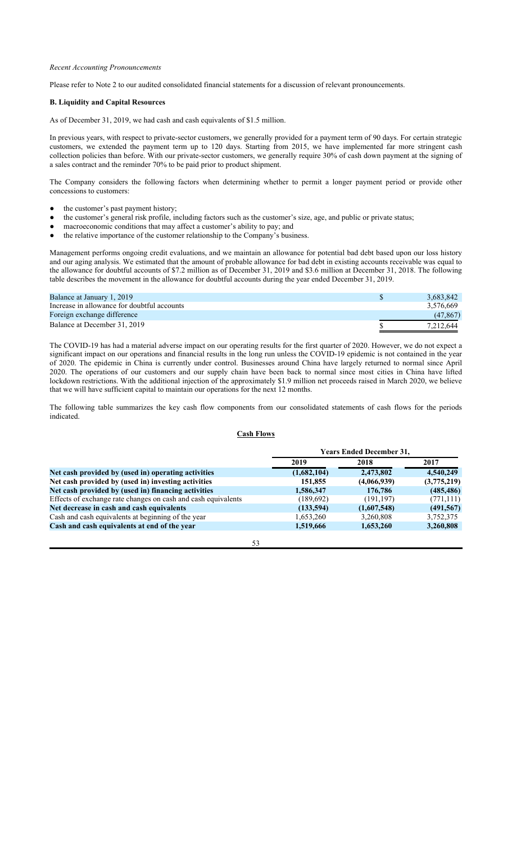### *Recent Accounting Pronouncements*

Please refer to Note 2 to our audited consolidated financial statements for a discussion of relevant pronouncements.

#### **B. Liquidity and Capital Resources**

As of December 31, 2019, we had cash and cash equivalents of \$1.5 million.

In previous years, with respect to private-sector customers, we generally provided for a payment term of 90 days. For certain strategic customers, we extended the payment term up to 120 days. Starting from 2015, we have implemented far more stringent cash collection policies than before. With our private-sector customers, we generally require 30% of cash down payment at the signing of a sales contract and the reminder 70% to be paid prior to product shipment.

The Company considers the following factors when determining whether to permit a longer payment period or provide other concessions to customers:

- the customer's past payment history;
- the customer's general risk profile, including factors such as the customer's size, age, and public or private status;
- macroeconomic conditions that may affect a customer's ability to pay; and
- the relative importance of the customer relationship to the Company's business.

Management performs ongoing credit evaluations, and we maintain an allowance for potential bad debt based upon our loss history and our aging analysis. We estimated that the amount of probable allowance for bad debt in existing accounts receivable was equal to the allowance for doubtful accounts of \$7.2 million as of December 31, 2019 and \$3.6 million at December 31, 2018. The following table describes the movement in the allowance for doubtful accounts during the year ended December 31, 2019.

| Balance at January 1, 2019                  | 3.683.842 |
|---------------------------------------------|-----------|
| Increase in allowance for doubtful accounts | 3.576.669 |
| Foreign exchange difference                 | (47, 867) |
| Balance at December 31, 2019                | 7.212.644 |

The COVID-19 has had a material adverse impact on our operating results for the first quarter of 2020. However, we do not expect a significant impact on our operations and financial results in the long run unless the COVID-19 epidemic is not contained in the year of 2020. The epidemic in China is currently under control. Businesses around China have largely returned to normal since April 2020. The operations of our customers and our supply chain have been back to normal since most cities in China have lifted lockdown restrictions. With the additional injection of the approximately \$1.9 million net proceeds raised in March 2020, we believe that we will have sufficient capital to maintain our operations for the next 12 months.

The following table summarizes the key cash flow components from our consolidated statements of cash flows for the periods indicated.

### **Cash Flows**

|                                                               | <b>Years Ended December 31,</b> |             |             |  |  |
|---------------------------------------------------------------|---------------------------------|-------------|-------------|--|--|
|                                                               | 2019                            | 2018        | 2017        |  |  |
| Net cash provided by (used in) operating activities           | (1,682,104)                     | 2,473,802   | 4,540,249   |  |  |
| Net cash provided by (used in) investing activities           | 151,855                         | (4,066,939) | (3,775,219) |  |  |
| Net cash provided by (used in) financing activities           | 1,586,347                       | 176,786     | (485, 486)  |  |  |
| Effects of exchange rate changes on cash and cash equivalents | (189,692)                       | (191, 197)  | (771, 111)  |  |  |
| Net decrease in cash and cash equivalents                     | (133,594)                       | (1,607,548) | (491, 567)  |  |  |
| Cash and cash equivalents at beginning of the year            | 1,653,260                       | 3,260,808   | 3,752,375   |  |  |
| Cash and cash equivalents at end of the year                  | 1,519,666                       | 1,653,260   | 3,260,808   |  |  |
|                                                               |                                 |             |             |  |  |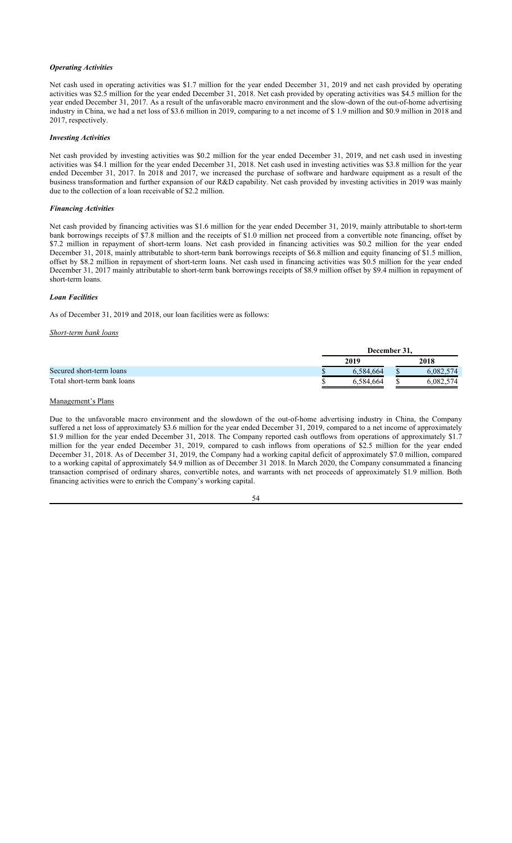### *Operating Activities*

Net cash used in operating activities was \$1.7 million for the year ended December 31, 2019 and net cash provided by operating activities was \$2.5 million for the year ended December 31, 2018. Net cash provided by operating activities was \$4.5 million for the year ended December 31, 2017. As a result of the unfavorable macro environment and the slow-down of the out-of-home advertising industry in China, we had a net loss of \$3.6 million in 2019, comparing to a net income of \$ 1.9 million and \$0.9 million in 2018 and 2017, respectively.

### *Investing Activities*

Net cash provided by investing activities was \$0.2 million for the year ended December 31, 2019, and net cash used in investing activities was \$4.1 million for the year ended December 31, 2018. Net cash used in investing activities was \$3.8 million for the year ended December 31, 2017. In 2018 and 2017, we increased the purchase of software and hardware equipment as a result of the business transformation and further expansion of our R&D capability. Net cash provided by investing activities in 2019 was mainly due to the collection of a loan receivable of \$2.2 million.

### *Financing Activities*

Net cash provided by financing activities was \$1.6 million for the year ended December 31, 2019, mainly attributable to short-term bank borrowings receipts of \$7.8 million and the receipts of \$1.0 million net proceed from a convertible note financing, offset by \$7.2 million in repayment of short-term loans. Net cash provided in financing activities was \$0.2 million for the year ended December 31, 2018, mainly attributable to short-term bank borrowings receipts of \$6.8 million and equity financing of \$1.5 million, offset by \$8.2 million in repayment of short-term loans. Net cash used in financing activities was \$0.5 million for the year ended December 31, 2017 mainly attributable to short-term bank borrowings receipts of \$8.9 million offset by \$9.4 million in repayment of short-term loans.

#### *Loan Facilities*

As of December 31, 2019 and 2018, our loan facilities were as follows:

*Short-term bank loans*

|                             | December 31, |           |  |           |  |
|-----------------------------|--------------|-----------|--|-----------|--|
|                             |              | 2019      |  | 2018      |  |
| Secured short-term loans    |              | 6.584.664 |  | 6.082.574 |  |
| Total short-term bank loans |              | 6.584.664 |  | 6.082.574 |  |

### Management's Plans

Due to the unfavorable macro environment and the slowdown of the out-of-home advertising industry in China, the Company suffered a net loss of approximately \$3.6 million for the year ended December 31, 2019, compared to a net income of approximately \$1.9 million for the year ended December 31, 2018. The Company reported cash outflows from operations of approximately \$1.7 million for the year ended December 31, 2019, compared to cash inflows from operations of \$2.5 million for the year ended December 31, 2018. As of December 31, 2019, the Company had a working capital deficit of approximately \$7.0 million, compared to a working capital of approximately \$4.9 million as of December 31 2018. In March 2020, the Company consummated a financing transaction comprised of ordinary shares, convertible notes, and warrants with net proceeds of approximately \$1.9 million. Both financing activities were to enrich the Company's working capital.

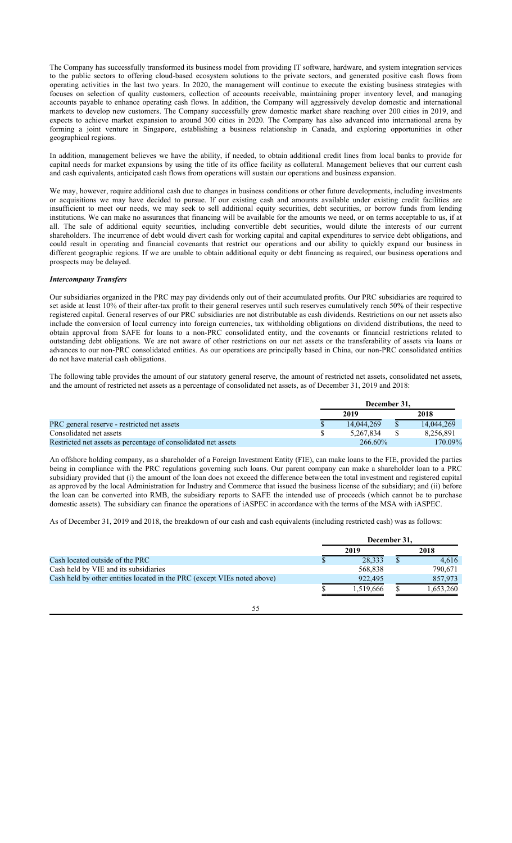The Company has successfully transformed its business model from providing IT software, hardware, and system integration services to the public sectors to offering cloud-based ecosystem solutions to the private sectors, and generated positive cash flows from operating activities in the last two years. In 2020, the management will continue to execute the existing business strategies with focuses on selection of quality customers, collection of accounts receivable, maintaining proper inventory level, and managing accounts payable to enhance operating cash flows. In addition, the Company will aggressively develop domestic and international markets to develop new customers. The Company successfully grew domestic market share reaching over 200 cities in 2019, and expects to achieve market expansion to around 300 cities in 2020. The Company has also advanced into international arena by forming a joint venture in Singapore, establishing a business relationship in Canada, and exploring opportunities in other geographical regions.

In addition, management believes we have the ability, if needed, to obtain additional credit lines from local banks to provide for capital needs for market expansions by using the title of its office facility as collateral. Management believes that our current cash and cash equivalents, anticipated cash flows from operations will sustain our operations and business expansion.

We may, however, require additional cash due to changes in business conditions or other future developments, including investments or acquisitions we may have decided to pursue. If our existing cash and amounts available under existing credit facilities are insufficient to meet our needs, we may seek to sell additional equity securities, debt securities, or borrow funds from lending institutions. We can make no assurances that financing will be available for the amounts we need, or on terms acceptable to us, if at all. The sale of additional equity securities, including convertible debt securities, would dilute the interests of our current shareholders. The incurrence of debt would divert cash for working capital and capital expenditures to service debt obligations, and could result in operating and financial covenants that restrict our operations and our ability to quickly expand our business in different geographic regions. If we are unable to obtain additional equity or debt financing as required, our business operations and prospects may be delayed.

#### *Intercompany Transfers*

Our subsidiaries organized in the PRC may pay dividends only out of their accumulated profits. Our PRC subsidiaries are required to set aside at least 10% of their after-tax profit to their general reserves until such reserves cumulatively reach 50% of their respective registered capital. General reserves of our PRC subsidiaries are not distributable as cash dividends. Restrictions on our net assets also include the conversion of local currency into foreign currencies, tax withholding obligations on dividend distributions, the need to obtain approval from SAFE for loans to a non-PRC consolidated entity, and the covenants or financial restrictions related to outstanding debt obligations. We are not aware of other restrictions on our net assets or the transferability of assets via loans or advances to our non-PRC consolidated entities. As our operations are principally based in China, our non-PRC consolidated entities do not have material cash obligations.

The following table provides the amount of our statutory general reserve, the amount of restricted net assets, consolidated net assets, and the amount of restricted net assets as a percentage of consolidated net assets, as of December 31, 2019 and 2018:

|                                                                | December 31. |  |            |  |
|----------------------------------------------------------------|--------------|--|------------|--|
|                                                                | 2019         |  | 2018       |  |
| PRC general reserve - restricted net assets                    | 14.044.269   |  | 14,044,269 |  |
| Consolidated net assets                                        | 5.267.834    |  | 8.256.891  |  |
| Restricted net assets as percentage of consolidated net assets | 266.60%      |  | 170.09%    |  |

An offshore holding company, as a shareholder of a Foreign Investment Entity (FIE), can make loans to the FIE, provided the parties being in compliance with the PRC regulations governing such loans. Our parent company can make a shareholder loan to a PRC subsidiary provided that (i) the amount of the loan does not exceed the difference between the total investment and registered capital as approved by the local Administration for Industry and Commerce that issued the business license of the subsidiary; and (ii) before the loan can be converted into RMB, the subsidiary reports to SAFE the intended use of proceeds (which cannot be to purchase domestic assets). The subsidiary can finance the operations of iASPEC in accordance with the terms of the MSA with iASPEC.

As of December 31, 2019 and 2018, the breakdown of our cash and cash equivalents (including restricted cash) was as follows:

|                                                                          | December 31, |  |          |
|--------------------------------------------------------------------------|--------------|--|----------|
|                                                                          | 2019<br>2018 |  |          |
| Cash located outside of the PRC                                          | 28,333       |  | 4,616    |
| Cash held by VIE and its subsidiaries                                    | 568,838      |  | 790,671  |
| Cash held by other entities located in the PRC (except VIEs noted above) | 922,495      |  | 857,973  |
|                                                                          | 1,519,666    |  | .653,260 |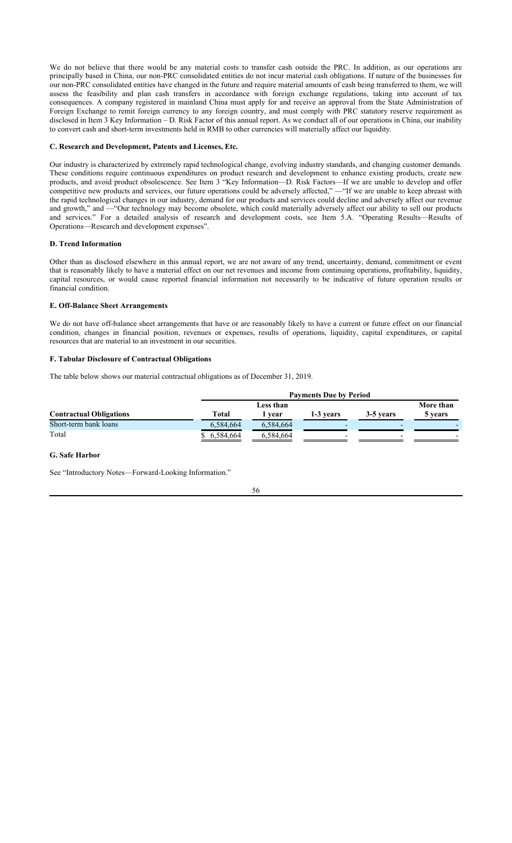We do not believe that there would be any material costs to transfer cash outside the PRC. In addition, as our operations are principally based in China, our non-PRC consolidated entities do not incur material cash obligations. If nature of the businesses for our non-PRC consolidated entities have changed in the future and require material amounts of cash being transferred to them, we will assess the feasibility and plan cash transfers in accordance with foreign exchange regulations, taking into account of tax consequences. A company registered in mainland China must apply for and receive an approval from the State Administration of Foreign Exchange to remit foreign currency to any foreign country, and must comply with PRC statutory reserve requirement as disclosed in Item 3 Key Information – D. Risk Factor of this annual report. As we conduct all of our operations in China, our inability to convert cash and short-term investments held in RMB to other currencies will materially affect our liquidity.

#### **C. Research and Development, Patents and Licenses, Etc.**

Our industry is characterized by extremely rapid technological change, evolving industry standards, and changing customer demands. These conditions require continuous expenditures on product research and development to enhance existing products, create new products, and avoid product obsolescence. See Item 3 "Key Information—D. Risk Factors—If we are unable to develop and offer competitive new products and services, our future operations could be adversely affected," —"If we are unable to keep abreast with the rapid technological changes in our industry, demand for our products and services could decline and adversely affect our revenue and growth," and —"Our technology may become obsolete, which could materially adversely affect our ability to sell our products and services." For a detailed analysis of research and development costs, see Item 5.A. "Operating Results—Results of Operations—Research and development expenses".

### **D. Trend Information**

Other than as disclosed elsewhere in this annual report, we are not aware of any trend, uncertainty, demand, commitment or event that is reasonably likely to have a material effect on our net revenues and income from continuing operations, profitability, liquidity, capital resources, or would cause reported financial information not necessarily to be indicative of future operation results or financial condition.

### **E. Off-Balance Sheet Arrangements**

We do not have off-balance sheet arrangements that have or are reasonably likely to have a current or future effect on our financial condition, changes in financial position, revenues or expenses, results of operations, liquidity, capital expenditures, or capital resources that are material to an investment in our securities.

#### **F. Tabular Disclosure of Contractual Obligations**

The table below shows our material contractual obligations as of December 31, 2019.

|                                | <b>Payments Due by Period</b> |           |           |           |           |
|--------------------------------|-------------------------------|-----------|-----------|-----------|-----------|
|                                |                               | Less than |           |           | More than |
| <b>Contractual Obligations</b> | Total                         | vear!     | 1-3 years | 3-5 years | 5 years   |
| Short-term bank loans          | 6.584.664                     | 6.584.664 |           |           |           |
| Total                          | 6.584.664                     | 6.584.664 |           |           |           |

### **G. Safe Harbor**

See "Introductory Notes—Forward-Looking Information."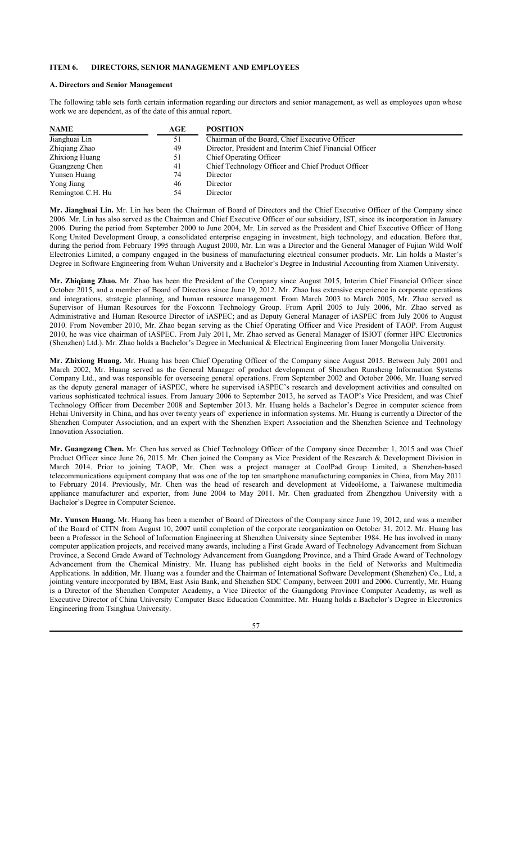## **ITEM 6. DIRECTORS, SENIOR MANAGEMENT AND EMPLOYEES**

## **A. Directors and Senior Management**

The following table sets forth certain information regarding our directors and senior management, as well as employees upon whose work we are dependent, as of the date of this annual report.

| <b>NAME</b>       | AGE | <b>POSITION</b>                                         |
|-------------------|-----|---------------------------------------------------------|
| Jianghuai Lin     | 51  | Chairman of the Board, Chief Executive Officer          |
| Zhiqiang Zhao     | 49  | Director, President and Interim Chief Financial Officer |
| Zhixiong Huang    | 51  | Chief Operating Officer                                 |
| Guangzeng Chen    | 41  | Chief Technology Officer and Chief Product Officer      |
| Yunsen Huang      | 74  | Director                                                |
| Yong Jiang        | 46  | Director                                                |
| Remington C.H. Hu | 54  | Director                                                |

**Mr. Jianghuai Lin.** Mr. Lin has been the Chairman of Board of Directors and the Chief Executive Officer of the Company since 2006. Mr. Lin has also served as the Chairman and Chief Executive Officer of our subsidiary, IST, since its incorporation in January 2006. During the period from September 2000 to June 2004, Mr. Lin served as the President and Chief Executive Officer of Hong Kong United Development Group, a consolidated enterprise engaging in investment, high technology, and education. Before that, during the period from February 1995 through August 2000, Mr. Lin was a Director and the General Manager of Fujian Wild Wolf Electronics Limited, a company engaged in the business of manufacturing electrical consumer products. Mr. Lin holds a Master's Degree in Software Engineering from Wuhan University and a Bachelor's Degree in Industrial Accounting from Xiamen University.

**Mr. Zhiqiang Zhao.** Mr. Zhao has been the President of the Company since August 2015, Interim Chief Financial Officer since October 2015, and a member of Board of Directors since June 19, 2012. Mr. Zhao has extensive experience in corporate operations and integrations, strategic planning, and human resource management. From March 2003 to March 2005, Mr. Zhao served as Supervisor of Human Resources for the Foxconn Technology Group. From April 2005 to July 2006, Mr. Zhao served as Administrative and Human Resource Director of iASPEC; and as Deputy General Manager of iASPEC from July 2006 to August 2010. From November 2010, Mr. Zhao began serving as the Chief Operating Officer and Vice President of TAOP. From August 2010, he was vice chairman of iASPEC. From July 2011, Mr. Zhao served as General Manager of ISIOT (former HPC Electronics (Shenzhen) Ltd.). Mr. Zhao holds a Bachelor's Degree in Mechanical & Electrical Engineering from Inner Mongolia University.

**Mr. Zhixiong Huang.** Mr. Huang has been Chief Operating Officer of the Company since August 2015. Between July 2001 and March 2002, Mr. Huang served as the General Manager of product development of Shenzhen Runsheng Information Systems Company Ltd., and was responsible for overseeing general operations. From September 2002 and October 2006, Mr. Huang served as the deputy general manager of iASPEC, where he supervised iASPEC's research and development activities and consulted on various sophisticated technical issues. From January 2006 to September 2013, he served as TAOP's Vice President, and was Chief Technology Officer from December 2008 and September 2013. Mr. Huang holds a Bachelor's Degree in computer science from Hehai University in China, and has over twenty years of' experience in information systems. Mr. Huang is currently a Director of the Shenzhen Computer Association, and an expert with the Shenzhen Expert Association and the Shenzhen Science and Technology Innovation Association.

**Mr. Guangzeng Chen.** Mr. Chen has served as Chief Technology Officer of the Company since December 1, 2015 and was Chief Product Officer since June 26, 2015. Mr. Chen joined the Company as Vice President of the Research & Development Division in March 2014. Prior to joining TAOP, Mr. Chen was a project manager at CoolPad Group Limited, a Shenzhen-based telecommunications equipment company that was one of the top ten smartphone manufacturing companies in China, from May 2011 to February 2014. Previously, Mr. Chen was the head of research and development at VideoHome, a Taiwanese multimedia appliance manufacturer and exporter, from June 2004 to May 2011. Mr. Chen graduated from Zhengzhou University with a Bachelor's Degree in Computer Science.

**Mr. Yunsen Huang.** Mr. Huang has been a member of Board of Directors of the Company since June 19, 2012, and was a member of the Board of CITN from August 10, 2007 until completion of the corporate reorganization on October 31, 2012. Mr. Huang has been a Professor in the School of Information Engineering at Shenzhen University since September 1984. He has involved in many computer application projects, and received many awards, including a First Grade Award of Technology Advancement from Sichuan Province, a Second Grade Award of Technology Advancement from Guangdong Province, and a Third Grade Award of Technology Advancement from the Chemical Ministry. Mr. Huang has published eight books in the field of Networks and Multimedia Applications. In addition, Mr. Huang was a founder and the Chairman of International Software Development (Shenzhen) Co., Ltd, a jointing venture incorporated by IBM, East Asia Bank, and Shenzhen SDC Company, between 2001 and 2006. Currently, Mr. Huang is a Director of the Shenzhen Computer Academy, a Vice Director of the Guangdong Province Computer Academy, as well as Executive Director of China University Computer Basic Education Committee. Mr. Huang holds a Bachelor's Degree in Electronics Engineering from Tsinghua University.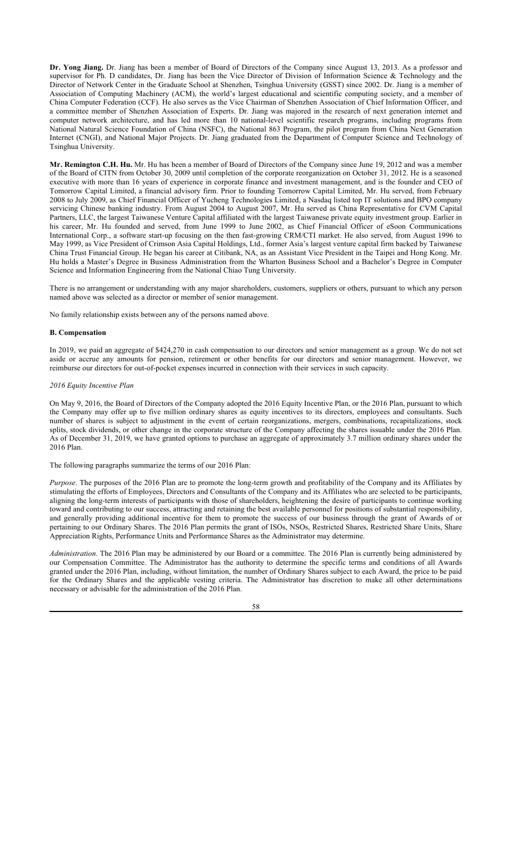**Dr. Yong Jiang.** Dr. Jiang has been a member of Board of Directors of the Company since August 13, 2013. As a professor and supervisor for Ph. D candidates, Dr. Jiang has been the Vice Director of Division of Information Science & Technology and the Director of Network Center in the Graduate School at Shenzhen, Tsinghua University (GSST) since 2002. Dr. Jiang is a member of Association of Computing Machinery (ACM), the world's largest educational and scientific computing society, and a member of China Computer Federation (CCF). He also serves as the Vice Chairman of Shenzhen Association of Chief Information Officer, and a committee member of Shenzhen Association of Experts. Dr. Jiang was majored in the research of next generation internet and computer network architecture, and has led more than 10 national-level scientific research programs, including programs from National Natural Science Foundation of China (NSFC), the National 863 Program, the pilot program from China Next Generation Internet (CNGI), and National Major Projects. Dr. Jiang graduated from the Department of Computer Science and Technology of Tsinghua University.

**Mr. Remington C.H. Hu.** Mr. Hu has been a member of Board of Directors of the Company since June 19, 2012 and was a member of the Board of CITN from October 30, 2009 until completion of the corporate reorganization on October 31, 2012. He is a seasoned executive with more than 16 years of experience in corporate finance and investment management, and is the founder and CEO of Tomorrow Capital Limited, a financial advisory firm. Prior to founding Tomorrow Capital Limited, Mr. Hu served, from February 2008 to July 2009, as Chief Financial Officer of Yucheng Technologies Limited, a Nasdaq listed top IT solutions and BPO company servicing Chinese banking industry. From August 2004 to August 2007, Mr. Hu served as China Representative for CVM Capital Partners, LLC, the largest Taiwanese Venture Capital affiliated with the largest Taiwanese private equity investment group. Earlier in his career, Mr. Hu founded and served, from June 1999 to June 2002, as Chief Financial Officer of eSoon Communications International Corp., a software start-up focusing on the then fast-growing CRM/CTI market. He also served, from August 1996 to May 1999, as Vice President of Crimson Asia Capital Holdings, Ltd., former Asia's largest venture capital firm backed by Taiwanese China Trust Financial Group. He began his career at Citibank, NA, as an Assistant Vice President in the Taipei and Hong Kong. Mr. Hu holds a Master's Degree in Business Administration from the Wharton Business School and a Bachelor's Degree in Computer Science and Information Engineering from the National Chiao Tung University.

There is no arrangement or understanding with any major shareholders, customers, suppliers or others, pursuant to which any person named above was selected as a director or member of senior management.

No family relationship exists between any of the persons named above.

#### **B. Compensation**

In 2019, we paid an aggregate of \$424,270 in cash compensation to our directors and senior management as a group. We do not set aside or accrue any amounts for pension, retirement or other benefits for our directors and senior management. However, we reimburse our directors for out-of-pocket expenses incurred in connection with their services in such capacity.

#### *2016 Equity Incentive Plan*

On May 9, 2016, the Board of Directors of the Company adopted the 2016 Equity Incentive Plan, or the 2016 Plan, pursuant to which the Company may offer up to five million ordinary shares as equity incentives to its directors, employees and consultants. Such number of shares is subject to adjustment in the event of certain reorganizations, mergers, combinations, recapitalizations, stock splits, stock dividends, or other change in the corporate structure of the Company affecting the shares issuable under the 2016 Plan. As of December 31, 2019, we have granted options to purchase an aggregate of approximately 3.7 million ordinary shares under the 2016 Plan.

The following paragraphs summarize the terms of our 2016 Plan:

*Purpose*. The purposes of the 2016 Plan are to promote the long-term growth and profitability of the Company and its Affiliates by stimulating the efforts of Employees, Directors and Consultants of the Company and its Affiliates who are selected to be participants, aligning the long-term interests of participants with those of shareholders, heightening the desire of participants to continue working toward and contributing to our success, attracting and retaining the best available personnel for positions of substantial responsibility, and generally providing additional incentive for them to promote the success of our business through the grant of Awards of or pertaining to our Ordinary Shares. The 2016 Plan permits the grant of ISOs, NSOs, Restricted Shares, Restricted Share Units, Share Appreciation Rights, Performance Units and Performance Shares as the Administrator may determine.

*Administration*. The 2016 Plan may be administered by our Board or a committee. The 2016 Plan is currently being administered by our Compensation Committee. The Administrator has the authority to determine the specific terms and conditions of all Awards granted under the 2016 Plan, including, without limitation, the number of Ordinary Shares subject to each Award, the price to be paid for the Ordinary Shares and the applicable vesting criteria. The Administrator has discretion to make all other determinations necessary or advisable for the administration of the 2016 Plan.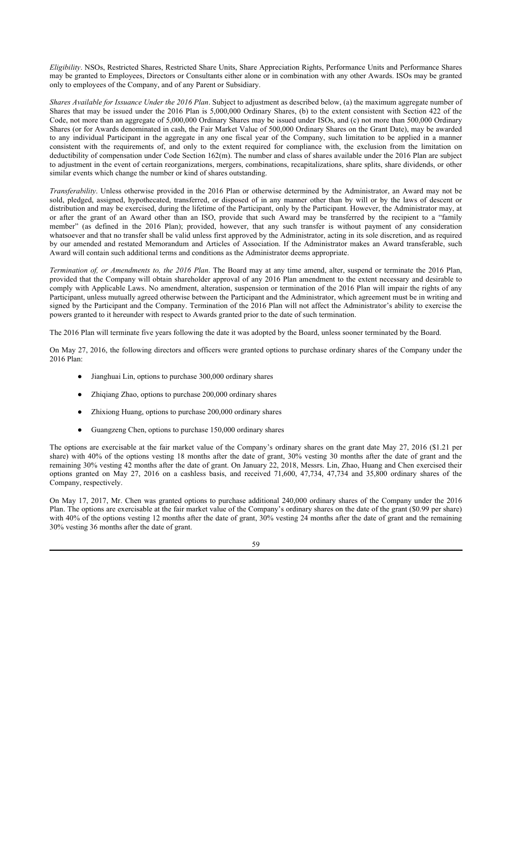*Eligibility*. NSOs, Restricted Shares, Restricted Share Units, Share Appreciation Rights, Performance Units and Performance Shares may be granted to Employees, Directors or Consultants either alone or in combination with any other Awards. ISOs may be granted only to employees of the Company, and of any Parent or Subsidiary.

*Shares Available for Issuance Under the 2016 Plan*. Subject to adjustment as described below, (a) the maximum aggregate number of Shares that may be issued under the 2016 Plan is 5,000,000 Ordinary Shares, (b) to the extent consistent with Section 422 of the Code, not more than an aggregate of 5,000,000 Ordinary Shares may be issued under ISOs, and (c) not more than 500,000 Ordinary Shares (or for Awards denominated in cash, the Fair Market Value of 500,000 Ordinary Shares on the Grant Date), may be awarded to any individual Participant in the aggregate in any one fiscal year of the Company, such limitation to be applied in a manner consistent with the requirements of, and only to the extent required for compliance with, the exclusion from the limitation on deductibility of compensation under Code Section 162(m). The number and class of shares available under the 2016 Plan are subject to adjustment in the event of certain reorganizations, mergers, combinations, recapitalizations, share splits, share dividends, or other similar events which change the number or kind of shares outstanding.

*Transferability*. Unless otherwise provided in the 2016 Plan or otherwise determined by the Administrator, an Award may not be sold, pledged, assigned, hypothecated, transferred, or disposed of in any manner other than by will or by the laws of descent or distribution and may be exercised, during the lifetime of the Participant, only by the Participant. However, the Administrator may, at or after the grant of an Award other than an ISO, provide that such Award may be transferred by the recipient to a "family member" (as defined in the 2016 Plan); provided, however, that any such transfer is without payment of any consideration whatsoever and that no transfer shall be valid unless first approved by the Administrator, acting in its sole discretion, and as required by our amended and restated Memorandum and Articles of Association. If the Administrator makes an Award transferable, such Award will contain such additional terms and conditions as the Administrator deems appropriate.

*Termination of, or Amendments to, the 2016 Plan*. The Board may at any time amend, alter, suspend or terminate the 2016 Plan, provided that the Company will obtain shareholder approval of any 2016 Plan amendment to the extent necessary and desirable to comply with Applicable Laws. No amendment, alteration, suspension or termination of the 2016 Plan will impair the rights of any Participant, unless mutually agreed otherwise between the Participant and the Administrator, which agreement must be in writing and signed by the Participant and the Company. Termination of the 2016 Plan will not affect the Administrator's ability to exercise the powers granted to it hereunder with respect to Awards granted prior to the date of such termination.

The 2016 Plan will terminate five years following the date it was adopted by the Board, unless sooner terminated by the Board.

On May 27, 2016, the following directors and officers were granted options to purchase ordinary shares of the Company under the 2016 Plan:

- Jianghuai Lin, options to purchase 300,000 ordinary shares
- Zhiqiang Zhao, options to purchase 200,000 ordinary shares
- Zhixiong Huang, options to purchase 200,000 ordinary shares
- Guangzeng Chen, options to purchase 150,000 ordinary shares

The options are exercisable at the fair market value of the Company's ordinary shares on the grant date May 27, 2016 (\$1.21 per share) with 40% of the options vesting 18 months after the date of grant, 30% vesting 30 months after the date of grant and the remaining 30% vesting 42 months after the date of grant. On January 22, 2018, Messrs. Lin, Zhao, Huang and Chen exercised their options granted on May 27, 2016 on a cashless basis, and received 71,600, 47,734, 47,734 and 35,800 ordinary shares of the Company, respectively.

On May 17, 2017, Mr. Chen was granted options to purchase additional 240,000 ordinary shares of the Company under the 2016 Plan. The options are exercisable at the fair market value of the Company's ordinary shares on the date of the grant (\$0.99 per share) with 40% of the options vesting 12 months after the date of grant, 30% vesting 24 months after the date of grant and the remaining 30% vesting 36 months after the date of grant.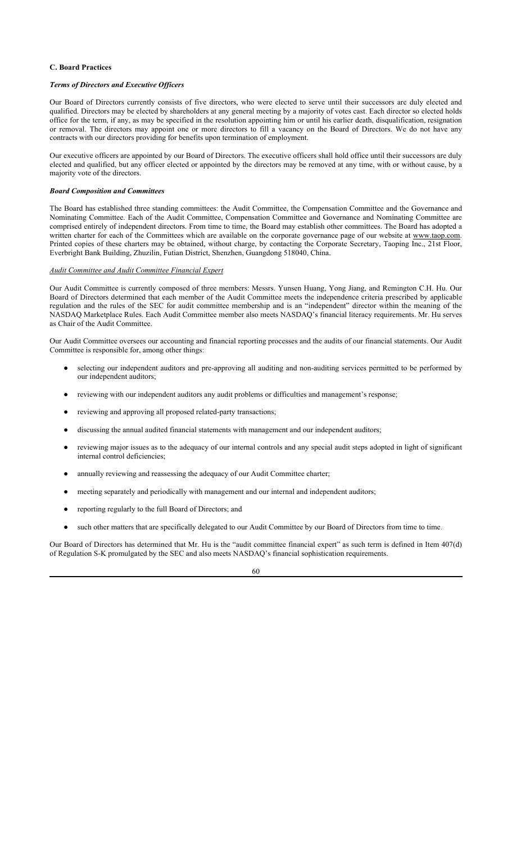## **C. Board Practices**

#### *Terms of Directors and Executive Officers*

Our Board of Directors currently consists of five directors, who were elected to serve until their successors are duly elected and qualified. Directors may be elected by shareholders at any general meeting by a majority of votes cast. Each director so elected holds office for the term, if any, as may be specified in the resolution appointing him or until his earlier death, disqualification, resignation or removal. The directors may appoint one or more directors to fill a vacancy on the Board of Directors. We do not have any contracts with our directors providing for benefits upon termination of employment.

Our executive officers are appointed by our Board of Directors. The executive officers shall hold office until their successors are duly elected and qualified, but any officer elected or appointed by the directors may be removed at any time, with or without cause, by a majority vote of the directors.

### *Board Composition and Committees*

The Board has established three standing committees: the Audit Committee, the Compensation Committee and the Governance and Nominating Committee. Each of the Audit Committee, Compensation Committee and Governance and Nominating Committee are comprised entirely of independent directors. From time to time, the Board may establish other committees. The Board has adopted a written charter for each of the Committees which are available on the corporate governance page of our website at www.taop.com. Printed copies of these charters may be obtained, without charge, by contacting the Corporate Secretary, Taoping Inc., 21st Floor, Everbright Bank Building, Zhuzilin, Futian District, Shenzhen, Guangdong 518040, China.

### *Audit Committee and Audit Committee Financial Expert*

Our Audit Committee is currently composed of three members: Messrs. Yunsen Huang, Yong Jiang, and Remington C.H. Hu. Our Board of Directors determined that each member of the Audit Committee meets the independence criteria prescribed by applicable regulation and the rules of the SEC for audit committee membership and is an "independent" director within the meaning of the NASDAQ Marketplace Rules. Each Audit Committee member also meets NASDAQ's financial literacy requirements. Mr. Hu serves as Chair of the Audit Committee.

Our Audit Committee oversees our accounting and financial reporting processes and the audits of our financial statements. Our Audit Committee is responsible for, among other things:

- selecting our independent auditors and pre-approving all auditing and non-auditing services permitted to be performed by our independent auditors;
- reviewing with our independent auditors any audit problems or difficulties and management's response;
- reviewing and approving all proposed related-party transactions;
- discussing the annual audited financial statements with management and our independent auditors;
- reviewing major issues as to the adequacy of our internal controls and any special audit steps adopted in light of significant internal control deficiencies;
- annually reviewing and reassessing the adequacy of our Audit Committee charter;
- meeting separately and periodically with management and our internal and independent auditors;
- reporting regularly to the full Board of Directors; and
- such other matters that are specifically delegated to our Audit Committee by our Board of Directors from time to time.

Our Board of Directors has determined that Mr. Hu is the "audit committee financial expert" as such term is defined in Item 407(d) of Regulation S-K promulgated by the SEC and also meets NASDAQ's financial sophistication requirements.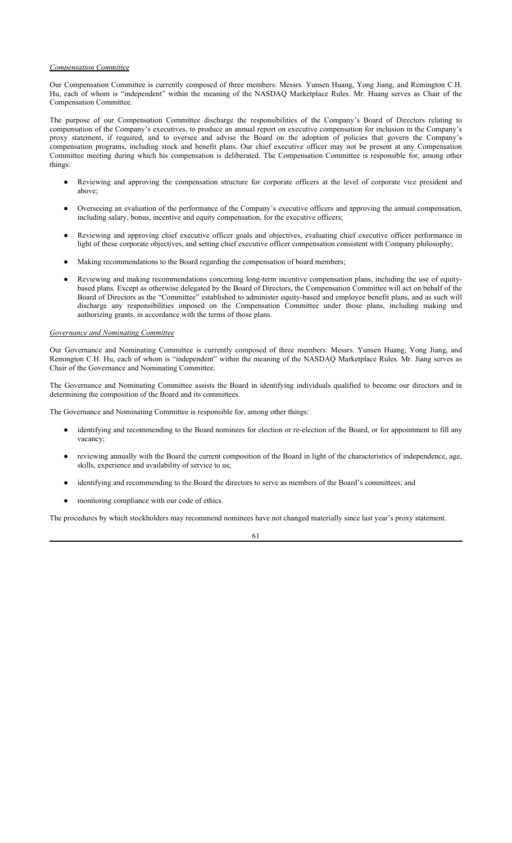### *Compensation Committee*

Our Compensation Committee is currently composed of three members: Messrs. Yunsen Huang, Yong Jiang, and Remington C.H. Hu, each of whom is "independent" within the meaning of the NASDAQ Marketplace Rules. Mr. Huang serves as Chair of the Compensation Committee.

The purpose of our Compensation Committee discharge the responsibilities of the Company's Board of Directors relating to compensation of the Company's executives, to produce an annual report on executive compensation for inclusion in the Company's proxy statement, if required, and to oversee and advise the Board on the adoption of policies that govern the Company's compensation programs, including stock and benefit plans. Our chief executive officer may not be present at any Compensation Committee meeting during which his compensation is deliberated. The Compensation Committee is responsible for, among other things:

- Reviewing and approving the compensation structure for corporate officers at the level of corporate vice president and above;
- Overseeing an evaluation of the performance of the Company's executive officers and approving the annual compensation, including salary, bonus, incentive and equity compensation, for the executive officers;
- Reviewing and approving chief executive officer goals and objectives, evaluating chief executive officer performance in light of these corporate objectives, and setting chief executive officer compensation consistent with Company philosophy;
- Making recommendations to the Board regarding the compensation of board members;
- Reviewing and making recommendations concerning long-term incentive compensation plans, including the use of equitybased plans. Except as otherwise delegated by the Board of Directors, the Compensation Committee will act on behalf of the Board of Directors as the "Committee" established to administer equity-based and employee benefit plans, and as such will discharge any responsibilities imposed on the Compensation Committee under those plans, including making and authorizing grants, in accordance with the terms of those plans.

#### *Governance and Nominating Committee*

Our Governance and Nominating Committee is currently composed of three members: Messrs. Yunsen Huang, Yong Jiang, and Remington C.H. Hu, each of whom is "independent" within the meaning of the NASDAQ Marketplace Rules. Mr. Jiang serves as Chair of the Governance and Nominating Committee.

The Governance and Nominating Committee assists the Board in identifying individuals qualified to become our directors and in determining the composition of the Board and its committees.

The Governance and Nominating Committee is responsible for, among other things:

- identifying and recommending to the Board nominees for election or re-election of the Board, or for appointment to fill any vacancy;
- reviewing annually with the Board the current composition of the Board in light of the characteristics of independence, age, skills, experience and availability of service to us;
- identifying and recommending to the Board the directors to serve as members of the Board's committees; and
- monitoring compliance with our code of ethics.

The procedures by which stockholders may recommend nominees have not changed materially since last year's proxy statement.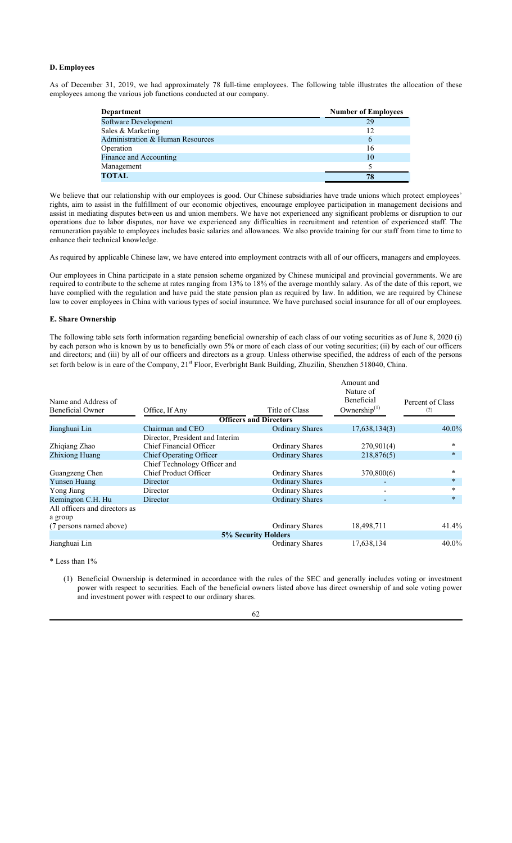## **D. Employees**

As of December 31, 2019, we had approximately 78 full-time employees. The following table illustrates the allocation of these employees among the various job functions conducted at our company.

| Department                       | <b>Number of Employees</b> |
|----------------------------------|----------------------------|
| Software Development             | 29                         |
| Sales & Marketing                |                            |
| Administration & Human Resources | 6                          |
| Operation                        | 16                         |
| Finance and Accounting           | 10                         |
| Management                       |                            |
| <b>TOTAL</b>                     |                            |

We believe that our relationship with our employees is good. Our Chinese subsidiaries have trade unions which protect employees' rights, aim to assist in the fulfillment of our economic objectives, encourage employee participation in management decisions and assist in mediating disputes between us and union members. We have not experienced any significant problems or disruption to our operations due to labor disputes, nor have we experienced any difficulties in recruitment and retention of experienced staff. The remuneration payable to employees includes basic salaries and allowances. We also provide training for our staff from time to time to enhance their technical knowledge.

As required by applicable Chinese law, we have entered into employment contracts with all of our officers, managers and employees.

Our employees in China participate in a state pension scheme organized by Chinese municipal and provincial governments. We are required to contribute to the scheme at rates ranging from 13% to 18% of the average monthly salary. As of the date of this report, we have complied with the regulation and have paid the state pension plan as required by law. In addition, we are required by Chinese law to cover employees in China with various types of social insurance. We have purchased social insurance for all of our employees.

# **E. Share Ownership**

The following table sets forth information regarding beneficial ownership of each class of our voting securities as of June 8, 2020 (i) by each person who is known by us to beneficially own 5% or more of each class of our voting securities; (ii) by each of our officers and directors; and (iii) by all of our officers and directors as a group. Unless otherwise specified, the address of each of the persons set forth below is in care of the Company, 21<sup>st</sup> Floor, Everbright Bank Building, Zhuzilin, Shenzhen 518040, China.

|                               |                                 |                               | Amount and<br>Nature of |                  |  |
|-------------------------------|---------------------------------|-------------------------------|-------------------------|------------------|--|
| Name and Address of           |                                 |                               | Beneficial              | Percent of Class |  |
| <b>Beneficial Owner</b>       | Office, If Any                  | Title of Class                | Ownership $^{(1)}$      | (2)              |  |
|                               |                                 | <b>Officers and Directors</b> |                         |                  |  |
| Jianghuai Lin                 | Chairman and CEO                | <b>Ordinary Shares</b>        | 17,638,134(3)           | 40.0%            |  |
|                               | Director, President and Interim |                               |                         |                  |  |
| Zhiqiang Zhao                 | Chief Financial Officer         | <b>Ordinary Shares</b>        | 270,901(4)              | $\ast$           |  |
| <b>Zhixiong Huang</b>         | Chief Operating Officer         | <b>Ordinary Shares</b>        | 218,876(5)              | $\ast$           |  |
|                               | Chief Technology Officer and    |                               |                         |                  |  |
| Guangzeng Chen                | Chief Product Officer           | <b>Ordinary Shares</b>        | 370,800(6)              | $*$              |  |
| Yunsen Huang                  | Director                        | <b>Ordinary Shares</b>        |                         | $\ast$           |  |
| Yong Jiang                    | Director                        | <b>Ordinary Shares</b>        |                         | $\ast$           |  |
| Remington C.H. Hu             | Director                        | <b>Ordinary Shares</b>        |                         | $\ast$           |  |
| All officers and directors as |                                 |                               |                         |                  |  |
| a group                       |                                 |                               |                         |                  |  |
| (7 persons named above)       |                                 | <b>Ordinary Shares</b>        | 18,498,711              | 41.4%            |  |
|                               |                                 | <b>5% Security Holders</b>    |                         |                  |  |
| Jianghuai Lin                 |                                 | <b>Ordinary Shares</b>        | 17,638,134              | 40.0%            |  |

\* Less than 1%

(1) Beneficial Ownership is determined in accordance with the rules of the SEC and generally includes voting or investment power with respect to securities. Each of the beneficial owners listed above has direct ownership of and sole voting power and investment power with respect to our ordinary shares.

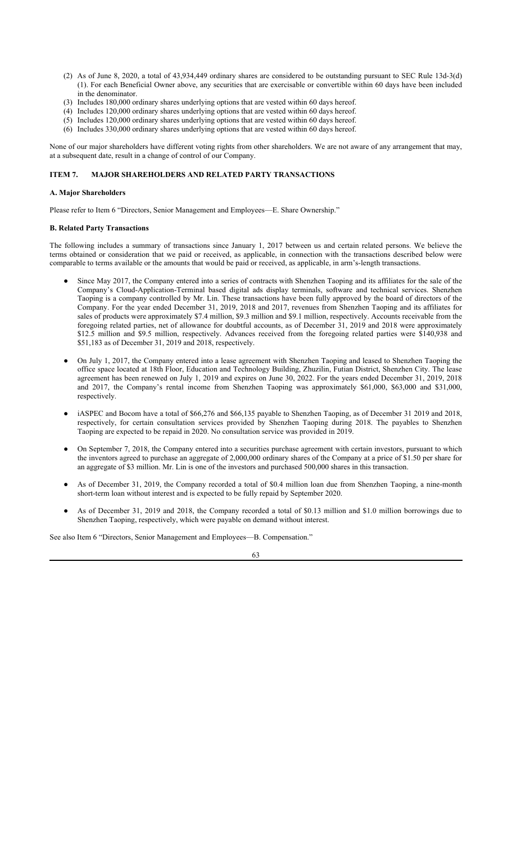- (2) As of June 8, 2020, a total of 43,934,449 ordinary shares are considered to be outstanding pursuant to SEC Rule 13d-3(d) (1). For each Beneficial Owner above, any securities that are exercisable or convertible within 60 days have been included in the denominator.
- (3) Includes 180,000 ordinary shares underlying options that are vested within 60 days hereof.
- (4) Includes 120,000 ordinary shares underlying options that are vested within 60 days hereof.
- (5) Includes 120,000 ordinary shares underlying options that are vested within 60 days hereof.
- (6) Includes 330,000 ordinary shares underlying options that are vested within 60 days hereof.

None of our major shareholders have different voting rights from other shareholders. We are not aware of any arrangement that may, at a subsequent date, result in a change of control of our Company.

# **ITEM 7. MAJOR SHAREHOLDERS AND RELATED PARTY TRANSACTIONS**

#### **A. Major Shareholders**

Please refer to Item 6 "Directors, Senior Management and Employees—E. Share Ownership."

#### **B. Related Party Transactions**

The following includes a summary of transactions since January 1, 2017 between us and certain related persons. We believe the terms obtained or consideration that we paid or received, as applicable, in connection with the transactions described below were comparable to terms available or the amounts that would be paid or received, as applicable, in arm's-length transactions.

- Since May 2017, the Company entered into a series of contracts with Shenzhen Taoping and its affiliates for the sale of the Company's Cloud-Application-Terminal based digital ads display terminals, software and technical services. Shenzhen Taoping is a company controlled by Mr. Lin. These transactions have been fully approved by the board of directors of the Company. For the year ended December 31, 2019, 2018 and 2017, revenues from Shenzhen Taoping and its affiliates for sales of products were approximately \$7.4 million, \$9.3 million and \$9.1 million, respectively. Accounts receivable from the foregoing related parties, net of allowance for doubtful accounts, as of December 31, 2019 and 2018 were approximately \$12.5 million and \$9.5 million, respectively. Advances received from the foregoing related parties were \$140,938 and \$51,183 as of December 31, 2019 and 2018, respectively.
- On July 1, 2017, the Company entered into a lease agreement with Shenzhen Taoping and leased to Shenzhen Taoping the office space located at 18th Floor, Education and Technology Building, Zhuzilin, Futian District, Shenzhen City. The lease agreement has been renewed on July 1, 2019 and expires on June 30, 2022. For the years ended December 31, 2019, 2018 and 2017, the Company's rental income from Shenzhen Taoping was approximately \$61,000, \$63,000 and \$31,000, respectively.
- iASPEC and Bocom have a total of \$66,276 and \$66,135 payable to Shenzhen Taoping, as of December 31 2019 and 2018, respectively, for certain consultation services provided by Shenzhen Taoping during 2018. The payables to Shenzhen Taoping are expected to be repaid in 2020. No consultation service was provided in 2019.
- On September 7, 2018, the Company entered into a securities purchase agreement with certain investors, pursuant to which the inventors agreed to purchase an aggregate of 2,000,000 ordinary shares of the Company at a price of \$1.50 per share for an aggregate of \$3 million. Mr. Lin is one of the investors and purchased 500,000 shares in this transaction.
- As of December 31, 2019, the Company recorded a total of \$0.4 million loan due from Shenzhen Taoping, a nine-month short-term loan without interest and is expected to be fully repaid by September 2020.
- As of December 31, 2019 and 2018, the Company recorded a total of \$0.13 million and \$1.0 million borrowings due to Shenzhen Taoping, respectively, which were payable on demand without interest.

See also Item 6 "Directors, Senior Management and Employees—B. Compensation."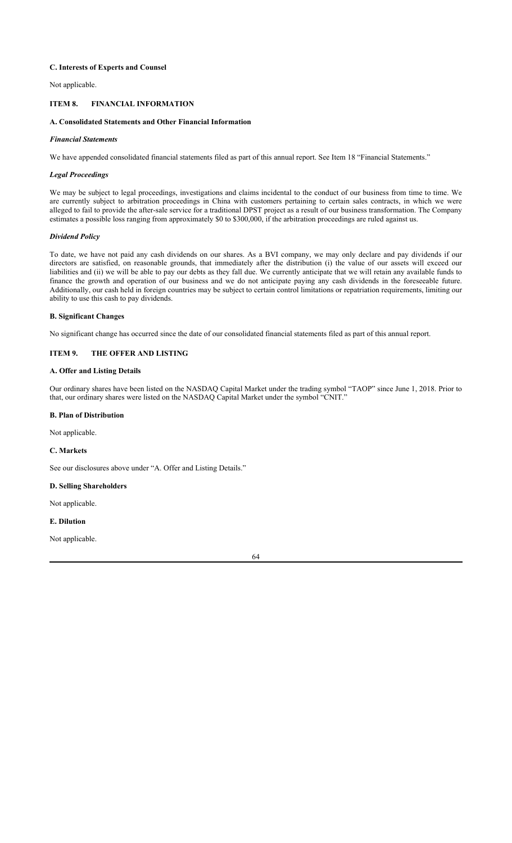# **C. Interests of Experts and Counsel**

Not applicable.

## **ITEM 8. FINANCIAL INFORMATION**

# **A. Consolidated Statements and Other Financial Information**

#### *Financial Statements*

We have appended consolidated financial statements filed as part of this annual report. See Item 18 "Financial Statements."

# *Legal Proceedings*

We may be subject to legal proceedings, investigations and claims incidental to the conduct of our business from time to time. We are currently subject to arbitration proceedings in China with customers pertaining to certain sales contracts, in which we were alleged to fail to provide the after-sale service for a traditional DPST project as a result of our business transformation. The Company estimates a possible loss ranging from approximately \$0 to \$300,000, if the arbitration proceedings are ruled against us.

## *Dividend Policy*

To date, we have not paid any cash dividends on our shares. As a BVI company, we may only declare and pay dividends if our directors are satisfied, on reasonable grounds, that immediately after the distribution (i) the value of our assets will exceed our liabilities and (ii) we will be able to pay our debts as they fall due. We currently anticipate that we will retain any available funds to finance the growth and operation of our business and we do not anticipate paying any cash dividends in the foreseeable future. Additionally, our cash held in foreign countries may be subject to certain control limitations or repatriation requirements, limiting our ability to use this cash to pay dividends.

#### **B. Significant Changes**

No significant change has occurred since the date of our consolidated financial statements filed as part of this annual report.

### **ITEM 9. THE OFFER AND LISTING**

### **A. Offer and Listing Details**

Our ordinary shares have been listed on the NASDAQ Capital Market under the trading symbol "TAOP" since June 1, 2018. Prior to that, our ordinary shares were listed on the NASDAQ Capital Market under the symbol "CNIT."

#### **B. Plan of Distribution**

Not applicable.

### **C. Markets**

See our disclosures above under "A. Offer and Listing Details."

### **D. Selling Shareholders**

Not applicable.

### **E. Dilution**

Not applicable.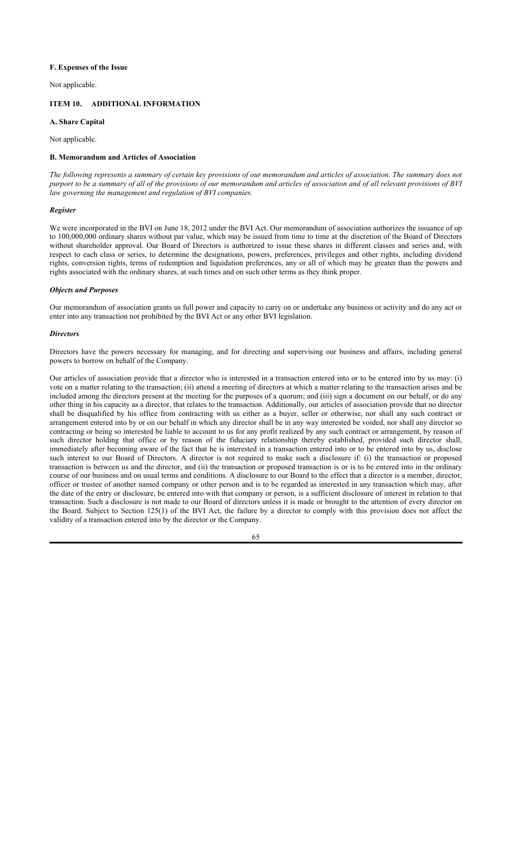### **F. Expenses of the Issue**

Not applicable.

## **ITEM 10. ADDITIONAL INFORMATION**

### **A. Share Capital**

Not applicable.

### **B. Memorandum and Articles of Association**

*The following represents a summary of certain key provisions of our memorandum and articles of association. The summary does not purport to be a summary of all of the provisions of our memorandum and articles of association and of all relevant provisions of BVI law governing the management and regulation of BVI companies.*

### *Register*

We were incorporated in the BVI on June 18, 2012 under the BVI Act. Our memorandum of association authorizes the issuance of up to 100,000,000 ordinary shares without par value, which may be issued from time to time at the discretion of the Board of Directors without shareholder approval. Our Board of Directors is authorized to issue these shares in different classes and series and, with respect to each class or series, to determine the designations, powers, preferences, privileges and other rights, including dividend rights, conversion rights, terms of redemption and liquidation preferences, any or all of which may be greater than the powers and rights associated with the ordinary shares, at such times and on such other terms as they think proper.

### *Objects and Purposes*

Our memorandum of association grants us full power and capacity to carry on or undertake any business or activity and do any act or enter into any transaction not prohibited by the BVI Act or any other BVI legislation.

### *Directors*

Directors have the powers necessary for managing, and for directing and supervising our business and affairs, including general powers to borrow on behalf of the Company.

Our articles of association provide that a director who is interested in a transaction entered into or to be entered into by us may: (i) vote on a matter relating to the transaction; (ii) attend a meeting of directors at which a matter relating to the transaction arises and be included among the directors present at the meeting for the purposes of a quorum; and (iii) sign a document on our behalf, or do any other thing in his capacity as a director, that relates to the transaction. Additionally, our articles of association provide that no director shall be disqualified by his office from contracting with us either as a buyer, seller or otherwise, nor shall any such contract or arrangement entered into by or on our behalf in which any director shall be in any way interested be voided, nor shall any director so contracting or being so interested be liable to account to us for any profit realized by any such contract or arrangement, by reason of such director holding that office or by reason of the fiduciary relationship thereby established, provided such director shall, immediately after becoming aware of the fact that he is interested in a transaction entered into or to be entered into by us, disclose such interest to our Board of Directors. A director is not required to make such a disclosure if: (i) the transaction or proposed transaction is between us and the director, and (ii) the transaction or proposed transaction is or is to be entered into in the ordinary course of our business and on usual terms and conditions. A disclosure to our Board to the effect that a director is a member, director, officer or trustee of another named company or other person and is to be regarded as interested in any transaction which may, after the date of the entry or disclosure, be entered into with that company or person, is a sufficient disclosure of interest in relation to that transaction. Such a disclosure is not made to our Board of directors unless it is made or brought to the attention of every director on the Board. Subject to Section 125(1) of the BVI Act, the failure by a director to comply with this provision does not affect the validity of a transaction entered into by the director or the Company.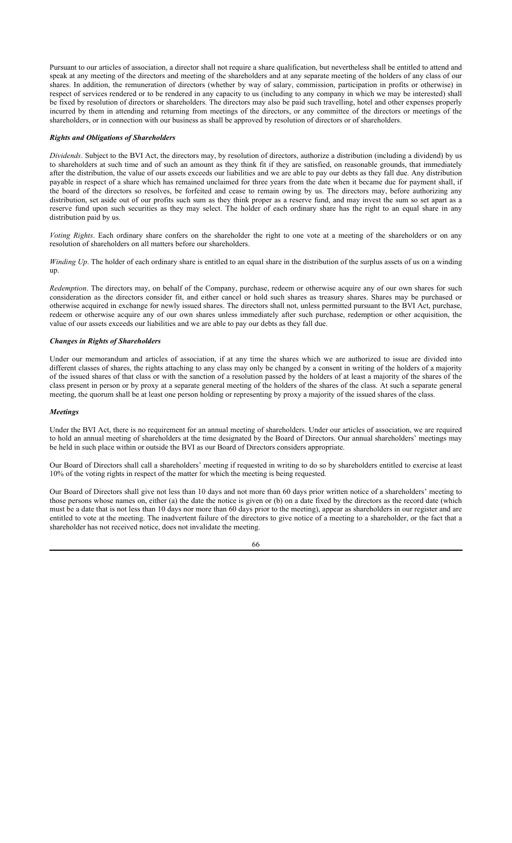Pursuant to our articles of association, a director shall not require a share qualification, but nevertheless shall be entitled to attend and speak at any meeting of the directors and meeting of the shareholders and at any separate meeting of the holders of any class of our shares. In addition, the remuneration of directors (whether by way of salary, commission, participation in profits or otherwise) in respect of services rendered or to be rendered in any capacity to us (including to any company in which we may be interested) shall be fixed by resolution of directors or shareholders. The directors may also be paid such travelling, hotel and other expenses properly incurred by them in attending and returning from meetings of the directors, or any committee of the directors or meetings of the shareholders, or in connection with our business as shall be approved by resolution of directors or of shareholders.

#### *Rights and Obligations of Shareholders*

*Dividends*. Subject to the BVI Act, the directors may, by resolution of directors, authorize a distribution (including a dividend) by us to shareholders at such time and of such an amount as they think fit if they are satisfied, on reasonable grounds, that immediately after the distribution, the value of our assets exceeds our liabilities and we are able to pay our debts as they fall due. Any distribution payable in respect of a share which has remained unclaimed for three years from the date when it became due for payment shall, if the board of the directors so resolves, be forfeited and cease to remain owing by us. The directors may, before authorizing any distribution, set aside out of our profits such sum as they think proper as a reserve fund, and may invest the sum so set apart as a reserve fund upon such securities as they may select. The holder of each ordinary share has the right to an equal share in any distribution paid by us.

*Voting Rights*. Each ordinary share confers on the shareholder the right to one vote at a meeting of the shareholders or on any resolution of shareholders on all matters before our shareholders.

*Winding Up*. The holder of each ordinary share is entitled to an equal share in the distribution of the surplus assets of us on a winding up.

*Redemption*. The directors may, on behalf of the Company, purchase, redeem or otherwise acquire any of our own shares for such consideration as the directors consider fit, and either cancel or hold such shares as treasury shares. Shares may be purchased or otherwise acquired in exchange for newly issued shares. The directors shall not, unless permitted pursuant to the BVI Act, purchase, redeem or otherwise acquire any of our own shares unless immediately after such purchase, redemption or other acquisition, the value of our assets exceeds our liabilities and we are able to pay our debts as they fall due.

#### *Changes in Rights of Shareholders*

Under our memorandum and articles of association, if at any time the shares which we are authorized to issue are divided into different classes of shares, the rights attaching to any class may only be changed by a consent in writing of the holders of a majority of the issued shares of that class or with the sanction of a resolution passed by the holders of at least a majority of the shares of the class present in person or by proxy at a separate general meeting of the holders of the shares of the class. At such a separate general meeting, the quorum shall be at least one person holding or representing by proxy a majority of the issued shares of the class.

#### *Meetings*

Under the BVI Act, there is no requirement for an annual meeting of shareholders. Under our articles of association, we are required to hold an annual meeting of shareholders at the time designated by the Board of Directors. Our annual shareholders' meetings may be held in such place within or outside the BVI as our Board of Directors considers appropriate.

Our Board of Directors shall call a shareholders' meeting if requested in writing to do so by shareholders entitled to exercise at least 10% of the voting rights in respect of the matter for which the meeting is being requested.

Our Board of Directors shall give not less than 10 days and not more than 60 days prior written notice of a shareholders' meeting to those persons whose names on, either (a) the date the notice is given or (b) on a date fixed by the directors as the record date (which must be a date that is not less than 10 days nor more than 60 days prior to the meeting), appear as shareholders in our register and are entitled to vote at the meeting. The inadvertent failure of the directors to give notice of a meeting to a shareholder, or the fact that a shareholder has not received notice, does not invalidate the meeting.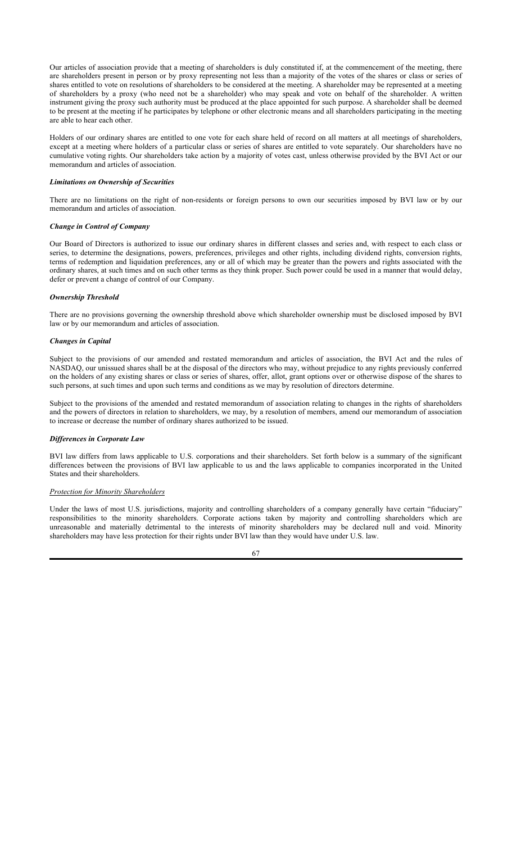Our articles of association provide that a meeting of shareholders is duly constituted if, at the commencement of the meeting, there are shareholders present in person or by proxy representing not less than a majority of the votes of the shares or class or series of shares entitled to vote on resolutions of shareholders to be considered at the meeting. A shareholder may be represented at a meeting of shareholders by a proxy (who need not be a shareholder) who may speak and vote on behalf of the shareholder. A written instrument giving the proxy such authority must be produced at the place appointed for such purpose. A shareholder shall be deemed to be present at the meeting if he participates by telephone or other electronic means and all shareholders participating in the meeting are able to hear each other.

Holders of our ordinary shares are entitled to one vote for each share held of record on all matters at all meetings of shareholders, except at a meeting where holders of a particular class or series of shares are entitled to vote separately. Our shareholders have no cumulative voting rights. Our shareholders take action by a majority of votes cast, unless otherwise provided by the BVI Act or our memorandum and articles of association.

#### *Limitations on Ownership of Securities*

There are no limitations on the right of non-residents or foreign persons to own our securities imposed by BVI law or by our memorandum and articles of association.

#### *Change in Control of Company*

Our Board of Directors is authorized to issue our ordinary shares in different classes and series and, with respect to each class or series, to determine the designations, powers, preferences, privileges and other rights, including dividend rights, conversion rights, terms of redemption and liquidation preferences, any or all of which may be greater than the powers and rights associated with the ordinary shares, at such times and on such other terms as they think proper. Such power could be used in a manner that would delay, defer or prevent a change of control of our Company.

#### *Ownership Threshold*

There are no provisions governing the ownership threshold above which shareholder ownership must be disclosed imposed by BVI law or by our memorandum and articles of association.

#### *Changes in Capital*

Subject to the provisions of our amended and restated memorandum and articles of association, the BVI Act and the rules of NASDAQ, our unissued shares shall be at the disposal of the directors who may, without prejudice to any rights previously conferred on the holders of any existing shares or class or series of shares, offer, allot, grant options over or otherwise dispose of the shares to such persons, at such times and upon such terms and conditions as we may by resolution of directors determine.

Subject to the provisions of the amended and restated memorandum of association relating to changes in the rights of shareholders and the powers of directors in relation to shareholders, we may, by a resolution of members, amend our memorandum of association to increase or decrease the number of ordinary shares authorized to be issued.

### *Differences in Corporate Law*

BVI law differs from laws applicable to U.S. corporations and their shareholders. Set forth below is a summary of the significant differences between the provisions of BVI law applicable to us and the laws applicable to companies incorporated in the United States and their shareholders.

### *Protection for Minority Shareholders*

Under the laws of most U.S. jurisdictions, majority and controlling shareholders of a company generally have certain "fiduciary" responsibilities to the minority shareholders. Corporate actions taken by majority and controlling shareholders which are unreasonable and materially detrimental to the interests of minority shareholders may be declared null and void. Minority shareholders may have less protection for their rights under BVI law than they would have under U.S. law.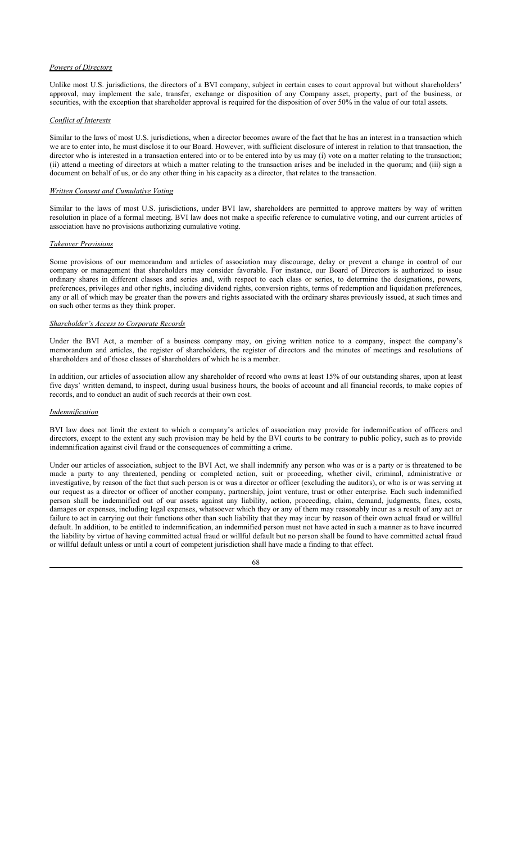### *Powers of Directors*

Unlike most U.S. jurisdictions, the directors of a BVI company, subject in certain cases to court approval but without shareholders' approval, may implement the sale, transfer, exchange or disposition of any Company asset, property, part of the business, or securities, with the exception that shareholder approval is required for the disposition of over 50% in the value of our total assets.

### *Conflict of Interests*

Similar to the laws of most U.S. jurisdictions, when a director becomes aware of the fact that he has an interest in a transaction which we are to enter into, he must disclose it to our Board. However, with sufficient disclosure of interest in relation to that transaction, the director who is interested in a transaction entered into or to be entered into by us may (i) vote on a matter relating to the transaction; (ii) attend a meeting of directors at which a matter relating to the transaction arises and be included in the quorum; and (iii) sign a document on behalf of us, or do any other thing in his capacity as a director, that relates to the transaction.

## *Written Consent and Cumulative Voting*

Similar to the laws of most U.S. jurisdictions, under BVI law, shareholders are permitted to approve matters by way of written resolution in place of a formal meeting. BVI law does not make a specific reference to cumulative voting, and our current articles of association have no provisions authorizing cumulative voting.

#### *Takeover Provisions*

Some provisions of our memorandum and articles of association may discourage, delay or prevent a change in control of our company or management that shareholders may consider favorable. For instance, our Board of Directors is authorized to issue ordinary shares in different classes and series and, with respect to each class or series, to determine the designations, powers, preferences, privileges and other rights, including dividend rights, conversion rights, terms of redemption and liquidation preferences, any or all of which may be greater than the powers and rights associated with the ordinary shares previously issued, at such times and on such other terms as they think proper.

### *Shareholder's Access to Corporate Records*

Under the BVI Act, a member of a business company may, on giving written notice to a company, inspect the company's memorandum and articles, the register of shareholders, the register of directors and the minutes of meetings and resolutions of shareholders and of those classes of shareholders of which he is a member.

In addition, our articles of association allow any shareholder of record who owns at least 15% of our outstanding shares, upon at least five days' written demand, to inspect, during usual business hours, the books of account and all financial records, to make copies of records, and to conduct an audit of such records at their own cost.

#### *Indemnification*

BVI law does not limit the extent to which a company's articles of association may provide for indemnification of officers and directors, except to the extent any such provision may be held by the BVI courts to be contrary to public policy, such as to provide indemnification against civil fraud or the consequences of committing a crime.

Under our articles of association, subject to the BVI Act, we shall indemnify any person who was or is a party or is threatened to be made a party to any threatened, pending or completed action, suit or proceeding, whether civil, criminal, administrative or investigative, by reason of the fact that such person is or was a director or officer (excluding the auditors), or who is or was serving at our request as a director or officer of another company, partnership, joint venture, trust or other enterprise. Each such indemnified person shall be indemnified out of our assets against any liability, action, proceeding, claim, demand, judgments, fines, costs, damages or expenses, including legal expenses, whatsoever which they or any of them may reasonably incur as a result of any act or failure to act in carrying out their functions other than such liability that they may incur by reason of their own actual fraud or willful default. In addition, to be entitled to indemnification, an indemnified person must not have acted in such a manner as to have incurred the liability by virtue of having committed actual fraud or willful default but no person shall be found to have committed actual fraud or willful default unless or until a court of competent jurisdiction shall have made a finding to that effect.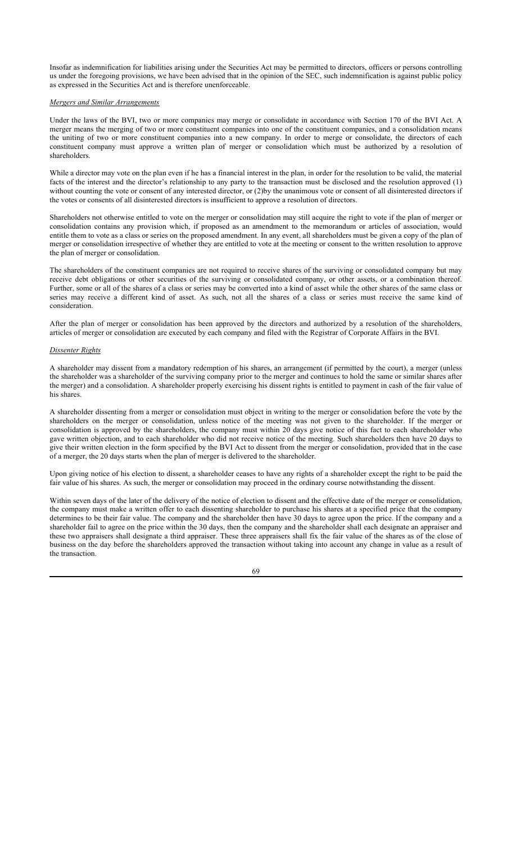Insofar as indemnification for liabilities arising under the Securities Act may be permitted to directors, officers or persons controlling us under the foregoing provisions, we have been advised that in the opinion of the SEC, such indemnification is against public policy as expressed in the Securities Act and is therefore unenforceable.

#### *Mergers and Similar Arrangements*

Under the laws of the BVI, two or more companies may merge or consolidate in accordance with Section 170 of the BVI Act. A merger means the merging of two or more constituent companies into one of the constituent companies, and a consolidation means the uniting of two or more constituent companies into a new company. In order to merge or consolidate, the directors of each constituent company must approve a written plan of merger or consolidation which must be authorized by a resolution of shareholders.

While a director may vote on the plan even if he has a financial interest in the plan, in order for the resolution to be valid, the material facts of the interest and the director's relationship to any party to the transaction must be disclosed and the resolution approved (1) without counting the vote or consent of any interested director, or (2)by the unanimous vote or consent of all disinterested directors if the votes or consents of all disinterested directors is insufficient to approve a resolution of directors.

Shareholders not otherwise entitled to vote on the merger or consolidation may still acquire the right to vote if the plan of merger or consolidation contains any provision which, if proposed as an amendment to the memorandum or articles of association, would entitle them to vote as a class or series on the proposed amendment. In any event, all shareholders must be given a copy of the plan of merger or consolidation irrespective of whether they are entitled to vote at the meeting or consent to the written resolution to approve the plan of merger or consolidation.

The shareholders of the constituent companies are not required to receive shares of the surviving or consolidated company but may receive debt obligations or other securities of the surviving or consolidated company, or other assets, or a combination thereof. Further, some or all of the shares of a class or series may be converted into a kind of asset while the other shares of the same class or series may receive a different kind of asset. As such, not all the shares of a class or series must receive the same kind of consideration.

After the plan of merger or consolidation has been approved by the directors and authorized by a resolution of the shareholders, articles of merger or consolidation are executed by each company and filed with the Registrar of Corporate Affairs in the BVI.

#### *Dissenter Rights*

A shareholder may dissent from a mandatory redemption of his shares, an arrangement (if permitted by the court), a merger (unless the shareholder was a shareholder of the surviving company prior to the merger and continues to hold the same or similar shares after the merger) and a consolidation. A shareholder properly exercising his dissent rights is entitled to payment in cash of the fair value of his shares.

A shareholder dissenting from a merger or consolidation must object in writing to the merger or consolidation before the vote by the shareholders on the merger or consolidation, unless notice of the meeting was not given to the shareholder. If the merger or consolidation is approved by the shareholders, the company must within 20 days give notice of this fact to each shareholder who gave written objection, and to each shareholder who did not receive notice of the meeting. Such shareholders then have 20 days to give their written election in the form specified by the BVI Act to dissent from the merger or consolidation, provided that in the case of a merger, the 20 days starts when the plan of merger is delivered to the shareholder.

Upon giving notice of his election to dissent, a shareholder ceases to have any rights of a shareholder except the right to be paid the fair value of his shares. As such, the merger or consolidation may proceed in the ordinary course notwithstanding the dissent.

Within seven days of the later of the delivery of the notice of election to dissent and the effective date of the merger or consolidation, the company must make a written offer to each dissenting shareholder to purchase his shares at a specified price that the company determines to be their fair value. The company and the shareholder then have 30 days to agree upon the price. If the company and a shareholder fail to agree on the price within the 30 days, then the company and the shareholder shall each designate an appraiser and these two appraisers shall designate a third appraiser. These three appraisers shall fix the fair value of the shares as of the close of business on the day before the shareholders approved the transaction without taking into account any change in value as a result of the transaction.

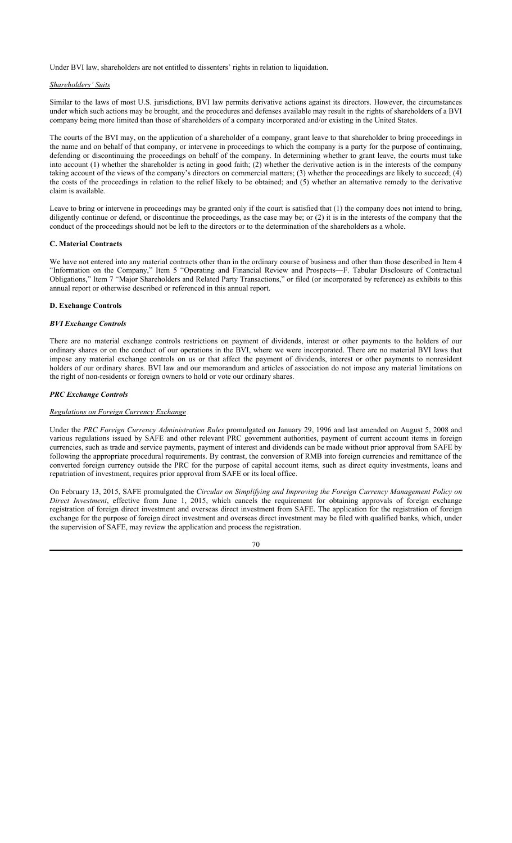Under BVI law, shareholders are not entitled to dissenters' rights in relation to liquidation.

#### *Shareholders' Suits*

Similar to the laws of most U.S. jurisdictions, BVI law permits derivative actions against its directors. However, the circumstances under which such actions may be brought, and the procedures and defenses available may result in the rights of shareholders of a BVI company being more limited than those of shareholders of a company incorporated and/or existing in the United States.

The courts of the BVI may, on the application of a shareholder of a company, grant leave to that shareholder to bring proceedings in the name and on behalf of that company, or intervene in proceedings to which the company is a party for the purpose of continuing, defending or discontinuing the proceedings on behalf of the company. In determining whether to grant leave, the courts must take into account (1) whether the shareholder is acting in good faith; (2) whether the derivative action is in the interests of the company taking account of the views of the company's directors on commercial matters; (3) whether the proceedings are likely to succeed; (4) the costs of the proceedings in relation to the relief likely to be obtained; and (5) whether an alternative remedy to the derivative claim is available.

Leave to bring or intervene in proceedings may be granted only if the court is satisfied that (1) the company does not intend to bring, diligently continue or defend, or discontinue the proceedings, as the case may be; or (2) it is in the interests of the company that the conduct of the proceedings should not be left to the directors or to the determination of the shareholders as a whole.

#### **C. Material Contracts**

We have not entered into any material contracts other than in the ordinary course of business and other than those described in Item 4 "Information on the Company," Item 5 "Operating and Financial Review and Prospects—F. Tabular Disclosure of Contractual Obligations," Item 7 "Major Shareholders and Related Party Transactions," or filed (or incorporated by reference) as exhibits to this annual report or otherwise described or referenced in this annual report.

#### **D. Exchange Controls**

#### *BVI Exchange Controls*

There are no material exchange controls restrictions on payment of dividends, interest or other payments to the holders of our ordinary shares or on the conduct of our operations in the BVI, where we were incorporated. There are no material BVI laws that impose any material exchange controls on us or that affect the payment of dividends, interest or other payments to nonresident holders of our ordinary shares. BVI law and our memorandum and articles of association do not impose any material limitations on the right of non-residents or foreign owners to hold or vote our ordinary shares.

#### *PRC Exchange Controls*

#### *Regulations on Foreign Currency Exchange*

Under the *PRC Foreign Currency Administration Rules* promulgated on January 29, 1996 and last amended on August 5, 2008 and various regulations issued by SAFE and other relevant PRC government authorities, payment of current account items in foreign currencies, such as trade and service payments, payment of interest and dividends can be made without prior approval from SAFE by following the appropriate procedural requirements. By contrast, the conversion of RMB into foreign currencies and remittance of the converted foreign currency outside the PRC for the purpose of capital account items, such as direct equity investments, loans and repatriation of investment, requires prior approval from SAFE or its local office.

On February 13, 2015, SAFE promulgated the *Circular on Simplifying and Improving the Foreign Currency Management Policy on Direct Investment*, effective from June 1, 2015, which cancels the requirement for obtaining approvals of foreign exchange registration of foreign direct investment and overseas direct investment from SAFE. The application for the registration of foreign exchange for the purpose of foreign direct investment and overseas direct investment may be filed with qualified banks, which, under the supervision of SAFE, may review the application and process the registration.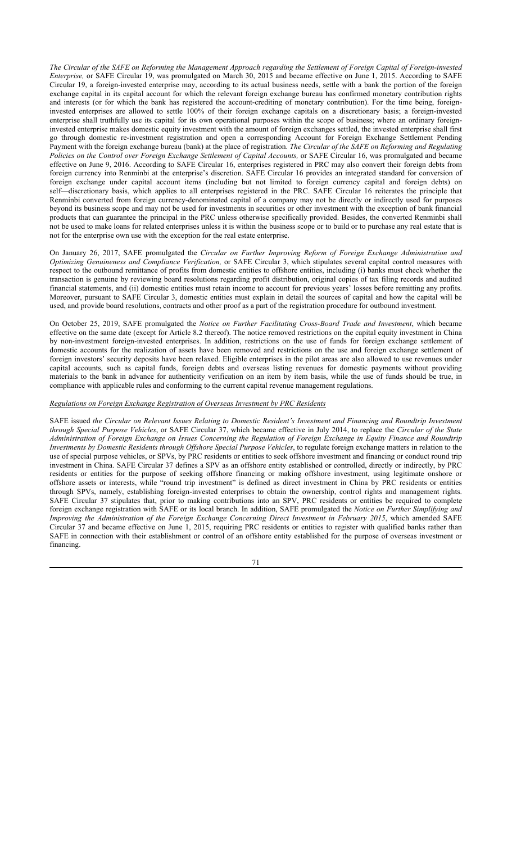*The Circular of the SAFE on Reforming the Management Approach regarding the Settlement of Foreign Capital of Foreign-invested Enterprise,* or SAFE Circular 19, was promulgated on March 30, 2015 and became effective on June 1, 2015. According to SAFE Circular 19, a foreign-invested enterprise may, according to its actual business needs, settle with a bank the portion of the foreign exchange capital in its capital account for which the relevant foreign exchange bureau has confirmed monetary contribution rights and interests (or for which the bank has registered the account-crediting of monetary contribution). For the time being, foreigninvested enterprises are allowed to settle 100% of their foreign exchange capitals on a discretionary basis; a foreign-invested enterprise shall truthfully use its capital for its own operational purposes within the scope of business; where an ordinary foreigninvested enterprise makes domestic equity investment with the amount of foreign exchanges settled, the invested enterprise shall first go through domestic re-investment registration and open a corresponding Account for Foreign Exchange Settlement Pending Payment with the foreign exchange bureau (bank) at the place of registration. *The Circular of the SAFE on Reforming and Regulating*  Policies on the Control over Foreign Exchange Settlement of Capital Accounts, or SAFE Circular 16, was promulgated and became effective on June 9, 2016. According to SAFE Circular 16, enterprises registered in PRC may also convert their foreign debts from foreign currency into Renminbi at the enterprise's discretion. SAFE Circular 16 provides an integrated standard for conversion of foreign exchange under capital account items (including but not limited to foreign currency capital and foreign debts) on self—discretionary basis, which applies to all enterprises registered in the PRC. SAFE Circular 16 reiterates the principle that Renminbi converted from foreign currency-denominated capital of a company may not be directly or indirectly used for purposes beyond its business scope and may not be used for investments in securities or other investment with the exception of bank financial products that can guarantee the principal in the PRC unless otherwise specifically provided. Besides, the converted Renminbi shall not be used to make loans for related enterprises unless it is within the business scope or to build or to purchase any real estate that is not for the enterprise own use with the exception for the real estate enterprise.

On January 26, 2017, SAFE promulgated the *Circular on Further Improving Reform of Foreign Exchange Administration and Optimizing Genuineness and Compliance Verification,* or SAFE Circular 3, which stipulates several capital control measures with respect to the outbound remittance of profits from domestic entities to offshore entities, including (i) banks must check whether the transaction is genuine by reviewing board resolutions regarding profit distribution, original copies of tax filing records and audited financial statements, and (ii) domestic entities must retain income to account for previous years' losses before remitting any profits. Moreover, pursuant to SAFE Circular 3, domestic entities must explain in detail the sources of capital and how the capital will be used, and provide board resolutions, contracts and other proof as a part of the registration procedure for outbound investment.

On October 25, 2019, SAFE promulgated the *Notice on Further Facilitating Cross-Board Trade and Investment*, which became effective on the same date (except for Article 8.2 thereof). The notice removed restrictions on the capital equity investment in China by non-investment foreign-invested enterprises. In addition, restrictions on the use of funds for foreign exchange settlement of domestic accounts for the realization of assets have been removed and restrictions on the use and foreign exchange settlement of foreign investors' security deposits have been relaxed. Eligible enterprises in the pilot areas are also allowed to use revenues under capital accounts, such as capital funds, foreign debts and overseas listing revenues for domestic payments without providing materials to the bank in advance for authenticity verification on an item by item basis, while the use of funds should be true, in compliance with applicable rules and conforming to the current capital revenue management regulations.

#### *Regulations on Foreign Exchange Registration of Overseas Investment by PRC Residents*

SAFE issued *the Circular on Relevant Issues Relating to Domestic Resident's Investment and Financing and Roundtrip Investment through Special Purpose Vehicles*, or SAFE Circular 37, which became effective in July 2014, to replace the *Circular of the State Administration of Foreign Exchange on Issues Concerning the Regulation of Foreign Exchange in Equity Finance and Roundtrip Investments by Domestic Residents through Offshore Special Purpose Vehicles*, to regulate foreign exchange matters in relation to the use of special purpose vehicles, or SPVs, by PRC residents or entities to seek offshore investment and financing or conduct round trip investment in China. SAFE Circular 37 defines a SPV as an offshore entity established or controlled, directly or indirectly, by PRC residents or entities for the purpose of seeking offshore financing or making offshore investment, using legitimate onshore or offshore assets or interests, while "round trip investment" is defined as direct investment in China by PRC residents or entities through SPVs, namely, establishing foreign-invested enterprises to obtain the ownership, control rights and management rights. SAFE Circular 37 stipulates that, prior to making contributions into an SPV, PRC residents or entities be required to complete foreign exchange registration with SAFE or its local branch. In addition, SAFE promulgated the *Notice on Further Simplifying and Improving the Administration of the Foreign Exchange Concerning Direct Investment in February 2015*, which amended SAFE Circular 37 and became effective on June 1, 2015, requiring PRC residents or entities to register with qualified banks rather than SAFE in connection with their establishment or control of an offshore entity established for the purpose of overseas investment or financing.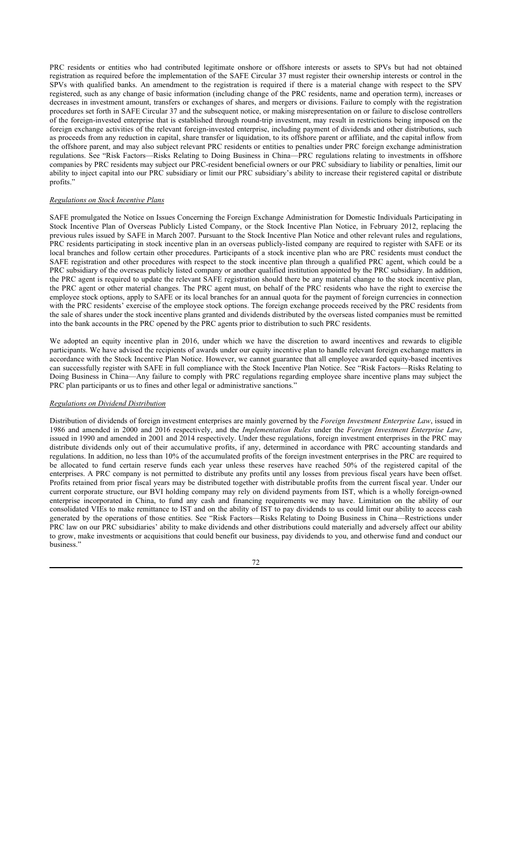PRC residents or entities who had contributed legitimate onshore or offshore interests or assets to SPVs but had not obtained registration as required before the implementation of the SAFE Circular 37 must register their ownership interests or control in the SPVs with qualified banks. An amendment to the registration is required if there is a material change with respect to the SPV registered, such as any change of basic information (including change of the PRC residents, name and operation term), increases or decreases in investment amount, transfers or exchanges of shares, and mergers or divisions. Failure to comply with the registration procedures set forth in SAFE Circular 37 and the subsequent notice, or making misrepresentation on or failure to disclose controllers of the foreign-invested enterprise that is established through round-trip investment, may result in restrictions being imposed on the foreign exchange activities of the relevant foreign-invested enterprise, including payment of dividends and other distributions, such as proceeds from any reduction in capital, share transfer or liquidation, to its offshore parent or affiliate, and the capital inflow from the offshore parent, and may also subject relevant PRC residents or entities to penalties under PRC foreign exchange administration regulations. See "Risk Factors—Risks Relating to Doing Business in China—PRC regulations relating to investments in offshore companies by PRC residents may subject our PRC-resident beneficial owners or our PRC subsidiary to liability or penalties, limit our ability to inject capital into our PRC subsidiary or limit our PRC subsidiary's ability to increase their registered capital or distribute profits."

#### *Regulations on Stock Incentive Plans*

SAFE promulgated the Notice on Issues Concerning the Foreign Exchange Administration for Domestic Individuals Participating in Stock Incentive Plan of Overseas Publicly Listed Company, or the Stock Incentive Plan Notice, in February 2012, replacing the previous rules issued by SAFE in March 2007. Pursuant to the Stock Incentive Plan Notice and other relevant rules and regulations, PRC residents participating in stock incentive plan in an overseas publicly-listed company are required to register with SAFE or its local branches and follow certain other procedures. Participants of a stock incentive plan who are PRC residents must conduct the SAFE registration and other procedures with respect to the stock incentive plan through a qualified PRC agent, which could be a PRC subsidiary of the overseas publicly listed company or another qualified institution appointed by the PRC subsidiary. In addition, the PRC agent is required to update the relevant SAFE registration should there be any material change to the stock incentive plan, the PRC agent or other material changes. The PRC agent must, on behalf of the PRC residents who have the right to exercise the employee stock options, apply to SAFE or its local branches for an annual quota for the payment of foreign currencies in connection with the PRC residents' exercise of the employee stock options. The foreign exchange proceeds received by the PRC residents from the sale of shares under the stock incentive plans granted and dividends distributed by the overseas listed companies must be remitted into the bank accounts in the PRC opened by the PRC agents prior to distribution to such PRC residents.

We adopted an equity incentive plan in 2016, under which we have the discretion to award incentives and rewards to eligible participants. We have advised the recipients of awards under our equity incentive plan to handle relevant foreign exchange matters in accordance with the Stock Incentive Plan Notice. However, we cannot guarantee that all employee awarded equity-based incentives can successfully register with SAFE in full compliance with the Stock Incentive Plan Notice. See "Risk Factors—Risks Relating to Doing Business in China—Any failure to comply with PRC regulations regarding employee share incentive plans may subject the PRC plan participants or us to fines and other legal or administrative sanctions."

#### *Regulations on Dividend Distribution*

Distribution of dividends of foreign investment enterprises are mainly governed by the *Foreign Investment Enterprise Law*, issued in 1986 and amended in 2000 and 2016 respectively, and the *Implementation Rules* under the *Foreign Investment Enterprise Law*, issued in 1990 and amended in 2001 and 2014 respectively. Under these regulations, foreign investment enterprises in the PRC may distribute dividends only out of their accumulative profits, if any, determined in accordance with PRC accounting standards and regulations. In addition, no less than 10% of the accumulated profits of the foreign investment enterprises in the PRC are required to be allocated to fund certain reserve funds each year unless these reserves have reached 50% of the registered capital of the enterprises. A PRC company is not permitted to distribute any profits until any losses from previous fiscal years have been offset. Profits retained from prior fiscal years may be distributed together with distributable profits from the current fiscal year. Under our current corporate structure, our BVI holding company may rely on dividend payments from IST, which is a wholly foreign-owned enterprise incorporated in China, to fund any cash and financing requirements we may have. Limitation on the ability of our consolidated VIEs to make remittance to IST and on the ability of IST to pay dividends to us could limit our ability to access cash generated by the operations of those entities. See "Risk Factors—Risks Relating to Doing Business in China—Restrictions under PRC law on our PRC subsidiaries' ability to make dividends and other distributions could materially and adversely affect our ability to grow, make investments or acquisitions that could benefit our business, pay dividends to you, and otherwise fund and conduct our business."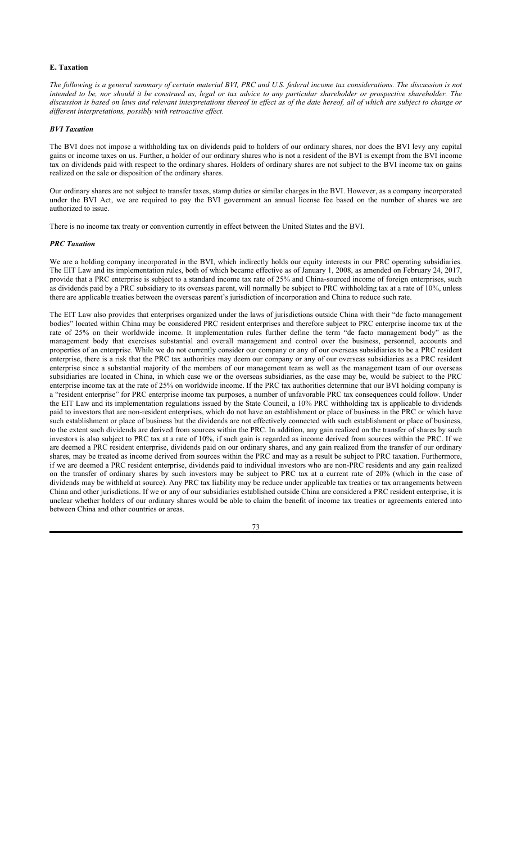#### **E. Taxation**

*The following is a general summary of certain material BVI, PRC and U.S. federal income tax considerations. The discussion is not intended to be, nor should it be construed as, legal or tax advice to any particular shareholder or prospective shareholder. The discussion is based on laws and relevant interpretations thereof in effect as of the date hereof, all of which are subject to change or different interpretations, possibly with retroactive effect.*

#### *BVI Taxation*

The BVI does not impose a withholding tax on dividends paid to holders of our ordinary shares, nor does the BVI levy any capital gains or income taxes on us. Further, a holder of our ordinary shares who is not a resident of the BVI is exempt from the BVI income tax on dividends paid with respect to the ordinary shares. Holders of ordinary shares are not subject to the BVI income tax on gains realized on the sale or disposition of the ordinary shares.

Our ordinary shares are not subject to transfer taxes, stamp duties or similar charges in the BVI. However, as a company incorporated under the BVI Act, we are required to pay the BVI government an annual license fee based on the number of shares we are authorized to issue.

There is no income tax treaty or convention currently in effect between the United States and the BVI.

#### *PRC Taxation*

We are a holding company incorporated in the BVI, which indirectly holds our equity interests in our PRC operating subsidiaries. The EIT Law and its implementation rules, both of which became effective as of January 1, 2008, as amended on February 24, 2017, provide that a PRC enterprise is subject to a standard income tax rate of 25% and China-sourced income of foreign enterprises, such as dividends paid by a PRC subsidiary to its overseas parent, will normally be subject to PRC withholding tax at a rate of 10%, unless there are applicable treaties between the overseas parent's jurisdiction of incorporation and China to reduce such rate.

The EIT Law also provides that enterprises organized under the laws of jurisdictions outside China with their "de facto management bodies" located within China may be considered PRC resident enterprises and therefore subject to PRC enterprise income tax at the rate of 25% on their worldwide income. It implementation rules further define the term "de facto management body" as the management body that exercises substantial and overall management and control over the business, personnel, accounts and properties of an enterprise. While we do not currently consider our company or any of our overseas subsidiaries to be a PRC resident enterprise, there is a risk that the PRC tax authorities may deem our company or any of our overseas subsidiaries as a PRC resident enterprise since a substantial majority of the members of our management team as well as the management team of our overseas subsidiaries are located in China, in which case we or the overseas subsidiaries, as the case may be, would be subject to the PRC enterprise income tax at the rate of 25% on worldwide income. If the PRC tax authorities determine that our BVI holding company is a "resident enterprise" for PRC enterprise income tax purposes, a number of unfavorable PRC tax consequences could follow. Under the EIT Law and its implementation regulations issued by the State Council, a 10% PRC withholding tax is applicable to dividends paid to investors that are non-resident enterprises, which do not have an establishment or place of business in the PRC or which have such establishment or place of business but the dividends are not effectively connected with such establishment or place of business, to the extent such dividends are derived from sources within the PRC. In addition, any gain realized on the transfer of shares by such investors is also subject to PRC tax at a rate of 10%, if such gain is regarded as income derived from sources within the PRC. If we are deemed a PRC resident enterprise, dividends paid on our ordinary shares, and any gain realized from the transfer of our ordinary shares, may be treated as income derived from sources within the PRC and may as a result be subject to PRC taxation. Furthermore, if we are deemed a PRC resident enterprise, dividends paid to individual investors who are non-PRC residents and any gain realized on the transfer of ordinary shares by such investors may be subject to PRC tax at a current rate of 20% (which in the case of dividends may be withheld at source). Any PRC tax liability may be reduce under applicable tax treaties or tax arrangements between China and other jurisdictions. If we or any of our subsidiaries established outside China are considered a PRC resident enterprise, it is unclear whether holders of our ordinary shares would be able to claim the benefit of income tax treaties or agreements entered into between China and other countries or areas.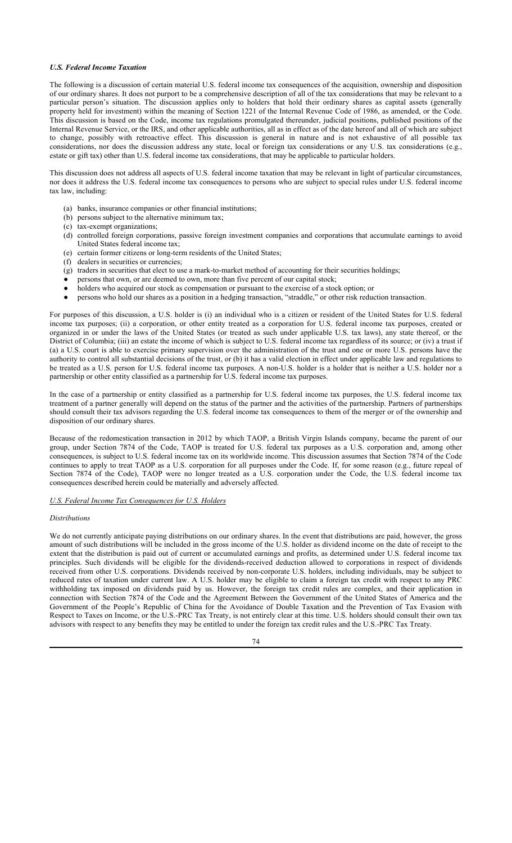#### *U.S. Federal Income Taxation*

The following is a discussion of certain material U.S. federal income tax consequences of the acquisition, ownership and disposition of our ordinary shares. It does not purport to be a comprehensive description of all of the tax considerations that may be relevant to a particular person's situation. The discussion applies only to holders that hold their ordinary shares as capital assets (generally property held for investment) within the meaning of Section 1221 of the Internal Revenue Code of 1986, as amended, or the Code. This discussion is based on the Code, income tax regulations promulgated thereunder, judicial positions, published positions of the Internal Revenue Service, or the IRS, and other applicable authorities, all as in effect as of the date hereof and all of which are subject to change, possibly with retroactive effect. This discussion is general in nature and is not exhaustive of all possible tax considerations, nor does the discussion address any state, local or foreign tax considerations or any U.S. tax considerations (e.g., estate or gift tax) other than U.S. federal income tax considerations, that may be applicable to particular holders.

This discussion does not address all aspects of U.S. federal income taxation that may be relevant in light of particular circumstances, nor does it address the U.S. federal income tax consequences to persons who are subject to special rules under U.S. federal income tax law, including:

- (a) banks, insurance companies or other financial institutions;
- (b) persons subject to the alternative minimum tax;
- (c) tax-exempt organizations;
- (d) controlled foreign corporations, passive foreign investment companies and corporations that accumulate earnings to avoid United States federal income tax;
- (e) certain former citizens or long-term residents of the United States;
- (f) dealers in securities or currencies;
- (g) traders in securities that elect to use a mark-to-market method of accounting for their securities holdings;
- persons that own, or are deemed to own, more than five percent of our capital stock;
- holders who acquired our stock as compensation or pursuant to the exercise of a stock option; or
- persons who hold our shares as a position in a hedging transaction, "straddle," or other risk reduction transaction.

For purposes of this discussion, a U.S. holder is (i) an individual who is a citizen or resident of the United States for U.S. federal income tax purposes; (ii) a corporation, or other entity treated as a corporation for U.S. federal income tax purposes, created or organized in or under the laws of the United States (or treated as such under applicable U.S. tax laws), any state thereof, or the District of Columbia; (iii) an estate the income of which is subject to U.S. federal income tax regardless of its source; or (iv) a trust if (a) a U.S. court is able to exercise primary supervision over the administration of the trust and one or more U.S. persons have the authority to control all substantial decisions of the trust, or (b) it has a valid election in effect under applicable law and regulations to be treated as a U.S. person for U.S. federal income tax purposes. A non-U.S. holder is a holder that is neither a U.S. holder nor a partnership or other entity classified as a partnership for U.S. federal income tax purposes.

In the case of a partnership or entity classified as a partnership for U.S. federal income tax purposes, the U.S. federal income tax treatment of a partner generally will depend on the status of the partner and the activities of the partnership. Partners of partnerships should consult their tax advisors regarding the U.S. federal income tax consequences to them of the merger or of the ownership and disposition of our ordinary shares.

Because of the redomestication transaction in 2012 by which TAOP, a British Virgin Islands company, became the parent of our group, under Section 7874 of the Code, TAOP is treated for U.S. federal tax purposes as a U.S. corporation and, among other consequences, is subject to U.S. federal income tax on its worldwide income. This discussion assumes that Section 7874 of the Code continues to apply to treat TAOP as a U.S. corporation for all purposes under the Code. If, for some reason (e.g., future repeal of Section 7874 of the Code), TAOP were no longer treated as a U.S. corporation under the Code, the U.S. federal income tax consequences described herein could be materially and adversely affected.

#### *U.S. Federal Income Tax Consequences for U.S. Holders*

#### *Distributions*

We do not currently anticipate paying distributions on our ordinary shares. In the event that distributions are paid, however, the gross amount of such distributions will be included in the gross income of the U.S. holder as dividend income on the date of receipt to the extent that the distribution is paid out of current or accumulated earnings and profits, as determined under U.S. federal income tax principles. Such dividends will be eligible for the dividends-received deduction allowed to corporations in respect of dividends received from other U.S. corporations. Dividends received by non-corporate U.S. holders, including individuals, may be subject to reduced rates of taxation under current law. A U.S. holder may be eligible to claim a foreign tax credit with respect to any PRC withholding tax imposed on dividends paid by us. However, the foreign tax credit rules are complex, and their application in connection with Section 7874 of the Code and the Agreement Between the Government of the United States of America and the Government of the People's Republic of China for the Avoidance of Double Taxation and the Prevention of Tax Evasion with Respect to Taxes on Income, or the U.S.-PRC Tax Treaty, is not entirely clear at this time. U.S. holders should consult their own tax advisors with respect to any benefits they may be entitled to under the foreign tax credit rules and the U.S.-PRC Tax Treaty.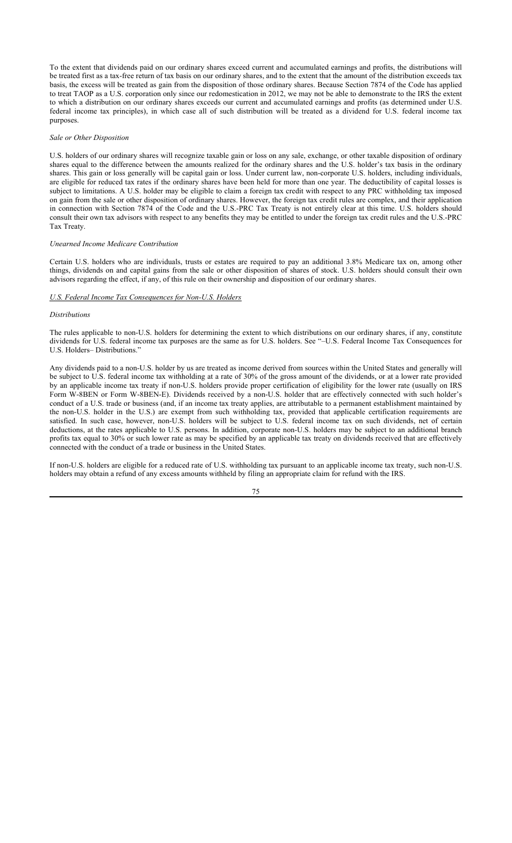To the extent that dividends paid on our ordinary shares exceed current and accumulated earnings and profits, the distributions will be treated first as a tax-free return of tax basis on our ordinary shares, and to the extent that the amount of the distribution exceeds tax basis, the excess will be treated as gain from the disposition of those ordinary shares. Because Section 7874 of the Code has applied to treat TAOP as a U.S. corporation only since our redomestication in 2012, we may not be able to demonstrate to the IRS the extent to which a distribution on our ordinary shares exceeds our current and accumulated earnings and profits (as determined under U.S. federal income tax principles), in which case all of such distribution will be treated as a dividend for U.S. federal income tax purposes.

#### *Sale or Other Disposition*

U.S. holders of our ordinary shares will recognize taxable gain or loss on any sale, exchange, or other taxable disposition of ordinary shares equal to the difference between the amounts realized for the ordinary shares and the U.S. holder's tax basis in the ordinary shares. This gain or loss generally will be capital gain or loss. Under current law, non-corporate U.S. holders, including individuals, are eligible for reduced tax rates if the ordinary shares have been held for more than one year. The deductibility of capital losses is subject to limitations. A U.S. holder may be eligible to claim a foreign tax credit with respect to any PRC withholding tax imposed on gain from the sale or other disposition of ordinary shares. However, the foreign tax credit rules are complex, and their application in connection with Section 7874 of the Code and the U.S.-PRC Tax Treaty is not entirely clear at this time. U.S. holders should consult their own tax advisors with respect to any benefits they may be entitled to under the foreign tax credit rules and the U.S.-PRC Tax Treaty.

#### *Unearned Income Medicare Contribution*

Certain U.S. holders who are individuals, trusts or estates are required to pay an additional 3.8% Medicare tax on, among other things, dividends on and capital gains from the sale or other disposition of shares of stock. U.S. holders should consult their own advisors regarding the effect, if any, of this rule on their ownership and disposition of our ordinary shares.

#### *U.S. Federal Income Tax Consequences for Non-U.S. Holders*

#### *Distributions*

The rules applicable to non-U.S. holders for determining the extent to which distributions on our ordinary shares, if any, constitute dividends for U.S. federal income tax purposes are the same as for U.S. holders. See "–U.S. Federal Income Tax Consequences for U.S. Holders– Distributions."

Any dividends paid to a non-U.S. holder by us are treated as income derived from sources within the United States and generally will be subject to U.S. federal income tax withholding at a rate of 30% of the gross amount of the dividends, or at a lower rate provided by an applicable income tax treaty if non-U.S. holders provide proper certification of eligibility for the lower rate (usually on IRS Form W-8BEN or Form W-8BEN-E). Dividends received by a non-U.S. holder that are effectively connected with such holder's conduct of a U.S. trade or business (and, if an income tax treaty applies, are attributable to a permanent establishment maintained by the non-U.S. holder in the U.S.) are exempt from such withholding tax, provided that applicable certification requirements are satisfied. In such case, however, non-U.S. holders will be subject to U.S. federal income tax on such dividends, net of certain deductions, at the rates applicable to U.S. persons. In addition, corporate non-U.S. holders may be subject to an additional branch profits tax equal to 30% or such lower rate as may be specified by an applicable tax treaty on dividends received that are effectively connected with the conduct of a trade or business in the United States.

If non-U.S. holders are eligible for a reduced rate of U.S. withholding tax pursuant to an applicable income tax treaty, such non-U.S. holders may obtain a refund of any excess amounts withheld by filing an appropriate claim for refund with the IRS.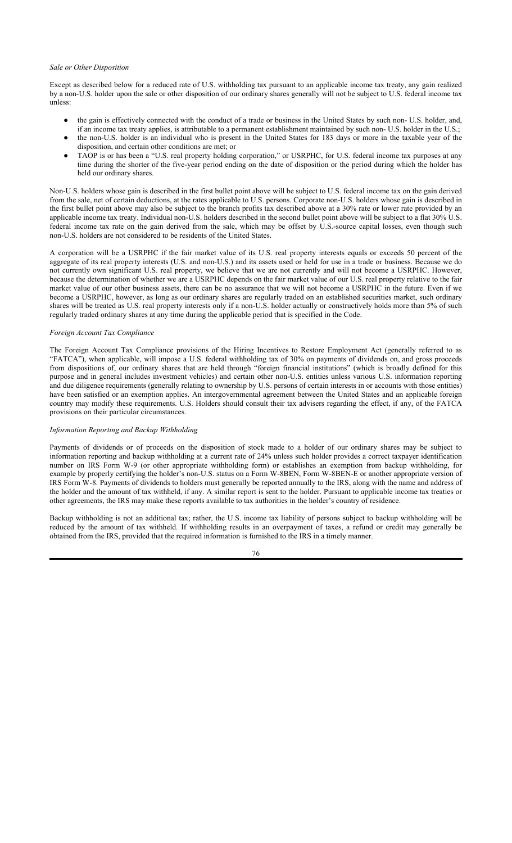#### *Sale or Other Disposition*

Except as described below for a reduced rate of U.S. withholding tax pursuant to an applicable income tax treaty, any gain realized by a non-U.S. holder upon the sale or other disposition of our ordinary shares generally will not be subject to U.S. federal income tax unless:

- the gain is effectively connected with the conduct of a trade or business in the United States by such non- U.S. holder, and, if an income tax treaty applies, is attributable to a permanent establishment maintained by such non- U.S. holder in the U.S.;
- the non-U.S. holder is an individual who is present in the United States for 183 days or more in the taxable year of the disposition, and certain other conditions are met; or
- TAOP is or has been a "U.S. real property holding corporation," or USRPHC, for U.S. federal income tax purposes at any time during the shorter of the five-year period ending on the date of disposition or the period during which the holder has held our ordinary shares.

Non-U.S. holders whose gain is described in the first bullet point above will be subject to U.S. federal income tax on the gain derived from the sale, net of certain deductions, at the rates applicable to U.S. persons. Corporate non-U.S. holders whose gain is described in the first bullet point above may also be subject to the branch profits tax described above at a 30% rate or lower rate provided by an applicable income tax treaty. Individual non-U.S. holders described in the second bullet point above will be subject to a flat 30% U.S. federal income tax rate on the gain derived from the sale, which may be offset by U.S.-source capital losses, even though such non-U.S. holders are not considered to be residents of the United States.

A corporation will be a USRPHC if the fair market value of its U.S. real property interests equals or exceeds 50 percent of the aggregate of its real property interests (U.S. and non-U.S.) and its assets used or held for use in a trade or business. Because we do not currently own significant U.S. real property, we believe that we are not currently and will not become a USRPHC. However, because the determination of whether we are a USRPHC depends on the fair market value of our U.S. real property relative to the fair market value of our other business assets, there can be no assurance that we will not become a USRPHC in the future. Even if we become a USRPHC, however, as long as our ordinary shares are regularly traded on an established securities market, such ordinary shares will be treated as U.S. real property interests only if a non-U.S. holder actually or constructively holds more than 5% of such regularly traded ordinary shares at any time during the applicable period that is specified in the Code.

#### *Foreign Account Tax Compliance*

The Foreign Account Tax Compliance provisions of the Hiring Incentives to Restore Employment Act (generally referred to as "FATCA"), when applicable, will impose a U.S. federal withholding tax of 30% on payments of dividends on, and gross proceeds from dispositions of, our ordinary shares that are held through "foreign financial institutions" (which is broadly defined for this purpose and in general includes investment vehicles) and certain other non-U.S. entities unless various U.S. information reporting and due diligence requirements (generally relating to ownership by U.S. persons of certain interests in or accounts with those entities) have been satisfied or an exemption applies. An intergovernmental agreement between the United States and an applicable foreign country may modify these requirements. U.S. Holders should consult their tax advisers regarding the effect, if any, of the FATCA provisions on their particular circumstances.

#### *Information Reporting and Backup Withholding*

Payments of dividends or of proceeds on the disposition of stock made to a holder of our ordinary shares may be subject to information reporting and backup withholding at a current rate of 24% unless such holder provides a correct taxpayer identification number on IRS Form W-9 (or other appropriate withholding form) or establishes an exemption from backup withholding, for example by properly certifying the holder's non-U.S. status on a Form W-8BEN, Form W-8BEN-E or another appropriate version of IRS Form W-8. Payments of dividends to holders must generally be reported annually to the IRS, along with the name and address of the holder and the amount of tax withheld, if any. A similar report is sent to the holder. Pursuant to applicable income tax treaties or other agreements, the IRS may make these reports available to tax authorities in the holder's country of residence.

Backup withholding is not an additional tax; rather, the U.S. income tax liability of persons subject to backup withholding will be reduced by the amount of tax withheld. If withholding results in an overpayment of taxes, a refund or credit may generally be obtained from the IRS, provided that the required information is furnished to the IRS in a timely manner.

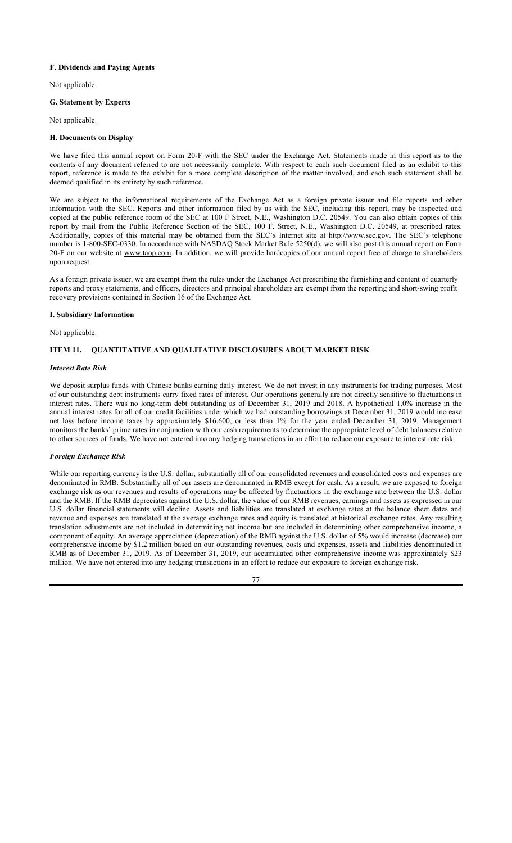#### **F. Dividends and Paying Agents**

Not applicable.

#### **G. Statement by Experts**

Not applicable.

#### **H. Documents on Display**

We have filed this annual report on Form 20-F with the SEC under the Exchange Act. Statements made in this report as to the contents of any document referred to are not necessarily complete. With respect to each such document filed as an exhibit to this report, reference is made to the exhibit for a more complete description of the matter involved, and each such statement shall be deemed qualified in its entirety by such reference.

We are subject to the informational requirements of the Exchange Act as a foreign private issuer and file reports and other information with the SEC. Reports and other information filed by us with the SEC, including this report, may be inspected and copied at the public reference room of the SEC at 100 F Street, N.E., Washington D.C. 20549. You can also obtain copies of this report by mail from the Public Reference Section of the SEC, 100 F. Street, N.E., Washington D.C. 20549, at prescribed rates. Additionally, copies of this material may be obtained from the SEC's Internet site at http://www.sec.gov. The SEC's telephone number is 1-800-SEC-0330. In accordance with NASDAQ Stock Market Rule 5250(d), we will also post this annual report on Form 20-F on our website at www.taop.com. In addition, we will provide hardcopies of our annual report free of charge to shareholders upon request.

As a foreign private issuer, we are exempt from the rules under the Exchange Act prescribing the furnishing and content of quarterly reports and proxy statements, and officers, directors and principal shareholders are exempt from the reporting and short-swing profit recovery provisions contained in Section 16 of the Exchange Act.

#### **I. Subsidiary Information**

Not applicable.

#### **ITEM 11. QUANTITATIVE AND QUALITATIVE DISCLOSURES ABOUT MARKET RISK**

### *Interest Rate Risk*

We deposit surplus funds with Chinese banks earning daily interest. We do not invest in any instruments for trading purposes. Most of our outstanding debt instruments carry fixed rates of interest. Our operations generally are not directly sensitive to fluctuations in interest rates. There was no long-term debt outstanding as of December 31, 2019 and 2018. A hypothetical 1.0% increase in the annual interest rates for all of our credit facilities under which we had outstanding borrowings at December 31, 2019 would increase net loss before income taxes by approximately \$16,600, or less than 1% for the year ended December 31, 2019. Management monitors the banks' prime rates in conjunction with our cash requirements to determine the appropriate level of debt balances relative to other sources of funds. We have not entered into any hedging transactions in an effort to reduce our exposure to interest rate risk.

#### *Foreign Exchange Risk*

While our reporting currency is the U.S. dollar, substantially all of our consolidated revenues and consolidated costs and expenses are denominated in RMB. Substantially all of our assets are denominated in RMB except for cash. As a result, we are exposed to foreign exchange risk as our revenues and results of operations may be affected by fluctuations in the exchange rate between the U.S. dollar and the RMB. If the RMB depreciates against the U.S. dollar, the value of our RMB revenues, earnings and assets as expressed in our U.S. dollar financial statements will decline. Assets and liabilities are translated at exchange rates at the balance sheet dates and revenue and expenses are translated at the average exchange rates and equity is translated at historical exchange rates. Any resulting translation adjustments are not included in determining net income but are included in determining other comprehensive income, a component of equity. An average appreciation (depreciation) of the RMB against the U.S. dollar of 5% would increase (decrease) our comprehensive income by \$1.2 million based on our outstanding revenues, costs and expenses, assets and liabilities denominated in RMB as of December 31, 2019. As of December 31, 2019, our accumulated other comprehensive income was approximately \$23 million. We have not entered into any hedging transactions in an effort to reduce our exposure to foreign exchange risk.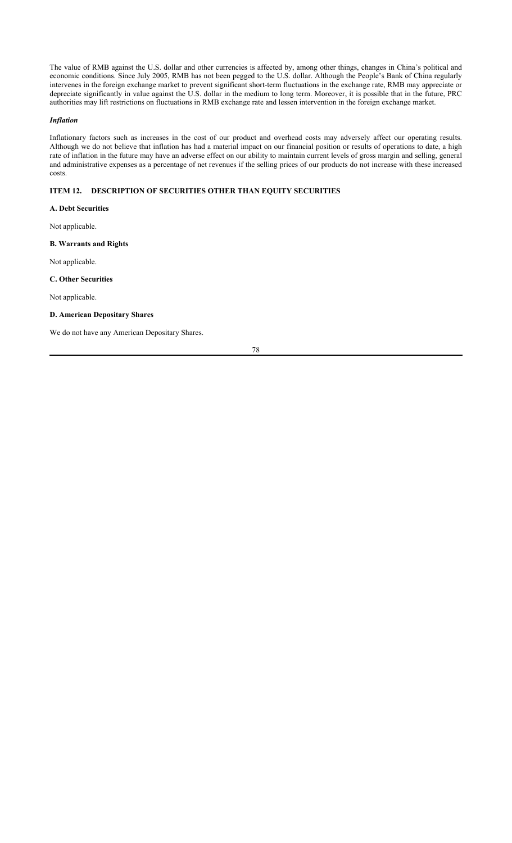The value of RMB against the U.S. dollar and other currencies is affected by, among other things, changes in China's political and economic conditions. Since July 2005, RMB has not been pegged to the U.S. dollar. Although the People's Bank of China regularly intervenes in the foreign exchange market to prevent significant short-term fluctuations in the exchange rate, RMB may appreciate or depreciate significantly in value against the U.S. dollar in the medium to long term. Moreover, it is possible that in the future, PRC authorities may lift restrictions on fluctuations in RMB exchange rate and lessen intervention in the foreign exchange market.

#### *Inflation*

Inflationary factors such as increases in the cost of our product and overhead costs may adversely affect our operating results. Although we do not believe that inflation has had a material impact on our financial position or results of operations to date, a high rate of inflation in the future may have an adverse effect on our ability to maintain current levels of gross margin and selling, general and administrative expenses as a percentage of net revenues if the selling prices of our products do not increase with these increased costs.

## **ITEM 12. DESCRIPTION OF SECURITIES OTHER THAN EQUITY SECURITIES**

#### **A. Debt Securities**

Not applicable.

#### **B. Warrants and Rights**

Not applicable.

#### **C. Other Securities**

Not applicable.

#### **D. American Depositary Shares**

We do not have any American Depositary Shares.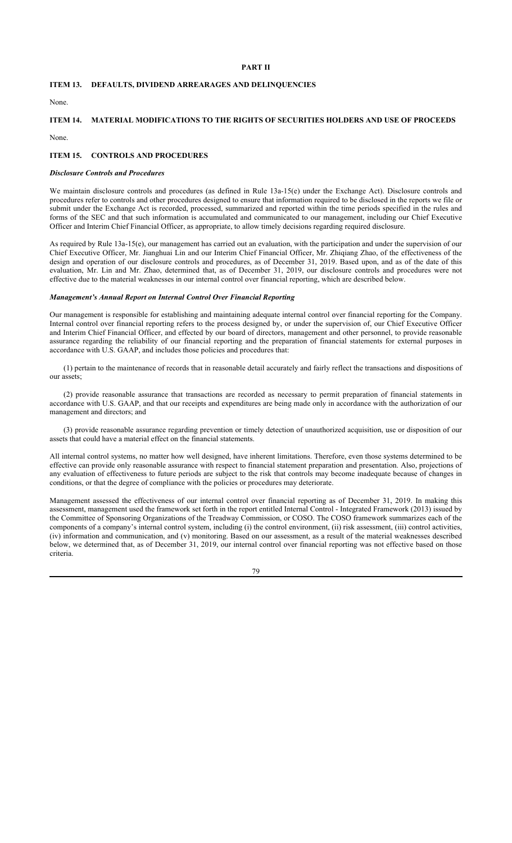#### **PART II**

## **ITEM 13. DEFAULTS, DIVIDEND ARREARAGES AND DELINQUENCIES**

None.

# **ITEM 14. MATERIAL MODIFICATIONS TO THE RIGHTS OF SECURITIES HOLDERS AND USE OF PROCEEDS**

None.

#### **ITEM 15. CONTROLS AND PROCEDURES**

#### *Disclosure Controls and Procedures*

We maintain disclosure controls and procedures (as defined in Rule 13a-15(e) under the Exchange Act). Disclosure controls and procedures refer to controls and other procedures designed to ensure that information required to be disclosed in the reports we file or submit under the Exchange Act is recorded, processed, summarized and reported within the time periods specified in the rules and forms of the SEC and that such information is accumulated and communicated to our management, including our Chief Executive Officer and Interim Chief Financial Officer, as appropriate, to allow timely decisions regarding required disclosure.

As required by Rule 13a-15(e), our management has carried out an evaluation, with the participation and under the supervision of our Chief Executive Officer, Mr. Jianghuai Lin and our Interim Chief Financial Officer, Mr. Zhiqiang Zhao, of the effectiveness of the design and operation of our disclosure controls and procedures, as of December 31, 2019. Based upon, and as of the date of this evaluation, Mr. Lin and Mr. Zhao, determined that, as of December 31, 2019, our disclosure controls and procedures were not effective due to the material weaknesses in our internal control over financial reporting, which are described below.

#### *Management's Annual Report on Internal Control Over Financial Reporting*

Our management is responsible for establishing and maintaining adequate internal control over financial reporting for the Company. Internal control over financial reporting refers to the process designed by, or under the supervision of, our Chief Executive Officer and Interim Chief Financial Officer, and effected by our board of directors, management and other personnel, to provide reasonable assurance regarding the reliability of our financial reporting and the preparation of financial statements for external purposes in accordance with U.S. GAAP, and includes those policies and procedures that:

(1) pertain to the maintenance of records that in reasonable detail accurately and fairly reflect the transactions and dispositions of our assets;

(2) provide reasonable assurance that transactions are recorded as necessary to permit preparation of financial statements in accordance with U.S. GAAP, and that our receipts and expenditures are being made only in accordance with the authorization of our management and directors; and

(3) provide reasonable assurance regarding prevention or timely detection of unauthorized acquisition, use or disposition of our assets that could have a material effect on the financial statements.

All internal control systems, no matter how well designed, have inherent limitations. Therefore, even those systems determined to be effective can provide only reasonable assurance with respect to financial statement preparation and presentation. Also, projections of any evaluation of effectiveness to future periods are subject to the risk that controls may become inadequate because of changes in conditions, or that the degree of compliance with the policies or procedures may deteriorate.

Management assessed the effectiveness of our internal control over financial reporting as of December 31, 2019. In making this assessment, management used the framework set forth in the report entitled Internal Control - Integrated Framework (2013) issued by the Committee of Sponsoring Organizations of the Treadway Commission, or COSO. The COSO framework summarizes each of the components of a company's internal control system, including (i) the control environment, (ii) risk assessment, (iii) control activities, (iv) information and communication, and (v) monitoring. Based on our assessment, as a result of the material weaknesses described below, we determined that, as of December 31, 2019, our internal control over financial reporting was not effective based on those criteria.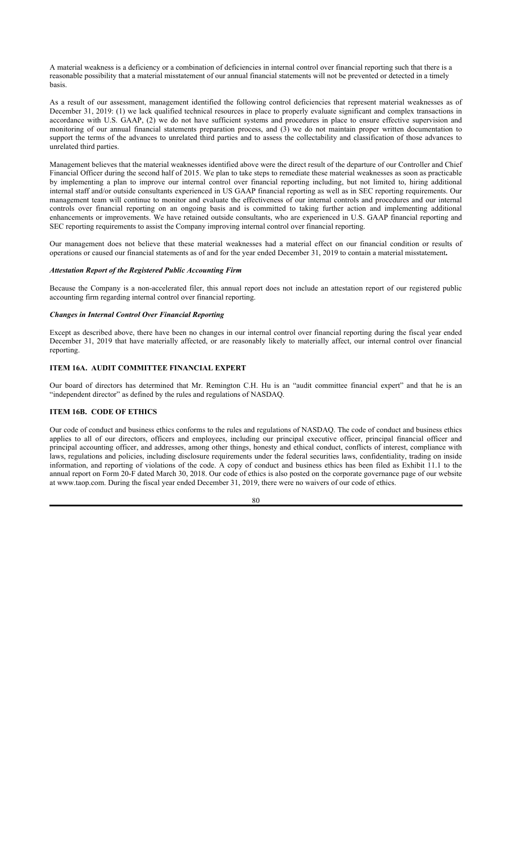A material weakness is a deficiency or a combination of deficiencies in internal control over financial reporting such that there is a reasonable possibility that a material misstatement of our annual financial statements will not be prevented or detected in a timely basis.

As a result of our assessment, management identified the following control deficiencies that represent material weaknesses as of December 31, 2019: (1) we lack qualified technical resources in place to properly evaluate significant and complex transactions in accordance with U.S. GAAP, (2) we do not have sufficient systems and procedures in place to ensure effective supervision and monitoring of our annual financial statements preparation process, and (3) we do not maintain proper written documentation to support the terms of the advances to unrelated third parties and to assess the collectability and classification of those advances to unrelated third parties.

Management believes that the material weaknesses identified above were the direct result of the departure of our Controller and Chief Financial Officer during the second half of 2015. We plan to take steps to remediate these material weaknesses as soon as practicable by implementing a plan to improve our internal control over financial reporting including, but not limited to, hiring additional internal staff and/or outside consultants experienced in US GAAP financial reporting as well as in SEC reporting requirements. Our management team will continue to monitor and evaluate the effectiveness of our internal controls and procedures and our internal controls over financial reporting on an ongoing basis and is committed to taking further action and implementing additional enhancements or improvements. We have retained outside consultants, who are experienced in U.S. GAAP financial reporting and SEC reporting requirements to assist the Company improving internal control over financial reporting.

Our management does not believe that these material weaknesses had a material effect on our financial condition or results of operations or caused our financial statements as of and for the year ended December 31, 2019 to contain a material misstatement**.**

#### *Attestation Report of the Registered Public Accounting Firm*

Because the Company is a non-accelerated filer, this annual report does not include an attestation report of our registered public accounting firm regarding internal control over financial reporting.

#### *Changes in Internal Control Over Financial Reporting*

Except as described above, there have been no changes in our internal control over financial reporting during the fiscal year ended December 31, 2019 that have materially affected, or are reasonably likely to materially affect, our internal control over financial reporting.

#### **ITEM 16A. AUDIT COMMITTEE FINANCIAL EXPERT**

Our board of directors has determined that Mr. Remington C.H. Hu is an "audit committee financial expert" and that he is an "independent director" as defined by the rules and regulations of NASDAQ.

## **ITEM 16B. CODE OF ETHICS**

Our code of conduct and business ethics conforms to the rules and regulations of NASDAQ. The code of conduct and business ethics applies to all of our directors, officers and employees, including our principal executive officer, principal financial officer and principal accounting officer, and addresses, among other things, honesty and ethical conduct, conflicts of interest, compliance with laws, regulations and policies, including disclosure requirements under the federal securities laws, confidentiality, trading on inside information, and reporting of violations of the code. A copy of conduct and business ethics has been filed as Exhibit 11.1 to the annual report on Form 20-F dated March 30, 2018. Our code of ethics is also posted on the corporate governance page of our website at www.taop.com. During the fiscal year ended December 31, 2019, there were no waivers of our code of ethics.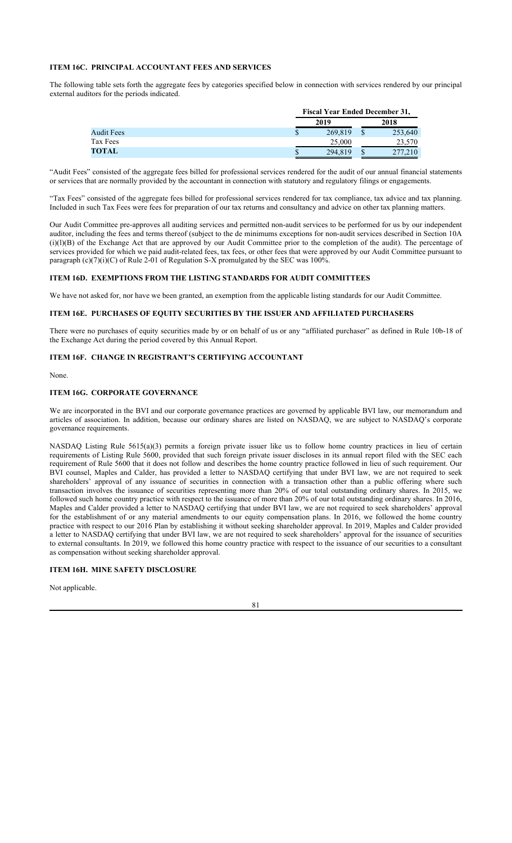### **ITEM 16C. PRINCIPAL ACCOUNTANT FEES AND SERVICES**

The following table sets forth the aggregate fees by categories specified below in connection with services rendered by our principal external auditors for the periods indicated.

|                   |   | <b>Fiscal Year Ended December 31,</b> |  |         |  |  |  |
|-------------------|---|---------------------------------------|--|---------|--|--|--|
|                   |   | 2019                                  |  | 2018    |  |  |  |
| <b>Audit Fees</b> | S | 269,819                               |  | 253,640 |  |  |  |
| Tax Fees          |   | 25,000                                |  | 23,570  |  |  |  |
| <b>TOTAL</b>      | S | 294,819                               |  |         |  |  |  |

"Audit Fees" consisted of the aggregate fees billed for professional services rendered for the audit of our annual financial statements or services that are normally provided by the accountant in connection with statutory and regulatory filings or engagements.

"Tax Fees" consisted of the aggregate fees billed for professional services rendered for tax compliance, tax advice and tax planning. Included in such Tax Fees were fees for preparation of our tax returns and consultancy and advice on other tax planning matters.

Our Audit Committee pre-approves all auditing services and permitted non-audit services to be performed for us by our independent auditor, including the fees and terms thereof (subject to the de minimums exceptions for non-audit services described in Section 10A (i)(l)(B) of the Exchange Act that are approved by our Audit Committee prior to the completion of the audit). The percentage of services provided for which we paid audit-related fees, tax fees, or other fees that were approved by our Audit Committee pursuant to paragraph (c)(7)(i)(C) of Rule 2-01 of Regulation S-X promulgated by the SEC was 100%.

#### **ITEM 16D. EXEMPTIONS FROM THE LISTING STANDARDS FOR AUDIT COMMITTEES**

We have not asked for, nor have we been granted, an exemption from the applicable listing standards for our Audit Committee.

#### **ITEM 16E. PURCHASES OF EQUITY SECURITIES BY THE ISSUER AND AFFILIATED PURCHASERS**

There were no purchases of equity securities made by or on behalf of us or any "affiliated purchaser" as defined in Rule 10b-18 of the Exchange Act during the period covered by this Annual Report.

#### **ITEM 16F. CHANGE IN REGISTRANT'S CERTIFYING ACCOUNTANT**

None.

#### **ITEM 16G. CORPORATE GOVERNANCE**

We are incorporated in the BVI and our corporate governance practices are governed by applicable BVI law, our memorandum and articles of association. In addition, because our ordinary shares are listed on NASDAQ, we are subject to NASDAQ's corporate governance requirements.

NASDAQ Listing Rule 5615(a)(3) permits a foreign private issuer like us to follow home country practices in lieu of certain requirements of Listing Rule 5600, provided that such foreign private issuer discloses in its annual report filed with the SEC each requirement of Rule 5600 that it does not follow and describes the home country practice followed in lieu of such requirement. Our BVI counsel, Maples and Calder, has provided a letter to NASDAQ certifying that under BVI law, we are not required to seek shareholders' approval of any issuance of securities in connection with a transaction other than a public offering where such transaction involves the issuance of securities representing more than 20% of our total outstanding ordinary shares. In 2015, we followed such home country practice with respect to the issuance of more than 20% of our total outstanding ordinary shares. In 2016, Maples and Calder provided a letter to NASDAQ certifying that under BVI law, we are not required to seek shareholders' approval for the establishment of or any material amendments to our equity compensation plans. In 2016, we followed the home country practice with respect to our 2016 Plan by establishing it without seeking shareholder approval. In 2019, Maples and Calder provided a letter to NASDAQ certifying that under BVI law, we are not required to seek shareholders' approval for the issuance of securities to external consultants. In 2019, we followed this home country practice with respect to the issuance of our securities to a consultant as compensation without seeking shareholder approval.

#### **ITEM 16H. MINE SAFETY DISCLOSURE**

Not applicable.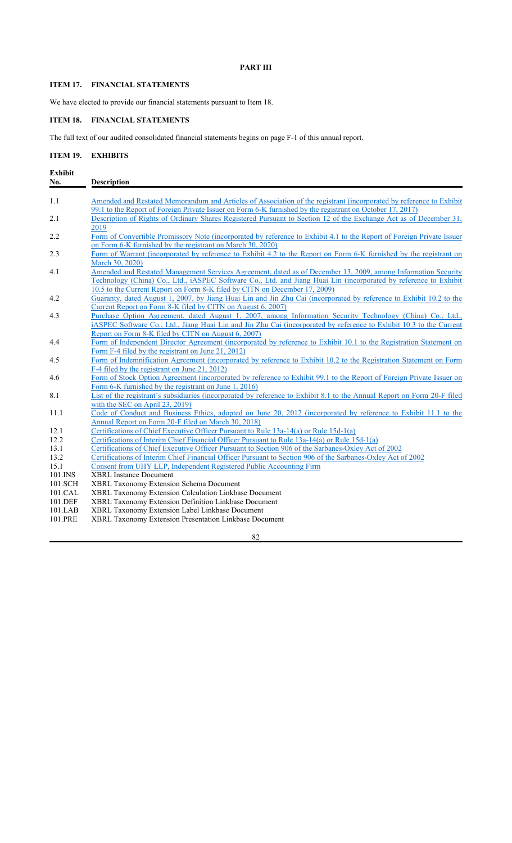## **PART III**

## **ITEM 17. FINANCIAL STATEMENTS**

We have elected to provide our financial statements pursuant to Item 18.

## **ITEM 18. FINANCIAL STATEMENTS**

The full text of our audited consolidated financial statements begins on page F-1 of this annual report.

## **ITEM 19. EXHIBITS**

| <b>Exhibit</b><br>No. | <b>Description</b>                                                                                                                                                                                                                                                                                              |
|-----------------------|-----------------------------------------------------------------------------------------------------------------------------------------------------------------------------------------------------------------------------------------------------------------------------------------------------------------|
| 1.1                   | Amended and Restated Memorandum and Articles of Association of the registrant (incorporated by reference to Exhibit<br>99.1 to the Report of Foreign Private Issuer on Form 6-K furnished by the registrant on October 17, 2017)                                                                                |
| 2.1                   | Description of Rights of Ordinary Shares Registered Pursuant to Section 12 of the Exchange Act as of December 31,<br>2019                                                                                                                                                                                       |
| 2.2                   | Form of Convertible Promissory Note (incorporated by reference to Exhibit 4.1 to the Report of Foreign Private Issuer<br>on Form 6-K furnished by the registrant on March 30, 2020)                                                                                                                             |
| 2.3                   | Form of Warrant (incorporated by reference to Exhibit 4.2 to the Report on Form 6-K furnished by the registrant on<br>March 30, 2020)                                                                                                                                                                           |
| 4.1                   | Amended and Restated Management Services Agreement, dated as of December 13, 2009, among Information Security<br>Technology (China) Co., Ltd., iASPEC Software Co., Ltd. and Jiang Huai Lin (incorporated by reference to Exhibit<br>10.5 to the Current Report on Form 8-K filed by CITN on December 17, 2009) |
| 4.2                   | Guaranty, dated August 1, 2007, by Jiang Huai Lin and Jin Zhu Cai (incorporated by reference to Exhibit 10.2 to the<br>Current Report on Form 8-K filed by CITN on August 6, 2007)                                                                                                                              |
| 4.3                   | Purchase Option Agreement, dated August 1, 2007, among Information Security Technology (China) Co., Ltd.,<br>iASPEC Software Co., Ltd., Jiang Huai Lin and Jin Zhu Cai (incorporated by reference to Exhibit 10.3 to the Current<br>Report on Form 8-K filed by CITN on August 6, 2007)                         |
| 4.4                   | Form of Independent Director Agreement (incorporated by reference to Exhibit 10.1 to the Registration Statement on<br>Form F-4 filed by the registrant on June 21, 2012)                                                                                                                                        |
| 4.5                   | Form of Indemnification Agreement (incorporated by reference to Exhibit 10.2 to the Registration Statement on Form<br>F-4 filed by the registrant on June 21, 2012)                                                                                                                                             |
| 4.6                   | Form of Stock Option Agreement (incorporated by reference to Exhibit 99.1 to the Report of Foreign Private Issuer on<br>Form 6-K furnished by the registrant on June 1, 2016)                                                                                                                                   |
| 8.1                   | List of the registrant's subsidiaries (incorporated by reference to Exhibit 8.1 to the Annual Report on Form 20-F filed<br>with the SEC on April 23, 2019)                                                                                                                                                      |
| 11.1                  | Code of Conduct and Business Ethics, adopted on June 20, 2012 (incorporated by reference to Exhibit 11.1 to the<br>Annual Report on Form 20-F filed on March 30, 2018)                                                                                                                                          |
| 12.1                  | Certifications of Chief Executive Officer Pursuant to Rule 13a-14(a) or Rule 15d-1(a)                                                                                                                                                                                                                           |
| 12.2                  | Certifications of Interim Chief Financial Officer Pursuant to Rule 13a-14(a) or Rule 15d-1(a)                                                                                                                                                                                                                   |
| 13.1                  | Certifications of Chief Executive Officer Pursuant to Section 906 of the Sarbanes-Oxley Act of 2002                                                                                                                                                                                                             |
| 13.2                  | Certifications of Interim Chief Financial Officer Pursuant to Section 906 of the Sarbanes-Oxley Act of 2002                                                                                                                                                                                                     |
| 15.1<br>101.INS       | Consent from UHY LLP, Independent Registered Public Accounting Firm<br><b>XBRL</b> Instance Document                                                                                                                                                                                                            |
| 101.SCH               | XBRL Taxonomy Extension Schema Document                                                                                                                                                                                                                                                                         |
| 101.CAL               | XBRL Taxonomy Extension Calculation Linkbase Document                                                                                                                                                                                                                                                           |
| 101.DEF               | XBRL Taxonomy Extension Definition Linkbase Document                                                                                                                                                                                                                                                            |
| 101.LAB               | XBRL Taxonomy Extension Label Linkbase Document                                                                                                                                                                                                                                                                 |
| 101.PRE               | XBRL Taxonomy Extension Presentation Linkbase Document                                                                                                                                                                                                                                                          |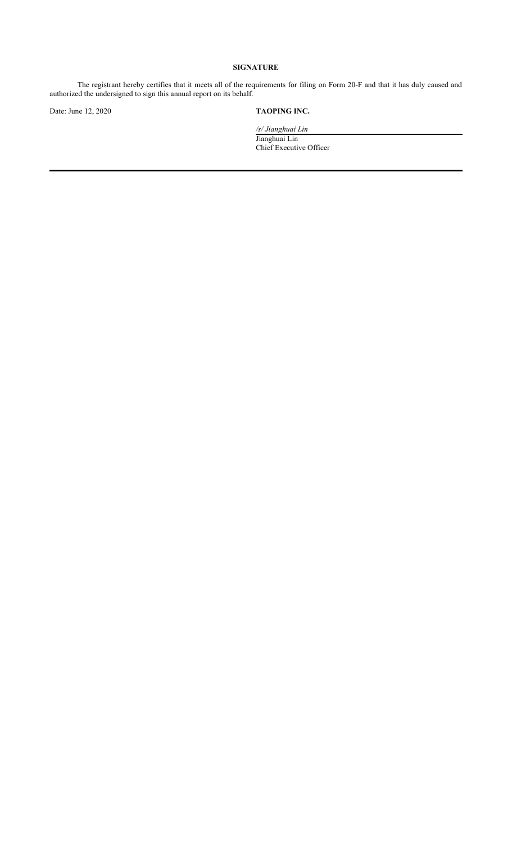## **SIGNATURE**

The registrant hereby certifies that it meets all of the requirements for filing on Form 20-F and that it has duly caused and authorized the undersigned to sign this annual report on its behalf.

Date: June 12, 2020 **TAOPING INC.** 

*/s/ Jianghuai Lin*

Jianghuai Lin Chief Executive Officer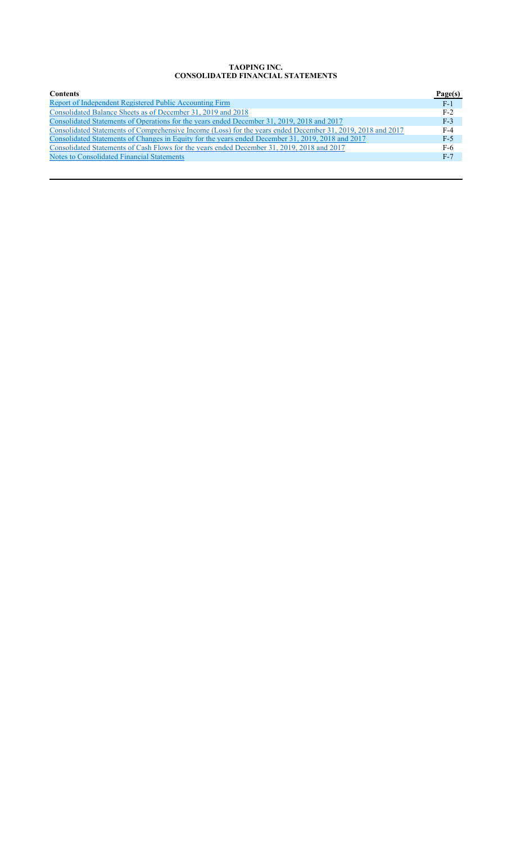#### **TAOPING INC. CONSOLIDATED FINANCIAL STATEMENTS**

| <b>Contents</b>                                                                                             | Page(s) |
|-------------------------------------------------------------------------------------------------------------|---------|
| Report of Independent Registered Public Accounting Firm                                                     | $F-1$   |
| Consolidated Balance Sheets as of December 31, 2019 and 2018                                                | $F-2$   |
| Consolidated Statements of Operations for the years ended December 31, 2019, 2018 and 2017                  | $F-3$   |
| Consolidated Statements of Comprehensive Income (Loss) for the years ended December 31, 2019, 2018 and 2017 | $F-4$   |
| Consolidated Statements of Changes in Equity for the years ended December 31, 2019, 2018 and 2017           | $F-5$   |
| Consolidated Statements of Cash Flows for the years ended December 31, 2019, 2018 and 2017                  | $F-6$   |
| Notes to Consolidated Financial Statements                                                                  | $F-7$   |
|                                                                                                             |         |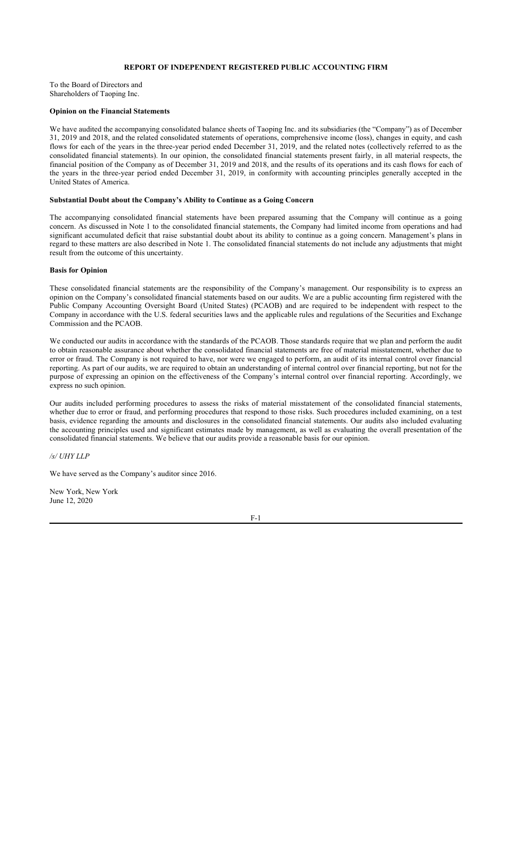#### **REPORT OF INDEPENDENT REGISTERED PUBLIC ACCOUNTING FIRM**

To the Board of Directors and Shareholders of Taoping Inc.

#### **Opinion on the Financial Statements**

We have audited the accompanying consolidated balance sheets of Taoping Inc. and its subsidiaries (the "Company") as of December 31, 2019 and 2018, and the related consolidated statements of operations, comprehensive income (loss), changes in equity, and cash flows for each of the years in the three-year period ended December 31, 2019, and the related notes (collectively referred to as the consolidated financial statements). In our opinion, the consolidated financial statements present fairly, in all material respects, the financial position of the Company as of December 31, 2019 and 2018, and the results of its operations and its cash flows for each of the years in the three-year period ended December 31, 2019, in conformity with accounting principles generally accepted in the United States of America.

#### **Substantial Doubt about the Company's Ability to Continue as a Going Concern**

The accompanying consolidated financial statements have been prepared assuming that the Company will continue as a going concern. As discussed in Note 1 to the consolidated financial statements, the Company had limited income from operations and had significant accumulated deficit that raise substantial doubt about its ability to continue as a going concern. Management's plans in regard to these matters are also described in Note 1. The consolidated financial statements do not include any adjustments that might result from the outcome of this uncertainty.

#### **Basis for Opinion**

These consolidated financial statements are the responsibility of the Company's management. Our responsibility is to express an opinion on the Company's consolidated financial statements based on our audits. We are a public accounting firm registered with the Public Company Accounting Oversight Board (United States) (PCAOB) and are required to be independent with respect to the Company in accordance with the U.S. federal securities laws and the applicable rules and regulations of the Securities and Exchange Commission and the PCAOB.

We conducted our audits in accordance with the standards of the PCAOB. Those standards require that we plan and perform the audit to obtain reasonable assurance about whether the consolidated financial statements are free of material misstatement, whether due to error or fraud. The Company is not required to have, nor were we engaged to perform, an audit of its internal control over financial reporting. As part of our audits, we are required to obtain an understanding of internal control over financial reporting, but not for the purpose of expressing an opinion on the effectiveness of the Company's internal control over financial reporting. Accordingly, we express no such opinion.

Our audits included performing procedures to assess the risks of material misstatement of the consolidated financial statements, whether due to error or fraud, and performing procedures that respond to those risks. Such procedures included examining, on a test basis, evidence regarding the amounts and disclosures in the consolidated financial statements. Our audits also included evaluating the accounting principles used and significant estimates made by management, as well as evaluating the overall presentation of the consolidated financial statements. We believe that our audits provide a reasonable basis for our opinion.

*/s/ UHY LLP*

We have served as the Company's auditor since 2016.

New York, New York June 12, 2020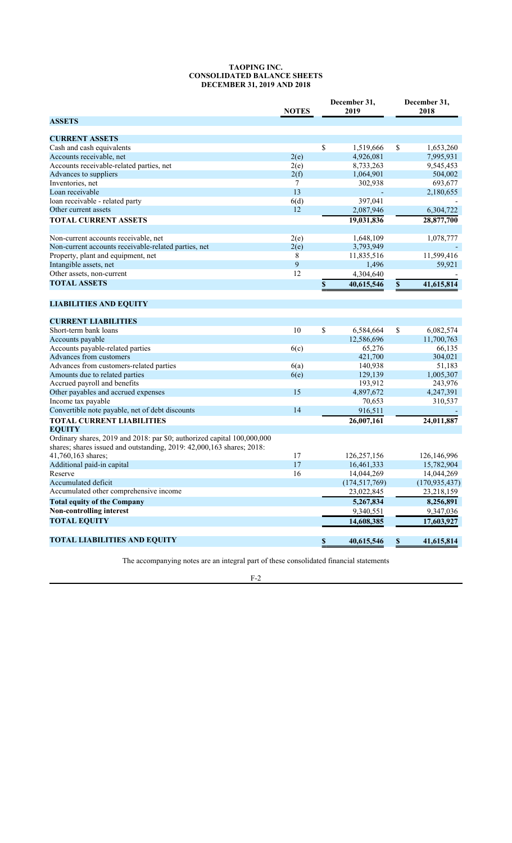#### **TAOPING INC. CONSOLIDATED BALANCE SHEETS DECEMBER 31, 2019 AND 2018**

|                                                                         | <b>NOTES</b> | December 31,<br>2019 |      | December 31,<br>2018 |  |
|-------------------------------------------------------------------------|--------------|----------------------|------|----------------------|--|
| <b>ASSETS</b>                                                           |              |                      |      |                      |  |
|                                                                         |              |                      |      |                      |  |
| <b>CURRENT ASSETS</b>                                                   |              |                      |      |                      |  |
| Cash and cash equivalents                                               |              | \$<br>1,519,666      | \$   | 1,653,260            |  |
| Accounts receivable, net                                                | 2(e)         | 4,926,081            |      | 7,995,931            |  |
| Accounts receivable-related parties, net                                | 2(e)         | 8,733,263            |      | 9,545,453            |  |
| Advances to suppliers                                                   | 2(f)         | 1,064,901            |      | 504,002              |  |
| Inventories, net                                                        | 7            | 302,938              |      | 693,677              |  |
| Loan receivable                                                         | 13           |                      |      | 2,180,655            |  |
| loan receivable - related party                                         | 6(d)         | 397,041              |      |                      |  |
| Other current assets                                                    | 12           | 2,087,946            |      | 6,304,722            |  |
| <b>TOTAL CURRENT ASSETS</b>                                             |              | 19,031,836           |      | 28,877,700           |  |
| Non-current accounts receivable, net                                    | 2(e)         | 1,648,109            |      | 1,078,777            |  |
| Non-current accounts receivable-related parties, net                    | 2(e)         | 3,793,949            |      |                      |  |
| Property, plant and equipment, net                                      | 8            | 11,835,516           |      | 11,599,416           |  |
| Intangible assets, net                                                  | 9            | 1,496                |      | 59,921               |  |
| Other assets, non-current                                               | 12           | 4,304,640            |      |                      |  |
| <b>TOTAL ASSETS</b>                                                     |              | \$<br>40,615,546     | \$   | 41,615,814           |  |
| <b>LIABILITIES AND EQUITY</b>                                           |              |                      |      |                      |  |
|                                                                         |              |                      |      |                      |  |
| <b>CURRENT LIABILITIES</b>                                              |              |                      |      |                      |  |
| Short-term bank loans                                                   | 10           | \$<br>6,584,664      | \$   | 6,082,574            |  |
| Accounts payable                                                        |              | 12,586,696           |      | 11,700,763           |  |
| Accounts payable-related parties                                        | 6(c)         | 65,276               |      | 66,135               |  |
| Advances from customers                                                 |              | 421,700              |      | 304,021              |  |
| Advances from customers-related parties                                 | 6(a)         | 140,938              |      | 51,183               |  |
| Amounts due to related parties                                          | 6(e)         | 129,139              |      | 1,005,307            |  |
| Accrued payroll and benefits                                            |              | 193,912              |      | 243,976              |  |
| Other payables and accrued expenses                                     | 15           | 4,897,672            |      | 4,247,391            |  |
| Income tax payable                                                      |              | 70,653               |      | 310,537              |  |
| Convertible note payable, net of debt discounts                         | 14           | 916,511              |      |                      |  |
| <b>TOTAL CURRENT LIABILITIES</b><br><b>EQUITY</b>                       |              | 26,007,161           |      | 24,011,887           |  |
| Ordinary shares, 2019 and 2018: par \$0; authorized capital 100,000,000 |              |                      |      |                      |  |
| shares; shares issued and outstanding, 2019: 42,000,163 shares; 2018:   |              |                      |      |                      |  |
| 41,760,163 shares;                                                      | 17           | 126,257,156          |      | 126,146,996          |  |
| Additional paid-in capital                                              | 17           | 16,461,333           |      | 15,782,904           |  |
| Reserve                                                                 | 16           | 14,044,269           |      | 14,044,269           |  |
| Accumulated deficit                                                     |              | (174, 517, 769)      |      | (170, 935, 437)      |  |
| Accumulated other comprehensive income                                  |              | 23,022,845           |      | 23,218,159           |  |
| <b>Total equity of the Company</b>                                      |              | 5,267,834            |      | 8,256,891            |  |
| Non-controlling interest                                                |              | 9,340,551            |      | 9,347,036            |  |
| <b>TOTAL EQUITY</b>                                                     |              | 14,608,385           |      | 17,603,927           |  |
|                                                                         |              |                      |      |                      |  |
| <b>TOTAL LIABILITIES AND EQUITY</b>                                     |              | \$<br>40,615,546     | $\$$ | 41,615,814           |  |

The accompanying notes are an integral part of these consolidated financial statements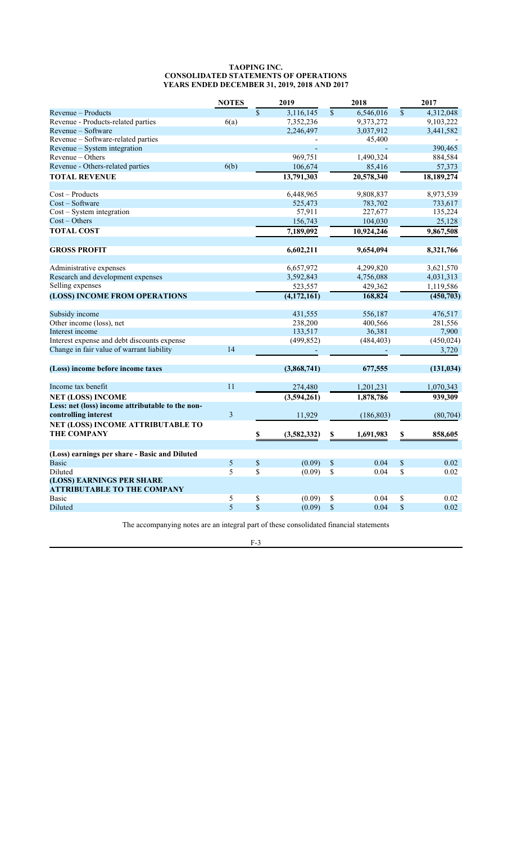#### **TAOPING INC. CONSOLIDATED STATEMENTS OF OPERATIONS YEARS ENDED DECEMBER 31, 2019, 2018 AND 2017**

|                                                  | <b>NOTES</b> |              | 2019                     |              | 2018       |              | 2017       |
|--------------------------------------------------|--------------|--------------|--------------------------|--------------|------------|--------------|------------|
| Revenue - Products                               |              | $\mathbf{s}$ | 3,116,145                | $\mathbb{S}$ | 6,546,016  | $\mathbb{S}$ | 4,312,048  |
| Revenue - Products-related parties               | 6(a)         |              | 7,352,236                |              | 9,373,272  |              | 9,103,222  |
| Revenue – Software                               |              |              | 2,246,497                |              | 3,037,912  |              | 3,441,582  |
| Revenue - Software-related parties               |              |              |                          |              | 45,400     |              |            |
| Revenue – System integration                     |              |              |                          |              |            |              | 390,465    |
| Revenue – Others                                 |              |              | 969,751                  |              | 1,490,324  |              | 884,584    |
| Revenue - Others-related parties                 | 6(b)         |              | 106,674                  |              | 85,416     |              | 57,373     |
| <b>TOTAL REVENUE</b>                             |              |              | 13,791,303               |              | 20,578,340 |              | 18,189,274 |
|                                                  |              |              |                          |              |            |              |            |
| $Cost - Products$                                |              |              | 6,448,965                |              | 9,808,837  |              | 8,973,539  |
| $Cost - Software$                                |              |              | 525,473                  |              | 783,702    |              | 733,617    |
| Cost - System integration                        |              |              | 57,911                   |              | 227,677    |              | 135,224    |
| $Cost - Others$                                  |              |              | 156,743                  |              | 104,030    |              | 25,128     |
| <b>TOTAL COST</b>                                |              |              | 7,189,092                |              | 10,924,246 |              | 9,867,508  |
|                                                  |              |              |                          |              |            |              |            |
| <b>GROSS PROFIT</b>                              |              |              | 6,602,211                |              | 9,654,094  |              | 8,321,766  |
|                                                  |              |              |                          |              |            |              |            |
| Administrative expenses                          |              |              | 6,657,972                |              | 4,299,820  |              | 3,621,570  |
| Research and development expenses                |              |              | 3,592,843                |              | 4,756,088  |              | 4,031,313  |
| Selling expenses                                 |              |              | 523,557                  |              | 429,362    |              | 1,119,586  |
| (LOSS) INCOME FROM OPERATIONS                    |              |              | $\overline{(4,172,161)}$ |              | 168,824    |              | (450, 703) |
| Subsidy income                                   |              |              | 431,555                  |              | 556,187    |              | 476,517    |
| Other income (loss), net                         |              |              | 238,200                  |              | 400,566    |              | 281,556    |
| Interest income                                  |              |              | 133,517                  |              | 36,381     |              | 7,900      |
| Interest expense and debt discounts expense      |              |              | (499, 852)               |              | (484, 403) |              | (450, 024) |
| Change in fair value of warrant liability        | 14           |              |                          |              |            |              | 3,720      |
|                                                  |              |              |                          |              |            |              |            |
| (Loss) income before income taxes                |              |              | (3,868,741)              |              | 677,555    |              | (131, 034) |
| Income tax benefit                               | 11           |              | 274,480                  |              | 1,201,231  |              | 1,070,343  |
| <b>NET (LOSS) INCOME</b>                         |              |              | (3,594,261)              |              | 1,878,786  |              | 939,309    |
| Less: net (loss) income attributable to the non- |              |              |                          |              |            |              |            |
| controlling interest                             | 3            |              | 11,929                   |              | (186, 803) |              | (80, 704)  |
| NET (LOSS) INCOME ATTRIBUTABLE TO                |              |              |                          |              |            |              |            |
| <b>THE COMPANY</b>                               |              | \$           | (3,582,332)              | \$           | 1,691,983  | \$           | 858,605    |
|                                                  |              |              |                          |              |            |              |            |
| (Loss) earnings per share - Basic and Diluted    |              |              |                          |              |            |              |            |
| <b>Basic</b>                                     | 5            | \$           | (0.09)                   | \$           | 0.04       | $\$$         | 0.02       |
| Diluted                                          | 5            | \$           | (0.09)                   | \$           | 0.04       | \$           | 0.02       |
| (LOSS) EARNINGS PER SHARE                        |              |              |                          |              |            |              |            |
| <b>ATTRIBUTABLE TO THE COMPANY</b>               |              |              |                          |              |            |              |            |
| Basic                                            | 5            | \$           | (0.09)                   | \$           | 0.04       | \$           | 0.02       |
| Diluted                                          | 5            | \$           | (0.09)                   | \$           | 0.04       | \$           | 0.02       |

The accompanying notes are an integral part of these consolidated financial statements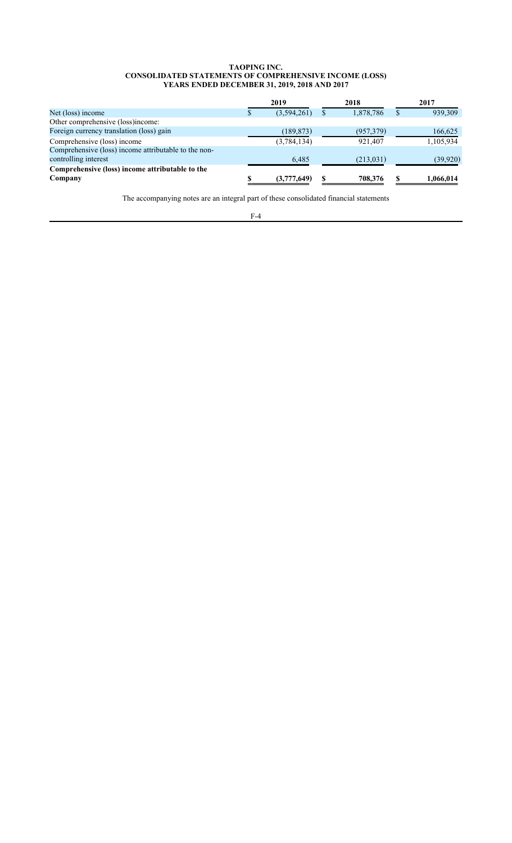#### **TAOPING INC. CONSOLIDATED STATEMENTS OF COMPREHENSIVE INCOME (LOSS) YEARS ENDED DECEMBER 31, 2019, 2018 AND 2017**

|                                                      | 2019        | 2018       | 2017      |
|------------------------------------------------------|-------------|------------|-----------|
| Net (loss) income                                    | (3,594,261) | 1,878,786  | 939,309   |
| Other comprehensive (loss)income:                    |             |            |           |
| Foreign currency translation (loss) gain             | (189, 873)  | (957,379)  | 166,625   |
| Comprehensive (loss) income                          | (3,784,134) | 921,407    | 1,105,934 |
| Comprehensive (loss) income attributable to the non- |             |            |           |
| controlling interest                                 | 6,485       | (213, 031) | (39, 920) |
| Comprehensive (loss) income attributable to the      |             |            |           |
| Company                                              | (3,777,649) | 708,376    | 1,066,014 |

The accompanying notes are an integral part of these consolidated financial statements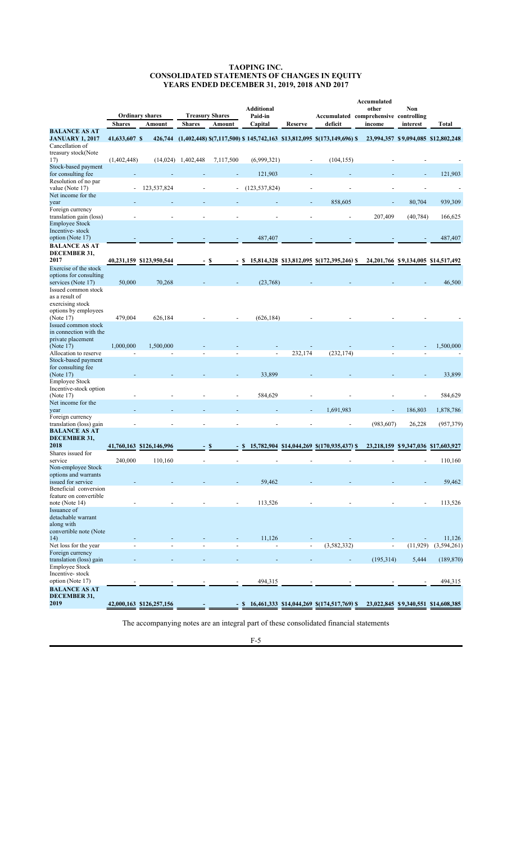#### **TAOPING INC. CONSOLIDATED STATEMENTS OF CHANGES IN EQUITY YEARS ENDED DECEMBER 31, 2019, 2018 AND 2017**

|                                                                      |                          | <b>Ordinary shares</b>   |                      | <b>Treasury Shares</b>   | <b>Additional</b><br>Paid-in |         |                                                                            | Accumulated<br>other<br>Accumulated comprehensive controlling | Non       |                                     |
|----------------------------------------------------------------------|--------------------------|--------------------------|----------------------|--------------------------|------------------------------|---------|----------------------------------------------------------------------------|---------------------------------------------------------------|-----------|-------------------------------------|
|                                                                      | <b>Shares</b>            | Amount                   | <b>Shares</b>        | Amount                   | Capital                      | Reserve | deficit                                                                    | income                                                        | interest  | <b>Total</b>                        |
| <b>BALANCE AS AT</b><br><b>JANUARY 1, 2017</b>                       | 41,633,607 \$            | 426,744                  |                      |                          |                              |         | $(1,402,448)$ \$(7,117,500) \$ 145,742,163 \$13,812,095 \$(173,149,696) \$ |                                                               |           | 23,994,357 \$9,094,085 \$12,802,248 |
| Cancellation of                                                      |                          |                          |                      |                          |                              |         |                                                                            |                                                               |           |                                     |
| treasury stock(Note<br>17)                                           | (1,402,448)              |                          | $(14,024)$ 1,402,448 | 7,117,500                | (6,999,321)                  |         | (104, 155)                                                                 |                                                               |           |                                     |
| Stock-based payment                                                  |                          |                          |                      |                          |                              |         |                                                                            |                                                               |           |                                     |
| for consulting fee                                                   |                          |                          |                      |                          | 121,903                      |         |                                                                            |                                                               |           | 121,903                             |
| Resolution of no par<br>value (Note 17)                              | $\overline{\phantom{a}}$ | 123,537,824              |                      | $\overline{\phantom{a}}$ | (123, 537, 824)              |         |                                                                            |                                                               |           |                                     |
| Net income for the                                                   |                          |                          |                      |                          |                              |         |                                                                            |                                                               |           |                                     |
| year                                                                 |                          |                          |                      |                          |                              |         | 858,605                                                                    |                                                               | 80,704    | 939,309                             |
| Foreign currency<br>translation gain (loss)<br><b>Employee Stock</b> |                          |                          |                      |                          |                              |         | $\overline{\phantom{a}}$                                                   | 207,409                                                       | (40, 784) | 166,625                             |
| Incentive-stock<br>option (Note 17)                                  |                          |                          |                      |                          | 487,407                      |         |                                                                            |                                                               |           | 487,407                             |
| <b>BALANCE AS AT</b>                                                 |                          |                          |                      |                          |                              |         |                                                                            |                                                               |           |                                     |
| DECEMBER 31,<br>2017                                                 |                          | 40,231,159 \$123,950,544 |                      | S                        | \$                           |         | 15,814,328 \$13,812,095 \$(172,395,246) \$                                 |                                                               |           | 24,201,766 \$9,134,005 \$14,517,492 |
| Exercise of the stock                                                |                          |                          |                      |                          |                              |         |                                                                            |                                                               |           |                                     |
| options for consulting<br>services (Note 17)<br>Issued common stock  | 50,000                   | 70,268                   |                      |                          | (23,768)                     |         |                                                                            |                                                               |           | 46,500                              |
| as a result of<br>exercising stock<br>options by employees           |                          |                          |                      |                          |                              |         |                                                                            |                                                               |           |                                     |
| (Note 17)                                                            | 479,004                  | 626,184                  |                      |                          | (626, 184)                   |         |                                                                            |                                                               |           |                                     |
| Issued common stock                                                  |                          |                          |                      |                          |                              |         |                                                                            |                                                               |           |                                     |
| in connection with the                                               |                          |                          |                      |                          |                              |         |                                                                            |                                                               |           |                                     |
| private placement<br>(Note 17)                                       | 1,000,000                | 1,500,000                |                      |                          |                              |         |                                                                            |                                                               |           | 1,500,000                           |
| Allocation to reserve                                                | $\overline{a}$           |                          |                      |                          |                              | 232,174 | (232, 174)                                                                 |                                                               |           |                                     |
| Stock-based payment<br>for consulting fee<br>(Note 17)               |                          |                          |                      |                          | 33,899                       |         |                                                                            |                                                               |           | 33,899                              |
| <b>Employee Stock</b><br>Incentive-stock option                      |                          |                          |                      |                          |                              |         |                                                                            |                                                               |           |                                     |
| (Note 17)<br>Net income for the                                      |                          |                          |                      |                          | 584,629                      |         |                                                                            |                                                               |           | 584,629                             |
| year                                                                 |                          |                          |                      |                          |                              |         | 1,691,983                                                                  |                                                               | 186,803   | 1,878,786                           |
| Foreign currency<br>translation (loss) gain                          |                          |                          |                      |                          |                              |         |                                                                            | (983, 607)                                                    | 26,228    | (957, 379)                          |
| <b>BALANCE AS AT</b><br><b>DECEMBER 31,</b>                          |                          |                          |                      |                          |                              |         |                                                                            |                                                               |           |                                     |
| 2018                                                                 |                          | 41,760,163 \$126,146,996 |                      | - \$                     | S                            |         | 15,782,904 \$14,044,269 \$(170,935,437) \$                                 |                                                               |           | 23,218,159 \$9,347,036 \$17,603,927 |
| Shares issued for<br>service                                         | 240,000                  | 110,160                  |                      |                          |                              |         |                                                                            |                                                               |           | 110,160                             |
| Non-employee Stock<br>options and warrants<br>issued for service     |                          |                          |                      |                          | 59,462                       |         |                                                                            |                                                               |           | 59,462                              |
| Beneficial conversion<br>feature on convertible                      |                          |                          |                      |                          |                              |         |                                                                            |                                                               |           |                                     |
| note (Note 14)<br>Issuance of                                        |                          |                          |                      |                          | 113,526                      |         |                                                                            |                                                               |           | 113,526                             |
| detachable warrant<br>along with<br>convertible note (Note           |                          |                          |                      |                          |                              |         |                                                                            |                                                               |           |                                     |
| 14)                                                                  |                          |                          |                      |                          | 11,126                       |         |                                                                            |                                                               |           | 11,126                              |
| Net loss for the year<br>Foreign currency                            |                          |                          |                      |                          | $\overline{a}$               |         | (3, 582, 332)                                                              |                                                               | (11, 929) | (3,594,261)                         |
| translation (loss) gain<br><b>Employee Stock</b>                     |                          |                          |                      |                          |                              |         |                                                                            | (195, 314)                                                    | 5,444     | (189, 870)                          |
| Incentive-stock                                                      |                          |                          |                      |                          |                              |         |                                                                            |                                                               |           |                                     |
| option (Note 17)<br><b>BALANCE AS AT</b>                             |                          |                          |                      |                          | 494,315                      |         |                                                                            |                                                               |           | 494,315                             |
| DECEMBER 31,<br>2019                                                 |                          | 42,000,163 \$126,257,156 |                      |                          | \$                           |         | 16,461,333 \$14,044,269 \$(174,517,769) \$                                 |                                                               |           | 23,022,845 \$9,340,551 \$14,608,385 |
|                                                                      |                          |                          |                      |                          |                              |         |                                                                            |                                                               |           |                                     |

The accompanying notes are an integral part of these consolidated financial statements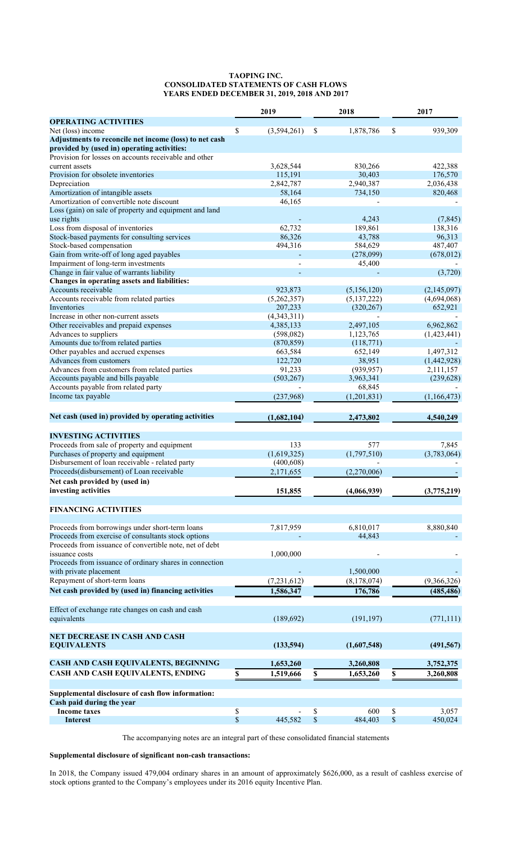#### **TAOPING INC. CONSOLIDATED STATEMENTS OF CASH FLOWS YEARS ENDED DECEMBER 31, 2019, 2018 AND 2017**

|                                                                             | 2019                       | 2018                     |              | 2017                |
|-----------------------------------------------------------------------------|----------------------------|--------------------------|--------------|---------------------|
| <b>OPERATING ACTIVITIES</b>                                                 |                            |                          |              |                     |
| Net (loss) income<br>Adjustments to reconcile net income (loss) to net cash | \$<br>(3,594,261)          | \$<br>1,878,786          | \$           | 939,309             |
| provided by (used in) operating activities:                                 |                            |                          |              |                     |
| Provision for losses on accounts receivable and other                       |                            |                          |              |                     |
| current assets                                                              | 3,628,544                  | 830,266                  |              | 422,388             |
| Provision for obsolete inventories                                          | 115,191                    | 30,403                   |              | 176,570             |
| Depreciation                                                                | 2,842,787                  | 2,940,387                |              | 2,036,438           |
| Amortization of intangible assets                                           | 58,164                     | 734,150                  |              | 820,468             |
| Amortization of convertible note discount                                   | 46,165                     |                          |              |                     |
| Loss (gain) on sale of property and equipment and land                      |                            | 4,243                    |              |                     |
| use rights<br>Loss from disposal of inventories                             | 62,732                     | 189,861                  |              | (7, 845)<br>138,316 |
| Stock-based payments for consulting services                                | 86,326                     | 43,788                   |              | 96,313              |
| Stock-based compensation                                                    | 494,316                    | 584,629                  |              | 487,407             |
| Gain from write-off of long aged payables                                   |                            | (278,099)                |              | (678, 012)          |
| Impairment of long-term investments                                         |                            | 45,400                   |              |                     |
| Change in fair value of warrants liability                                  |                            |                          |              | (3,720)             |
| Changes in operating assets and liabilities:                                |                            |                          |              |                     |
| Accounts receivable                                                         | 923,873                    | (5,156,120)              |              | (2,145,097)         |
| Accounts receivable from related parties                                    | (5,262,357)                | (5, 137, 222)            |              | (4,694,068)         |
| Inventories                                                                 | 207,233                    | (320, 267)               |              | 652,921             |
| Increase in other non-current assets                                        | (4,343,311)                |                          |              |                     |
| Other receivables and prepaid expenses                                      | 4,385,133                  | 2,497,105                |              | 6,962,862           |
| Advances to suppliers                                                       | (598,082)                  | 1,123,765                |              | (1,423,441)         |
| Amounts due to/from related parties                                         | (870, 859)<br>663,584      | (118,771)<br>652,149     |              | 1,497,312           |
| Other payables and accrued expenses<br>Advances from customers              | 122,720                    | 38,951                   |              | (1,442,928)         |
| Advances from customers from related parties                                | 91,233                     | (939, 957)               |              | 2,111,157           |
| Accounts payable and bills payable                                          | (503, 267)                 | 3,963,341                |              | (239, 628)          |
| Accounts payable from related party                                         |                            | 68,845                   |              |                     |
| Income tax payable                                                          | (237,968)                  | (1,201,831)              |              | (1,166,473)         |
|                                                                             |                            |                          |              |                     |
| Net cash (used in) provided by operating activities                         | (1,682,104)                | 2,473,802                |              | 4,540,249           |
| <b>INVESTING ACTIVITIES</b>                                                 |                            |                          |              |                     |
| Proceeds from sale of property and equipment                                | 133                        | 577                      |              | 7,845               |
| Purchases of property and equipment                                         | (1,619,325)                | (1,797,510)              |              | (3,783,064)         |
| Disbursement of loan receivable - related party                             | (400, 608)                 |                          |              |                     |
| Proceeds(disbursement) of Loan receivable                                   | 2,171,655                  | (2,270,006)              |              |                     |
| Net cash provided by (used in)                                              |                            |                          |              |                     |
| investing activities                                                        | 151,855                    | (4,066,939)              |              | (3,775,219)         |
| <b>FINANCING ACTIVITIES</b>                                                 |                            |                          |              |                     |
|                                                                             |                            |                          |              |                     |
| Proceeds from borrowings under short-term loans                             | 7,817,959                  | 6,810,017                |              | 8,880,840           |
| Proceeds from exercise of consultants stock options                         |                            | 44,843                   |              |                     |
| Proceeds from issuance of convertible note, net of debt                     |                            |                          |              |                     |
| issuance costs                                                              | 1,000,000                  |                          |              |                     |
| Proceeds from issuance of ordinary shares in connection                     |                            |                          |              |                     |
| with private placement<br>Repayment of short-term loans                     |                            | 1,500,000<br>(8,178,074) |              |                     |
| Net cash provided by (used in) financing activities                         | (7, 231, 612)<br>1,586,347 | 176,786                  |              | (9,366,326)         |
|                                                                             |                            |                          |              | (485, 486)          |
| Effect of exchange rate changes on cash and cash                            |                            |                          |              |                     |
| equivalents                                                                 | (189, 692)                 | (191, 197)               |              | (771, 111)          |
| <b>NET DECREASE IN CASH AND CASH</b>                                        |                            |                          |              |                     |
| <b>EQUIVALENTS</b>                                                          | (133, 594)                 | (1,607,548)              |              | (491, 567)          |
| CASH AND CASH EQUIVALENTS, BEGINNING                                        | 1,653,260                  | 3,260,808                |              | 3,752,375           |
| CASH AND CASH EQUIVALENTS, ENDING                                           | \$<br>1,519,666            | \$<br>1,653,260          | \$           | 3,260,808           |
|                                                                             |                            |                          |              |                     |
| Supplemental disclosure of cash flow information:                           |                            |                          |              |                     |
| Cash paid during the year                                                   |                            |                          |              |                     |
| <b>Income taxes</b>                                                         | \$                         | \$<br>600                | \$           | 3,057               |
| <b>Interest</b>                                                             | \$<br>445,582              | \$<br>484,403            | $\mathbb{S}$ | 450,024             |

The accompanying notes are an integral part of these consolidated financial statements

## **Supplemental disclosure of significant non-cash transactions:**

In 2018, the Company issued 479,004 ordinary shares in an amount of approximately \$626,000, as a result of cashless exercise of stock options granted to the Company's employees under its 2016 equity Incentive Plan.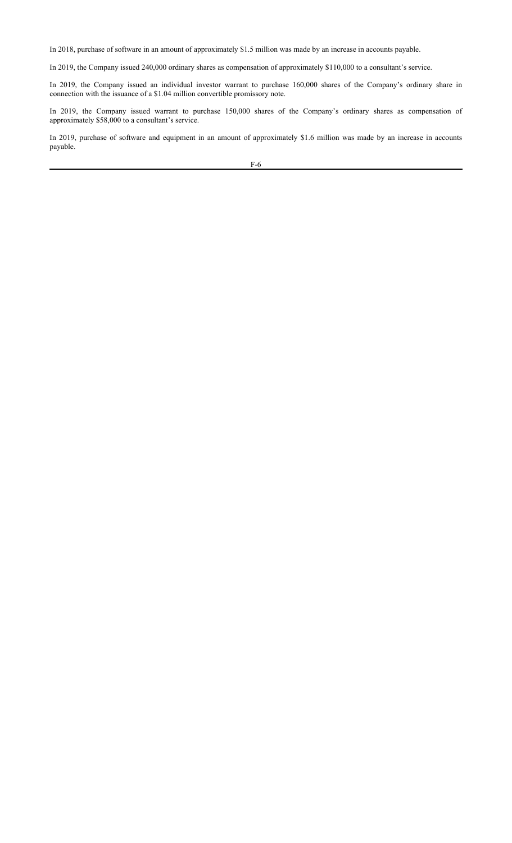In 2018, purchase of software in an amount of approximately \$1.5 million was made by an increase in accounts payable.

In 2019, the Company issued 240,000 ordinary shares as compensation of approximately \$110,000 to a consultant's service.

In 2019, the Company issued an individual investor warrant to purchase 160,000 shares of the Company's ordinary share in connection with the issuance of a \$1.04 million convertible promissory note.

In 2019, the Company issued warrant to purchase 150,000 shares of the Company's ordinary shares as compensation of approximately \$58,000 to a consultant's service.

In 2019, purchase of software and equipment in an amount of approximately \$1.6 million was made by an increase in accounts payable.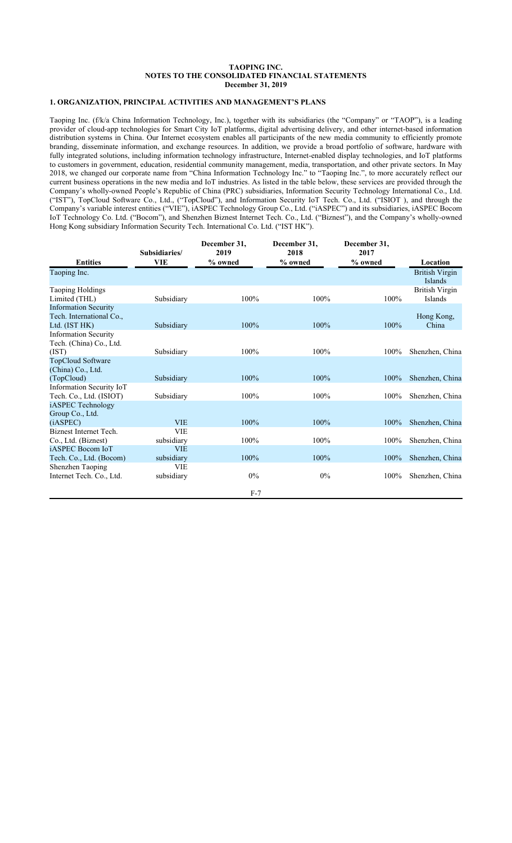## **1. ORGANIZATION, PRINCIPAL ACTIVITIES AND MANAGEMENT'S PLANS**

Taoping Inc. (f/k/a China Information Technology, Inc.), together with its subsidiaries (the "Company" or "TAOP"), is a leading provider of cloud-app technologies for Smart City IoT platforms, digital advertising delivery, and other internet-based information distribution systems in China. Our Internet ecosystem enables all participants of the new media community to efficiently promote branding, disseminate information, and exchange resources. In addition, we provide a broad portfolio of software, hardware with fully integrated solutions, including information technology infrastructure, Internet-enabled display technologies, and IoT platforms to customers in government, education, residential community management, media, transportation, and other private sectors. In May 2018, we changed our corporate name from "China Information Technology Inc." to "Taoping Inc.", to more accurately reflect our current business operations in the new media and IoT industries. As listed in the table below, these services are provided through the Company's wholly-owned People's Republic of China (PRC) subsidiaries, Information Security Technology International Co., Ltd. ("IST"), TopCloud Software Co., Ltd., ("TopCloud"), and Information Security IoT Tech. Co., Ltd. ("ISIOT ), and through the Company's variable interest entities ("VIE"), iASPEC Technology Group Co., Ltd. ("iASPEC") and its subsidiaries, iASPEC Bocom IoT Technology Co. Ltd. ("Bocom"), and Shenzhen Biznest Internet Tech. Co., Ltd. ("Biznest"), and the Company's wholly-owned Hong Kong subsidiary Information Security Tech. International Co. Ltd. ("IST HK").

| <b>Entities</b>                                                          | Subsidiaries/<br>VIE     | December 31,<br>2019<br>% owned | December 31,<br>2018<br>% owned | December 31,<br>2017<br>% owned | Location                           |
|--------------------------------------------------------------------------|--------------------------|---------------------------------|---------------------------------|---------------------------------|------------------------------------|
| Taoping Inc.                                                             |                          |                                 |                                 |                                 | <b>British Virgin</b><br>Islands   |
| <b>Taoping Holdings</b><br>Limited (THL)                                 | Subsidiary               | 100%                            | 100%                            | 100%                            | <b>British Virgin</b><br>Islands   |
| <b>Information Security</b><br>Tech. International Co.,<br>Ltd. (IST HK) | Subsidiary               | 100%                            | 100%                            | 100%                            | Hong Kong,<br>China                |
| <b>Information Security</b><br>Tech. (China) Co., Ltd.<br>(IST)          | Subsidiary               | 100%                            | 100%                            | 100%                            | Shenzhen, China                    |
| TopCloud Software<br>(China) Co., Ltd.                                   |                          |                                 |                                 |                                 |                                    |
| (TopCloud)<br>Information Security IoT<br>Tech. Co., Ltd. (ISIOT)        | Subsidiary<br>Subsidiary | 100%<br>100%                    | 100%<br>100%                    | 100%<br>100%                    | Shenzhen, China<br>Shenzhen, China |
| iASPEC Technology<br>Group Co., Ltd.<br>(iASPEC)                         | <b>VIE</b>               | 100%                            | 100%                            | 100%                            | Shenzhen, China                    |
| Biznest Internet Tech.<br>Co., Ltd. (Biznest)                            | <b>VIE</b><br>subsidiary | 100%                            | 100%                            | 100%                            | Shenzhen, China                    |
| iASPEC Bocom IoT<br>Tech. Co., Ltd. (Bocom)                              | <b>VIE</b><br>subsidiary | 100%                            | 100%                            | 100%                            | Shenzhen, China                    |
| Shenzhen Taoping<br>Internet Tech. Co., Ltd.                             | <b>VIE</b><br>subsidiary | 0%                              | 0%                              | 100%                            | Shenzhen, China                    |
|                                                                          |                          | $F-7$                           |                                 |                                 |                                    |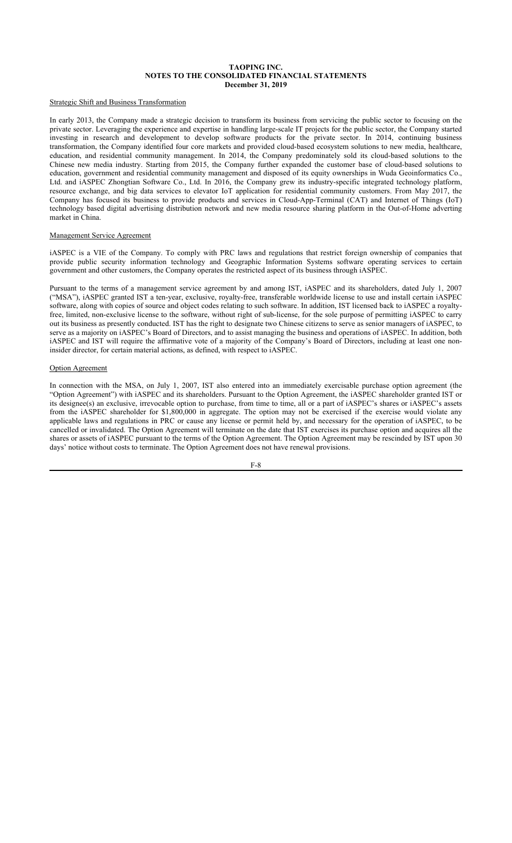## Strategic Shift and Business Transformation

In early 2013, the Company made a strategic decision to transform its business from servicing the public sector to focusing on the private sector. Leveraging the experience and expertise in handling large-scale IT projects for the public sector, the Company started investing in research and development to develop software products for the private sector. In 2014, continuing business transformation, the Company identified four core markets and provided cloud-based ecosystem solutions to new media, healthcare, education, and residential community management. In 2014, the Company predominately sold its cloud-based solutions to the Chinese new media industry. Starting from 2015, the Company further expanded the customer base of cloud-based solutions to education, government and residential community management and disposed of its equity ownerships in Wuda Geoinformatics Co., Ltd. and iASPEC Zhongtian Software Co., Ltd. In 2016, the Company grew its industry-specific integrated technology platform, resource exchange, and big data services to elevator IoT application for residential community customers. From May 2017, the Company has focused its business to provide products and services in Cloud-App-Terminal (CAT) and Internet of Things (IoT) technology based digital advertising distribution network and new media resource sharing platform in the Out-of-Home adverting market in China.

#### Management Service Agreement

iASPEC is a VIE of the Company. To comply with PRC laws and regulations that restrict foreign ownership of companies that provide public security information technology and Geographic Information Systems software operating services to certain government and other customers, the Company operates the restricted aspect of its business through iASPEC.

Pursuant to the terms of a management service agreement by and among IST, iASPEC and its shareholders, dated July 1, 2007 ("MSA"), iASPEC granted IST a ten-year, exclusive, royalty-free, transferable worldwide license to use and install certain iASPEC software, along with copies of source and object codes relating to such software. In addition, IST licensed back to iASPEC a royaltyfree, limited, non-exclusive license to the software, without right of sub-license, for the sole purpose of permitting iASPEC to carry out its business as presently conducted. IST has the right to designate two Chinese citizens to serve as senior managers of iASPEC, to serve as a majority on iASPEC's Board of Directors, and to assist managing the business and operations of iASPEC. In addition, both iASPEC and IST will require the affirmative vote of a majority of the Company's Board of Directors, including at least one noninsider director, for certain material actions, as defined, with respect to iASPEC.

#### Option Agreement

In connection with the MSA, on July 1, 2007, IST also entered into an immediately exercisable purchase option agreement (the "Option Agreement") with iASPEC and its shareholders. Pursuant to the Option Agreement, the iASPEC shareholder granted IST or its designee(s) an exclusive, irrevocable option to purchase, from time to time, all or a part of iASPEC's shares or iASPEC's assets from the iASPEC shareholder for \$1,800,000 in aggregate. The option may not be exercised if the exercise would violate any applicable laws and regulations in PRC or cause any license or permit held by, and necessary for the operation of iASPEC, to be cancelled or invalidated. The Option Agreement will terminate on the date that IST exercises its purchase option and acquires all the shares or assets of iASPEC pursuant to the terms of the Option Agreement. The Option Agreement may be rescinded by IST upon 30 days' notice without costs to terminate. The Option Agreement does not have renewal provisions.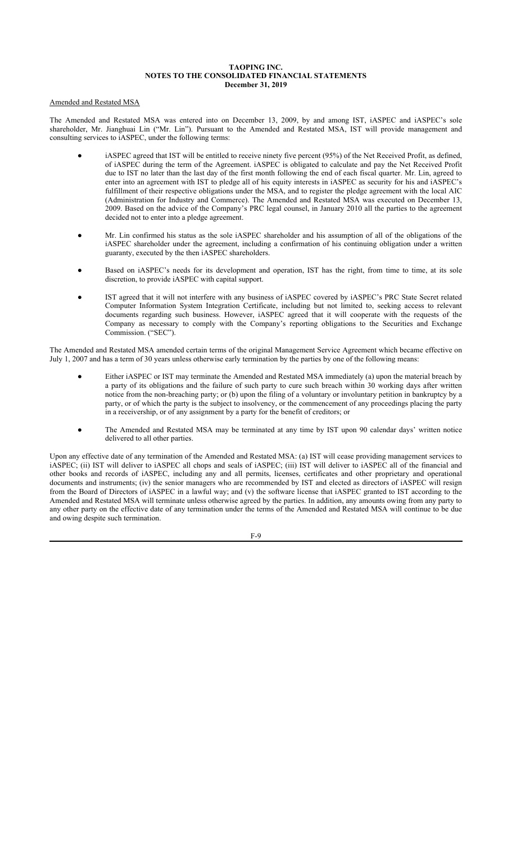#### Amended and Restated MSA

The Amended and Restated MSA was entered into on December 13, 2009, by and among IST, iASPEC and iASPEC's sole shareholder, Mr. Jianghuai Lin ("Mr. Lin"). Pursuant to the Amended and Restated MSA, IST will provide management and consulting services to iASPEC, under the following terms:

- iASPEC agreed that IST will be entitled to receive ninety five percent (95%) of the Net Received Profit, as defined, of iASPEC during the term of the Agreement. iASPEC is obligated to calculate and pay the Net Received Profit due to IST no later than the last day of the first month following the end of each fiscal quarter. Mr. Lin, agreed to enter into an agreement with IST to pledge all of his equity interests in iASPEC as security for his and iASPEC's fulfillment of their respective obligations under the MSA, and to register the pledge agreement with the local AIC (Administration for Industry and Commerce). The Amended and Restated MSA was executed on December 13, 2009. Based on the advice of the Company's PRC legal counsel, in January 2010 all the parties to the agreement decided not to enter into a pledge agreement.
- Mr. Lin confirmed his status as the sole iASPEC shareholder and his assumption of all of the obligations of the iASPEC shareholder under the agreement, including a confirmation of his continuing obligation under a written guaranty, executed by the then iASPEC shareholders.
- Based on iASPEC's needs for its development and operation, IST has the right, from time to time, at its sole discretion, to provide iASPEC with capital support.
- IST agreed that it will not interfere with any business of iASPEC covered by iASPEC's PRC State Secret related Computer Information System Integration Certificate, including but not limited to, seeking access to relevant documents regarding such business. However, iASPEC agreed that it will cooperate with the requests of the Company as necessary to comply with the Company's reporting obligations to the Securities and Exchange Commission. ("SEC").

The Amended and Restated MSA amended certain terms of the original Management Service Agreement which became effective on July 1, 2007 and has a term of 30 years unless otherwise early termination by the parties by one of the following means:

- Either iASPEC or IST may terminate the Amended and Restated MSA immediately (a) upon the material breach by a party of its obligations and the failure of such party to cure such breach within 30 working days after written notice from the non-breaching party; or (b) upon the filing of a voluntary or involuntary petition in bankruptcy by a party, or of which the party is the subject to insolvency, or the commencement of any proceedings placing the party in a receivership, or of any assignment by a party for the benefit of creditors; or
- The Amended and Restated MSA may be terminated at any time by IST upon 90 calendar days' written notice delivered to all other parties.

Upon any effective date of any termination of the Amended and Restated MSA: (a) IST will cease providing management services to iASPEC; (ii) IST will deliver to iASPEC all chops and seals of iASPEC; (iii) IST will deliver to iASPEC all of the financial and other books and records of iASPEC, including any and all permits, licenses, certificates and other proprietary and operational documents and instruments; (iv) the senior managers who are recommended by IST and elected as directors of iASPEC will resign from the Board of Directors of iASPEC in a lawful way; and (v) the software license that iASPEC granted to IST according to the Amended and Restated MSA will terminate unless otherwise agreed by the parties. In addition, any amounts owing from any party to any other party on the effective date of any termination under the terms of the Amended and Restated MSA will continue to be due and owing despite such termination.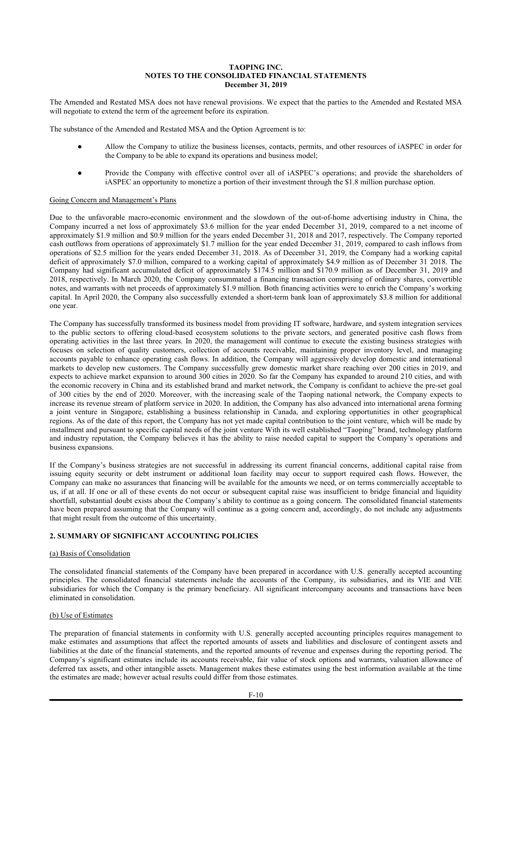The Amended and Restated MSA does not have renewal provisions. We expect that the parties to the Amended and Restated MSA will negotiate to extend the term of the agreement before its expiration.

The substance of the Amended and Restated MSA and the Option Agreement is to:

- Allow the Company to utilize the business licenses, contacts, permits, and other resources of iASPEC in order for the Company to be able to expand its operations and business model;
- Provide the Company with effective control over all of iASPEC's operations; and provide the shareholders of iASPEC an opportunity to monetize a portion of their investment through the \$1.8 million purchase option.

#### Going Concern and Management's Plans

Due to the unfavorable macro-economic environment and the slowdown of the out-of-home advertising industry in China, the Company incurred a net loss of approximately \$3.6 million for the year ended December 31, 2019, compared to a net income of approximately \$1.9 million and \$0.9 million for the years ended December 31, 2018 and 2017, respectively. The Company reported cash outflows from operations of approximately \$1.7 million for the year ended December 31, 2019, compared to cash inflows from operations of \$2.5 million for the years ended December 31, 2018. As of December 31, 2019, the Company had a working capital deficit of approximately \$7.0 million, compared to a working capital of approximately \$4.9 million as of December 31 2018. The Company had significant accumulated deficit of approximately \$174.5 million and \$170.9 million as of December 31, 2019 and 2018, respectively. In March 2020, the Company consummated a financing transaction comprising of ordinary shares, convertible notes, and warrants with net proceeds of approximately \$1.9 million. Both financing activities were to enrich the Company's working capital. In April 2020, the Company also successfully extended a short-term bank loan of approximately \$3.8 million for additional one year.

The Company has successfully transformed its business model from providing IT software, hardware, and system integration services to the public sectors to offering cloud-based ecosystem solutions to the private sectors, and generated positive cash flows from operating activities in the last three years. In 2020, the management will continue to execute the existing business strategies with focuses on selection of quality customers, collection of accounts receivable, maintaining proper inventory level, and managing accounts payable to enhance operating cash flows. In addition, the Company will aggressively develop domestic and international markets to develop new customers. The Company successfully grew domestic market share reaching over 200 cities in 2019, and expects to achieve market expansion to around 300 cities in 2020. So far the Company has expanded to around 210 cities, and with the economic recovery in China and its established brand and market network, the Company is confidant to achieve the pre-set goal of 300 cities by the end of 2020. Moreover, with the increasing scale of the Taoping national network, the Company expects to increase its revenue stream of platform service in 2020. In addition, the Company has also advanced into international arena forming a joint venture in Singapore, establishing a business relationship in Canada, and exploring opportunities in other geographical regions. As of the date of this report, the Company has not yet made capital contribution to the joint venture, which will be made by installment and pursuant to specific capital needs of the joint venture With its well established "Taoping" brand, technology platform and industry reputation, the Company believes it has the ability to raise needed capital to support the Company's operations and business expansions.

If the Company's business strategies are not successful in addressing its current financial concerns, additional capital raise from issuing equity security or debt instrument or additional loan facility may occur to support required cash flows. However, the Company can make no assurances that financing will be available for the amounts we need, or on terms commercially acceptable to us, if at all. If one or all of these events do not occur or subsequent capital raise was insufficient to bridge financial and liquidity shortfall, substantial doubt exists about the Company's ability to continue as a going concern. The consolidated financial statements have been prepared assuming that the Company will continue as a going concern and, accordingly, do not include any adjustments that might result from the outcome of this uncertainty.

## **2. SUMMARY OF SIGNIFICANT ACCOUNTING POLICIES**

### (a) Basis of Consolidation

The consolidated financial statements of the Company have been prepared in accordance with U.S. generally accepted accounting principles. The consolidated financial statements include the accounts of the Company, its subsidiaries, and its VIE and VIE subsidiaries for which the Company is the primary beneficiary. All significant intercompany accounts and transactions have been eliminated in consolidation.

## (b) Use of Estimates

The preparation of financial statements in conformity with U.S. generally accepted accounting principles requires management to make estimates and assumptions that affect the reported amounts of assets and liabilities and disclosure of contingent assets and liabilities at the date of the financial statements, and the reported amounts of revenue and expenses during the reporting period. The Company's significant estimates include its accounts receivable, fair value of stock options and warrants, valuation allowance of deferred tax assets, and other intangible assets. Management makes these estimates using the best information available at the time the estimates are made; however actual results could differ from those estimates.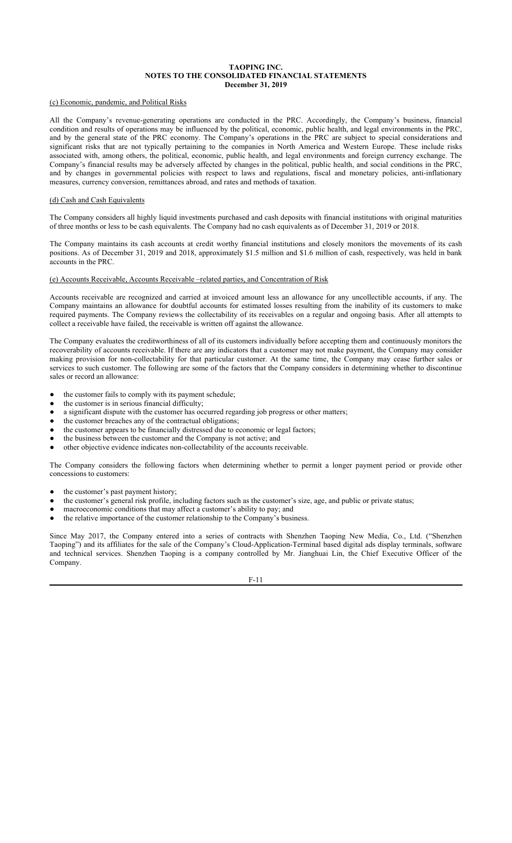(c) Economic, pandemic, and Political Risks

All the Company's revenue-generating operations are conducted in the PRC. Accordingly, the Company's business, financial condition and results of operations may be influenced by the political, economic, public health, and legal environments in the PRC, and by the general state of the PRC economy. The Company's operations in the PRC are subject to special considerations and significant risks that are not typically pertaining to the companies in North America and Western Europe. These include risks associated with, among others, the political, economic, public health, and legal environments and foreign currency exchange. The Company's financial results may be adversely affected by changes in the political, public health, and social conditions in the PRC, and by changes in governmental policies with respect to laws and regulations, fiscal and monetary policies, anti-inflationary measures, currency conversion, remittances abroad, and rates and methods of taxation.

#### (d) Cash and Cash Equivalents

The Company considers all highly liquid investments purchased and cash deposits with financial institutions with original maturities of three months or less to be cash equivalents. The Company had no cash equivalents as of December 31, 2019 or 2018.

The Company maintains its cash accounts at credit worthy financial institutions and closely monitors the movements of its cash positions. As of December 31, 2019 and 2018, approximately \$1.5 million and \$1.6 million of cash, respectively, was held in bank accounts in the PRC.

(e) Accounts Receivable, Accounts Receivable –related parties, and Concentration of Risk

Accounts receivable are recognized and carried at invoiced amount less an allowance for any uncollectible accounts, if any. The Company maintains an allowance for doubtful accounts for estimated losses resulting from the inability of its customers to make required payments. The Company reviews the collectability of its receivables on a regular and ongoing basis. After all attempts to collect a receivable have failed, the receivable is written off against the allowance.

The Company evaluates the creditworthiness of all of its customers individually before accepting them and continuously monitors the recoverability of accounts receivable. If there are any indicators that a customer may not make payment, the Company may consider making provision for non-collectability for that particular customer. At the same time, the Company may cease further sales or services to such customer. The following are some of the factors that the Company considers in determining whether to discontinue sales or record an allowance:

- the customer fails to comply with its payment schedule;
- the customer is in serious financial difficulty;
- a significant dispute with the customer has occurred regarding job progress or other matters;
- the customer breaches any of the contractual obligations;
- the customer appears to be financially distressed due to economic or legal factors;
- the business between the customer and the Company is not active; and
- other objective evidence indicates non-collectability of the accounts receivable.

The Company considers the following factors when determining whether to permit a longer payment period or provide other concessions to customers:

- the customer's past payment history;
- the customer's general risk profile, including factors such as the customer's size, age, and public or private status;
- macroeconomic conditions that may affect a customer's ability to pay; and
- the relative importance of the customer relationship to the Company's business.

Since May 2017, the Company entered into a series of contracts with Shenzhen Taoping New Media, Co., Ltd. ("Shenzhen Taoping") and its affiliates for the sale of the Company's Cloud-Application-Terminal based digital ads display terminals, software and technical services. Shenzhen Taoping is a company controlled by Mr. Jianghuai Lin, the Chief Executive Officer of the Company.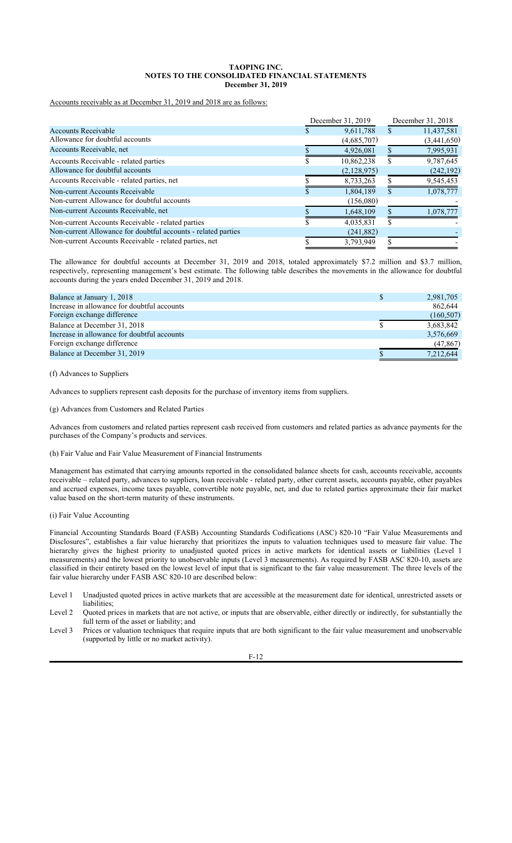Accounts receivable as at December 31, 2019 and 2018 are as follows:

|                                                               | December 31, 2019 | December 31, 2018 |             |
|---------------------------------------------------------------|-------------------|-------------------|-------------|
| <b>Accounts Receivable</b>                                    | 9,611,788         |                   | 11,437,581  |
| Allowance for doubtful accounts                               | (4,685,707)       |                   | (3,441,650) |
| Accounts Receivable, net                                      | 4,926,081         |                   | 7,995,931   |
| Accounts Receivable - related parties                         | 10,862,238        | S                 | 9,787,645   |
| Allowance for doubtful accounts                               | (2,128,975)       |                   | (242, 192)  |
| Accounts Receivable - related parties, net                    | 8,733,263         |                   | 9,545,453   |
| Non-current Accounts Receivable                               | 1,804,189         |                   | 1,078,777   |
| Non-current Allowance for doubtful accounts                   | (156,080)         |                   |             |
| Non-current Accounts Receivable, net                          | 1,648,109         |                   | 1,078,777   |
| Non-current Accounts Receivable - related parties             | 4,035,831         |                   |             |
| Non-current Allowance for doubtful accounts - related parties | (241, 882)        |                   |             |
| Non-current Accounts Receivable - related parties, net        | 3,793,949         |                   |             |

The allowance for doubtful accounts at December 31, 2019 and 2018, totaled approximately \$7.2 million and \$3.7 million, respectively, representing management's best estimate. The following table describes the movements in the allowance for doubtful accounts during the years ended December 31, 2019 and 2018.

| Balance at January 1, 2018                  | 2,981,705  |
|---------------------------------------------|------------|
| Increase in allowance for doubtful accounts | 862,644    |
| Foreign exchange difference                 | (160, 507) |
| Balance at December 31, 2018                | 3,683,842  |
| Increase in allowance for doubtful accounts | 3,576,669  |
| Foreign exchange difference                 | (47, 867)  |
| Balance at December 31, 2019                | 7,212,644  |
|                                             |            |

#### (f) Advances to Suppliers

Advances to suppliers represent cash deposits for the purchase of inventory items from suppliers.

## (g) Advances from Customers and Related Parties

Advances from customers and related parties represent cash received from customers and related parties as advance payments for the purchases of the Company's products and services.

#### (h) Fair Value and Fair Value Measurement of Financial Instruments

Management has estimated that carrying amounts reported in the consolidated balance sheets for cash, accounts receivable, accounts receivable – related party, advances to suppliers, loan receivable - related party, other current assets, accounts payable, other payables and accrued expenses, income taxes payable, convertible note payable, net, and due to related parties approximate their fair market value based on the short-term maturity of these instruments.

#### (i) Fair Value Accounting

Financial Accounting Standards Board (FASB) Accounting Standards Codifications (ASC) 820-10 "Fair Value Measurements and Disclosures", establishes a fair value hierarchy that prioritizes the inputs to valuation techniques used to measure fair value. The hierarchy gives the highest priority to unadjusted quoted prices in active markets for identical assets or liabilities (Level 1 measurements) and the lowest priority to unobservable inputs (Level 3 measurements). As required by FASB ASC 820-10, assets are classified in their entirety based on the lowest level of input that is significant to the fair value measurement. The three levels of the fair value hierarchy under FASB ASC 820-10 are described below:

Level 1 Unadjusted quoted prices in active markets that are accessible at the measurement date for identical, unrestricted assets or liabilities;

Level 2 Quoted prices in markets that are not active, or inputs that are observable, either directly or indirectly, for substantially the full term of the asset or liability; and

Level 3 Prices or valuation techniques that require inputs that are both significant to the fair value measurement and unobservable (supported by little or no market activity).

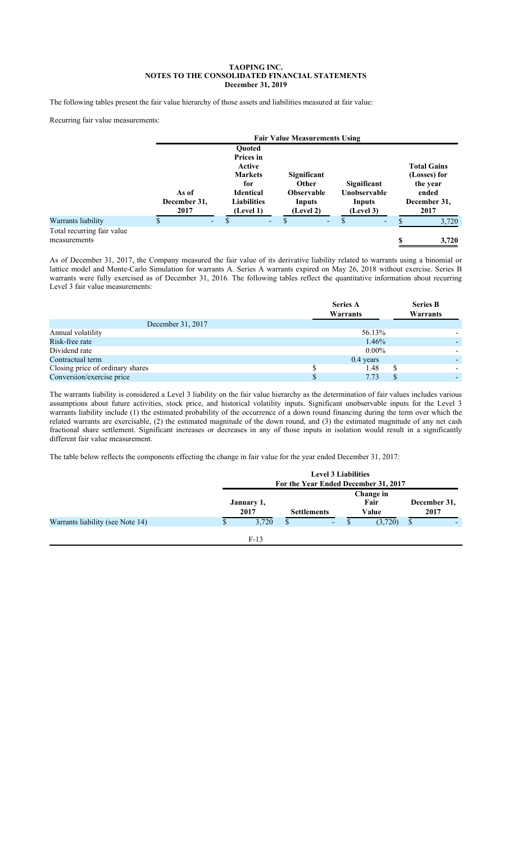The following tables present the fair value hierarchy of those assets and liabilities measured at fair value:

Recurring fair value measurements:

|                                            | As of<br>December 31,<br>2017  | <b>Ouoted</b><br>Prices in<br>Active<br><b>Markets</b><br>for<br><b>Identical</b><br><b>Liabilities</b><br>(Level 1) | Significant<br><b>Other</b><br><b>Observable</b><br>Inputs<br>(Level 2) | Significant<br>Unobservable<br>Inputs<br>(Level 3) | <b>Total Gains</b><br>(Losses) for<br>the year<br>ended<br>December 31,<br>2017 |
|--------------------------------------------|--------------------------------|----------------------------------------------------------------------------------------------------------------------|-------------------------------------------------------------------------|----------------------------------------------------|---------------------------------------------------------------------------------|
| Warrants liability                         | \$<br>$\overline{\phantom{0}}$ | \$<br>٠                                                                                                              | ٠                                                                       | S<br>-                                             | 3,720                                                                           |
| Total recurring fair value<br>measurements |                                |                                                                                                                      |                                                                         |                                                    | \$<br>3,720                                                                     |

As of December 31, 2017, the Company measured the fair value of its derivative liability related to warrants using a binomial or lattice model and Monte-Carlo Simulation for warrants A. Series A warrants expired on May 26, 2018 without exercise. Series B warrants were fully exercised as of December 31, 2016. The following tables reflect the quantitative information about recurring Level 3 fair value measurements:

|                                  | <b>Series A</b><br>Warrants | <b>Series B</b><br>Warrants |  |
|----------------------------------|-----------------------------|-----------------------------|--|
|                                  |                             |                             |  |
| December 31, 2017                |                             |                             |  |
| Annual volatility                | 56.13%                      |                             |  |
| Risk-free rate                   | 1.46%                       |                             |  |
| Dividend rate                    | $0.00\%$                    |                             |  |
| Contractual term                 | $0.4$ years                 |                             |  |
| Closing price of ordinary shares | 1.48                        | S                           |  |
| Conversion/exercise price        | 7.73                        |                             |  |

The warrants liability is considered a Level 3 liability on the fair value hierarchy as the determination of fair values includes various assumptions about future activities, stock price, and historical volatility inputs. Significant unobservable inputs for the Level 3 warrants liability include (1) the estimated probability of the occurrence of a down round financing during the term over which the related warrants are exercisable, (2) the estimated magnitude of the down round, and (3) the estimated magnitude of any net cash fractional share settlement. Significant increases or decreases in any of those inputs in isolation would result in a significantly different fair value measurement.

The table below reflects the components effecting the change in fair value for the year ended December 31, 2017:

|                                  |   | <b>Level 3 Liabilities</b><br>For the Year Ended December 31, 2017 |   |                    |  |                            |   |                      |
|----------------------------------|---|--------------------------------------------------------------------|---|--------------------|--|----------------------------|---|----------------------|
|                                  |   | January 1,<br>2017                                                 |   | <b>Settlements</b> |  | Change in<br>Fair<br>Value |   | December 31,<br>2017 |
| Warrants liability (see Note 14) | S | 3,720                                                              | S | ٠                  |  | (3,720)                    | S |                      |
|                                  |   | $F-13$                                                             |   |                    |  |                            |   |                      |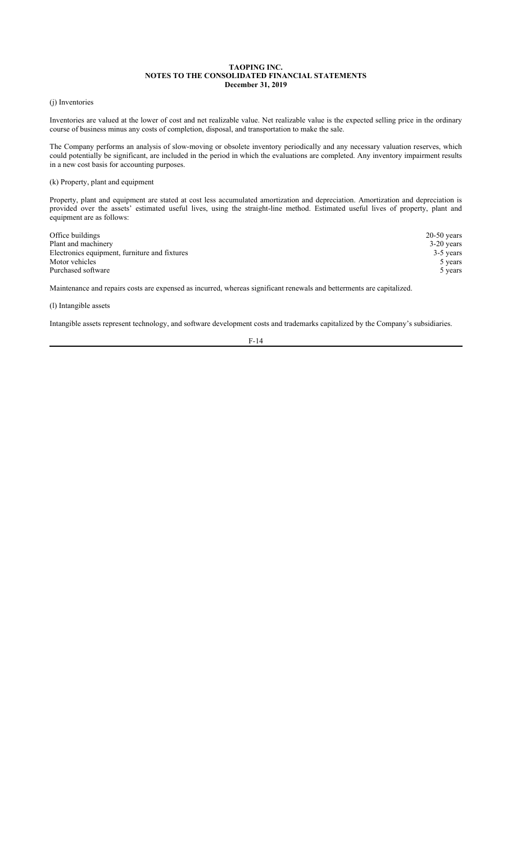(j) Inventories

Inventories are valued at the lower of cost and net realizable value. Net realizable value is the expected selling price in the ordinary course of business minus any costs of completion, disposal, and transportation to make the sale.

The Company performs an analysis of slow-moving or obsolete inventory periodically and any necessary valuation reserves, which could potentially be significant, are included in the period in which the evaluations are completed. Any inventory impairment results in a new cost basis for accounting purposes.

#### (k) Property, plant and equipment

Property, plant and equipment are stated at cost less accumulated amortization and depreciation. Amortization and depreciation is provided over the assets' estimated useful lives, using the straight-line method. Estimated useful lives of property, plant and equipment are as follows:

| Office buildings                              | $20-50$ years |
|-----------------------------------------------|---------------|
| Plant and machinery                           | $3-20$ years  |
| Electronics equipment, furniture and fixtures | 3-5 years     |
| Motor vehicles                                | 5 years       |
| Purchased software                            | 5 years       |

Maintenance and repairs costs are expensed as incurred, whereas significant renewals and betterments are capitalized.

#### (l) Intangible assets

Intangible assets represent technology, and software development costs and trademarks capitalized by the Company's subsidiaries.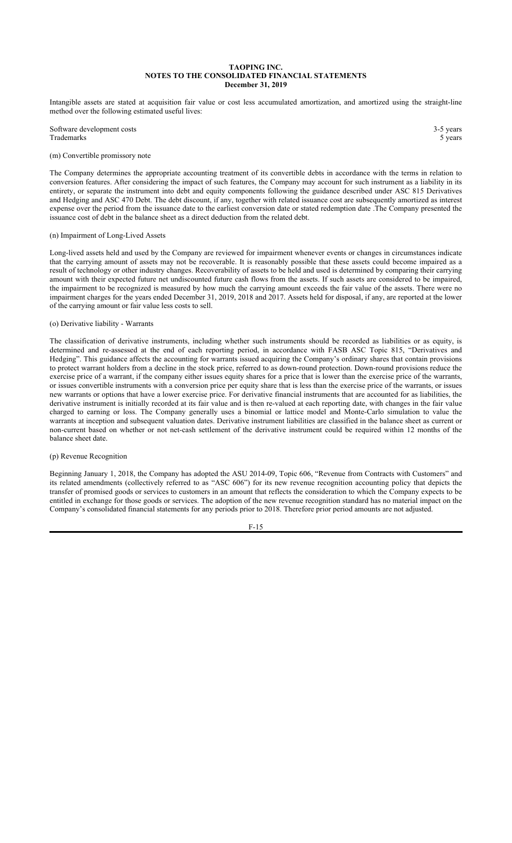Intangible assets are stated at acquisition fair value or cost less accumulated amortization, and amortized using the straight-line method over the following estimated useful lives:

Software development costs 3-5 years 32-5 years 32-5 years 32-5 years 32-5 years 32-5 years 32-5 years 32-5 years 32-5 years 32-5 years 32-5 years 32-5 years 32-5 years 32-5 years 32-5 years 32-5 years 32-5 years 32-5 year Trademarks 5 years (m) Convertible promissory note

The Company determines the appropriate accounting treatment of its convertible debts in accordance with the terms in relation to conversion features. After considering the impact of such features, the Company may account for such instrument as a liability in its entirety, or separate the instrument into debt and equity components following the guidance described under ASC 815 Derivatives and Hedging and ASC 470 Debt. The debt discount, if any, together with related issuance cost are subsequently amortized as interest expense over the period from the issuance date to the earliest conversion date or stated redemption date .The Company presented the issuance cost of debt in the balance sheet as a direct deduction from the related debt.

#### (n) Impairment of Long-Lived Assets

Long-lived assets held and used by the Company are reviewed for impairment whenever events or changes in circumstances indicate that the carrying amount of assets may not be recoverable. It is reasonably possible that these assets could become impaired as a result of technology or other industry changes. Recoverability of assets to be held and used is determined by comparing their carrying amount with their expected future net undiscounted future cash flows from the assets. If such assets are considered to be impaired, the impairment to be recognized is measured by how much the carrying amount exceeds the fair value of the assets. There were no impairment charges for the years ended December 31, 2019, 2018 and 2017. Assets held for disposal, if any, are reported at the lower of the carrying amount or fair value less costs to sell.

#### (o) Derivative liability - Warrants

The classification of derivative instruments, including whether such instruments should be recorded as liabilities or as equity, is determined and re-assessed at the end of each reporting period, in accordance with FASB ASC Topic 815, "Derivatives and Hedging". This guidance affects the accounting for warrants issued acquiring the Company's ordinary shares that contain provisions to protect warrant holders from a decline in the stock price, referred to as down-round protection. Down-round provisions reduce the exercise price of a warrant, if the company either issues equity shares for a price that is lower than the exercise price of the warrants, or issues convertible instruments with a conversion price per equity share that is less than the exercise price of the warrants, or issues new warrants or options that have a lower exercise price. For derivative financial instruments that are accounted for as liabilities, the derivative instrument is initially recorded at its fair value and is then re-valued at each reporting date, with changes in the fair value charged to earning or loss. The Company generally uses a binomial or lattice model and Monte-Carlo simulation to value the warrants at inception and subsequent valuation dates. Derivative instrument liabilities are classified in the balance sheet as current or non-current based on whether or not net-cash settlement of the derivative instrument could be required within 12 months of the balance sheet date.

#### (p) Revenue Recognition

Beginning January 1, 2018, the Company has adopted the ASU 2014-09, Topic 606, "Revenue from Contracts with Customers" and its related amendments (collectively referred to as "ASC 606") for its new revenue recognition accounting policy that depicts the transfer of promised goods or services to customers in an amount that reflects the consideration to which the Company expects to be entitled in exchange for those goods or services. The adoption of the new revenue recognition standard has no material impact on the Company's consolidated financial statements for any periods prior to 2018. Therefore prior period amounts are not adjusted.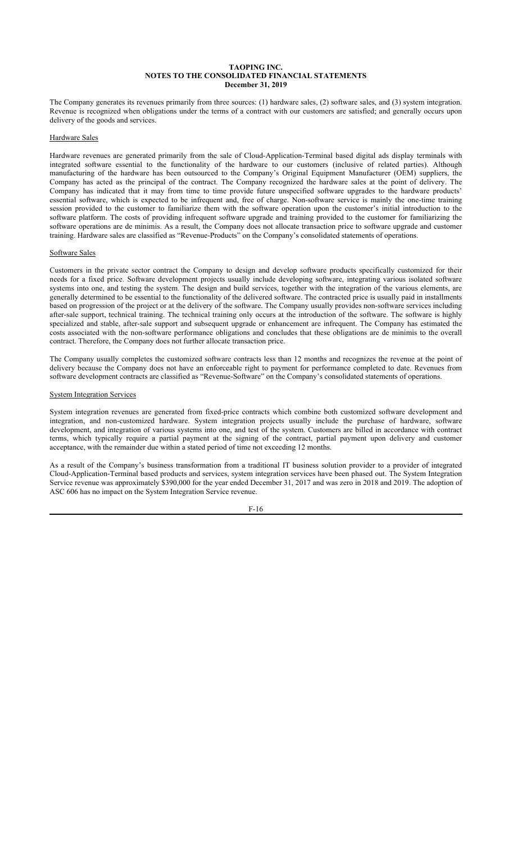The Company generates its revenues primarily from three sources: (1) hardware sales, (2) software sales, and (3) system integration. Revenue is recognized when obligations under the terms of a contract with our customers are satisfied; and generally occurs upon delivery of the goods and services.

#### Hardware Sales

Hardware revenues are generated primarily from the sale of Cloud-Application-Terminal based digital ads display terminals with integrated software essential to the functionality of the hardware to our customers (inclusive of related parties). Although manufacturing of the hardware has been outsourced to the Company's Original Equipment Manufacturer (OEM) suppliers, the Company has acted as the principal of the contract. The Company recognized the hardware sales at the point of delivery. The Company has indicated that it may from time to time provide future unspecified software upgrades to the hardware products' essential software, which is expected to be infrequent and, free of charge. Non-software service is mainly the one-time training session provided to the customer to familiarize them with the software operation upon the customer's initial introduction to the software platform. The costs of providing infrequent software upgrade and training provided to the customer for familiarizing the software operations are de minimis. As a result, the Company does not allocate transaction price to software upgrade and customer training. Hardware sales are classified as "Revenue-Products" on the Company's consolidated statements of operations.

#### Software Sales

Customers in the private sector contract the Company to design and develop software products specifically customized for their needs for a fixed price. Software development projects usually include developing software, integrating various isolated software systems into one, and testing the system. The design and build services, together with the integration of the various elements, are generally determined to be essential to the functionality of the delivered software. The contracted price is usually paid in installments based on progression of the project or at the delivery of the software. The Company usually provides non-software services including after-sale support, technical training. The technical training only occurs at the introduction of the software. The software is highly specialized and stable, after-sale support and subsequent upgrade or enhancement are infrequent. The Company has estimated the costs associated with the non-software performance obligations and concludes that these obligations are de minimis to the overall contract. Therefore, the Company does not further allocate transaction price.

The Company usually completes the customized software contracts less than 12 months and recognizes the revenue at the point of delivery because the Company does not have an enforceable right to payment for performance completed to date. Revenues from software development contracts are classified as "Revenue-Software" on the Company's consolidated statements of operations.

#### System Integration Services

System integration revenues are generated from fixed-price contracts which combine both customized software development and integration, and non-customized hardware. System integration projects usually include the purchase of hardware, software development, and integration of various systems into one, and test of the system. Customers are billed in accordance with contract terms, which typically require a partial payment at the signing of the contract, partial payment upon delivery and customer acceptance, with the remainder due within a stated period of time not exceeding 12 months.

As a result of the Company's business transformation from a traditional IT business solution provider to a provider of integrated Cloud-Application-Terminal based products and services, system integration services have been phased out. The System Integration Service revenue was approximately \$390,000 for the year ended December 31, 2017 and was zero in 2018 and 2019. The adoption of ASC 606 has no impact on the System Integration Service revenue.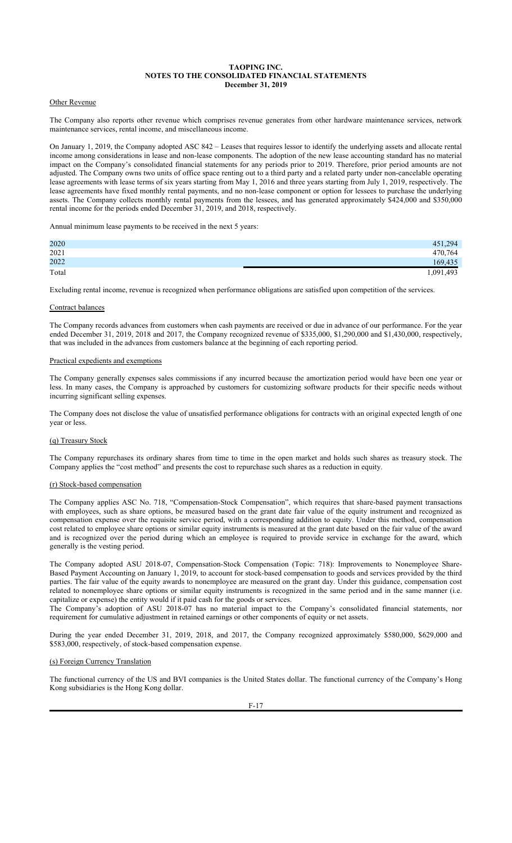#### Other Revenue

The Company also reports other revenue which comprises revenue generates from other hardware maintenance services, network maintenance services, rental income, and miscellaneous income.

On January 1, 2019, the Company adopted ASC 842 – Leases that requires lessor to identify the underlying assets and allocate rental income among considerations in lease and non-lease components. The adoption of the new lease accounting standard has no material impact on the Company's consolidated financial statements for any periods prior to 2019. Therefore, prior period amounts are not adjusted. The Company owns two units of office space renting out to a third party and a related party under non-cancelable operating lease agreements with lease terms of six years starting from May 1, 2016 and three years starting from July 1, 2019, respectively. The lease agreements have fixed monthly rental payments, and no non-lease component or option for lessees to purchase the underlying assets. The Company collects monthly rental payments from the lessees, and has generated approximately \$424,000 and \$350,000 rental income for the periods ended December 31, 2019, and 2018, respectively.

Annual minimum lease payments to be received in the next 5 years:

| 2020  | 451,294   |
|-------|-----------|
| 2021  | 470,764   |
| 2022  | 169,435   |
| Total | 1,091,493 |

Excluding rental income, revenue is recognized when performance obligations are satisfied upon competition of the services.

#### Contract balances

The Company records advances from customers when cash payments are received or due in advance of our performance. For the year ended December 31, 2019, 2018 and 2017, the Company recognized revenue of \$335,000, \$1,290,000 and \$1,430,000, respectively, that was included in the advances from customers balance at the beginning of each reporting period.

#### Practical expedients and exemptions

The Company generally expenses sales commissions if any incurred because the amortization period would have been one year or less. In many cases, the Company is approached by customers for customizing software products for their specific needs without incurring significant selling expenses.

The Company does not disclose the value of unsatisfied performance obligations for contracts with an original expected length of one year or less.

#### (q) Treasury Stock

The Company repurchases its ordinary shares from time to time in the open market and holds such shares as treasury stock. The Company applies the "cost method" and presents the cost to repurchase such shares as a reduction in equity.

#### (r) Stock-based compensation

The Company applies ASC No. 718, "Compensation-Stock Compensation", which requires that share-based payment transactions with employees, such as share options, be measured based on the grant date fair value of the equity instrument and recognized as compensation expense over the requisite service period, with a corresponding addition to equity. Under this method, compensation cost related to employee share options or similar equity instruments is measured at the grant date based on the fair value of the award and is recognized over the period during which an employee is required to provide service in exchange for the award, which generally is the vesting period.

The Company adopted ASU 2018-07, Compensation-Stock Compensation (Topic: 718): Improvements to Nonemployee Share-Based Payment Accounting on January 1, 2019, to account for stock-based compensation to goods and services provided by the third parties. The fair value of the equity awards to nonemployee are measured on the grant day. Under this guidance, compensation cost related to nonemployee share options or similar equity instruments is recognized in the same period and in the same manner (i.e. capitalize or expense) the entity would if it paid cash for the goods or services.

The Company's adoption of ASU 2018-07 has no material impact to the Company's consolidated financial statements, nor requirement for cumulative adjustment in retained earnings or other components of equity or net assets.

During the year ended December 31, 2019, 2018, and 2017, the Company recognized approximately \$580,000, \$629,000 and \$583,000, respectively, of stock-based compensation expense.

#### (s) Foreign Currency Translation

The functional currency of the US and BVI companies is the United States dollar. The functional currency of the Company's Hong Kong subsidiaries is the Hong Kong dollar.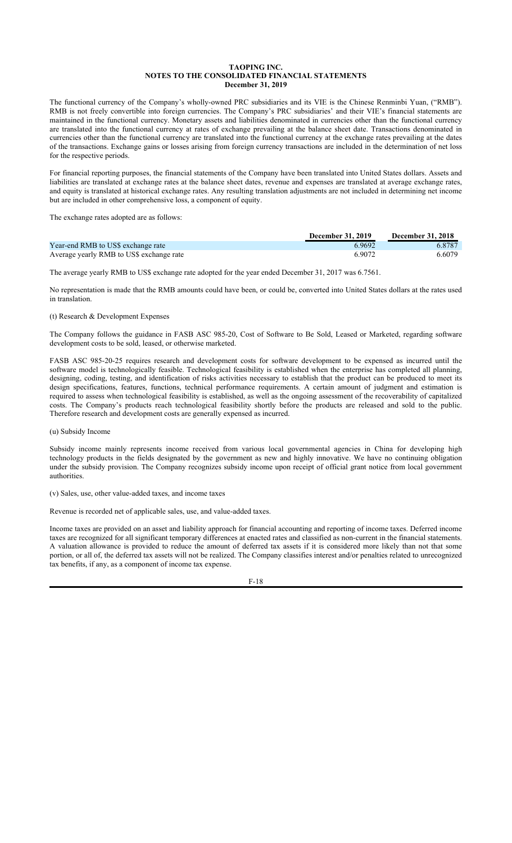The functional currency of the Company's wholly-owned PRC subsidiaries and its VIE is the Chinese Renminbi Yuan, ("RMB"). RMB is not freely convertible into foreign currencies. The Company's PRC subsidiaries' and their VIE's financial statements are maintained in the functional currency. Monetary assets and liabilities denominated in currencies other than the functional currency are translated into the functional currency at rates of exchange prevailing at the balance sheet date. Transactions denominated in currencies other than the functional currency are translated into the functional currency at the exchange rates prevailing at the dates of the transactions. Exchange gains or losses arising from foreign currency transactions are included in the determination of net loss for the respective periods.

For financial reporting purposes, the financial statements of the Company have been translated into United States dollars. Assets and liabilities are translated at exchange rates at the balance sheet dates, revenue and expenses are translated at average exchange rates, and equity is translated at historical exchange rates. Any resulting translation adjustments are not included in determining net income but are included in other comprehensive loss, a component of equity.

The exchange rates adopted are as follows:

|                                          | <b>December 31, 2019</b> | <b>December 31, 2018</b> |
|------------------------------------------|--------------------------|--------------------------|
| Year-end RMB to US\$ exchange rate       | 6.9692                   | 6.8787                   |
| Average yearly RMB to US\$ exchange rate | 6.9072                   | 6.6079                   |

The average yearly RMB to US\$ exchange rate adopted for the year ended December 31, 2017 was 6.7561.

No representation is made that the RMB amounts could have been, or could be, converted into United States dollars at the rates used in translation.

#### (t) Research & Development Expenses

The Company follows the guidance in FASB ASC 985-20, Cost of Software to Be Sold, Leased or Marketed, regarding software development costs to be sold, leased, or otherwise marketed.

FASB ASC 985-20-25 requires research and development costs for software development to be expensed as incurred until the software model is technologically feasible. Technological feasibility is established when the enterprise has completed all planning, designing, coding, testing, and identification of risks activities necessary to establish that the product can be produced to meet its design specifications, features, functions, technical performance requirements. A certain amount of judgment and estimation is required to assess when technological feasibility is established, as well as the ongoing assessment of the recoverability of capitalized costs. The Company's products reach technological feasibility shortly before the products are released and sold to the public. Therefore research and development costs are generally expensed as incurred.

#### (u) Subsidy Income

Subsidy income mainly represents income received from various local governmental agencies in China for developing high technology products in the fields designated by the government as new and highly innovative. We have no continuing obligation under the subsidy provision. The Company recognizes subsidy income upon receipt of official grant notice from local government authorities.

(v) Sales, use, other value-added taxes, and income taxes

Revenue is recorded net of applicable sales, use, and value-added taxes.

Income taxes are provided on an asset and liability approach for financial accounting and reporting of income taxes. Deferred income taxes are recognized for all significant temporary differences at enacted rates and classified as non-current in the financial statements. A valuation allowance is provided to reduce the amount of deferred tax assets if it is considered more likely than not that some portion, or all of, the deferred tax assets will not be realized. The Company classifies interest and/or penalties related to unrecognized tax benefits, if any, as a component of income tax expense.

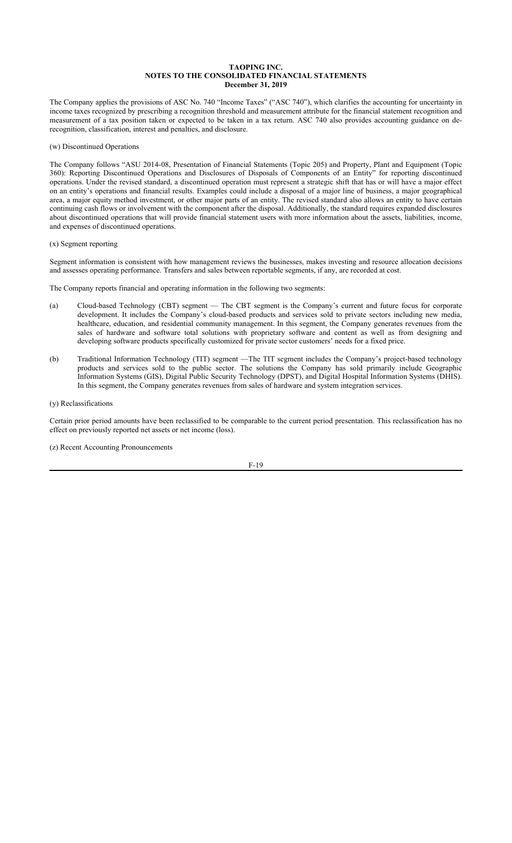The Company applies the provisions of ASC No. 740 "Income Taxes" ("ASC 740"), which clarifies the accounting for uncertainty in income taxes recognized by prescribing a recognition threshold and measurement attribute for the financial statement recognition and measurement of a tax position taken or expected to be taken in a tax return. ASC 740 also provides accounting guidance on derecognition, classification, interest and penalties, and disclosure.

#### (w) Discontinued Operations

The Company follows "ASU 2014-08, Presentation of Financial Statements (Topic 205) and Property, Plant and Equipment (Topic 360): Reporting Discontinued Operations and Disclosures of Disposals of Components of an Entity" for reporting discontinued operations. Under the revised standard, a discontinued operation must represent a strategic shift that has or will have a major effect on an entity's operations and financial results. Examples could include a disposal of a major line of business, a major geographical area, a major equity method investment, or other major parts of an entity. The revised standard also allows an entity to have certain continuing cash flows or involvement with the component after the disposal. Additionally, the standard requires expanded disclosures about discontinued operations that will provide financial statement users with more information about the assets, liabilities, income, and expenses of discontinued operations.

#### (x) Segment reporting

Segment information is consistent with how management reviews the businesses, makes investing and resource allocation decisions and assesses operating performance. Transfers and sales between reportable segments, if any, are recorded at cost.

The Company reports financial and operating information in the following two segments:

- (a) Cloud-based Technology (CBT) segment The CBT segment is the Company's current and future focus for corporate development. It includes the Company's cloud-based products and services sold to private sectors including new media, healthcare, education, and residential community management. In this segment, the Company generates revenues from the sales of hardware and software total solutions with proprietary software and content as well as from designing and developing software products specifically customized for private sector customers' needs for a fixed price.
- (b) Traditional Information Technology (TIT) segment —The TIT segment includes the Company's project-based technology products and services sold to the public sector. The solutions the Company has sold primarily include Geographic Information Systems (GIS), Digital Public Security Technology (DPST), and Digital Hospital Information Systems (DHIS). In this segment, the Company generates revenues from sales of hardware and system integration services.
- (y) Reclassifications

Certain prior period amounts have been reclassified to be comparable to the current period presentation. This reclassification has no effect on previously reported net assets or net income (loss).

(z) Recent Accounting Pronouncements

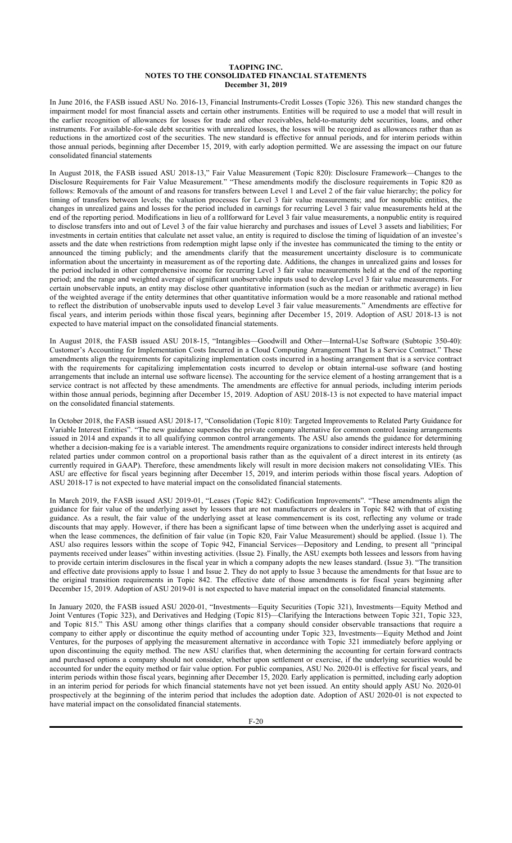In June 2016, the FASB issued ASU No. 2016-13, Financial Instruments-Credit Losses (Topic 326). This new standard changes the impairment model for most financial assets and certain other instruments. Entities will be required to use a model that will result in the earlier recognition of allowances for losses for trade and other receivables, held-to-maturity debt securities, loans, and other instruments. For available-for-sale debt securities with unrealized losses, the losses will be recognized as allowances rather than as reductions in the amortized cost of the securities. The new standard is effective for annual periods, and for interim periods within those annual periods, beginning after December 15, 2019, with early adoption permitted. We are assessing the impact on our future consolidated financial statements

In August 2018, the FASB issued ASU 2018-13," Fair Value Measurement (Topic 820): Disclosure Framework—Changes to the Disclosure Requirements for Fair Value Measurement." "These amendments modify the disclosure requirements in Topic 820 as follows: Removals of the amount of and reasons for transfers between Level 1 and Level 2 of the fair value hierarchy; the policy for timing of transfers between levels; the valuation processes for Level 3 fair value measurements; and for nonpublic entities, the changes in unrealized gains and losses for the period included in earnings for recurring Level 3 fair value measurements held at the end of the reporting period. Modifications in lieu of a rollforward for Level 3 fair value measurements, a nonpublic entity is required to disclose transfers into and out of Level 3 of the fair value hierarchy and purchases and issues of Level 3 assets and liabilities; For investments in certain entities that calculate net asset value, an entity is required to disclose the timing of liquidation of an investee's assets and the date when restrictions from redemption might lapse only if the investee has communicated the timing to the entity or announced the timing publicly; and the amendments clarify that the measurement uncertainty disclosure is to communicate information about the uncertainty in measurement as of the reporting date. Additions, the changes in unrealized gains and losses for the period included in other comprehensive income for recurring Level 3 fair value measurements held at the end of the reporting period; and the range and weighted average of significant unobservable inputs used to develop Level 3 fair value measurements. For certain unobservable inputs, an entity may disclose other quantitative information (such as the median or arithmetic average) in lieu of the weighted average if the entity determines that other quantitative information would be a more reasonable and rational method to reflect the distribution of unobservable inputs used to develop Level 3 fair value measurements." Amendments are effective for fiscal years, and interim periods within those fiscal years, beginning after December 15, 2019. Adoption of ASU 2018-13 is not expected to have material impact on the consolidated financial statements.

In August 2018, the FASB issued ASU 2018-15, "Intangibles—Goodwill and Other—Internal-Use Software (Subtopic 350-40): Customer's Accounting for Implementation Costs Incurred in a Cloud Computing Arrangement That Is a Service Contract." These amendments align the requirements for capitalizing implementation costs incurred in a hosting arrangement that is a service contract with the requirements for capitalizing implementation costs incurred to develop or obtain internal-use software (and hosting arrangements that include an internal use software license). The accounting for the service element of a hosting arrangement that is a service contract is not affected by these amendments. The amendments are effective for annual periods, including interim periods within those annual periods, beginning after December 15, 2019. Adoption of ASU 2018-13 is not expected to have material impact on the consolidated financial statements.

In October 2018, the FASB issued ASU 2018-17, "Consolidation (Topic 810): Targeted Improvements to Related Party Guidance for Variable Interest Entities". "The new guidance supersedes the private company alternative for common control leasing arrangements issued in 2014 and expands it to all qualifying common control arrangements. The ASU also amends the guidance for determining whether a decision-making fee is a variable interest. The amendments require organizations to consider indirect interests held through related parties under common control on a proportional basis rather than as the equivalent of a direct interest in its entirety (as currently required in GAAP). Therefore, these amendments likely will result in more decision makers not consolidating VIEs. This ASU are effective for fiscal years beginning after December 15, 2019, and interim periods within those fiscal years. Adoption of ASU 2018-17 is not expected to have material impact on the consolidated financial statements.

In March 2019, the FASB issued ASU 2019-01, "Leases (Topic 842): Codification Improvements". "These amendments align the guidance for fair value of the underlying asset by lessors that are not manufacturers or dealers in Topic 842 with that of existing guidance. As a result, the fair value of the underlying asset at lease commencement is its cost, reflecting any volume or trade discounts that may apply. However, if there has been a significant lapse of time between when the underlying asset is acquired and when the lease commences, the definition of fair value (in Topic 820, Fair Value Measurement) should be applied. (Issue 1). The ASU also requires lessors within the scope of Topic 942, Financial Services—Depository and Lending, to present all "principal payments received under leases" within investing activities. (Issue 2). Finally, the ASU exempts both lessees and lessors from having to provide certain interim disclosures in the fiscal year in which a company adopts the new leases standard. (Issue 3). "The transition and effective date provisions apply to Issue 1 and Issue 2. They do not apply to Issue 3 because the amendments for that Issue are to the original transition requirements in Topic 842. The effective date of those amendments is for fiscal years beginning after December 15, 2019. Adoption of ASU 2019-01 is not expected to have material impact on the consolidated financial statements.

In January 2020, the FASB issued ASU 2020-01, "Investments—Equity Securities (Topic 321), Investments—Equity Method and Joint Ventures (Topic 323), and Derivatives and Hedging (Topic 815)—Clarifying the Interactions between Topic 321, Topic 323, and Topic 815." This ASU among other things clarifies that a company should consider observable transactions that require a company to either apply or discontinue the equity method of accounting under Topic 323, Investments—Equity Method and Joint Ventures, for the purposes of applying the measurement alternative in accordance with Topic 321 immediately before applying or upon discontinuing the equity method. The new ASU clarifies that, when determining the accounting for certain forward contracts and purchased options a company should not consider, whether upon settlement or exercise, if the underlying securities would be accounted for under the equity method or fair value option. For public companies, ASU No. 2020-01 is effective for fiscal years, and interim periods within those fiscal years, beginning after December 15, 2020. Early application is permitted, including early adoption in an interim period for periods for which financial statements have not yet been issued. An entity should apply ASU No. 2020-01 prospectively at the beginning of the interim period that includes the adoption date. Adoption of ASU 2020-01 is not expected to have material impact on the consolidated financial statements.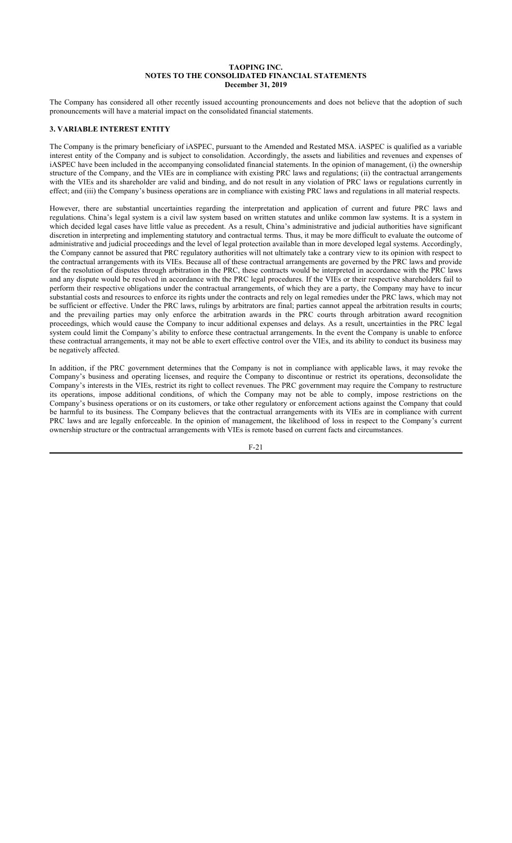The Company has considered all other recently issued accounting pronouncements and does not believe that the adoption of such pronouncements will have a material impact on the consolidated financial statements.

# **3. VARIABLE INTEREST ENTITY**

The Company is the primary beneficiary of iASPEC, pursuant to the Amended and Restated MSA. iASPEC is qualified as a variable interest entity of the Company and is subject to consolidation. Accordingly, the assets and liabilities and revenues and expenses of iASPEC have been included in the accompanying consolidated financial statements. In the opinion of management, (i) the ownership structure of the Company, and the VIEs are in compliance with existing PRC laws and regulations; (ii) the contractual arrangements with the VIEs and its shareholder are valid and binding, and do not result in any violation of PRC laws or regulations currently in effect; and (iii) the Company's business operations are in compliance with existing PRC laws and regulations in all material respects.

However, there are substantial uncertainties regarding the interpretation and application of current and future PRC laws and regulations. China's legal system is a civil law system based on written statutes and unlike common law systems. It is a system in which decided legal cases have little value as precedent. As a result, China's administrative and judicial authorities have significant discretion in interpreting and implementing statutory and contractual terms. Thus, it may be more difficult to evaluate the outcome of administrative and judicial proceedings and the level of legal protection available than in more developed legal systems. Accordingly, the Company cannot be assured that PRC regulatory authorities will not ultimately take a contrary view to its opinion with respect to the contractual arrangements with its VIEs. Because all of these contractual arrangements are governed by the PRC laws and provide for the resolution of disputes through arbitration in the PRC, these contracts would be interpreted in accordance with the PRC laws and any dispute would be resolved in accordance with the PRC legal procedures. If the VIEs or their respective shareholders fail to perform their respective obligations under the contractual arrangements, of which they are a party, the Company may have to incur substantial costs and resources to enforce its rights under the contracts and rely on legal remedies under the PRC laws, which may not be sufficient or effective. Under the PRC laws, rulings by arbitrators are final; parties cannot appeal the arbitration results in courts; and the prevailing parties may only enforce the arbitration awards in the PRC courts through arbitration award recognition proceedings, which would cause the Company to incur additional expenses and delays. As a result, uncertainties in the PRC legal system could limit the Company's ability to enforce these contractual arrangements. In the event the Company is unable to enforce these contractual arrangements, it may not be able to exert effective control over the VIEs, and its ability to conduct its business may be negatively affected.

In addition, if the PRC government determines that the Company is not in compliance with applicable laws, it may revoke the Company's business and operating licenses, and require the Company to discontinue or restrict its operations, deconsolidate the Company's interests in the VIEs, restrict its right to collect revenues. The PRC government may require the Company to restructure its operations, impose additional conditions, of which the Company may not be able to comply, impose restrictions on the Company's business operations or on its customers, or take other regulatory or enforcement actions against the Company that could be harmful to its business. The Company believes that the contractual arrangements with its VIEs are in compliance with current PRC laws and are legally enforceable. In the opinion of management, the likelihood of loss in respect to the Company's current ownership structure or the contractual arrangements with VIEs is remote based on current facts and circumstances.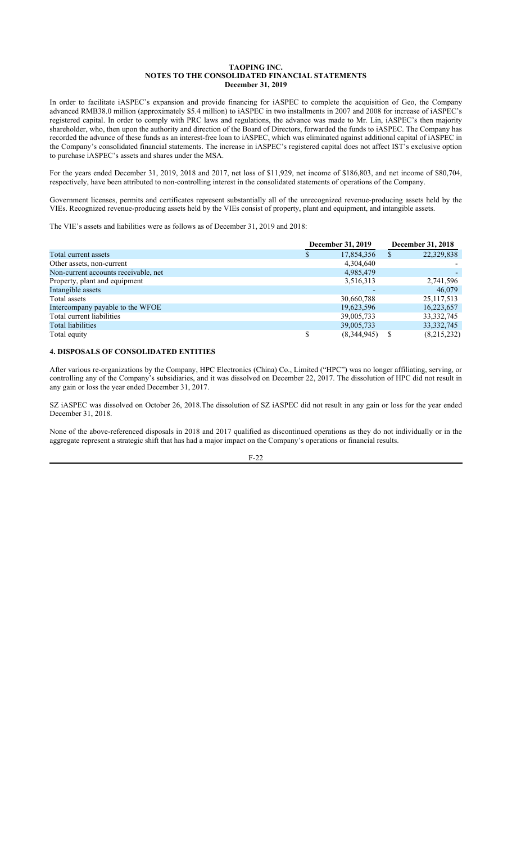In order to facilitate iASPEC's expansion and provide financing for iASPEC to complete the acquisition of Geo, the Company advanced RMB38.0 million (approximately \$5.4 million) to iASPEC in two installments in 2007 and 2008 for increase of iASPEC's registered capital. In order to comply with PRC laws and regulations, the advance was made to Mr. Lin, iASPEC's then majority shareholder, who, then upon the authority and direction of the Board of Directors, forwarded the funds to iASPEC. The Company has recorded the advance of these funds as an interest-free loan to iASPEC, which was eliminated against additional capital of iASPEC in the Company's consolidated financial statements. The increase in iASPEC's registered capital does not affect IST's exclusive option to purchase iASPEC's assets and shares under the MSA.

For the years ended December 31, 2019, 2018 and 2017, net loss of \$11,929, net income of \$186,803, and net income of \$80,704, respectively, have been attributed to non-controlling interest in the consolidated statements of operations of the Company.

Government licenses, permits and certificates represent substantially all of the unrecognized revenue-producing assets held by the VIEs. Recognized revenue-producing assets held by the VIEs consist of property, plant and equipment, and intangible assets.

The VIE's assets and liabilities were as follows as of December 31, 2019 and 2018:

|                                      | <b>December 31, 2019</b> |             |              | December 31, 2018 |
|--------------------------------------|--------------------------|-------------|--------------|-------------------|
| Total current assets                 |                          | 17,854,356  | $\mathbf{s}$ | 22,329,838        |
| Other assets, non-current            |                          | 4,304,640   |              |                   |
| Non-current accounts receivable, net |                          | 4,985,479   |              |                   |
| Property, plant and equipment        |                          | 3,516,313   |              | 2,741,596         |
| Intangible assets                    |                          |             |              | 46,079            |
| Total assets                         |                          | 30,660,788  |              | 25, 117, 513      |
| Intercompany payable to the WFOE     |                          | 19,623,596  |              | 16,223,657        |
| Total current liabilities            |                          | 39,005,733  |              | 33, 332, 745      |
| Total liabilities                    |                          | 39,005,733  |              | 33, 332, 745      |
| Total equity                         | \$                       | (8,344,945) |              | (8,215,232)       |

## **4. DISPOSALS OF CONSOLIDATED ENTITIES**

After various re-organizations by the Company, HPC Electronics (China) Co., Limited ("HPC") was no longer affiliating, serving, or controlling any of the Company's subsidiaries, and it was dissolved on December 22, 2017. The dissolution of HPC did not result in any gain or loss the year ended December 31, 2017.

SZ iASPEC was dissolved on October 26, 2018.The dissolution of SZ iASPEC did not result in any gain or loss for the year ended December 31, 2018.

None of the above-referenced disposals in 2018 and 2017 qualified as discontinued operations as they do not individually or in the aggregate represent a strategic shift that has had a major impact on the Company's operations or financial results.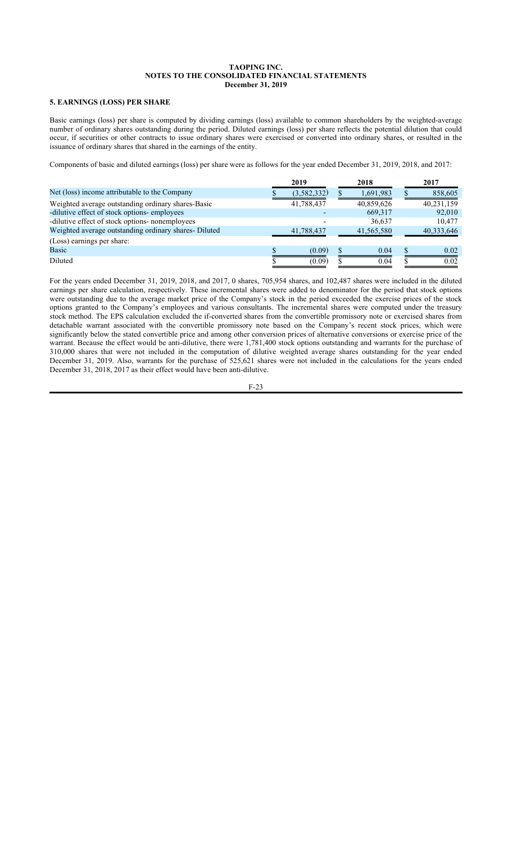# **5. EARNINGS (LOSS) PER SHARE**

Basic earnings (loss) per share is computed by dividing earnings (loss) available to common shareholders by the weighted-average number of ordinary shares outstanding during the period. Diluted earnings (loss) per share reflects the potential dilution that could occur, if securities or other contracts to issue ordinary shares were exercised or converted into ordinary shares, or resulted in the issuance of ordinary shares that shared in the earnings of the entity.

Components of basic and diluted earnings (loss) per share were as follows for the year ended December 31, 2019, 2018, and 2017:

|                                                       | 2019        | 2018       | 2017       |
|-------------------------------------------------------|-------------|------------|------------|
| Net (loss) income attributable to the Company         | (3,582,332) | 1,691,983  | 858,605    |
| Weighted average outstanding ordinary shares-Basic    | 41,788,437  | 40,859,626 | 40,231,159 |
| -dilutive effect of stock options- employees          |             | 669,317    | 92,010     |
| -dilutive effect of stock options- nonemployees       |             | 36,637     | 10,477     |
| Weighted average outstanding ordinary shares- Diluted | 41,788,437  | 41,565,580 | 40,333,646 |
| (Loss) earnings per share:                            |             |            |            |
| Basic                                                 | (0.09)      | 0.04       | 0.02       |
| Diluted                                               | (0.09)      | 0.04       | 0.02       |

For the years ended December 31, 2019, 2018, and 2017, 0 shares, 705,954 shares, and 102,487 shares were included in the diluted earnings per share calculation, respectively. These incremental shares were added to denominator for the period that stock options were outstanding due to the average market price of the Company's stock in the period exceeded the exercise prices of the stock options granted to the Company's employees and various consultants. The incremental shares were computed under the treasury stock method. The EPS calculation excluded the if-converted shares from the convertible promissory note or exercised shares from detachable warrant associated with the convertible promissory note based on the Company's recent stock prices, which were significantly below the stated convertible price and among other conversion prices of alternative conversions or exercise price of the warrant. Because the effect would be anti-dilutive, there were 1,781,400 stock options outstanding and warrants for the purchase of 310,000 shares that were not included in the computation of dilutive weighted average shares outstanding for the year ended December 31, 2019. Also, warrants for the purchase of 525,621 shares were not included in the calculations for the years ended December 31, 2018, 2017 as their effect would have been anti-dilutive.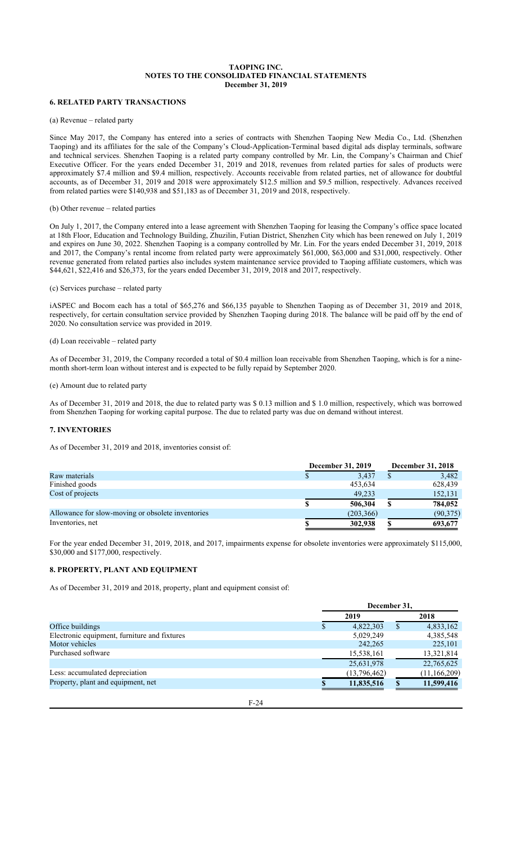# **6. RELATED PARTY TRANSACTIONS**

## (a) Revenue – related party

Since May 2017, the Company has entered into a series of contracts with Shenzhen Taoping New Media Co., Ltd. (Shenzhen Taoping) and its affiliates for the sale of the Company's Cloud-Application-Terminal based digital ads display terminals, software and technical services. Shenzhen Taoping is a related party company controlled by Mr. Lin, the Company's Chairman and Chief Executive Officer. For the years ended December 31, 2019 and 2018, revenues from related parties for sales of products were approximately \$7.4 million and \$9.4 million, respectively. Accounts receivable from related parties, net of allowance for doubtful accounts, as of December 31, 2019 and 2018 were approximately \$12.5 million and \$9.5 million, respectively. Advances received from related parties were \$140,938 and \$51,183 as of December 31, 2019 and 2018, respectively.

#### (b) Other revenue – related parties

On July 1, 2017, the Company entered into a lease agreement with Shenzhen Taoping for leasing the Company's office space located at 18th Floor, Education and Technology Building, Zhuzilin, Futian District, Shenzhen City which has been renewed on July 1, 2019 and expires on June 30, 2022. Shenzhen Taoping is a company controlled by Mr. Lin. For the years ended December 31, 2019, 2018 and 2017, the Company's rental income from related party were approximately \$61,000, \$63,000 and \$31,000, respectively. Other revenue generated from related parties also includes system maintenance service provided to Taoping affiliate customers, which was \$44,621, \$22,416 and \$26,373, for the years ended December 31, 2019, 2018 and 2017, respectively.

#### (c) Services purchase – related party

iASPEC and Bocom each has a total of \$65,276 and \$66,135 payable to Shenzhen Taoping as of December 31, 2019 and 2018, respectively, for certain consultation service provided by Shenzhen Taoping during 2018. The balance will be paid off by the end of 2020. No consultation service was provided in 2019.

#### (d) Loan receivable – related party

As of December 31, 2019, the Company recorded a total of \$0.4 million loan receivable from Shenzhen Taoping, which is for a ninemonth short-term loan without interest and is expected to be fully repaid by September 2020.

## (e) Amount due to related party

As of December 31, 2019 and 2018, the due to related party was \$ 0.13 million and \$ 1.0 million, respectively, which was borrowed from Shenzhen Taoping for working capital purpose. The due to related party was due on demand without interest.

## **7. INVENTORIES**

As of December 31, 2019 and 2018, inventories consist of:

|                                                   | <b>December 31, 2019</b> | December 31, 2018 |          |  |
|---------------------------------------------------|--------------------------|-------------------|----------|--|
| Raw materials                                     | 3.437                    |                   | 3,482    |  |
| Finished goods                                    | 453,634                  |                   | 628,439  |  |
| Cost of projects                                  | 49.233                   |                   | 152,131  |  |
|                                                   | 506,304                  |                   | 784,052  |  |
| Allowance for slow-moving or obsolete inventories | (203, 366)               |                   | (90,375) |  |
| Inventories, net                                  | 302,938                  |                   | 693,677  |  |

For the year ended December 31, 2019, 2018, and 2017, impairments expense for obsolete inventories were approximately \$115,000, \$30,000 and \$177,000, respectively.

# **8. PROPERTY, PLANT AND EQUIPMENT**

As of December 31, 2019 and 2018, property, plant and equipment consist of:

|                                              | December 31, |              |  |                |  |  |
|----------------------------------------------|--------------|--------------|--|----------------|--|--|
|                                              | 2019         |              |  | 2018           |  |  |
| Office buildings                             |              | 4,822,303    |  | 4,833,162      |  |  |
| Electronic equipment, furniture and fixtures |              | 5,029,249    |  | 4,385,548      |  |  |
| Motor vehicles                               |              | 242,265      |  | 225,101        |  |  |
| Purchased software                           |              | 15,538,161   |  | 13,321,814     |  |  |
|                                              |              | 25,631,978   |  | 22,765,625     |  |  |
| Less: accumulated depreciation               |              | (13,796,462) |  | (11, 166, 209) |  |  |
| Property, plant and equipment, net           |              | 11,835,516   |  | 11,599,416     |  |  |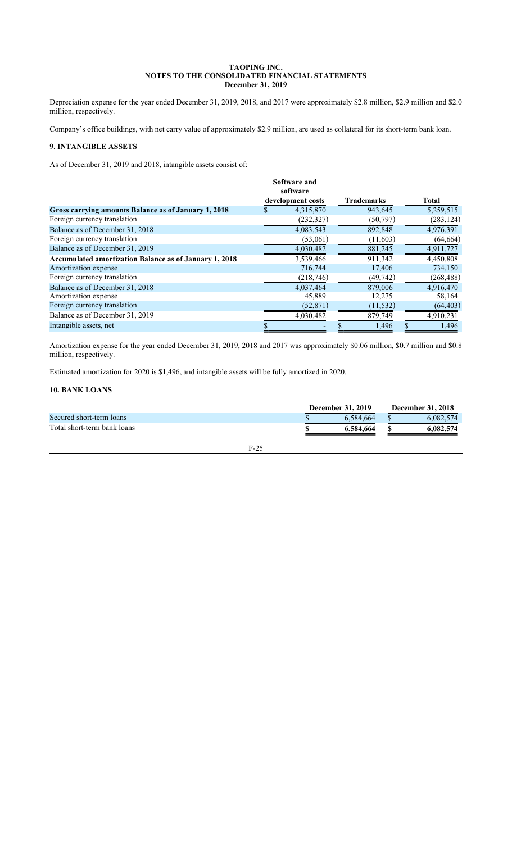Depreciation expense for the year ended December 31, 2019, 2018, and 2017 were approximately \$2.8 million, \$2.9 million and \$2.0 million, respectively.

Company's office buildings, with net carry value of approximately \$2.9 million, are used as collateral for its short-term bank loan.

# **9. INTANGIBLE ASSETS**

As of December 31, 2019 and 2018, intangible assets consist of:

|                                                               | Software and<br>software |                   |              |
|---------------------------------------------------------------|--------------------------|-------------------|--------------|
|                                                               | development costs        | <b>Trademarks</b> | <b>Total</b> |
| Gross carrying amounts Balance as of January 1, 2018          | 4,315,870                | 943,645           | 5,259,515    |
| Foreign currency translation                                  | (232, 327)               | (50, 797)         | (283, 124)   |
| Balance as of December 31, 2018                               | 4,083,543                | 892,848           | 4,976,391    |
| Foreign currency translation                                  | (53,061)                 | (11,603)          | (64, 664)    |
| Balance as of December 31, 2019                               | 4,030,482                | 881,245           | 4,911,727    |
| <b>Accumulated amortization Balance as of January 1, 2018</b> | 3,539,466                | 911,342           | 4,450,808    |
| Amortization expense                                          | 716,744                  | 17,406            | 734,150      |
| Foreign currency translation                                  | (218, 746)               | (49, 742)         | (268, 488)   |
| Balance as of December 31, 2018                               | 4.037.464                | 879,006           | 4,916,470    |
| Amortization expense                                          | 45,889                   | 12,275            | 58,164       |
| Foreign currency translation                                  | (52, 871)                | (11, 532)         | (64, 403)    |
| Balance as of December 31, 2019                               | 4,030,482                | 879,749           | 4,910,231    |
| Intangible assets, net                                        |                          | 1,496             | 1,496        |

Amortization expense for the year ended December 31, 2019, 2018 and 2017 was approximately \$0.06 million, \$0.7 million and \$0.8 million, respectively.

Estimated amortization for 2020 is \$1,496, and intangible assets will be fully amortized in 2020.

# **10. BANK LOANS**

|                             | <b>December 31, 2019</b> |           | <b>December 31, 2018</b> |           |  |  |
|-----------------------------|--------------------------|-----------|--------------------------|-----------|--|--|
| Secured short-term loans    |                          | 6.584.664 |                          | 6.082.574 |  |  |
| Total short-term bank loans |                          | 6.584.664 |                          | 6.082.574 |  |  |

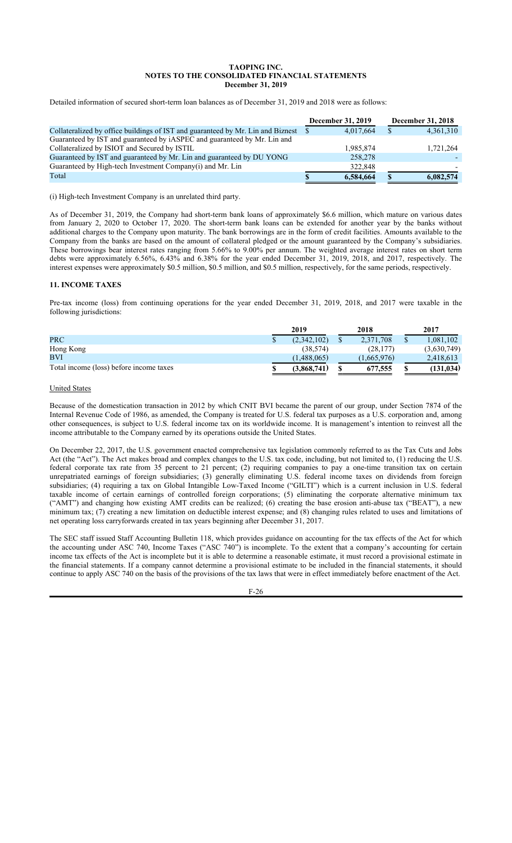Detailed information of secured short-term loan balances as of December 31, 2019 and 2018 were as follows:

|                                                                                    | December 31, 2019 | December 31, 2018 |
|------------------------------------------------------------------------------------|-------------------|-------------------|
| Collateralized by office buildings of IST and guaranteed by Mr. Lin and Biznest \$ | 4.017.664         | 4,361,310         |
| Guaranteed by IST and guaranteed by iASPEC and guaranteed by Mr. Lin and           |                   |                   |
| Collateralized by ISIOT and Secured by ISTIL                                       | 1,985,874         | 1.721.264         |
| Guaranteed by IST and guaranteed by Mr. Lin and guaranteed by DU YONG              | 258,278           |                   |
| Guaranteed by High-tech Investment Company(i) and Mr. Lin                          | 322,848           |                   |
| Total                                                                              | 6,584,664         | 6,082,574         |

(i) High-tech Investment Company is an unrelated third party.

As of December 31, 2019, the Company had short-term bank loans of approximately \$6.6 million, which mature on various dates from January 2, 2020 to October 17, 2020. The short-term bank loans can be extended for another year by the banks without additional charges to the Company upon maturity. The bank borrowings are in the form of credit facilities. Amounts available to the Company from the banks are based on the amount of collateral pledged or the amount guaranteed by the Company's subsidiaries. These borrowings bear interest rates ranging from 5.66% to 9.00% per annum. The weighted average interest rates on short term debts were approximately 6.56%, 6.43% and 6.38% for the year ended December 31, 2019, 2018, and 2017, respectively. The interest expenses were approximately \$0.5 million, \$0.5 million, and \$0.5 million, respectively, for the same periods, respectively.

### **11. INCOME TAXES**

Pre-tax income (loss) from continuing operations for the year ended December 31, 2019, 2018, and 2017 were taxable in the following jurisdictions:

|                                         | 2019        | 2018        | 2017        |
|-----------------------------------------|-------------|-------------|-------------|
| <b>PRC</b>                              | (2,342,102) | 2,371,708   | 1,081,102   |
| Hong Kong                               | (38, 574)   | (28.177)    | (3,630,749) |
| <b>BVI</b>                              | (1,488,065) | (1,665,976) | 2,418,613   |
| Total income (loss) before income taxes | (3,868,741) | 677,555     | (131, 034)  |

## United States

Because of the domestication transaction in 2012 by which CNIT BVI became the parent of our group, under Section 7874 of the Internal Revenue Code of 1986, as amended, the Company is treated for U.S. federal tax purposes as a U.S. corporation and, among other consequences, is subject to U.S. federal income tax on its worldwide income. It is management's intention to reinvest all the income attributable to the Company earned by its operations outside the United States.

On December 22, 2017, the U.S. government enacted comprehensive tax legislation commonly referred to as the Tax Cuts and Jobs Act (the "Act"). The Act makes broad and complex changes to the U.S. tax code, including, but not limited to, (1) reducing the U.S. federal corporate tax rate from 35 percent to 21 percent; (2) requiring companies to pay a one-time transition tax on certain unrepatriated earnings of foreign subsidiaries; (3) generally eliminating U.S. federal income taxes on dividends from foreign subsidiaries; (4) requiring a tax on Global Intangible Low-Taxed Income ("GILTI") which is a current inclusion in U.S. federal taxable income of certain earnings of controlled foreign corporations; (5) eliminating the corporate alternative minimum tax ("AMT") and changing how existing AMT credits can be realized; (6) creating the base erosion anti-abuse tax ("BEAT"), a new minimum tax; (7) creating a new limitation on deductible interest expense; and (8) changing rules related to uses and limitations of net operating loss carryforwards created in tax years beginning after December 31, 2017.

The SEC staff issued Staff Accounting Bulletin 118, which provides guidance on accounting for the tax effects of the Act for which the accounting under ASC 740, Income Taxes ("ASC 740") is incomplete. To the extent that a company's accounting for certain income tax effects of the Act is incomplete but it is able to determine a reasonable estimate, it must record a provisional estimate in the financial statements. If a company cannot determine a provisional estimate to be included in the financial statements, it should continue to apply ASC 740 on the basis of the provisions of the tax laws that were in effect immediately before enactment of the Act.

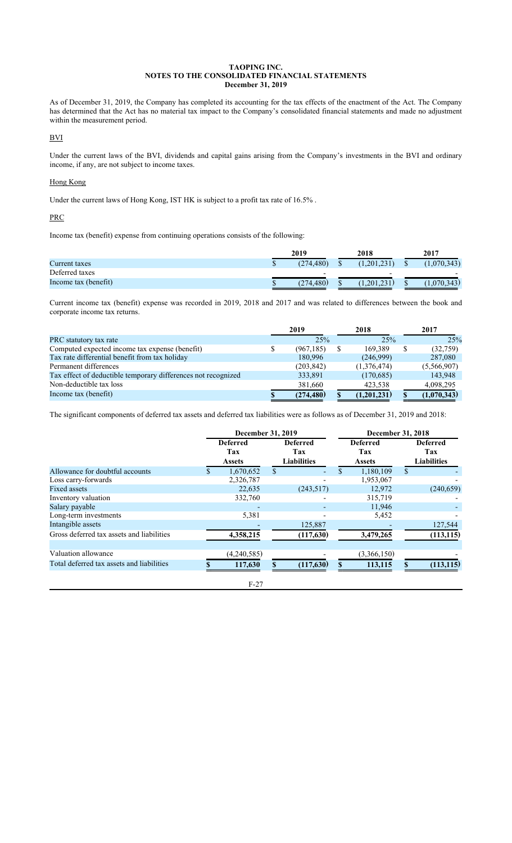As of December 31, 2019, the Company has completed its accounting for the tax effects of the enactment of the Act. The Company has determined that the Act has no material tax impact to the Company's consolidated financial statements and made no adjustment within the measurement period.

**BVI** 

Under the current laws of the BVI, dividends and capital gains arising from the Company's investments in the BVI and ordinary income, if any, are not subject to income taxes.

## Hong Kong

Under the current laws of Hong Kong, IST HK is subject to a profit tax rate of 16.5% .

**PRC** 

Income tax (benefit) expense from continuing operations consists of the following:

|                      | 2019 |            | 2018 |                          | 2017        |
|----------------------|------|------------|------|--------------------------|-------------|
| Current taxes        |      | (274.480)  |      | 1,201,231                | (1,070,343) |
| Deferred taxes       |      | -          |      | $\overline{\phantom{0}}$ |             |
| Income tax (benefit) |      | (274, 480) |      | 1,201,231)               | (1,070,343) |

Current income tax (benefit) expense was recorded in 2019, 2018 and 2017 and was related to differences between the book and corporate income tax returns.

|                                                               | 2019       | 2018        |   | 2017        |
|---------------------------------------------------------------|------------|-------------|---|-------------|
| PRC statutory tax rate                                        | 25%        | 25%         |   | 25%         |
| Computed expected income tax expense (benefit)                | (967, 185) | 169,389     | S | (32,759)    |
| Tax rate differential benefit from tax holiday                | 180.996    | (246,999)   |   | 287,080     |
| Permanent differences                                         | (203, 842) | (1,376,474) |   | (5,566,907) |
| Tax effect of deductible temporary differences not recognized | 333,891    | (170,685)   |   | 143,948     |
| Non-deductible tax loss                                       | 381,660    | 423,538     |   | 4,098,295   |
| Income tax (benefit)                                          | (274, 480) | (1,201,231) |   | (1,070,343) |

The significant components of deferred tax assets and deferred tax liabilities were as follows as of December 31, 2019 and 2018:

|                                           | December 31, 2019 |                                         |              |                                              |   | December 31, 2018                       |               |                                              |
|-------------------------------------------|-------------------|-----------------------------------------|--------------|----------------------------------------------|---|-----------------------------------------|---------------|----------------------------------------------|
|                                           |                   | <b>Deferred</b><br>Tax<br><b>Assets</b> |              | <b>Deferred</b><br>Tax<br><b>Liabilities</b> |   | <b>Deferred</b><br>Tax<br><b>Assets</b> |               | <b>Deferred</b><br>Tax<br><b>Liabilities</b> |
| Allowance for doubtful accounts           | \$.               | 1,670,652                               | $\mathbb{S}$ |                                              |   | 1,180,109                               | <sup>\$</sup> |                                              |
| Loss carry-forwards                       |                   | 2,326,787                               |              |                                              |   | 1,953,067                               |               |                                              |
| <b>Fixed assets</b>                       |                   | 22,635                                  |              | (243,517)                                    |   | 12,972                                  |               | (240, 659)                                   |
| Inventory valuation                       |                   | 332,760                                 |              |                                              |   | 315,719                                 |               |                                              |
| Salary payable                            |                   |                                         |              |                                              |   | 11,946                                  |               |                                              |
| Long-term investments                     |                   | 5,381                                   |              |                                              |   | 5,452                                   |               |                                              |
| Intangible assets                         |                   |                                         |              | 125,887                                      |   |                                         |               | 127,544                                      |
| Gross deferred tax assets and liabilities |                   | 4,358,215                               |              | (117, 630)                                   |   | 3,479,265                               |               | (113, 115)                                   |
| Valuation allowance                       |                   | (4,240,585)                             |              |                                              |   | (3,366,150)                             |               |                                              |
| Total deferred tax assets and liabilities |                   | 117,630                                 |              | (117,630)                                    | S | 113,115                                 |               | (113, 115)                                   |
|                                           |                   | $F-27$                                  |              |                                              |   |                                         |               |                                              |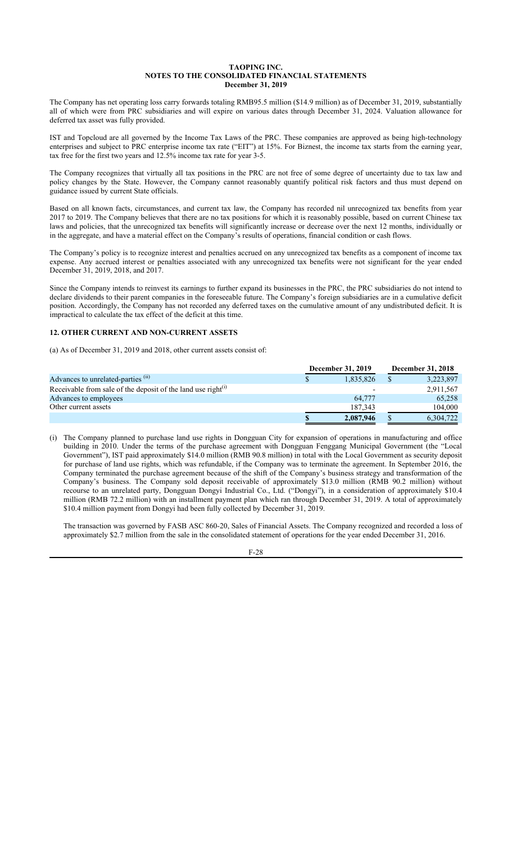The Company has net operating loss carry forwards totaling RMB95.5 million (\$14.9 million) as of December 31, 2019, substantially all of which were from PRC subsidiaries and will expire on various dates through December 31, 2024. Valuation allowance for deferred tax asset was fully provided.

IST and Topcloud are all governed by the Income Tax Laws of the PRC. These companies are approved as being high-technology enterprises and subject to PRC enterprise income tax rate ("EIT") at 15%. For Biznest, the income tax starts from the earning year, tax free for the first two years and  $12.5\%$  income tax rate for year 3-5.

The Company recognizes that virtually all tax positions in the PRC are not free of some degree of uncertainty due to tax law and policy changes by the State. However, the Company cannot reasonably quantify political risk factors and thus must depend on guidance issued by current State officials.

Based on all known facts, circumstances, and current tax law, the Company has recorded nil unrecognized tax benefits from year 2017 to 2019. The Company believes that there are no tax positions for which it is reasonably possible, based on current Chinese tax laws and policies, that the unrecognized tax benefits will significantly increase or decrease over the next 12 months, individually or in the aggregate, and have a material effect on the Company's results of operations, financial condition or cash flows.

The Company's policy is to recognize interest and penalties accrued on any unrecognized tax benefits as a component of income tax expense. Any accrued interest or penalties associated with any unrecognized tax benefits were not significant for the year ended December 31, 2019, 2018, and 2017.

Since the Company intends to reinvest its earnings to further expand its businesses in the PRC, the PRC subsidiaries do not intend to declare dividends to their parent companies in the foreseeable future. The Company's foreign subsidiaries are in a cumulative deficit position. Accordingly, the Company has not recorded any deferred taxes on the cumulative amount of any undistributed deficit. It is impractical to calculate the tax effect of the deficit at this time.

### **12. OTHER CURRENT AND NON-CURRENT ASSETS**

(a) As of December 31, 2019 and 2018, other current assets consist of:

|                                                                 | December 31, 2019 | December 31, 2018 |           |  |
|-----------------------------------------------------------------|-------------------|-------------------|-----------|--|
| Advances to unrelated-parties (ii)                              | 1,835,826         |                   | 3,223,897 |  |
| Receivable from sale of the deposit of the land use right $(1)$ |                   |                   | 2,911,567 |  |
| Advances to employees                                           | 64,777            |                   | 65,258    |  |
| Other current assets                                            | 187,343           |                   | 104,000   |  |
|                                                                 | 2,087,946         |                   | 6,304,722 |  |

(i) The Company planned to purchase land use rights in Dongguan City for expansion of operations in manufacturing and office building in 2010. Under the terms of the purchase agreement with Dongguan Fenggang Municipal Government (the "Local Government"), IST paid approximately \$14.0 million (RMB 90.8 million) in total with the Local Government as security deposit for purchase of land use rights, which was refundable, if the Company was to terminate the agreement. In September 2016, the Company terminated the purchase agreement because of the shift of the Company's business strategy and transformation of the Company's business. The Company sold deposit receivable of approximately \$13.0 million (RMB 90.2 million) without recourse to an unrelated party, Dongguan Dongyi Industrial Co., Ltd. ("Dongyi"), in a consideration of approximately \$10.4 million (RMB 72.2 million) with an installment payment plan which ran through December 31, 2019. A total of approximately \$10.4 million payment from Dongyi had been fully collected by December 31, 2019.

The transaction was governed by FASB ASC 860-20, Sales of Financial Assets. The Company recognized and recorded a loss of approximately \$2.7 million from the sale in the consolidated statement of operations for the year ended December 31, 2016.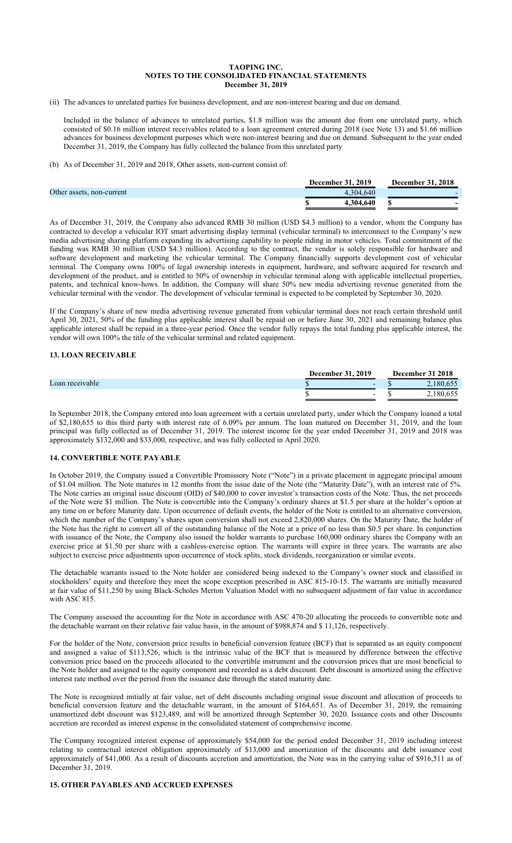(ii) The advances to unrelated parties for business development, and are non-interest bearing and due on demand.

Included in the balance of advances to unrelated parties, \$1.8 million was the amount due from one unrelated party, which consisted of \$0.16 million interest receivables related to a loan agreement entered during 2018 (see Note 13) and \$1.66 million advances for business development purposes which were non-interest bearing and due on demand. Subsequent to the year ended December 31, 2019, the Company has fully collected the balance from this unrelated party

#### (b) As of December 31, 2019 and 2018, Other assets, non-current consist of:

|                           | <b>December 31, 2019</b> | <b>December 31, 2018</b> |
|---------------------------|--------------------------|--------------------------|
| Other assets, non-current | 4.304.640                |                          |
|                           | 4.304.640                |                          |

As of December 31, 2019, the Company also advanced RMB 30 million (USD \$4.3 million) to a vendor, whom the Company has contracted to develop a vehicular IOT smart advertising display terminal (vehicular terminal) to interconnect to the Company's new media advertising sharing platform expanding its advertising capability to people riding in motor vehicles. Total commitment of the funding was RMB 30 million (USD \$4.3 million). According to the contract, the vendor is solely responsible for hardware and software development and marketing the vehicular terminal. The Company financially supports development cost of vehicular terminal. The Company owns 100% of legal ownership interests in equipment, hardware, and software acquired for research and development of the product, and is entitled to 50% of ownership in vehicular terminal along with applicable intellectual properties, patents, and technical know-hows. In addition, the Company will share 50% new media advertising revenue generated from the vehicular terminal with the vendor. The development of vehicular terminal is expected to be completed by September 30, 2020.

If the Company's share of new media advertising revenue generated from vehicular terminal does not reach certain threshold until April 30, 2021, 50% of the funding plus applicable interest shall be repaid on or before June 30, 2021 and remaining balance plus applicable interest shall be repaid in a three-year period. Once the vendor fully repays the total funding plus applicable interest, the vendor will own 100% the title of the vehicular terminal and related equipment.

## **13. LOAN RECEIVABLE**

|                 | <b>December 31, 2019</b> |                          | December 31 2018 |
|-----------------|--------------------------|--------------------------|------------------|
| Loan receivable |                          |                          | 2.180.655        |
|                 |                          | $\overline{\phantom{0}}$ | 2,180,655        |

In September 2018, the Company entered into loan agreement with a certain unrelated party, under which the Company loaned a total of \$2,180,655 to this third party with interest rate of 6.09% per annum. The loan matured on December 31, 2019, and the loan principal was fully collected as of December 31, 2019. The interest income for the year ended December 31, 2019 and 2018 was approximately \$132,000 and \$33,000, respective, and was fully collected in April 2020.

## **14. CONVERTIBLE NOTE PAYABLE**

In October 2019, the Company issued a Convertible Promissory Note ("Note") in a private placement in aggregate principal amount of \$1.04 million. The Note matures in 12 months from the issue date of the Note (the "Maturity Date"), with an interest rate of 5%. The Note carries an original issue discount (OID) of \$40,000 to cover investor's transaction costs of the Note. Thus, the net proceeds of the Note were \$1 million. The Note is convertible into the Company's ordinary shares at \$1.5 per share at the holder's option at any time on or before Maturity date. Upon occurrence of default events, the holder of the Note is entitled to an alternative conversion, which the number of the Company's shares upon conversion shall not exceed 2,820,000 shares. On the Maturity Date, the holder of the Note has the right to convert all of the outstanding balance of the Note at a price of no less than \$0.5 per share. In conjunction with issuance of the Note, the Company also issued the holder warrants to purchase 160,000 ordinary shares the Company with an exercise price at \$1.50 per share with a cashless-exercise option. The warrants will expire in three years. The warrants are also subject to exercise price adjustments upon occurrence of stock splits, stock dividends, reorganization or similar events.

The detachable warrants issued to the Note holder are considered being indexed to the Company's owner stock and classified in stockholders' equity and therefore they meet the scope exception prescribed in ASC 815-10-15. The warrants are initially measured at fair value of \$11,250 by using Black-Scholes Merton Valuation Model with no subsequent adjustment of fair value in accordance with ASC 815.

The Company assessed the accounting for the Note in accordance with ASC 470-20 allocating the proceeds to convertible note and the detachable warrant on their relative fair value basis, in the amount of \$988,874 and \$ 11,126, respectively.

For the holder of the Note, conversion price results in beneficial conversion feature (BCF) that is separated as an equity component and assigned a value of \$113,526, which is the intrinsic value of the BCF that is measured by difference between the effective conversion price based on the proceeds allocated to the convertible instrument and the conversion prices that are most beneficial to the Note holder and assigned to the equity component and recorded as a debt discount. Debt discount is amortized using the effective interest rate method over the period from the issuance date through the stated maturity date.

The Note is recognized initially at fair value, net of debt discounts including original issue discount and allocation of proceeds to beneficial conversion feature and the detachable warrant, in the amount of \$164,651. As of December 31, 2019, the remaining unamortized debt discount was \$123,489, and will be amortized through September 30, 2020. Issuance costs and other Discounts accretion are recorded as interest expense in the consolidated statement of comprehensive income.

The Company recognized interest expense of approximately \$54,000 for the period ended December 31, 2019 including interest relating to contractual interest obligation approximately of \$13,000 and amortization of the discounts and debt issuance cost approximately of \$41,000. As a result of discounts accretion and amortization, the Note was in the carrying value of \$916,511 as of December 31, 2019.

# **15. OTHER PAYABLES AND ACCRUED EXPENSES**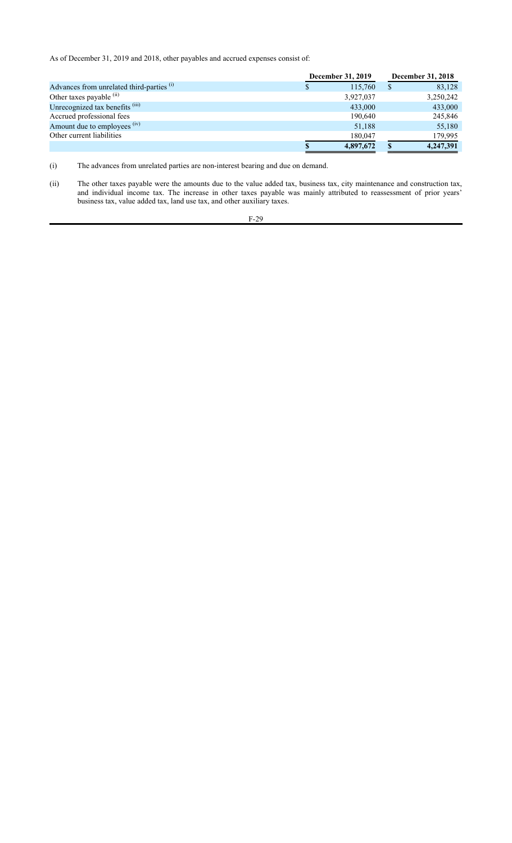As of December 31, 2019 and 2018, other payables and accrued expenses consist of:

|                                           | December 31, 2019 |           |    | December 31, 2018 |
|-------------------------------------------|-------------------|-----------|----|-------------------|
| Advances from unrelated third-parties (i) |                   | 115,760   | \$ | 83,128            |
| Other taxes payable <sup>(ii)</sup>       |                   | 3,927,037 |    | 3,250,242         |
| Unrecognized tax benefits (iii)           |                   | 433,000   |    | 433,000           |
| Accrued professional fees                 |                   | 190,640   |    | 245,846           |
| Amount due to employees (iv)              |                   | 51,188    |    | 55,180            |
| Other current liabilities                 |                   | 180,047   |    | 179,995           |
|                                           |                   | 4,897,672 |    | 4,247,391         |

(i) The advances from unrelated parties are non-interest bearing and due on demand.

<sup>(</sup>ii) The other taxes payable were the amounts due to the value added tax, business tax, city maintenance and construction tax, and individual income tax. The increase in other taxes payable was mainly attributed to reassessment of prior years' business tax, value added tax, land use tax, and other auxiliary taxes.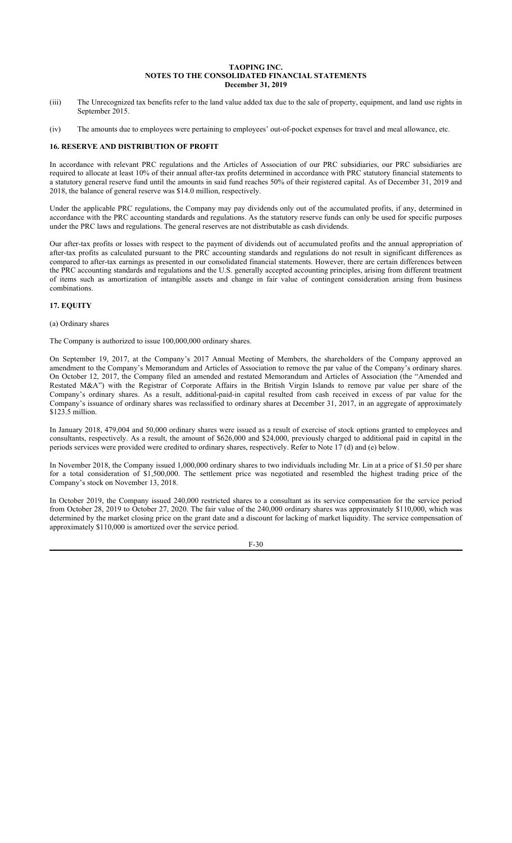- (iii) The Unrecognized tax benefits refer to the land value added tax due to the sale of property, equipment, and land use rights in September 2015.
- (iv) The amounts due to employees were pertaining to employees' out-of-pocket expenses for travel and meal allowance, etc.

## **16. RESERVE AND DISTRIBUTION OF PROFIT**

In accordance with relevant PRC regulations and the Articles of Association of our PRC subsidiaries, our PRC subsidiaries are required to allocate at least 10% of their annual after-tax profits determined in accordance with PRC statutory financial statements to a statutory general reserve fund until the amounts in said fund reaches 50% of their registered capital. As of December 31, 2019 and 2018, the balance of general reserve was \$14.0 million, respectively.

Under the applicable PRC regulations, the Company may pay dividends only out of the accumulated profits, if any, determined in accordance with the PRC accounting standards and regulations. As the statutory reserve funds can only be used for specific purposes under the PRC laws and regulations. The general reserves are not distributable as cash dividends.

Our after-tax profits or losses with respect to the payment of dividends out of accumulated profits and the annual appropriation of after-tax profits as calculated pursuant to the PRC accounting standards and regulations do not result in significant differences as compared to after-tax earnings as presented in our consolidated financial statements. However, there are certain differences between the PRC accounting standards and regulations and the U.S. generally accepted accounting principles, arising from different treatment of items such as amortization of intangible assets and change in fair value of contingent consideration arising from business combinations.

### **17. EQUITY**

## (a) Ordinary shares

The Company is authorized to issue 100,000,000 ordinary shares.

On September 19, 2017, at the Company's 2017 Annual Meeting of Members, the shareholders of the Company approved an amendment to the Company's Memorandum and Articles of Association to remove the par value of the Company's ordinary shares. On October 12, 2017, the Company filed an amended and restated Memorandum and Articles of Association (the "Amended and Restated M&A") with the Registrar of Corporate Affairs in the British Virgin Islands to remove par value per share of the Company's ordinary shares. As a result, additional-paid-in capital resulted from cash received in excess of par value for the Company's issuance of ordinary shares was reclassified to ordinary shares at December 31, 2017, in an aggregate of approximately \$123.5 million.

In January 2018, 479,004 and 50,000 ordinary shares were issued as a result of exercise of stock options granted to employees and consultants, respectively. As a result, the amount of \$626,000 and \$24,000, previously charged to additional paid in capital in the periods services were provided were credited to ordinary shares, respectively. Refer to Note 17 (d) and (e) below.

In November 2018, the Company issued 1,000,000 ordinary shares to two individuals including Mr. Lin at a price of \$1.50 per share for a total consideration of \$1,500,000. The settlement price was negotiated and resembled the highest trading price of the Company's stock on November 13, 2018.

In October 2019, the Company issued 240,000 restricted shares to a consultant as its service compensation for the service period from October 28, 2019 to October 27, 2020. The fair value of the 240,000 ordinary shares was approximately \$110,000, which was determined by the market closing price on the grant date and a discount for lacking of market liquidity. The service compensation of approximately \$110,000 is amortized over the service period.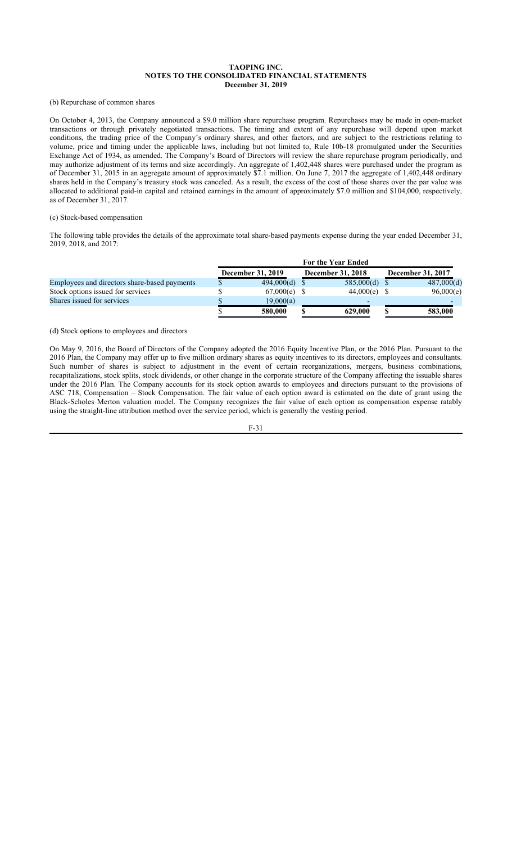#### (b) Repurchase of common shares

On October 4, 2013, the Company announced a \$9.0 million share repurchase program. Repurchases may be made in open-market transactions or through privately negotiated transactions. The timing and extent of any repurchase will depend upon market conditions, the trading price of the Company's ordinary shares, and other factors, and are subject to the restrictions relating to volume, price and timing under the applicable laws, including but not limited to, Rule 10b-18 promulgated under the Securities Exchange Act of 1934, as amended. The Company's Board of Directors will review the share repurchase program periodically, and may authorize adjustment of its terms and size accordingly. An aggregate of 1,402,448 shares were purchased under the program as of December 31, 2015 in an aggregate amount of approximately \$7.1 million. On June 7, 2017 the aggregate of 1,402,448 ordinary shares held in the Company's treasury stock was canceled. As a result, the excess of the cost of those shares over the par value was allocated to additional paid-in capital and retained earnings in the amount of approximately \$7.0 million and \$104,000, respectively, as of December 31, 2017.

#### (c) Stock-based compensation

The following table provides the details of the approximate total share-based payments expense during the year ended December 31, 2019, 2018, and 2017:

|                                              |  | December 31, 2019 | December 31, 2018 | December 31, 2017 |            |  |
|----------------------------------------------|--|-------------------|-------------------|-------------------|------------|--|
| Employees and directors share-based payments |  | 494,000(d)        | 585,000(d)        |                   | 487,000(d) |  |
| Stock options issued for services            |  | 67,000(e)         | 44,000(e)         |                   | 96,000(e)  |  |
| Shares issued for services                   |  | 19,000(a)         |                   |                   |            |  |
|                                              |  | 580,000           | 629,000           |                   | 583,000    |  |

# (d) Stock options to employees and directors

On May 9, 2016, the Board of Directors of the Company adopted the 2016 Equity Incentive Plan, or the 2016 Plan. Pursuant to the 2016 Plan, the Company may offer up to five million ordinary shares as equity incentives to its directors, employees and consultants. Such number of shares is subject to adjustment in the event of certain reorganizations, mergers, business combinations, recapitalizations, stock splits, stock dividends, or other change in the corporate structure of the Company affecting the issuable shares under the 2016 Plan. The Company accounts for its stock option awards to employees and directors pursuant to the provisions of ASC 718, Compensation – Stock Compensation. The fair value of each option award is estimated on the date of grant using the Black-Scholes Merton valuation model. The Company recognizes the fair value of each option as compensation expense ratably using the straight-line attribution method over the service period, which is generally the vesting period.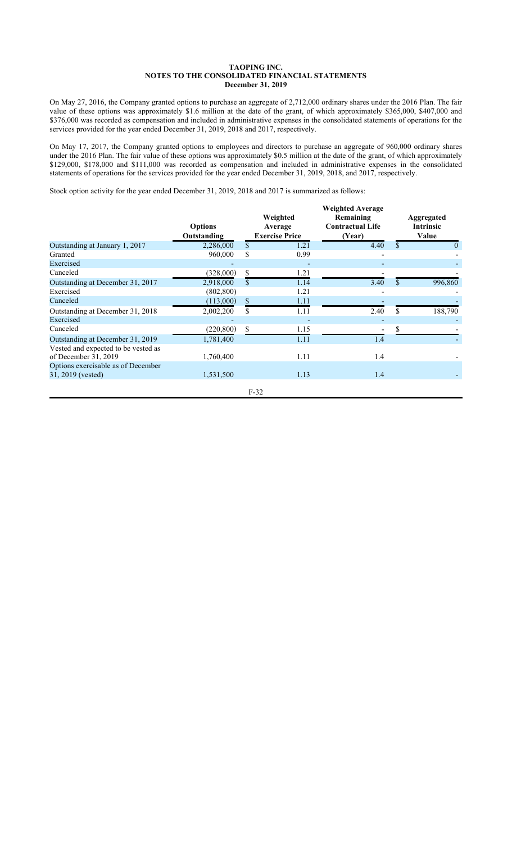On May 27, 2016, the Company granted options to purchase an aggregate of 2,712,000 ordinary shares under the 2016 Plan. The fair value of these options was approximately \$1.6 million at the date of the grant, of which approximately \$365,000, \$407,000 and \$376,000 was recorded as compensation and included in administrative expenses in the consolidated statements of operations for the services provided for the year ended December 31, 2019, 2018 and 2017, respectively.

On May 17, 2017, the Company granted options to employees and directors to purchase an aggregate of 960,000 ordinary shares under the 2016 Plan. The fair value of these options was approximately \$0.5 million at the date of the grant, of which approximately \$129,000, \$178,000 and \$111,000 was recorded as compensation and included in administrative expenses in the consolidated statements of operations for the services provided for the year ended December 31, 2019, 2018, and 2017, respectively.

Stock option activity for the year ended December 31, 2019, 2018 and 2017 is summarized as follows:

|                                                             | <b>Options</b><br>Outstanding |               | Weighted<br>Average<br><b>Exercise Price</b> | <b>Weighted Average</b><br>Remaining<br><b>Contractual Life</b><br>(Year) |              | <b>Aggregated</b><br><b>Intrinsic</b><br>Value |
|-------------------------------------------------------------|-------------------------------|---------------|----------------------------------------------|---------------------------------------------------------------------------|--------------|------------------------------------------------|
| Outstanding at January 1, 2017                              | 2,286,000                     | <sup>\$</sup> | 1.21                                         | 4.40                                                                      | S.           | $\Omega$                                       |
| Granted                                                     | 960,000                       | \$            | 0.99                                         |                                                                           |              |                                                |
| Exercised                                                   |                               |               |                                              |                                                                           |              |                                                |
| Canceled                                                    | (328,000)                     | \$            | 1.21                                         |                                                                           |              |                                                |
| Outstanding at December 31, 2017                            | 2,918,000                     | $\mathcal{S}$ | 1.14                                         | 3.40                                                                      | $\mathbf{s}$ | 996,860                                        |
| Exercised                                                   | (802, 800)                    |               | 1.21                                         |                                                                           |              |                                                |
| Canceled                                                    | (113,000)                     | \$            | 1.11                                         |                                                                           |              |                                                |
| Outstanding at December 31, 2018                            | 2,002,200                     | \$            | 1.11                                         | 2.40                                                                      |              | 188,790                                        |
| Exercised                                                   |                               |               |                                              |                                                                           |              |                                                |
| Canceled                                                    | (220, 800)                    | \$            | 1.15                                         |                                                                           |              |                                                |
| Outstanding at December 31, 2019                            | 1,781,400                     |               | 1.11                                         | 1.4                                                                       |              |                                                |
| Vested and expected to be vested as<br>of December 31, 2019 | 1,760,400                     |               | 1.11                                         | 1.4                                                                       |              |                                                |
| Options exercisable as of December<br>31, 2019 (vested)     | 1,531,500                     |               | 1.13                                         | 1.4                                                                       |              |                                                |
|                                                             |                               |               | $F-32$                                       |                                                                           |              |                                                |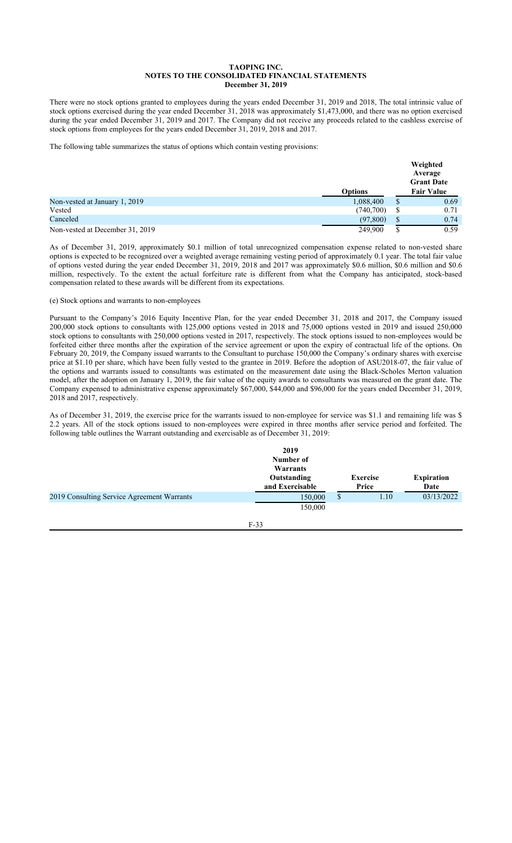There were no stock options granted to employees during the years ended December 31, 2019 and 2018, The total intrinsic value of stock options exercised during the year ended December 31, 2018 was approximately \$1,473,000, and there was no option exercised during the year ended December 31, 2019 and 2017. The Company did not receive any proceeds related to the cashless exercise of stock options from employees for the years ended December 31, 2019, 2018 and 2017.

The following table summarizes the status of options which contain vesting provisions:

|                                 | <b>Options</b> | Weighted<br>Average<br><b>Grant Date</b><br><b>Fair Value</b> |
|---------------------------------|----------------|---------------------------------------------------------------|
| Non-vested at January 1, 2019   | 1,088,400      | 0.69                                                          |
| Vested                          | (740,700)      | \$<br>0.71                                                    |
| Canceled                        | (97,800)       | 0.74                                                          |
| Non-vested at December 31, 2019 | 249,900        | 0.59                                                          |

As of December 31, 2019, approximately \$0.1 million of total unrecognized compensation expense related to non-vested share options is expected to be recognized over a weighted average remaining vesting period of approximately 0.1 year. The total fair value of options vested during the year ended December 31, 2019, 2018 and 2017 was approximately \$0.6 million, \$0.6 million and \$0.6 million, respectively. To the extent the actual forfeiture rate is different from what the Company has anticipated, stock-based compensation related to these awards will be different from its expectations.

## (e) Stock options and warrants to non-employees

Pursuant to the Company's 2016 Equity Incentive Plan, for the year ended December 31, 2018 and 2017, the Company issued 200,000 stock options to consultants with 125,000 options vested in 2018 and 75,000 options vested in 2019 and issued 250,000 stock options to consultants with 250,000 options vested in 2017, respectively. The stock options issued to non-employees would be forfeited either three months after the expiration of the service agreement or upon the expiry of contractual life of the options. On February 20, 2019, the Company issued warrants to the Consultant to purchase 150,000 the Company's ordinary shares with exercise price at \$1.10 per share, which have been fully vested to the grantee in 2019. Before the adoption of ASU2018-07, the fair value of the options and warrants issued to consultants was estimated on the measurement date using the Black-Scholes Merton valuation model, after the adoption on January 1, 2019, the fair value of the equity awards to consultants was measured on the grant date. The Company expensed to administrative expense approximately \$67,000, \$44,000 and \$96,000 for the years ended December 31, 2019, 2018 and 2017, respectively.

As of December 31, 2019, the exercise price for the warrants issued to non-employee for service was \$1.1 and remaining life was \$ 2.2 years. All of the stock options issued to non-employees were expired in three months after service period and forfeited. The following table outlines the Warrant outstanding and exercisable as of December 31, 2019:

|                                            | 2019<br>Number of<br>Warrants<br>Outstanding<br>and Exercisable |   | <b>Exercise</b><br>Price | <b>Expiration</b><br>Date |
|--------------------------------------------|-----------------------------------------------------------------|---|--------------------------|---------------------------|
| 2019 Consulting Service Agreement Warrants | 150,000                                                         | S | 1.10                     | 03/13/2022                |
|                                            | 150,000                                                         |   |                          |                           |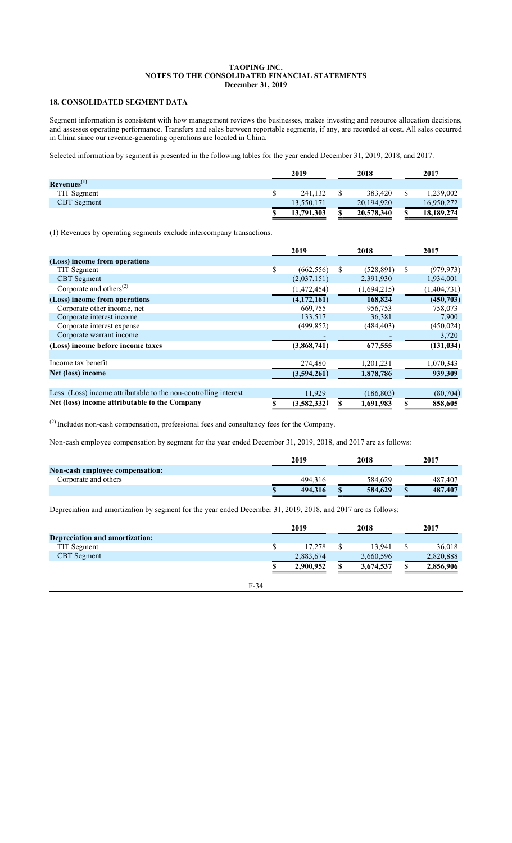# **18. CONSOLIDATED SEGMENT DATA**

Segment information is consistent with how management reviews the businesses, makes investing and resource allocation decisions, and assesses operating performance. Transfers and sales between reportable segments, if any, are recorded at cost. All sales occurred in China since our revenue-generating operations are located in China.

Selected information by segment is presented in the following tables for the year ended December 31, 2019, 2018, and 2017.

|                         | 2019<br>2018 |  | 2017       |  |            |
|-------------------------|--------------|--|------------|--|------------|
| Revenues <sup>(1)</sup> |              |  |            |  |            |
| TIT Segment             | 241.132      |  | 383,420    |  | 1,239,002  |
| <b>CBT</b> Segment      | 13,550,171   |  | 20,194,920 |  | 16,950,272 |
|                         | 13,791,303   |  | 20,578,340 |  | 18,189,274 |

(1) Revenues by operating segments exclude intercompany transactions.

|                                                                  | 2019             | 2018         |             |   | 2017        |
|------------------------------------------------------------------|------------------|--------------|-------------|---|-------------|
| (Loss) income from operations                                    |                  |              |             |   |             |
| TIT Segment                                                      | \$<br>(662, 556) | <sup>S</sup> | (528, 891)  | S | (979, 973)  |
| <b>CBT</b> Segment                                               | (2,037,151)      |              | 2,391,930   |   | 1,934,001   |
| Corporate and others $^{(2)}$                                    | (1,472,454)      |              | (1,694,215) |   | (1,404,731) |
| (Loss) income from operations                                    | (4, 172, 161)    |              | 168,824     |   | (450, 703)  |
| Corporate other income, net                                      | 669,755          |              | 956,753     |   | 758,073     |
| Corporate interest income                                        | 133,517          |              | 36,381      |   | 7,900       |
| Corporate interest expense                                       | (499, 852)       |              | (484, 403)  |   | (450, 024)  |
| Corporate warrant income                                         |                  |              |             |   | 3,720       |
| (Loss) income before income taxes                                | (3,868,741)      |              | 677,555     |   | (131, 034)  |
|                                                                  |                  |              |             |   |             |
| Income tax benefit                                               | 274,480          |              | 1,201,231   |   | 1,070,343   |
| Net (loss) income                                                | (3,594,261)      |              | 1,878,786   |   | 939,309     |
|                                                                  |                  |              |             |   |             |
| Less: (Loss) income attributable to the non-controlling interest | 11,929           |              | (186, 803)  |   | (80, 704)   |
| Net (loss) income attributable to the Company                    | (3,582,332)      |              | 1,691,983   |   | 858,605     |

(2) Includes non-cash compensation, professional fees and consultancy fees for the Company.

Non-cash employee compensation by segment for the year ended December 31, 2019, 2018, and 2017 are as follows:

|                                 | 2019    | 2018    | 2017    |
|---------------------------------|---------|---------|---------|
| Non-cash employee compensation: |         |         |         |
| Corporate and others            | 494.316 | 584.629 | 487,407 |
|                                 | 494.316 | 584,629 | 487,407 |

Depreciation and amortization by segment for the year ended December 31, 2019, 2018, and 2017 are as follows:

|                                       |        | 2019<br>2018 |    | 2017      |  |           |
|---------------------------------------|--------|--------------|----|-----------|--|-----------|
| <b>Depreciation and amortization:</b> |        |              |    |           |  |           |
| TIT Segment                           |        | 17.278       |    | 13.941    |  | 36,018    |
| <b>CBT</b> Segment                    |        | 2,883,674    |    | 3,660,596 |  | 2,820,888 |
|                                       | ъĐ     | 2,900,952    | \$ | 3,674,537 |  | 2,856,906 |
|                                       | $F-34$ |              |    |           |  |           |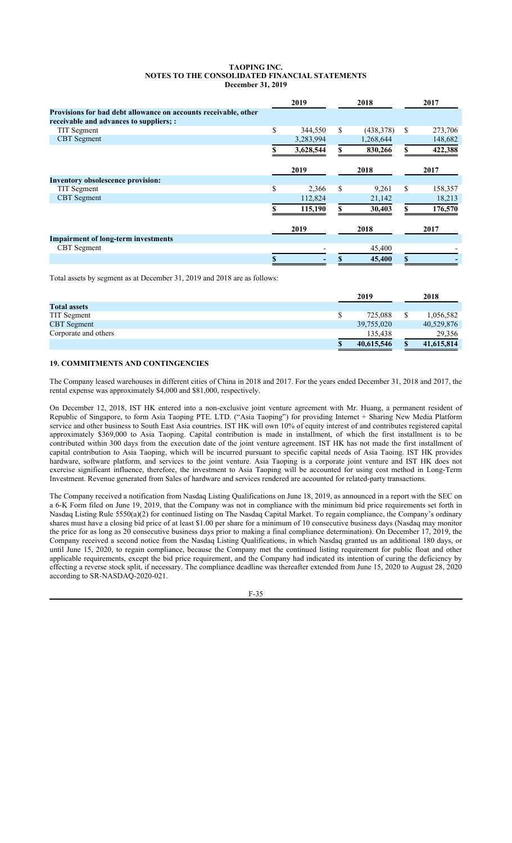|                                                                 | 2019<br>2018 |           | 2017 |            |               |         |
|-----------------------------------------------------------------|--------------|-----------|------|------------|---------------|---------|
| Provisions for bad debt allowance on accounts receivable, other |              |           |      |            |               |         |
| receivable and advances to suppliers; :                         |              |           |      |            |               |         |
| TIT Segment                                                     | \$           | 344,550   | S.   | (438, 378) | <sup>\$</sup> | 273,706 |
| <b>CBT</b> Segment                                              |              | 3,283,994 |      | 1,268,644  |               | 148,682 |
|                                                                 |              | 3,628,544 |      | 830,266    |               | 422,388 |
|                                                                 |              | 2019      |      | 2018       |               | 2017    |
| <b>Inventory obsolescence provision:</b>                        |              |           |      |            |               |         |
| TIT Segment                                                     | S            | 2,366     | \$   | 9,261      | \$            | 158,357 |
| <b>CBT</b> Segment                                              |              | 112,824   |      | 21,142     |               | 18,213  |
|                                                                 |              | 115,190   |      | 30,403     |               | 176,570 |
|                                                                 |              | 2019      |      | 2018       |               | 2017    |
| <b>Impairment of long-term investments</b>                      |              |           |      |            |               |         |
| CBT Segment                                                     |              |           |      | 45,400     |               |         |
|                                                                 |              |           |      | 45,400     |               |         |

Total assets by segment as at December 31, 2019 and 2018 are as follows:

|                      | 2019       |  | 2018       |  |
|----------------------|------------|--|------------|--|
| <b>Total assets</b>  |            |  |            |  |
| TIT Segment          | 725.088    |  | 1,056,582  |  |
| <b>CBT</b> Segment   | 39,755,020 |  | 40,529,876 |  |
| Corporate and others | 135.438    |  | 29,356     |  |
|                      | 40,615,546 |  | 41,615,814 |  |

# **19. COMMITMENTS AND CONTINGENCIES**

The Company leased warehouses in different cities of China in 2018 and 2017. For the years ended December 31, 2018 and 2017, the rental expense was approximately \$4,000 and \$81,000, respectively.

On December 12, 2018, IST HK entered into a non-exclusive joint venture agreement with Mr. Huang, a permanent resident of Republic of Singapore, to form Asia Taoping PTE. LTD. ("Asia Taoping") for providing Internet + Sharing New Media Platform service and other business to South East Asia countries. IST HK will own 10% of equity interest of and contributes registered capital approximately \$369,000 to Asia Taoping. Capital contribution is made in installment, of which the first installment is to be contributed within 300 days from the execution date of the joint venture agreement. IST HK has not made the first installment of capital contribution to Asia Taoping, which will be incurred pursuant to specific capital needs of Asia Taoing. IST HK provides hardware, software platform, and services to the joint venture. Asia Taoping is a corporate joint venture and IST HK does not exercise significant influence, therefore, the investment to Asia Taoping will be accounted for using cost method in Long-Term Investment. Revenue generated from Sales of hardware and services rendered are accounted for related-party transactions.

The Company received a notification from Nasdaq Listing Qualifications on June 18, 2019, as announced in a report with the SEC on a 6-K Form filed on June 19, 2019, that the Company was not in compliance with the minimum bid price requirements set forth in Nasdaq Listing Rule 5550(a)(2) for continued listing on The Nasdaq Capital Market. To regain compliance, the Company's ordinary shares must have a closing bid price of at least \$1.00 per share for a minimum of 10 consecutive business days (Nasdaq may monitor the price for as long as 20 consecutive business days prior to making a final compliance determination). On December 17, 2019, the Company received a second notice from the Nasdaq Listing Qualifications, in which Nasdaq granted us an additional 180 days, or until June 15, 2020, to regain compliance, because the Company met the continued listing requirement for public float and other applicable requirements, except the bid price requirement, and the Company had indicated its intention of curing the deficiency by effecting a reverse stock split, if necessary. The compliance deadline was thereafter extended from June 15, 2020 to August 28, 2020 according to SR-NASDAQ-2020-021.

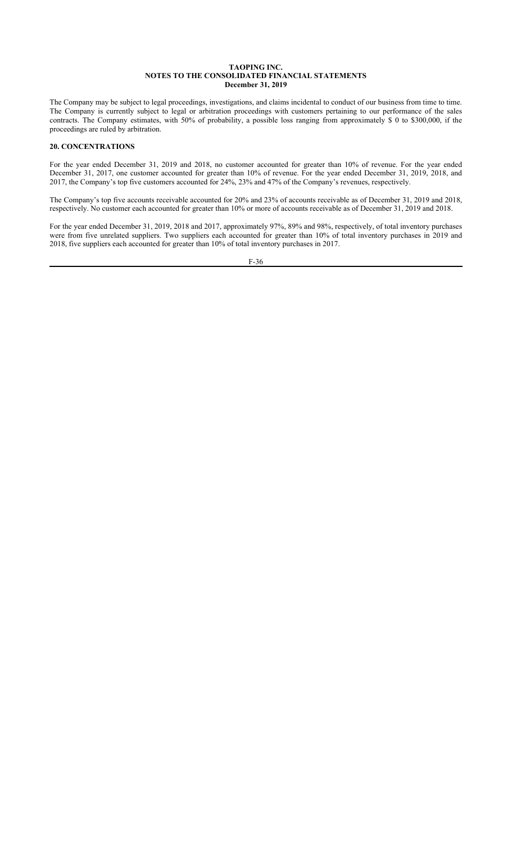The Company may be subject to legal proceedings, investigations, and claims incidental to conduct of our business from time to time. The Company is currently subject to legal or arbitration proceedings with customers pertaining to our performance of the sales contracts. The Company estimates, with 50% of probability, a possible loss ranging from approximately \$ 0 to \$300,000, if the proceedings are ruled by arbitration.

# **20. CONCENTRATIONS**

For the year ended December 31, 2019 and 2018, no customer accounted for greater than 10% of revenue. For the year ended December 31, 2017, one customer accounted for greater than 10% of revenue. For the year ended December 31, 2019, 2018, and 2017, the Company's top five customers accounted for 24%, 23% and 47% of the Company's revenues, respectively.

The Company's top five accounts receivable accounted for 20% and 23% of accounts receivable as of December 31, 2019 and 2018, respectively. No customer each accounted for greater than 10% or more of accounts receivable as of December 31, 2019 and 2018.

For the year ended December 31, 2019, 2018 and 2017, approximately 97%, 89% and 98%, respectively, of total inventory purchases were from five unrelated suppliers. Two suppliers each accounted for greater than 10% of total inventory purchases in 2019 and 2018, five suppliers each accounted for greater than 10% of total inventory purchases in 2017.